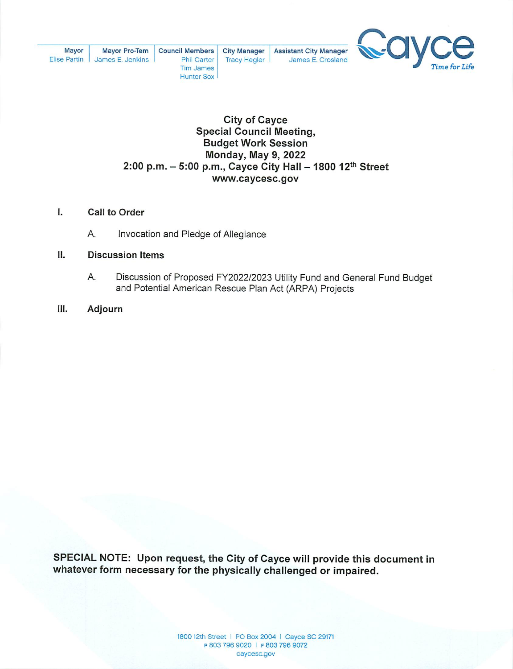

# **City of Cayce Special Council Meeting, Budget Work Session Monday, May 9, 2022** 2:00 p.m. - 5:00 p.m., Cayce City Hall - 1800 12th Street www.caycesc.gov

#### I. **Call to Order**

А. Invocation and Pledge of Allegiance

#### П. **Discussion Items**

- Α. Discussion of Proposed FY2022/2023 Utility Fund and General Fund Budget and Potential American Rescue Plan Act (ARPA) Projects
- Ш. Adjourn

SPECIAL NOTE: Upon request, the City of Cayce will provide this document in whatever form necessary for the physically challenged or impaired.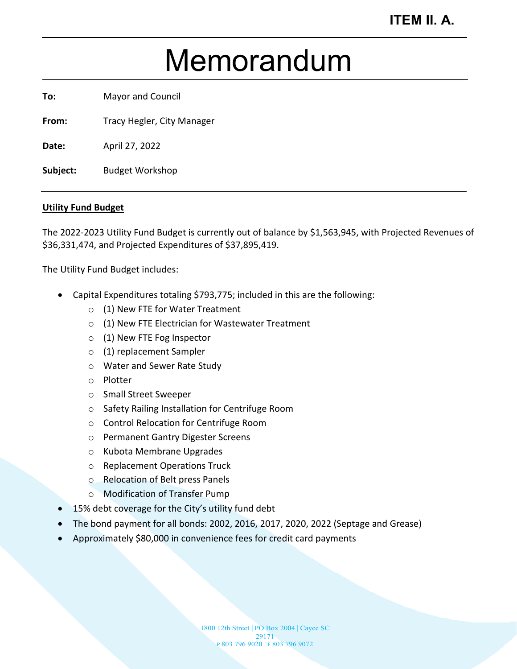# Memorandum

**To:** Mayor and Council

From: Tracy Hegler, City Manager

**Date:** April 27, 2022

**Subject:** Budget Workshop

## **Utility Fund Budget**

The 2022-2023 Utility Fund Budget is currently out of balance by \$1,563,945, with Projected Revenues of \$36,331,474, and Projected Expenditures of \$37,895,419.

The Utility Fund Budget includes:

- Capital Expenditures totaling \$793,775; included in this are the following:
	- o (1) New FTE for Water Treatment
	- o (1) New FTE Electrician for Wastewater Treatment
	- o (1) New FTE Fog Inspector
	- o (1) replacement Sampler
	- o Water and Sewer Rate Study
	- o Plotter
	- o Small Street Sweeper
	- o Safety Railing Installation for Centrifuge Room
	- o Control Relocation for Centrifuge Room
	- o Permanent Gantry Digester Screens
	- o Kubota Membrane Upgrades
	- o Replacement Operations Truck
	- o Relocation of Belt press Panels
	- o Modification of Transfer Pump
- 15% debt coverage for the City's utility fund debt
- The bond payment for all bonds: 2002, 2016, 2017, 2020, 2022 (Septage and Grease)
- Approximately \$80,000 in convenience fees for credit card payments

1800 12th Street | PO Box 2004 | Cayce SC 29171 P 803 796 9020 | F 803 796 9072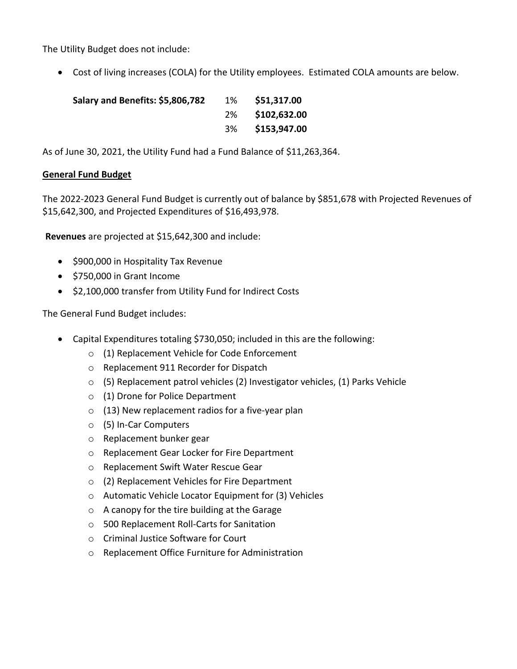The Utility Budget does not include:

• Cost of living increases (COLA) for the Utility employees. Estimated COLA amounts are below.

| Salary and Benefits: \$5,806,782 | 1% | \$51,317.00     |
|----------------------------------|----|-----------------|
|                                  |    | 2% \$102,632.00 |
|                                  |    | 3% \$153,947.00 |

As of June 30, 2021, the Utility Fund had a Fund Balance of \$11,263,364.

# **General Fund Budget**

The 2022-2023 General Fund Budget is currently out of balance by \$851,678 with Projected Revenues of \$15,642,300, and Projected Expenditures of \$16,493,978.

**Revenues** are projected at \$15,642,300 and include:

- \$900,000 in Hospitality Tax Revenue
- \$750,000 in Grant Income
- \$2,100,000 transfer from Utility Fund for Indirect Costs

The General Fund Budget includes:

- Capital Expenditures totaling \$730,050; included in this are the following:
	- o (1) Replacement Vehicle for Code Enforcement
	- o Replacement 911 Recorder for Dispatch
	- $\circ$  (5) Replacement patrol vehicles (2) Investigator vehicles, (1) Parks Vehicle
	- o (1) Drone for Police Department
	- $\circ$  (13) New replacement radios for a five-year plan
	- o (5) In-Car Computers
	- o Replacement bunker gear
	- o Replacement Gear Locker for Fire Department
	- o Replacement Swift Water Rescue Gear
	- o (2) Replacement Vehicles for Fire Department
	- o Automatic Vehicle Locator Equipment for (3) Vehicles
	- o A canopy for the tire building at the Garage
	- o 500 Replacement Roll-Carts for Sanitation
	- o Criminal Justice Software for Court
	- o Replacement Office Furniture for Administration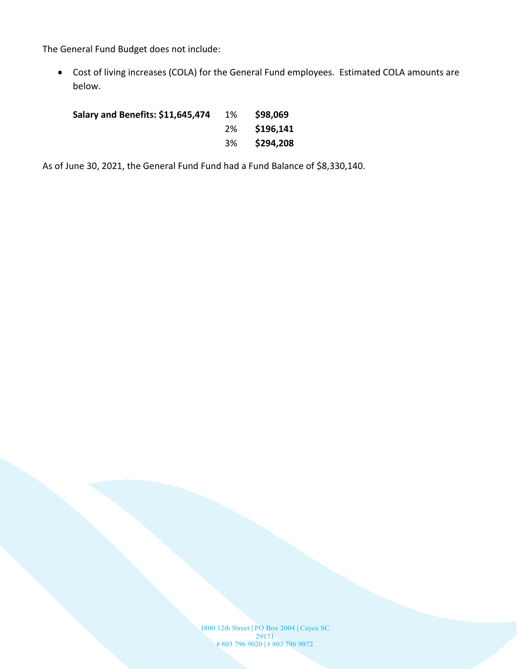The General Fund Budget does not include:

• Cost of living increases (COLA) for the General Fund employees. Estimated COLA amounts are below.

**Salary and Benefits: \$11,645,474** 1% **\$98,069** 2% **\$196,141** 3% **\$294,208**

As of June 30, 2021, the General Fund Fund had a Fund Balance of \$8,330,140.

1800 12th Street | PO Box 2004 | Cayce SC 29171 P 803 796 9020 | F 803 796 9072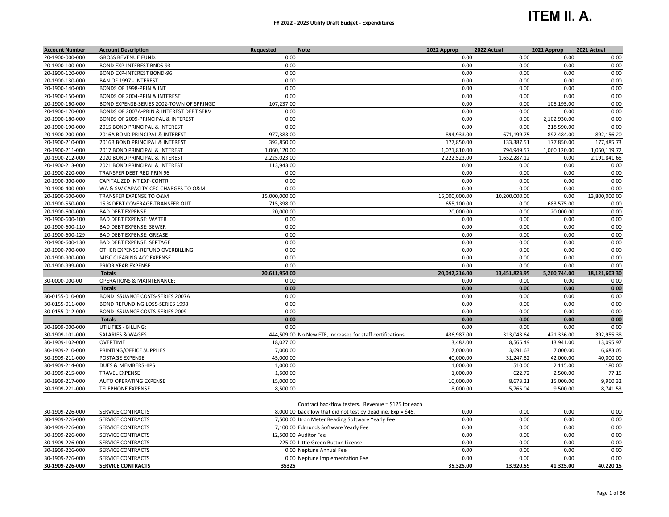# **ITEM II. A.**

| <b>Account Number</b> | <b>Account Description</b>               | Requested     | <b>Note</b>                                                                                                         | 2022 Approp   | 2022 Actual   | 2021 Approp  | 2021 Actual   |
|-----------------------|------------------------------------------|---------------|---------------------------------------------------------------------------------------------------------------------|---------------|---------------|--------------|---------------|
| 20-1900-000-000       | <b>GROSS REVENUE FUND:</b>               | 0.00          |                                                                                                                     | 0.00          | 0.00          | 0.00         | 0.00          |
| 20-1900-100-000       | <b>BOND EXP-INTEREST BNDS 93</b>         | 0.00          |                                                                                                                     | 0.00          | 0.00          | 0.00         | 0.00          |
| 20-1900-120-000       | <b>BOND EXP-INTEREST BOND-96</b>         | 0.00          |                                                                                                                     | 0.00          | 0.00          | 0.00         | 0.00          |
| 20-1900-130-000       | BAN OF 1997 - INTEREST                   | 0.00          |                                                                                                                     | 0.00          | 0.00          | 0.00         | 0.00          |
| 20-1900-140-000       | BONDS OF 1998-PRIN & INT                 | 0.00          |                                                                                                                     | 0.00          | 0.00          | 0.00         | 0.00          |
| 20-1900-150-000       | BONDS OF 2004-PRIN & INTEREST            | 0.00          |                                                                                                                     | 0.00          | 0.00          | 0.00         | 0.00          |
| 20-1900-160-000       | BOND EXPENSE-SERIES 2002-TOWN OF SPRINGD | 107,237.00    |                                                                                                                     | 0.00          | 0.00          | 105,195.00   | 0.00          |
| 20-1900-170-000       | BONDS OF 2007A-PRIN & INTEREST DEBT SERV | 0.00          |                                                                                                                     | 0.00          | 0.00          | 0.00         | 0.00          |
| 20-1900-180-000       | BONDS OF 2009-PRINCIPAL & INTEREST       | 0.00          |                                                                                                                     | 0.00          | 0.00          | 2,102,930.00 | 0.00          |
| 20-1900-190-000       | 2015 BOND PRINCIPAL & INTEREST           | 0.00          |                                                                                                                     | 0.00          | 0.00          | 218,590.00   | 0.00          |
| 20-1900-200-000       | 2016A BOND PRINCIPAL & INTEREST          | 977,383.00    |                                                                                                                     | 894,933.00    | 671,199.75    | 892,484.00   | 892,156.20    |
| 20-1900-210-000       | 2016B BOND PRINCIPAL & INTEREST          | 392,850.00    |                                                                                                                     | 177,850.00    | 133,387.51    | 177,850.00   | 177,485.73    |
| 20-1900-211-000       | 2017 BOND PRINCIPAL & INTEREST           | 1,060,120.00  |                                                                                                                     | 1,071,810.00  | 794,949.57    | 1,060,120.00 | 1,060,119.72  |
| 20-1900-212-000       | 2020 BOND PRINCIPAL & INTEREST           | 2,225,023.00  |                                                                                                                     | 2,222,523.00  | 1,652,287.12  | 0.00         | 2,191,841.65  |
| 20-1900-213-000       | 2021 BOND PRINCIPAL & INTEREST           | 113,943.00    |                                                                                                                     | 0.00          | 0.00          | 0.00         | 0.00          |
| 20-1900-220-000       | TRANSFER DEBT RED PRIN 96                | 0.00          |                                                                                                                     | 0.00          | 0.00          | 0.00         | 0.00          |
| 20-1900-300-000       | CAPITALIZED INT EXP-CONTR                | 0.00          |                                                                                                                     | 0.00          | 0.00          | 0.00         | 0.00          |
| 20-1900-400-000       | WA & SW CAPACITY-CFC-CHARGES TO O&M      | 0.00          |                                                                                                                     | 0.00          | 0.00          | 0.00         | 0.00          |
| 20-1900-500-000       | TRANSFER EXPENSE TO O&M                  | 15,000,000.00 |                                                                                                                     | 15,000,000.00 | 10,200,000.00 | 0.00         | 13,800,000.00 |
| 20-1900-550-000       | 15 % DEBT COVERAGE-TRANSFER OUT          | 715,398.00    |                                                                                                                     | 655,100.00    | 0.00          | 683,575.00   | 0.00          |
| 20-1900-600-000       | <b>BAD DEBT EXPENSE</b>                  | 20,000.00     |                                                                                                                     | 20,000.00     | 0.00          | 20,000.00    | 0.00          |
| 20-1900-600-100       | <b>BAD DEBT EXPENSE: WATER</b>           | 0.00          |                                                                                                                     | 0.00          | 0.00          | 0.00         | 0.00          |
| 20-1900-600-110       | <b>BAD DEBT EXPENSE: SEWER</b>           | 0.00          |                                                                                                                     | 0.00          | 0.00          | 0.00         | 0.00          |
| 20-1900-600-129       | <b>BAD DEBT EXPENSE: GREASE</b>          | 0.00          |                                                                                                                     | 0.00          | 0.00          | 0.00         | 0.00          |
| 20-1900-600-130       | <b>BAD DEBT EXPENSE: SEPTAGE</b>         | 0.00          |                                                                                                                     | 0.00          | 0.00          | 0.00         | 0.00          |
| 20-1900-700-000       | OTHER EXPENSE-REFUND OVERBILLING         | 0.00          |                                                                                                                     | 0.00          | 0.00          | 0.00         | 0.00          |
| 20-1900-900-000       | MISC CLEARING ACC EXPENSE                | 0.00          |                                                                                                                     | 0.00          | 0.00          | 0.00         | 0.00          |
| 20-1900-999-000       | PRIOR YEAR EXPENSE                       | 0.00          |                                                                                                                     | 0.00          | 0.00          | 0.00         | 0.00          |
|                       | <b>Totals</b>                            | 20,611,954.00 |                                                                                                                     | 20,042,216.00 | 13,451,823.95 | 5,260,744.00 | 18,121,603.30 |
| 30-0000-000-00        | <b>OPERATIONS &amp; MAINTENANCE:</b>     | 0.00          |                                                                                                                     | 0.00          | 0.00          | 0.00         | 0.00          |
|                       | <b>Totals</b>                            | 0.00          |                                                                                                                     | 0.00          | 0.00          | 0.00         | 0.00          |
| 30-0155-010-000       | BOND ISSUANCE COSTS-SERIES 2007A         | 0.00          |                                                                                                                     | 0.00          | 0.00          | 0.00         | 0.00          |
| 30-0155-011-000       | BOND REFUNDING LOSS-SERIES 1998          | 0.00          |                                                                                                                     | 0.00          | 0.00          | 0.00         | 0.00          |
| 30-0155-012-000       | <b>BOND ISSUANCE COSTS-SERIES 2009</b>   | 0.00          |                                                                                                                     | 0.00          | 0.00          | 0.00         | 0.00          |
|                       | <b>Totals</b>                            | 0.00          |                                                                                                                     | 0.00          | 0.00          | 0.00         | 0.00          |
| 30-1909-000-000       | UTILITIES - BILLING:                     | 0.00          |                                                                                                                     | 0.00          | 0.00          | 0.00         | 0.00          |
| 30-1909-101-000       | SALARIES & WAGES                         |               | 444,509.00 No New FTE, increases for staff certifications                                                           | 436,987.00    | 313,043.64    | 421,336.00   | 392,955.38    |
| 30-1909-102-000       | <b>OVERTIME</b>                          | 18,027.00     |                                                                                                                     | 13,482.00     | 8,565.49      | 13,941.00    | 13,095.97     |
| 30-1909-210-000       | PRINTING/OFFICE SUPPLIES                 | 7,000.00      |                                                                                                                     | 7,000.00      | 3,691.63      | 7,000.00     | 6,683.05      |
| 30-1909-211-000       | POSTAGE EXPENSE                          | 45,000.00     |                                                                                                                     | 40,000.00     | 31,247.82     | 42,000.00    | 40,000.00     |
| 30-1909-214-000       | <b>DUES &amp; MEMBERSHIPS</b>            | 1,000.00      |                                                                                                                     | 1,000.00      | 510.00        | 2,115.00     | 180.00        |
| 30-1909-215-000       | <b>TRAVEL EXPENSE</b>                    | 1,600.00      |                                                                                                                     | 1,000.00      | 622.72        | 2,500.00     | 77.15         |
| 30-1909-217-000       | <b>AUTO OPERATING EXPENSE</b>            | 15,000.00     |                                                                                                                     | 10,000.00     | 8,673.21      | 15,000.00    | 9,960.32      |
| 30-1909-221-000       | <b>TELEPHONE EXPENSE</b>                 | 8,500.00      |                                                                                                                     | 8,000.00      | 5,765.04      | 9,500.00     | 8,741.53      |
|                       |                                          |               |                                                                                                                     |               |               |              |               |
| 30-1909-226-000       | <b>SERVICE CONTRACTS</b>                 |               | Contract backflow testers. Revenue = \$125 for each<br>8,000.00 backflow that did not test by deadline. Exp = \$45. | 0.00          | 0.00          | 0.00         | 0.00          |
| 30-1909-226-000       | SERVICE CONTRACTS                        |               | 7,500.00 Itron Meter Reading Software Yearly Fee                                                                    | 0.00          | 0.00          | 0.00         | 0.00          |
| 30-1909-226-000       | SERVICE CONTRACTS                        |               | 7,100.00 Edmunds Software Yearly Fee                                                                                | 0.00          | 0.00          | 0.00         | 0.00          |
| 30-1909-226-000       | SERVICE CONTRACTS                        |               | 12,500.00 Auditor Fee                                                                                               | 0.00          | 0.00          | 0.00         | 0.00          |
| 30-1909-226-000       | SERVICE CONTRACTS                        |               | 225.00 Little Green Button License                                                                                  | 0.00          | 0.00          | 0.00         | 0.00          |
| 30-1909-226-000       | SERVICE CONTRACTS                        |               | 0.00 Neptune Annual Fee                                                                                             | 0.00          | 0.00          | 0.00         | 0.00          |
| 30-1909-226-000       | <b>SERVICE CONTRACTS</b>                 |               | 0.00 Neptune Implementation Fee                                                                                     | 0.00          | 0.00          | 0.00         | 0.00          |
|                       | <b>SERVICE CONTRACTS</b>                 | 35325         |                                                                                                                     | 35,325.00     | 13,920.59     | 41,325.00    | 40,220.15     |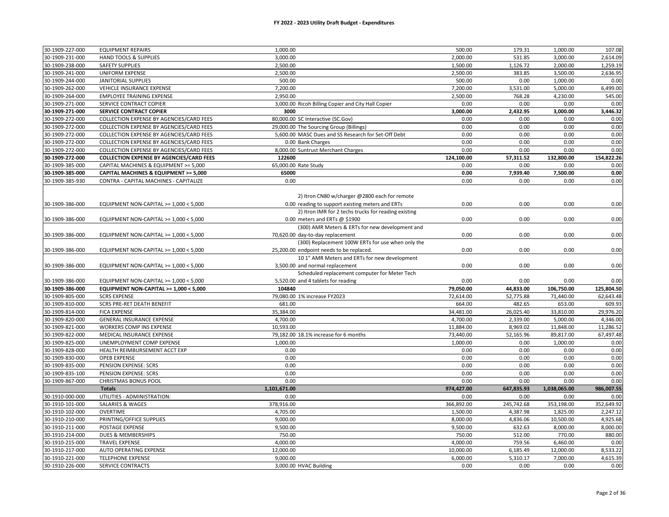| 30-1909-227-000                    | <b>EQUIPMENT REPAIRS</b>                             | 1,000.00                                             | 500.00       | 179.31       | 1,000.00     | 107.08       |
|------------------------------------|------------------------------------------------------|------------------------------------------------------|--------------|--------------|--------------|--------------|
| 30-1909-231-000                    | <b>HAND TOOLS &amp; SUPPLIES</b>                     | 3,000.00                                             | 2,000.00     | 531.85       | 3,000.00     | 2,614.09     |
| 30-1909-238-000                    | <b>SAFETY SUPPLIES</b>                               | 2,500.00                                             | 1,500.00     | 1,126.72     | 2,000.00     | 1,259.19     |
| 30-1909-241-000                    | <b>UNIFORM EXPENSE</b>                               | 2,500.00                                             | 2,500.00     | 383.85       | 3,500.00     | 2,636.95     |
| 30-1909-244-000                    | <b>JANITORIAL SUPPLIES</b>                           | 500.00                                               | 500.00       | 0.00         | 1,000.00     | 0.00         |
| 30-1909-262-000                    | VEHICLE INSURANCE EXPENSE                            | 7,200.00                                             | 7,200.00     | 3,531.00     | 5,000.00     | 6,499.00     |
| 30-1909-264-000                    | <b>EMPLOYEE TRAINING EXPENSE</b>                     | 2,950.00                                             | 2,500.00     | 768.28       | 4,230.00     | 545.00       |
| 30-1909-271-000                    | SERVICE CONTRACT COPIER                              | 3,000.00 Ricoh Billing Copier and City Hall Copier   | 0.00         | 0.00         | 0.00         | 0.00         |
| 30-1909-271-000                    | SERVICE CONTRACT COPIER                              | 3000                                                 | 3,000.00     | 2,432.95     | 3,000.00     | 3,446.32     |
| 30-1909-272-000                    | COLLECTION EXPENSE BY AGENCIES/CARD FEES             | 80,000.00 SC Interactive (SC.Gov)                    | 0.00         | 0.00         | 0.00         | 0.00         |
| 30-1909-272-000                    | COLLECTION EXPENSE BY AGENCIES/CARD FEES             | 29,000.00 The Sourcing Group (Billings)              | 0.00         | 0.00         | 0.00         | 0.00         |
| 30-1909-272-000                    | COLLECTION EXPENSE BY AGENCIES/CARD FEES             | 5,600.00 MASC Dues and SS Research for Set-Off Debt  | 0.00         | 0.00         | 0.00         | 0.00         |
| 30-1909-272-000                    | COLLECTION EXPENSE BY AGENCIES/CARD FEES             | 0.00 Bank Charges                                    | 0.00         | 0.00         | 0.00         | 0.00         |
| 30-1909-272-000                    | COLLECTION EXPENSE BY AGENCIES/CARD FEES             | 8,000.00 Suntrust Merchant Charges                   | 0.00         | 0.00         | 0.00         | 0.00         |
| 30-1909-272-000                    | <b>COLLECTION EXPENSE BY AGENCIES/CARD FEES</b>      | 122600                                               | 124,100.00   | 57,311.52    | 132,800.00   | 154,822.26   |
| 30-1909-385-000                    | CAPITAL MACHINES & EQUIPMENT >= 5,000                | 65,000.00 Rate Study                                 | 0.00         | 0.00         | 0.00         | 0.00         |
| 30-1909-385-000                    | CAPITAL MACHINES & EQUIPMENT >= 5,000                | 65000                                                | 0.00         | 7,939.40     | 7,500.00     | 0.00         |
| 30-1909-385-930                    | CONTRA - CAPITAL MACHINES - CAPITALIZE               | 0.00                                                 | 0.00         | 0.00         | 0.00         | 0.00         |
|                                    |                                                      |                                                      |              |              |              |              |
|                                    |                                                      | 2) Itron CN80 w/charger @2800 each for remote        |              |              |              |              |
| 30-1909-386-000                    | EQUIPMENT NON-CAPITAL >= 1,000 < 5,000               | 0.00 reading to support existing meters and ERTs     | 0.00         | 0.00         | 0.00         | 0.00         |
|                                    |                                                      | 2) Itron IMR for 2 techs trucks for reading existing |              |              |              |              |
| 30-1909-386-000                    | EQUIPMENT NON-CAPITAL >= 1,000 < 5,000               | 0.00 meters and ERTs @ \$1900                        | 0.00         | 0.00         | 0.00         | 0.00         |
|                                    |                                                      | (300) AMR Meters & ERTs for new development and      |              |              |              |              |
| 30-1909-386-000                    | EQUIPMENT NON-CAPITAL >= 1,000 < 5,000               | 70,620.00 day-to-day replacement                     | 0.00         | 0.00         | 0.00         | 0.00         |
|                                    |                                                      | (300) Replacement 100W ERTs for use when only the    |              |              |              |              |
| 30-1909-386-000                    | EQUIPMENT NON-CAPITAL >= 1,000 < 5,000               | 25,200.00 endpoint needs to be replaced.             | 0.00         | 0.00         | 0.00         | 0.00         |
|                                    |                                                      | 101" AMR Meters and ERTs for new development         |              |              |              |              |
| 30-1909-386-000                    | EQUIPMENT NON-CAPITAL >= 1,000 < 5,000               | 3,500.00 and normal replacement                      | 0.00         | 0.00         | 0.00         | 0.00         |
|                                    |                                                      | Scheduled replacement computer for Meter Tech        |              |              |              |              |
| 30-1909-386-000                    | EQUIPMENT NON-CAPITAL >= $1,000 < 5,000$             | 5,520.00 and 4 tablets for reading                   | 0.00         | 0.00         | 0.00         | 0.00         |
| 30-1909-386-000                    | EQUIPMENT NON-CAPITAL >= 1,000 < 5,000               | 104840                                               | 79,050.00    | 44,833.00    | 106,750.00   | 125,804.50   |
| 30-1909-805-000                    | <b>SCRS EXPENSE</b>                                  | 79,080.00 1% increase FY2023                         | 72,614.00    | 52,775.88    | 71,440.00    | 62,643.48    |
| 30-1909-810-000                    | SCRS PRE-RET DEATH BENEFIT                           | 681.00                                               | 664.00       | 482.65       | 653.00       | 609.93       |
| 30-1909-814-000                    | <b>FICA EXPENSE</b>                                  | 35,384.00                                            | 34,481.00    | 26,025.40    | 33,810.00    | 29,976.20    |
| 30-1909-820-000                    | <b>GENERAL INSURANCE EXPENSE</b>                     | 4,700.00                                             | 4,700.00     | 2,339.00     | 5,000.00     | 4,346.00     |
| 30-1909-821-000                    | WORKERS COMP INS EXPENSE                             | 10,593.00                                            | 11,884.00    | 8,969.02     | 11,848.00    | 11,286.52    |
| 30-1909-822-000                    | MEDICAL INSURANCE EXPENSE                            | 79,182.00 18.1% increase for 6 months                | 73,440.00    | 52,165.96    | 89,817.00    | 67,497.48    |
| 30-1909-825-000                    | UNEMPLOYMENT COMP EXPENSE                            | 1,000.00                                             | 1,000.00     | 0.00         | 1,000.00     | 0.00         |
| 30-1909-828-000                    | HEALTH REIMBURSEMENT ACCT EXP<br><b>OPEB EXPENSE</b> | 0.00<br>0.00                                         | 0.00<br>0.00 | 0.00<br>0.00 | 0.00         | 0.00<br>0.00 |
| 30-1909-830-000<br>30-1909-835-000 | PENSION EXPENSE: SCRS                                | 0.00                                                 | 0.00         | 0.00         | 0.00<br>0.00 | 0.00         |
| 30-1909-835-100                    | PENSION EXPENSE: SCRS                                | 0.00                                                 | 0.00         | 0.00         | 0.00         | 0.00         |
| 30-1909-867-000                    | <b>CHRISTMAS BONUS POOL</b>                          | 0.00                                                 | 0.00         | 0.00         | 0.00         | 0.00         |
|                                    | <b>Totals</b>                                        | 1,101,671.00                                         | 974,427.00   | 647,835.93   | 1,038,065.00 | 986,007.55   |
| 30-1910-000-000                    | UTILITIES - ADMINISTRATION:                          | 0.00                                                 | 0.00         | 0.00         | 0.00         | 0.00         |
| 30-1910-101-000                    | <b>SALARIES &amp; WAGES</b>                          | 378,916.00                                           | 366,892.00   | 245,742.68   | 353,198.00   | 352,649.92   |
| 30-1910-102-000                    | <b>OVERTIME</b>                                      | 4,705.00                                             | 1,500.00     | 4,387.98     | 1,825.00     | 2,247.12     |
| 30-1910-210-000                    | PRINTING/OFFICE SUPPLIES                             | 9,000.00                                             | 8,000.00     | 4,836.06     | 10,500.00    | 4,925.68     |
| 30-1910-211-000                    | <b>POSTAGE EXPENSE</b>                               | 9,500.00                                             | 9,500.00     | 632.63       | 8,000.00     | 8,000.00     |
| 30-1910-214-000                    | <b>DUES &amp; MEMBERSHIPS</b>                        | 750.00                                               | 750.00       | 512.00       | 770.00       | 880.00       |
| 30-1910-215-000                    | <b>TRAVEL EXPENSE</b>                                | 4,000.00                                             | 4,000.00     | 759.56       | 6,460.00     | 0.00         |
| 30-1910-217-000                    | AUTO OPERATING EXPENSE                               | 12,000.00                                            | 10,000.00    | 6,185.49     | 12,000.00    | 8,533.22     |
| 30-1910-221-000                    | <b>TELEPHONE EXPENSE</b>                             | 9.000.00                                             | 6.000.00     | 5,310.17     | 7,000.00     | 4,615.39     |
| 30-1910-226-000                    | SERVICE CONTRACTS                                    | 3,000.00 HVAC Building                               | 0.00         | 0.00         | 0.00         | 0.00         |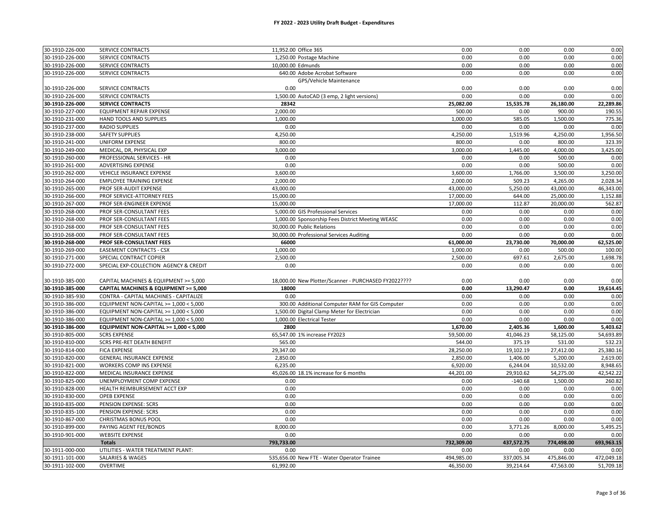| 30-1910-226-000                    | SERVICE CONTRACTS                                    | 11,952.00 Office 365                                                           | 0.00       | 0.00       | 0.00       | 0.00       |
|------------------------------------|------------------------------------------------------|--------------------------------------------------------------------------------|------------|------------|------------|------------|
| 30-1910-226-000                    | SERVICE CONTRACTS                                    | 1,250.00 Postage Machine                                                       | 0.00       | 0.00       | 0.00       | 0.00       |
| 30-1910-226-000                    | <b>SERVICE CONTRACTS</b>                             | 10,000.00 Edmunds                                                              | 0.00       | 0.00       | 0.00       | 0.00       |
| 30-1910-226-000                    | SERVICE CONTRACTS                                    | 640.00 Adobe Acrobat Software                                                  | 0.00       | 0.00       | 0.00       | 0.00       |
|                                    |                                                      | GPS/Vehicle Maintenance                                                        |            |            |            |            |
| 30-1910-226-000                    | SERVICE CONTRACTS                                    | 0.00                                                                           | 0.00       | 0.00       | 0.00       | 0.00       |
| 30-1910-226-000                    | <b>SERVICE CONTRACTS</b>                             | 1,500.00 AutoCAD (3 emp, 2 light versions)                                     | 0.00       | 0.00       | 0.00       | 0.00       |
| 30-1910-226-000                    | <b>SERVICE CONTRACTS</b>                             | 28342                                                                          | 25,082.00  | 15,535.78  | 26,180.00  | 22,289.86  |
| 30-1910-227-000                    | <b>EQUIPMENT REPAIR EXPENSE</b>                      | 2,000.00                                                                       | 500.00     | 0.00       | 900.00     | 190.55     |
| 30-1910-231-000                    | HAND TOOLS AND SUPPLIES                              | 1,000.00                                                                       | 1,000.00   | 585.05     | 1,500.00   | 775.36     |
| 30-1910-237-000                    | <b>RADIO SUPPLIES</b>                                | 0.00                                                                           | 0.00       | 0.00       | 0.00       | 0.00       |
| 30-1910-238-000                    | <b>SAFETY SUPPLIES</b>                               | 4,250.00                                                                       | 4,250.00   | 1,519.96   | 4,250.00   | 1,956.50   |
| 30-1910-241-000                    | <b>UNIFORM EXPENSE</b>                               | 800.00                                                                         | 800.00     | 0.00       | 800.00     | 323.39     |
| 30-1910-249-000                    | MEDICAL, DR, PHYSICAL EXP                            | 3,000.00                                                                       | 3,000.00   | 1,445.00   | 4,000.00   | 3,425.00   |
| 30-1910-260-000                    | PROFESSIONAL SERVICES - HR                           | 0.00                                                                           | 0.00       | 0.00       | 500.00     | 0.00       |
| 30-1910-261-000                    | <b>ADVERTISING EXPENSE</b>                           | 0.00                                                                           | 0.00       | 0.00       | 500.00     | 0.00       |
| 30-1910-262-000                    | VEHICLE INSURANCE EXPENSE                            | 3,600.00                                                                       | 3,600.00   | 1,766.00   | 3,500.00   | 3,250.00   |
| 30-1910-264-000                    | <b>EMPLOYEE TRAINING EXPENSE</b>                     | 2,000.00                                                                       | 2,000.00   | 509.23     | 4,265.00   | 2,028.34   |
| 30-1910-265-000                    | PROF SER-AUDIT EXPENSE                               | 43,000.00                                                                      | 43,000.00  | 5,250.00   | 43,000.00  | 46,343.00  |
| 30-1910-266-000                    | PROF SERVICE-ATTORNEY FEES                           | 15,000.00                                                                      | 17,000.00  | 644.00     | 25,000.00  | 1,152.88   |
| 30-1910-267-000                    | PROF SER-ENGINEER EXPENSE                            | 15,000.00                                                                      | 17,000.00  | 112.87     | 20,000.00  | 562.87     |
| 30-1910-268-000                    | PROF SER-CONSULTANT FEES                             | 5,000.00 GIS Professional Services                                             | 0.00       | 0.00       | 0.00       | 0.00       |
|                                    |                                                      |                                                                                | 0.00       | 0.00       | 0.00       | 0.00       |
| 30-1910-268-000<br>30-1910-268-000 | PROF SER-CONSULTANT FEES<br>PROF SER-CONSULTANT FEES | 1,000.00 Sponsorship Fees District Meeting WEASC<br>30,000.00 Public Relations | 0.00       | 0.00       | 0.00       | 0.00       |
|                                    |                                                      |                                                                                |            |            | 0.00       |            |
| 30-1910-268-000                    | PROF SER-CONSULTANT FEES                             | 30,000.00 Professional Services Auditing                                       | 0.00       | 0.00       |            | 0.00       |
| 30-1910-268-000                    | PROF SER-CONSULTANT FEES                             | 66000                                                                          | 61,000.00  | 23,730.00  | 70,000.00  | 62,525.00  |
| 30-1910-269-000                    | <b>EASEMENT CONTRACTS - CSX</b>                      | 1,000.00                                                                       | 1,000.00   | 0.00       | 500.00     | 100.00     |
| 30-1910-271-000                    | SPECIAL CONTRACT COPIER                              | 2,500.00                                                                       | 2,500.00   | 697.61     | 2,675.00   | 1,698.78   |
| 30-1910-272-000                    | SPECIAL EXP-COLLECTION AGENCY & CREDIT               | 0.00                                                                           | 0.00       | 0.00       | 0.00       | 0.00       |
|                                    |                                                      |                                                                                |            |            |            |            |
| 30-1910-385-000                    | CAPITAL MACHINES & EQUIPMENT >= 5,000                | 18,000.00 New Plotter/Scanner - PURCHASED FY2022????                           | 0.00       | 0.00       | 0.00       | 0.00       |
| 30-1910-385-000                    | CAPITAL MACHINES & EQUIPMENT >= 5,000                | 18000                                                                          | 0.00       | 13,290.47  | 0.00       | 19,614.45  |
| 30-1910-385-930                    | CONTRA - CAPITAL MACHINES - CAPITALIZE               | 0.00                                                                           | 0.00       | 0.00       | 0.00       | 0.00       |
| 30-1910-386-000                    | EQUIPMENT NON-CAPITAL >= 1,000 < 5,000               | 300.00 Additional Computer RAM for GIS Computer                                | 0.00       | 0.00       | 0.00       | 0.00       |
| 30-1910-386-000                    | EQUIPMENT NON-CAPITAL >= 1,000 < 5,000               | 1,500.00 Digital Clamp Meter for Electrician                                   | 0.00       | 0.00       | 0.00       | 0.00       |
| 30-1910-386-000                    | EQUIPMENT NON-CAPITAL >= 1,000 < 5,000               | 1,000.00 Electrical Tester                                                     | 0.00       | 0.00       | 0.00       | 0.00       |
| 30-1910-386-000                    | EQUIPMENT NON-CAPITAL >= 1,000 < 5,000               | 2800                                                                           | 1,670.00   | 2,405.36   | 1,600.00   | 5,403.62   |
| 30-1910-805-000                    | <b>SCRS EXPENSE</b>                                  | 65,547.00 1% increase FY2023                                                   | 59,500.00  | 41,046.23  | 58,125.00  | 54,693.89  |
| 30-1910-810-000                    | <b>SCRS PRE-RET DEATH BENEFIT</b>                    | 565.00                                                                         | 544.00     | 375.19     | 531.00     | 532.23     |
| 30-1910-814-000                    | <b>FICA EXPENSE</b>                                  | 29,347.00                                                                      | 28,250.00  | 19,102.19  | 27,412.00  | 25,380.16  |
| 30-1910-820-000                    | <b>GENERAL INSURANCE EXPENSE</b>                     | 2,850.00                                                                       | 2,850.00   | 1,406.00   | 5,200.00   | 2,619.00   |
| 30-1910-821-000                    | WORKERS COMP INS EXPENSE                             | 6,235.00                                                                       | 6,920.00   | 6,244.04   | 10,532.00  | 8,948.65   |
| 30-1910-822-000                    | MEDICAL INSURANCE EXPENSE                            | 45,026.00 18.1% increase for 6 months                                          | 44,201.00  | 29,910.62  | 54,275.00  | 42,542.22  |
| 30-1910-825-000                    | UNEMPLOYMENT COMP EXPENSE                            | 0.00                                                                           | 0.00       | $-140.68$  | 1,500.00   | 260.82     |
| 30-1910-828-000                    | HEALTH REIMBURSEMENT ACCT EXP                        | 0.00                                                                           | 0.00       | 0.00       | 0.00       | 0.00       |
| 30-1910-830-000                    | <b>OPEB EXPENSE</b>                                  | 0.00                                                                           | 0.00       | 0.00       | 0.00       | 0.00       |
| 30-1910-835-000                    | PENSION EXPENSE: SCRS                                | 0.00                                                                           | 0.00       | 0.00       | 0.00       | 0.00       |
| 30-1910-835-100                    | PENSION EXPENSE: SCRS                                | 0.00                                                                           | 0.00       | 0.00       | 0.00       | 0.00       |
| 30-1910-867-000                    | CHRISTMAS BONUS POOL                                 | 0.00                                                                           | 0.00       | 0.00       | 0.00       | 0.00       |
| 30-1910-899-000                    | PAYING AGENT FEE/BONDS                               | 8,000.00                                                                       | 0.00       | 3,771.26   | 8,000.00   | 5,495.25   |
| 30-1910-901-000                    | <b>WEBSITE EXPENSE</b>                               | 0.00                                                                           | 0.00       | 0.00       | 0.00       | 0.00       |
|                                    | <b>Totals</b>                                        | 793,733.00                                                                     | 732,309.00 | 437,572.75 | 774,498.00 | 693,963.15 |
| 30-1911-000-000                    | UTILITIES - WATER TREATMENT PLANT:                   | 0.00                                                                           | 0.00       | 0.00       | 0.00       | 0.00       |
| 30-1911-101-000                    | <b>SALARIES &amp; WAGES</b>                          | 535,656.00 New FTE - Water Operator Trainee                                    | 494.985.00 | 337.005.34 | 475,846.00 | 472,049.18 |
| 30-1911-102-000                    | <b>OVERTIME</b>                                      | 61,992.00                                                                      | 46,350.00  | 39,214.64  | 47,563.00  | 51,709.18  |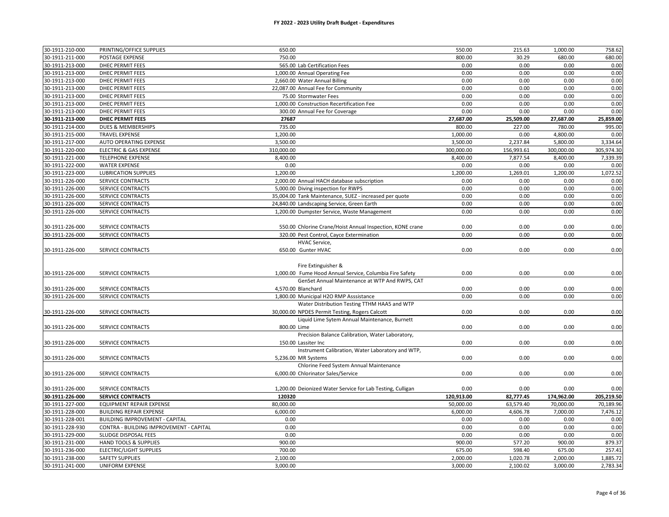#### **FY 2022 - 2023 Utility Draft Budget - Expenditures**

| 30-1911-210-000 | PRINTING/OFFICE SUPPLIES                | 650.00      |                                                            | 550.00     | 215.63     | 1,000.00   | 758.62     |
|-----------------|-----------------------------------------|-------------|------------------------------------------------------------|------------|------------|------------|------------|
| 30-1911-211-000 | POSTAGE EXPENSE                         | 750.00      |                                                            | 800.00     | 30.29      | 680.00     | 680.00     |
| 30-1911-213-000 | DHEC PERMIT FEES                        |             | 565.00 Lab Certification Fees                              | 0.00       | 0.00       | 0.00       | 0.00       |
| 30-1911-213-000 | <b>DHEC PERMIT FEES</b>                 |             | 1,000.00 Annual Operating Fee                              | 0.00       | 0.00       | 0.00       | 0.00       |
| 30-1911-213-000 | <b>DHEC PERMIT FEES</b>                 |             | 2,660.00 Water Annual Billing                              | 0.00       | 0.00       | 0.00       | 0.00       |
| 30-1911-213-000 | <b>DHEC PERMIT FEES</b>                 |             | 22,087.00 Annual Fee for Community                         | 0.00       | 0.00       | 0.00       | 0.00       |
| 30-1911-213-000 | <b>DHEC PERMIT FEES</b>                 |             | 75.00 Stormwater Fees                                      | 0.00       | 0.00       | 0.00       | 0.00       |
| 30-1911-213-000 | <b>DHEC PERMIT FEES</b>                 |             | 1,000.00 Construction Recertification Fee                  | 0.00       | 0.00       | 0.00       | 0.00       |
| 30-1911-213-000 | DHEC PERMIT FEES                        |             | 300.00 Annual Fee for Coverage                             | 0.00       | 0.00       | 0.00       | 0.00       |
| 30-1911-213-000 | <b>DHEC PERMIT FEES</b>                 | 27687       |                                                            | 27,687.00  | 25,509.00  | 27,687.00  | 25,859.00  |
| 30-1911-214-000 | <b>DUES &amp; MEMBERSHIPS</b>           | 735.00      |                                                            | 800.00     | 227.00     | 780.00     | 995.00     |
| 30-1911-215-000 | <b>TRAVEL EXPENSE</b>                   | 1,200.00    |                                                            | 1,000.00   | 0.00       | 4,800.00   | 0.00       |
| 30-1911-217-000 | AUTO OPERATING EXPENSE                  | 3,500.00    |                                                            | 3,500.00   | 2,237.84   | 5,800.00   | 3,334.64   |
| 30-1911-220-000 | <b>ELECTRIC &amp; GAS EXPENSE</b>       | 310,000.00  |                                                            | 300,000.00 | 156,993.61 | 300,000.00 | 305,974.30 |
| 30-1911-221-000 | <b>TELEPHONE EXPENSE</b>                | 8,400.00    |                                                            | 8,400.00   | 7,877.54   | 8,400.00   | 7,339.39   |
| 30-1911-222-000 | <b>WATER EXPENSE</b>                    | 0.00        |                                                            | 0.00       | 0.00       | 0.00       | 0.00       |
| 30-1911-223-000 | <b>LUBRICATION SUPPLIES</b>             | 1,200.00    |                                                            | 1,200.00   | 1,269.01   | 1,200.00   | 1,072.52   |
| 30-1911-226-000 | SERVICE CONTRACTS                       |             | 2,000.00 Annual HACH database subscription                 | 0.00       | 0.00       | 0.00       | 0.00       |
| 30-1911-226-000 | SERVICE CONTRACTS                       |             | 5,000.00 Diving inspection for RWPS                        | 0.00       | 0.00       | 0.00       | 0.00       |
| 30-1911-226-000 | <b>SERVICE CONTRACTS</b>                |             | 35,004.00 Tank Maintenance, SUEZ - increased per quote     | 0.00       | 0.00       | 0.00       | 0.00       |
| 30-1911-226-000 | SERVICE CONTRACTS                       |             | 24,840.00 Landscaping Service, Green Earth                 | 0.00       | 0.00       | 0.00       | 0.00       |
| 30-1911-226-000 | SERVICE CONTRACTS                       |             | 1,200.00 Dumpster Service, Waste Management                | 0.00       | 0.00       | 0.00       | 0.00       |
|                 |                                         |             |                                                            |            |            |            |            |
| 30-1911-226-000 | SERVICE CONTRACTS                       |             | 550.00 Chlorine Crane/Hoist Annual Inspection, KONE crane  | 0.00       | 0.00       | 0.00       | 0.00       |
| 30-1911-226-000 | <b>SERVICE CONTRACTS</b>                |             | 320.00 Pest Control, Cayce Extermination                   | 0.00       | 0.00       | 0.00       | 0.00       |
|                 |                                         |             | HVAC Service,                                              |            |            |            |            |
| 30-1911-226-000 | SERVICE CONTRACTS                       |             | 650.00 Gunter HVAC                                         | 0.00       | 0.00       | 0.00       | 0.00       |
|                 |                                         |             |                                                            |            |            |            |            |
|                 |                                         |             | Fire Extinguisher &                                        |            |            |            |            |
| 30-1911-226-000 | SERVICE CONTRACTS                       |             | 1,000.00 Fume Hood Annual Service, Columbia Fire Safety    | 0.00       | 0.00       | 0.00       | 0.00       |
|                 |                                         |             | GenSet Annual Maintenance at WTP And RWPS, CAT             |            |            |            |            |
| 30-1911-226-000 | SERVICE CONTRACTS                       |             | 4.570.00 Blanchard                                         | 0.00       | 0.00       | 0.00       | 0.00       |
| 30-1911-226-000 | SERVICE CONTRACTS                       |             | 1,800.00 Municipal H2O RMP Asssistance                     | 0.00       | 0.00       | 0.00       | 0.00       |
|                 |                                         |             | Water Distribution Testing TTHM HAA5 and WTP               |            |            |            |            |
| 30-1911-226-000 | SERVICE CONTRACTS                       |             | 30,000.00 NPDES Permit Testing, Rogers Calcott             | 0.00       | 0.00       | 0.00       | 0.00       |
|                 |                                         |             | Liquid Lime Sytem Annual Maintenance, Burnett              |            |            |            |            |
| 30-1911-226-000 | SERVICE CONTRACTS                       | 800.00 Lime |                                                            | 0.00       | 0.00       | 0.00       | 0.00       |
|                 |                                         |             | Precision Balance Calibration, Water Laboratory,           |            |            |            |            |
| 30-1911-226-000 | SERVICE CONTRACTS                       |             | 150.00 Lassiter Inc                                        | 0.00       | 0.00       | 0.00       | 0.00       |
|                 |                                         |             | Instrument Calibration, Water Laboratory and WTP,          |            |            |            |            |
| 30-1911-226-000 | SERVICE CONTRACTS                       |             | 5,236.00 MR Systems                                        | 0.00       | 0.00       | 0.00       | 0.00       |
|                 |                                         |             | Chlorine Feed System Annual Maintenance                    |            |            |            |            |
| 30-1911-226-000 | SERVICE CONTRACTS                       |             | 6,000.00 Chlorinator Sales/Service                         | 0.00       | 0.00       | 0.00       | 0.00       |
|                 |                                         |             |                                                            |            |            |            |            |
| 30-1911-226-000 | SERVICE CONTRACTS                       |             | 1,200.00 Deionized Water Service for Lab Testing, Culligan | 0.00       | 0.00       | 0.00       | 0.00       |
| 30-1911-226-000 | <b>SERVICE CONTRACTS</b>                | 120320      |                                                            | 120,913.00 | 82,777.45  | 174,962.00 | 205,219.50 |
| 30-1911-227-000 | EQUIPMENT REPAIR EXPENSE                | 80,000.00   |                                                            | 50,000.00  | 63,579.40  | 70,000.00  | 70,189.96  |
| 30-1911-228-000 | <b>BUILDING REPAIR EXPENSE</b>          | 6,000.00    |                                                            | 6,000.00   | 4,606.78   | 7,000.00   | 7,476.12   |
| 30-1911-228-001 | <b>BUILDING IMPROVEMENT - CAPITAL</b>   | 0.00        |                                                            | 0.00       | 0.00       | 0.00       | 0.00       |
| 30-1911-228-930 | CONTRA - BUILDING IMPROVEMENT - CAPITAL | 0.00        |                                                            | 0.00       | 0.00       | 0.00       | 0.00       |
| 30-1911-229-000 | SLUDGE DISPOSAL FEES                    | 0.00        |                                                            | 0.00       | 0.00       | 0.00       | 0.00       |
| 30-1911-231-000 | <b>HAND TOOLS &amp; SUPPLIES</b>        | 900.00      |                                                            | 900.00     | 577.20     | 900.00     | 879.37     |
| 30-1911-236-000 | <b>ELECTRIC/LIGHT SUPPLIES</b>          | 700.00      |                                                            | 675.00     | 598.40     | 675.00     | 257.41     |
| 30-1911-238-000 | <b>SAFETY SUPPLIES</b>                  | 2,100.00    |                                                            | 2,000.00   | 1,020.78   | 2,000.00   | 1,885.72   |
| 30-1911-241-000 | UNIFORM EXPENSE                         | 3,000.00    |                                                            | 3,000.00   | 2,100.02   | 3,000.00   | 2,783.34   |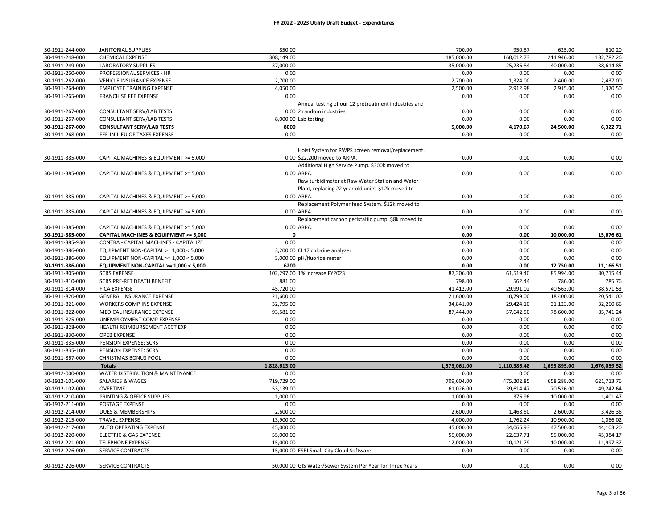#### **FY 2022 - 2023 Utility Draft Budget - Expenditures**

| 30-1911-244-000                    | <b>JANITORIAL SUPPLIES</b>                     | 850.00       |                                                           | 700.00       | 950.87       | 625.00       | 610.20       |
|------------------------------------|------------------------------------------------|--------------|-----------------------------------------------------------|--------------|--------------|--------------|--------------|
| 30-1911-248-000                    | <b>CHEMICAL EXPENSE</b>                        | 308,149.00   |                                                           | 185,000.00   | 160,012.73   | 214,946.00   | 182,782.26   |
| 30-1911-249-000                    | <b>LABORATORY SUPPLIES</b>                     | 37,000.00    |                                                           | 35,000.00    | 25,236.84    | 40,000.00    | 38,614.85    |
| 30-1911-260-000                    | PROFESSIONAL SERVICES - HR                     | 0.00         |                                                           | 0.00         | 0.00         | 0.00         | 0.00         |
| 30-1911-262-000                    | VEHICLE INSURANCE EXPENSE                      | 2,700.00     |                                                           | 2,700.00     | 1,324.00     | 2,400.00     | 2,437.00     |
| 30-1911-264-000                    | <b>EMPLOYEE TRAINING EXPENSE</b>               | 4,050.00     |                                                           | 2,500.00     | 2,912.98     | 2,915.00     | 1,370.50     |
| 30-1911-265-000                    | <b>FRANCHISE FEE EXPENSE</b>                   | 0.00         |                                                           | 0.00         | 0.00         | 0.00         | 0.00         |
|                                    |                                                |              | Annual testing of our 12 pretreatment industries and      |              |              |              |              |
| 30-1911-267-000                    | <b>CONSULTANT SERV/LAB TESTS</b>               |              | 0.00 2 random industries                                  | 0.00         | 0.00         | 0.00         | 0.00         |
| 30-1911-267-000                    | CONSULTANT SERV/LAB TESTS                      |              | 8,000.00 Lab testing                                      | 0.00         | 0.00         | 0.00         | 0.00         |
| 30-1911-267-000                    | <b>CONSULTANT SERV/LAB TESTS</b>               | 8000         |                                                           | 5,000.00     | 4,170.67     | 24,500.00    | 6,322.71     |
| 30-1911-268-000                    | FEE-IN-LIEU OF TAXES EXPENSE                   | 0.00         |                                                           | 0.00         | 0.00         | 0.00         | 0.00         |
|                                    |                                                |              |                                                           |              |              |              |              |
|                                    |                                                |              | Hoist System for RWPS screen removal/replacement.         |              |              |              |              |
| 30-1911-385-000                    | CAPITAL MACHINES & EQUIPMENT >= 5,000          |              | 0.00 \$22,200 moved to ARPA.                              | 0.00         | 0.00         | 0.00         | 0.00         |
|                                    |                                                |              | Additional High Service Pump. \$300k moved to             |              |              |              |              |
| 30-1911-385-000                    | CAPITAL MACHINES & EQUIPMENT >= 5,000          |              | 0.00 ARPA.                                                | 0.00         | 0.00         | 0.00         | 0.00         |
|                                    |                                                |              | Raw turbidimeter at Raw Water Station and Water           |              |              |              |              |
|                                    |                                                |              | Plant, replacing 22 year old units. \$12k moved to        |              |              |              |              |
| 30-1911-385-000                    | CAPITAL MACHINES & EQUIPMENT >= 5,000          |              | 0.00 ARPA.                                                | 0.00         | 0.00         | 0.00         | 0.00         |
|                                    |                                                |              | Replacement Polymer feed System. \$12k moved to           |              |              |              |              |
| 30-1911-385-000                    | CAPITAL MACHINES & EQUIPMENT >= 5,000          |              | 0.00 ARPA                                                 | 0.00         | 0.00         | 0.00         | 0.00         |
|                                    |                                                |              | Replacement carbon peristaltic pump. \$8k moved to        |              |              |              |              |
| 30-1911-385-000                    | CAPITAL MACHINES & EQUIPMENT >= 5,000          |              | 0.00 ARPA.                                                | 0.00         | 0.00         | 0.00         | 0.00         |
| 30-1911-385-000                    | CAPITAL MACHINES & EQUIPMENT >= 5,000          | $\mathbf{0}$ |                                                           | 0.00         | 0.00         | 10,000.00    | 15,676.61    |
| 30-1911-385-930                    | CONTRA - CAPITAL MACHINES - CAPITALIZE         | 0.00         |                                                           | 0.00         | 0.00         | 0.00         | 0.00         |
| 30-1911-386-000                    | EQUIPMENT NON-CAPITAL >= 1,000 < 5,000         |              | 3,200.00 CL17 chlorine analyzer                           | 0.00         | 0.00         | 0.00         | 0.00         |
| 30-1911-386-000                    | EQUIPMENT NON-CAPITAL >= 1,000 < 5,000         |              | 3,000.00 pH/fluoride meter                                | 0.00         | 0.00         | 0.00         | 0.00         |
| 30-1911-386-000                    | EQUIPMENT NON-CAPITAL >= 1,000 < 5,000         | 6200         |                                                           | 0.00         | 0.00         | 12,750.00    | 11,166.51    |
| 30-1911-805-000                    | <b>SCRS EXPENSE</b>                            |              | 102,297.00 1% increase FY2023                             | 87,306.00    | 61,519.40    | 85,994.00    | 80,715.44    |
| 30-1911-810-000                    | SCRS PRE-RET DEATH BENEFIT                     | 881.00       |                                                           | 798.00       | 562.44       | 786.00       | 785.76       |
| 30-1911-814-000                    | <b>FICA EXPENSE</b>                            | 45,720.00    |                                                           | 41,412.00    | 29,991.02    | 40,563.00    | 38,571.53    |
| 30-1911-820-000                    | <b>GENERAL INSURANCE EXPENSE</b>               | 21,600.00    |                                                           | 21,600.00    | 10,799.00    | 18,400.00    | 20,541.00    |
| 30-1911-821-000                    | WORKERS COMP INS EXPENSE                       | 32,795.00    |                                                           | 34,841.00    | 29,424.10    | 31,123.00    | 32,260.66    |
| 30-1911-822-000                    | MEDICAL INSURANCE EXPENSE                      | 93,581.00    |                                                           | 87,444.00    | 57,642.50    | 78,600.00    | 85,741.24    |
| 30-1911-825-000                    | UNEMPLOYMENT COMP EXPENSE                      | 0.00<br>0.00 |                                                           | 0.00         | 0.00         | 0.00         | 0.00         |
| 30-1911-828-000                    | HEALTH REIMBURSEMENT ACCT EXP                  |              |                                                           | 0.00         | 0.00         | 0.00         | 0.00         |
| 30-1911-830-000<br>30-1911-835-000 | <b>OPEB EXPENSE</b>                            | 0.00<br>0.00 |                                                           | 0.00         | 0.00         | 0.00         | 0.00         |
| 30-1911-835-100                    | PENSION EXPENSE: SCRS<br>PENSION EXPENSE: SCRS | 0.00         |                                                           | 0.00<br>0.00 | 0.00<br>0.00 | 0.00<br>0.00 | 0.00<br>0.00 |
| 30-1911-867-000                    | <b>CHRISTMAS BONUS POOL</b>                    | 0.00         |                                                           | 0.00         | 0.00         | 0.00         | 0.00         |
|                                    | <b>Totals</b>                                  | 1,828,613.00 |                                                           | 1,573,061.00 | 1,110,386.48 | 1,695,895.00 | 1,676,059.52 |
| 30-1912-000-000                    | WATER DISTRIBUTION & MAINTENANCE:              | 0.00         |                                                           | 0.00         | 0.00         | 0.00         | 0.00         |
| 30-1912-101-000                    | <b>SALARIES &amp; WAGES</b>                    | 719,729.00   |                                                           | 709,604.00   | 475,202.85   | 658,288.00   | 621,713.76   |
| 30-1912-102-000                    | <b>OVERTIME</b>                                | 53,139.00    |                                                           | 61,026.00    | 39,614.47    | 70,526.00    | 49,242.64    |
| 30-1912-210-000                    | PRINTING & OFFICE SUPPLIES                     | 1,000.00     |                                                           | 1,000.00     | 376.96       | 10,000.00    | 1,401.47     |
| 30-1912-211-000                    | POSTAGE EXPENSE                                | 0.00         |                                                           | 0.00         | 0.00         | 0.00         | 0.00         |
| 30-1912-214-000                    | <b>DUES &amp; MEMBERSHIPS</b>                  | 2,600.00     |                                                           | 2,600.00     | 1,468.50     | 2,600.00     | 3,426.36     |
| 30-1912-215-000                    | <b>TRAVEL EXPENSE</b>                          | 13,900.00    |                                                           | 4,000.00     | 1,762.24     | 10,900.00    | 1,066.02     |
| 30-1912-217-000                    | AUTO OPERATING EXPENSE                         | 45,000.00    |                                                           | 45,000.00    | 34,066.93    | 47,500.00    | 44,103.20    |
| 30-1912-220-000                    | <b>ELECTRIC &amp; GAS EXPENSE</b>              | 55,000.00    |                                                           | 55,000.00    | 22,637.71    | 55,000.00    | 45,384.17    |
| 30-1912-221-000                    | <b>TELEPHONE EXPENSE</b>                       | 15,000.00    |                                                           | 12,000.00    | 10,121.79    | 10,000.00    | 11,997.37    |
| 30-1912-226-000                    | <b>SERVICE CONTRACTS</b>                       |              | 15,000.00 ESRI Small-City Cloud Software                  | 0.00         | 0.00         | 0.00         | 0.00         |
|                                    |                                                |              |                                                           |              |              |              |              |
| 30-1912-226-000                    | SERVICE CONTRACTS                              |              | 50,000.00 GIS Water/Sewer System Per Year for Three Years | 0.00         | 0.00         | 0.00         | 0.00         |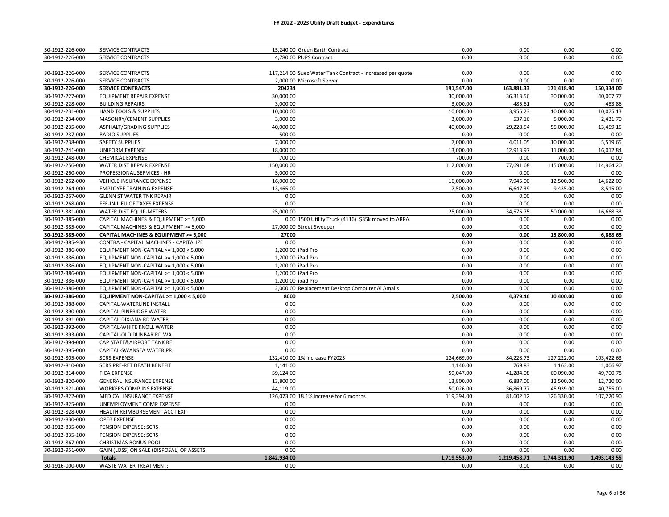| 30-1912-226-000 | SERVICE CONTRACTS                                                              | 15,240.00 Green Earth Contract                            | 0.00         | 0.00         | 0.00         | 0.00         |
|-----------------|--------------------------------------------------------------------------------|-----------------------------------------------------------|--------------|--------------|--------------|--------------|
| 30-1912-226-000 | SERVICE CONTRACTS                                                              | 4,780.00 PUPS Contract                                    | 0.00         | 0.00         | 0.00         | 0.00         |
|                 |                                                                                |                                                           |              |              |              |              |
| 30-1912-226-000 | SERVICE CONTRACTS                                                              | 117,214.00 Suez Water Tank Contract - increased per quote | 0.00         | 0.00         | 0.00         | 0.00         |
| 30-1912-226-000 | SERVICE CONTRACTS                                                              | 2,000.00 Microsoft Server                                 | 0.00         | 0.00         | 0.00         | 0.00         |
| 30-1912-226-000 | <b>SERVICE CONTRACTS</b>                                                       | 204234                                                    | 191,547.00   | 163,881.33   | 171,418.90   | 150,334.00   |
| 30-1912-227-000 | EQUIPMENT REPAIR EXPENSE                                                       | 30,000.00                                                 | 30,000.00    | 36,313.56    | 30,000.00    | 40,007.77    |
| 30-1912-228-000 | <b>BUILDING REPAIRS</b>                                                        | 3,000.00                                                  | 3,000.00     | 485.61       | 0.00         | 483.86       |
| 30-1912-231-000 | <b>HAND TOOLS &amp; SUPPLIES</b>                                               | 10,000.00                                                 | 10,000.00    | 3,955.23     | 10,000.00    | 10,075.13    |
| 30-1912-234-000 | MASONRY/CEMENT SUPPLIES                                                        | 3,000.00                                                  | 3,000.00     | 537.16       | 5,000.00     | 2,431.70     |
| 30-1912-235-000 | ASPHALT/GRADING SUPPLIES                                                       | 40,000.00                                                 | 40,000.00    | 29,228.54    | 55,000.00    | 13,459.15    |
| 30-1912-237-000 | <b>RADIO SUPPLIES</b>                                                          | 500.00                                                    | 0.00         | 0.00         | 0.00         | 0.00         |
| 30-1912-238-000 | <b>SAFETY SUPPLIES</b>                                                         | 7,000.00                                                  | 7,000.00     | 4,011.05     | 10,000.00    | 5,519.65     |
| 30-1912-241-000 | <b>UNIFORM EXPENSE</b>                                                         | 18,000.00                                                 | 13,000.00    | 12,913.97    | 11,000.00    | 16,012.84    |
| 30-1912-248-000 | CHEMICAL EXPENSE                                                               | 700.00                                                    | 700.00       | 0.00         | 700.00       | 0.00         |
| 30-1912-256-000 | WATER DIST REPAIR EXPENSE                                                      | 150,000.00                                                | 112,000.00   | 77,691.68    | 115,000.00   | 114,964.20   |
| 30-1912-260-000 | PROFESSIONAL SERVICES - HR                                                     | 5,000.00                                                  | 0.00         | 0.00         | 0.00         | 0.00         |
| 30-1912-262-000 | <b>VEHICLE INSURANCE EXPENSE</b>                                               | 16,000.00                                                 | 16,000.00    | 7,945.00     | 12,500.00    | 14,622.00    |
| 30-1912-264-000 | <b>EMPLOYEE TRAINING EXPENSE</b>                                               | 13,465.00                                                 | 7,500.00     | 6,647.39     | 9,435.00     | 8,515.00     |
| 30-1912-267-000 | <b>GLENN ST WATER TNK REPAIR</b>                                               | 0.00                                                      | 0.00         | 0.00         | 0.00         | 0.00         |
| 30-1912-268-000 | FEE-IN-LIEU OF TAXES EXPENSE                                                   | 0.00                                                      | 0.00         | 0.00         | 0.00         | 0.00         |
| 30-1912-381-000 | <b>WATER DIST EQUIP-METERS</b>                                                 | 25.000.00                                                 | 25,000.00    | 34,575.75    | 50,000.00    | 16,668.33    |
| 30-1912-385-000 |                                                                                | 0.00 1500 Utility Truck (4116). \$35k moved to ARPA.      | 0.00         | 0.00         | 0.00         | 0.00         |
| 30-1912-385-000 | CAPITAL MACHINES & EQUIPMENT >= 5,000<br>CAPITAL MACHINES & EQUIPMENT >= 5,000 |                                                           | 0.00         | 0.00         | 0.00         | 0.00         |
|                 |                                                                                | 27,000.00 Street Sweeper                                  |              |              |              |              |
| 30-1912-385-000 | CAPITAL MACHINES & EQUIPMENT >= 5,000                                          | 27000<br>0.00                                             | 0.00<br>0.00 | 0.00<br>0.00 | 15,800.00    | 6,888.65     |
| 30-1912-385-930 | CONTRA - CAPITAL MACHINES - CAPITALIZE                                         |                                                           | 0.00         |              | 0.00         | 0.00         |
| 30-1912-386-000 | EQUIPMENT NON-CAPITAL >= 1,000 < 5,000                                         | 1,200.00 iPad Pro                                         |              | 0.00         | 0.00         | 0.00         |
| 30-1912-386-000 | EQUIPMENT NON-CAPITAL >= 1,000 < 5,000                                         | 1,200.00 iPad Pro                                         | 0.00         | 0.00         | 0.00         | 0.00         |
| 30-1912-386-000 | EQUIPMENT NON-CAPITAL >= 1,000 < 5,000                                         | 1,200.00 iPad Pro                                         | 0.00         | 0.00         | 0.00         | 0.00         |
| 30-1912-386-000 | EQUIPMENT NON-CAPITAL >= 1,000 < 5,000                                         | 1,200.00 iPad Pro                                         | 0.00         | 0.00         | 0.00         | 0.00         |
| 30-1912-386-000 | EQUIPMENT NON-CAPITAL >= 1,000 < 5,000                                         | 1,200.00 ipad Pro                                         | 0.00         | 0.00         | 0.00         | 0.00         |
| 30-1912-386-000 | EQUIPMENT NON-CAPITAL >= 1,000 < 5,000                                         | 2,000.00 Replacement Desktop Computer Al Amalls           | 0.00         | 0.00         | 0.00         | 0.00         |
| 30-1912-386-000 | EQUIPMENT NON-CAPITAL >= 1,000 < 5,000                                         | 8000                                                      | 2,500.00     | 4,379.46     | 10,400.00    | 0.00         |
| 30-1912-388-000 | CAPITAL-WATERLINE INSTALL                                                      | 0.00                                                      | 0.00         | 0.00         | 0.00         | 0.00         |
| 30-1912-390-000 | CAPITAL-PINERIDGE WATER                                                        | 0.00                                                      | 0.00         | 0.00         | 0.00         | 0.00         |
| 30-1912-391-000 | CAPITAL-DIXIANA RD WATER                                                       | 0.00                                                      | 0.00         | 0.00         | 0.00         | 0.00         |
| 30-1912-392-000 | CAPITAL-WHITE KNOLL WATER                                                      | 0.00                                                      | 0.00         | 0.00         | 0.00         | 0.00         |
| 30-1912-393-000 | CAPITAL-OLD DUNBAR RD WA                                                       | 0.00                                                      | 0.00         | 0.00         | 0.00         | 0.00         |
| 30-1912-394-000 | CAP STATE&AIRPORT TANK RE                                                      | 0.00                                                      | 0.00         | 0.00         | 0.00         | 0.00         |
| 30-1912-395-000 | CAPITAL-SWANSEA WATER PRJ                                                      | 0.00                                                      | 0.00         | 0.00         | 0.00         | 0.00         |
| 30-1912-805-000 | <b>SCRS EXPENSE</b>                                                            | 132,410.00 1% increase FY2023                             | 124,669.00   | 84,228.73    | 127,222.00   | 103,422.63   |
| 30-1912-810-000 | <b>SCRS PRE-RET DEATH BENEFIT</b>                                              | 1,141.00                                                  | 1,140.00     | 769.83       | 1,163.00     | 1,006.97     |
| 30-1912-814-000 | <b>FICA EXPENSE</b>                                                            | 59,124.00                                                 | 59,047.00    | 41,284.08    | 60,090.00    | 49,700.78    |
| 30-1912-820-000 | <b>GENERAL INSURANCE EXPENSE</b>                                               | 13,800.00                                                 | 13,800.00    | 6,887.00     | 12,500.00    | 12,720.00    |
| 30-1912-821-000 | WORKERS COMP INS EXPENSE                                                       | 44,119.00                                                 | 50,026.00    | 36,869.77    | 45,939.00    | 40,755.00    |
| 30-1912-822-000 | MEDICAL INSURANCE EXPENSE                                                      | 126,073.00 18.1% increase for 6 months                    | 119,394.00   | 81,602.12    | 126,330.00   | 107,220.90   |
| 30-1912-825-000 | UNEMPLOYMENT COMP EXPENSE                                                      | 0.00                                                      | 0.00         | 0.00         | 0.00         | 0.00         |
| 30-1912-828-000 | HEALTH REIMBURSEMENT ACCT EXP                                                  | 0.00                                                      | 0.00         | 0.00         | 0.00         | 0.00         |
| 30-1912-830-000 | <b>OPEB EXPENSE</b>                                                            | 0.00                                                      | 0.00         | 0.00         | 0.00         | 0.00         |
| 30-1912-835-000 | PENSION EXPENSE: SCRS                                                          | 0.00                                                      | 0.00         | 0.00         | 0.00         | 0.00         |
| 30-1912-835-100 | PENSION EXPENSE: SCRS                                                          | 0.00                                                      | 0.00         | 0.00         | 0.00         | 0.00         |
| 30-1912-867-000 | CHRISTMAS BONUS POOL                                                           | 0.00                                                      | 0.00         | 0.00         | 0.00         | 0.00         |
| 30-1912-951-000 | GAIN (LOSS) ON SALE (DISPOSAL) OF ASSETS                                       | 0.00                                                      | 0.00         | 0.00         | 0.00         | 0.00         |
|                 | <b>Totals</b>                                                                  | 1,842,934.00                                              | 1,719,553.00 | 1,219,458.71 | 1,744,311.90 | 1,493,143.55 |
| 30-1916-000-000 | <b>WASTE WATER TREATMENT:</b>                                                  | 0.00                                                      | 0.00         | 0.00         | 0.00         | 0.00         |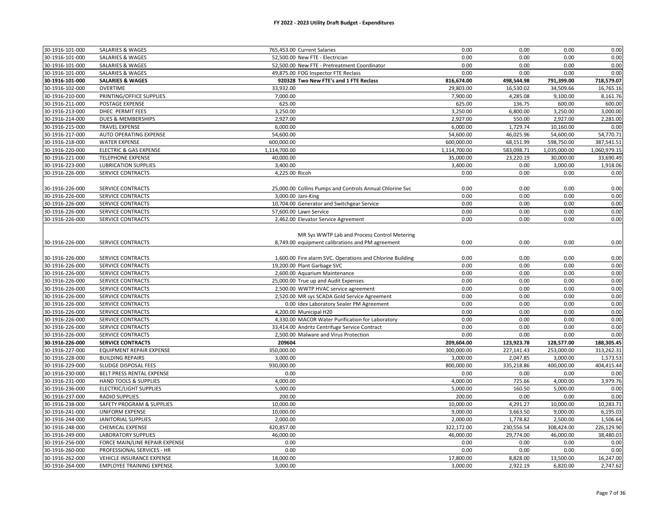| 30-1916-101-000                    | <b>SALARIES &amp; WAGES</b>                   | 765,453.00 Current Salaries                               | 0.00         | 0.00         | 0.00         | 0.00         |
|------------------------------------|-----------------------------------------------|-----------------------------------------------------------|--------------|--------------|--------------|--------------|
| 30-1916-101-000                    | <b>SALARIES &amp; WAGES</b>                   | 52,500.00 New FTE - Electrician                           | 0.00         | 0.00         | 0.00         | 0.00         |
| 30-1916-101-000                    | <b>SALARIES &amp; WAGES</b>                   | 52,500.00 New FTE - Pretreatment Coordinator              | 0.00         | 0.00         | 0.00         | 0.00         |
| 30-1916-101-000                    | <b>SALARIES &amp; WAGES</b>                   | 49,875.00 FOG Inspector FTE Reclass                       | 0.00         | 0.00         | 0.00         | 0.00         |
| 30-1916-101-000                    | <b>SALARIES &amp; WAGES</b>                   | 920328 Two New FTE's and 1 FTE Reclass                    | 816,674.00   | 498,544.98   | 791,399.00   | 718,579.07   |
| 30-1916-102-000                    | <b>OVERTIME</b>                               | 33,932.00                                                 | 29,803.00    | 16,530.02    | 34,509.66    | 16,765.16    |
| 30-1916-210-000                    | PRINTING/OFFICE SUPPLIES                      | 7,000.00                                                  | 7,900.00     | 4,285.08     | 9,100.00     | 8,161.76     |
| 30-1916-211-000                    | POSTAGE EXPENSE                               | 625.00                                                    | 625.00       | 136.75       | 600.00       | 600.00       |
| 30-1916-213-000                    | DHEC PERMIT FEES                              | 3,250.00                                                  | 3,250.00     | 6,800.00     | 3,250.00     | 3,000.00     |
| 30-1916-214-000                    | DUES & MEMBERSHIPS                            | 2,927.00                                                  | 2,927.00     | 550.00       | 2,927.00     | 2,281.00     |
| 30-1916-215-000                    | <b>TRAVEL EXPENSE</b>                         | 6,000.00                                                  | 6,000.00     | 1,729.74     | 10,160.00    | 0.00         |
| 30-1916-217-000                    | AUTO OPERATING EXPENSE                        | 54,600.00                                                 | 54,600.00    | 46,025.96    | 54,600.00    | 54,770.71    |
| 30-1916-218-000                    | <b>WATER EXPENSE</b>                          | 600,000.00                                                | 600,000.00   | 68,151.99    | 598,750.00   | 387,541.51   |
| 30-1916-220-000                    | <b>ELECTRIC &amp; GAS EXPENSE</b>             | 1,114,700.00                                              | 1,114,700.00 | 583,098.71   | 1,035,000.00 | 1,060,979.15 |
| 30-1916-221-000                    | <b>TELEPHONE EXPENSE</b>                      | 40,000.00                                                 | 35,000.00    | 23,220.19    | 30,000.00    | 33,690.49    |
| 30-1916-223-000                    | <b>LUBRICATION SUPPLIES</b>                   | 3,400.00                                                  | 3,400.00     | 0.00         | 3,000.00     | 1,918.06     |
| 30-1916-226-000                    | <b>SERVICE CONTRACTS</b>                      | 4,225.00 Ricoh                                            | 0.00         | 0.00         | 0.00         | 0.00         |
|                                    |                                               |                                                           |              |              |              |              |
| 30-1916-226-000                    | SERVICE CONTRACTS                             | 25,000.00 Collins Pumps and Controls Annual Chlorine Svc  | 0.00         | 0.00         | 0.00         | 0.00         |
| 30-1916-226-000                    | <b>SERVICE CONTRACTS</b>                      | 3,000.00 Jani-King                                        | 0.00         | 0.00         | 0.00         | 0.00         |
| 30-1916-226-000                    | SERVICE CONTRACTS                             | 10,704.00 Generator and Switchgear Service                | 0.00         | 0.00         | 0.00         | 0.00         |
| 30-1916-226-000                    | SERVICE CONTRACTS                             | 57,600.00 Lawn Service                                    | 0.00         | 0.00         | 0.00         | 0.00         |
| 30-1916-226-000                    | SERVICE CONTRACTS                             | 2,462.00 Elevator Service Agreement                       | 0.00         | 0.00         | 0.00         | 0.00         |
|                                    |                                               |                                                           |              |              |              |              |
|                                    |                                               | MR Sys WWTP Lab and Process Control Metering              |              |              |              |              |
| 30-1916-226-000                    | SERVICE CONTRACTS                             |                                                           | 0.00         | 0.00         | 0.00         | 0.00         |
|                                    |                                               | 8,749.00 equipment calibrations and PM agreement          |              |              |              |              |
| 30-1916-226-000                    | SERVICE CONTRACTS                             |                                                           |              | 0.00         | 0.00         |              |
| 30-1916-226-000                    | <b>SERVICE CONTRACTS</b>                      | 1,600.00 Fire alarm SVC. Operations and Chlorine Building | 0.00<br>0.00 | 0.00         | 0.00         | 0.00         |
|                                    |                                               | 19,200.00 Plant Garbage SVC                               | 0.00         |              |              | 0.00         |
| 30-1916-226-000                    | SERVICE CONTRACTS                             | 2,600.00 Aquarium Maintenance                             |              | 0.00         | 0.00         | 0.00         |
| 30-1916-226-000<br>30-1916-226-000 | SERVICE CONTRACTS<br><b>SERVICE CONTRACTS</b> | 25,000.00 True up and Audit Expenses                      | 0.00<br>0.00 | 0.00<br>0.00 | 0.00<br>0.00 | 0.00<br>0.00 |
|                                    |                                               | 2,500.00 WWTP HVAC service agreement                      |              |              |              |              |
| 30-1916-226-000                    | SERVICE CONTRACTS                             | 2,520.00 MR sys SCADA Gold Service Agreement              | 0.00         | 0.00         | 0.00         | 0.00         |
| 30-1916-226-000                    | SERVICE CONTRACTS                             | 0.00 Idex Laboratory Sealer PM Agreement                  | 0.00         | 0.00         | 0.00         | 0.00         |
| 30-1916-226-000                    | SERVICE CONTRACTS                             | 4,200.00 Municipal H20                                    | 0.00         | 0.00         | 0.00         | 0.00         |
| 30-1916-226-000                    | <b>SERVICE CONTRACTS</b>                      | 4,330.00 MACOR Water Purification for Laboratory          | 0.00         | 0.00         | 0.00         | 0.00         |
| 30-1916-226-000                    | SERVICE CONTRACTS                             | 33,414.00 Andritz Centrifuge Service Contract             | 0.00         | 0.00         | 0.00         | 0.00         |
| 30-1916-226-000                    | <b>SERVICE CONTRACTS</b>                      | 2,500.00 Malware and Virus Protection                     | 0.00         | 0.00         | 0.00         | 0.00         |
| 30-1916-226-000                    | <b>SERVICE CONTRACTS</b>                      | 209604                                                    | 209,604.00   | 123,923.78   | 128,577.00   | 188,305.45   |
| 30-1916-227-000                    | EQUIPMENT REPAIR EXPENSE                      | 350,000.00                                                | 300,000.00   | 227,141.43   | 253,000.00   | 313,262.31   |
| 30-1916-228-000                    | <b>BUILDING REPAIRS</b>                       | 3,000.00                                                  | 3,000.00     | 2,047.85     | 3,000.00     | 1,573.53     |
| 30-1916-229-000                    | SLUDGE DISPOSAL FEES                          | 930,000.00                                                | 800,000.00   | 335,218.86   | 400,000.00   | 404,415.44   |
| 30-1916-230-000                    | BELT PRESS RENTAL EXPENSE                     | 0.00                                                      | 0.00         | 0.00         | 0.00         | 0.00         |
| 30-1916-231-000                    | <b>HAND TOOLS &amp; SUPPLIES</b>              | 4,000.00                                                  | 4,000.00     | 725.66       | 4,000.00     | 3,979.76     |
| 30-1916-236-000                    | ELECTRIC/LIGHT SUPPLIES                       | 5,000.00                                                  | 5,000.00     | 160.50       | 5,000.00     | 0.00         |
| 30-1916-237-000                    | <b>RADIO SUPPLIES</b>                         | 200.00                                                    | 200.00       | 0.00         | 0.00         | 0.00         |
| 30-1916-238-000                    | <b>SAFETY PROGRAM &amp; SUPPLIES</b>          | 10,000.00                                                 | 10,000.00    | 4,291.27     | 10,000.00    | 10,283.71    |
| 30-1916-241-000                    | <b>UNIFORM EXPENSE</b>                        | 10,000.00                                                 | 9,000.00     | 3,663.50     | 9,000.00     | 6,195.03     |
| 30-1916-244-000                    | JANITORIAL SUPPLIES                           | 2,000.00                                                  | 2,000.00     | 1,778.82     | 2,500.00     | 1,506.64     |
| 30-1916-248-000                    | <b>CHEMICAL EXPENSE</b>                       | 420,857.00                                                | 322,172.00   | 230,556.54   | 308,424.00   | 226,129.90   |
| 30-1916-249-000                    | <b>LABORATORY SUPPLIES</b>                    | 46,000.00                                                 | 46,000.00    | 29,774.00    | 46,000.00    | 38,480.03    |
| 30-1916-256-000                    | FORCE MAIN/LINE REPAIR EXPENSE                | 0.00                                                      | 0.00         | 0.00         | 0.00         | 0.00         |
| 30-1916-260-000                    | PROFESSIONAL SERVICES - HR                    | 0.00                                                      | 0.00         | 0.00         | 0.00         | 0.00         |
| 30-1916-262-000                    | <b>VEHICLE INSURANCE EXPENSE</b>              | 18,000.00                                                 | 17,800.00    | 8,828.00     | 13,500.00    | 16,247.00    |
| 30-1916-264-000                    | <b>EMPLOYEE TRAINING EXPENSE</b>              | 3,000.00                                                  | 3,000.00     | 2,922.19     | 6,820.00     | 2,747.62     |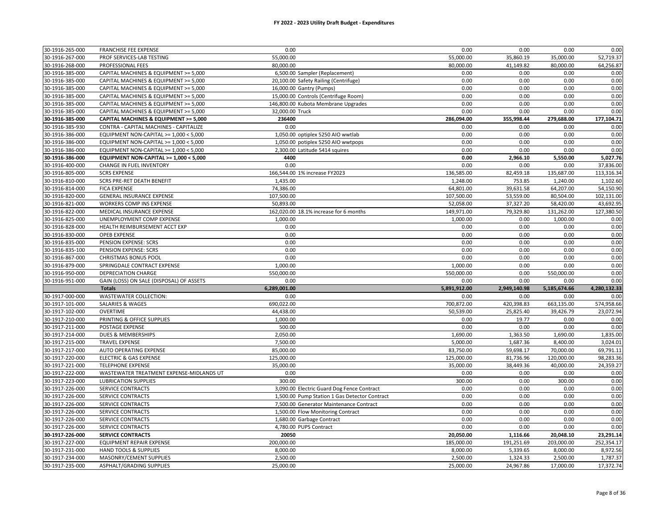| 30-1916-265-000                    | <b>FRANCHISE FEE EXPENSE</b>                        | 0.00                                          | 0.00                  | 0.00                  | 0.00                  | 0.00                  |
|------------------------------------|-----------------------------------------------------|-----------------------------------------------|-----------------------|-----------------------|-----------------------|-----------------------|
| 30-1916-267-000                    | PROF SERVICES-LAB TESTING                           | 55,000.00                                     | 55,000.00             | 35,860.19             | 35,000.00             | 52,719.37             |
| 30-1916-268-000                    | PROFESSIONAL FEES                                   | 80,000.00                                     | 80,000.00             | 41,149.82             | 80,000.00             | 64,256.87             |
| 30-1916-385-000                    | CAPITAL MACHINES & EQUIPMENT >= 5,000               | 6,500.00 Sampler (Replacement)                | 0.00                  | 0.00                  | 0.00                  | 0.00                  |
| 30-1916-385-000                    | CAPITAL MACHINES & EQUIPMENT >= 5,000               | 20,100.00 Safety Railing (Centrifuge)         | 0.00                  | 0.00                  | 0.00                  | 0.00                  |
| 30-1916-385-000                    | CAPITAL MACHINES & EQUIPMENT >= 5,000               | 16,000.00 Gantry (Pumps)                      | 0.00                  | 0.00                  | 0.00                  | 0.00                  |
| 30-1916-385-000                    | CAPITAL MACHINES & EQUIPMENT >= 5,000               | 15,000.00 Controls (Centrifuge Room)          | 0.00                  | 0.00                  | 0.00                  | 0.00                  |
| 30-1916-385-000                    | CAPITAL MACHINES & EQUIPMENT >= 5,000               | 146,800.00 Kubota Membrane Upgrades           | 0.00                  | 0.00                  | 0.00                  | 0.00                  |
| 30-1916-385-000                    | CAPITAL MACHINES & EQUIPMENT >= 5,000               | 32,000.00 Truck                               | 0.00                  | 0.00                  | 0.00                  | 0.00                  |
| 30-1916-385-000                    | CAPITAL MACHINES & EQUIPMENT >= 5,000               | 236400                                        | 286,094.00            | 355,998.44            | 279,688.00            | 177,104.71            |
| 30-1916-385-930                    | CONTRA - CAPITAL MACHINES - CAPITALIZE              | 0.00                                          | 0.00                  | 0.00                  | 0.00                  | 0.00                  |
| 30-1916-386-000                    | EQUIPMENT NON-CAPITAL >= 1,000 < 5,000              | 1,050.00 optiplex 5250 AIO wwtlab             | 0.00                  | 0.00                  | 0.00                  | 0.00                  |
| 30-1916-386-000                    | EQUIPMENT NON-CAPITAL >= 1,000 < 5,000              | 1,050.00 potiplex 5250 AIO wwtpops            | 0.00                  | 0.00                  | 0.00                  | 0.00                  |
| 30-1916-386-000                    | EQUIPMENT NON-CAPITAL >= 1,000 < 5,000              | 2,300.00 Latitude 5414 squires                | 0.00                  | 0.00                  | 0.00                  | 0.00                  |
| 30-1916-386-000                    | EQUIPMENT NON-CAPITAL >= 1,000 < 5,000              | 4400                                          | 0.00                  | 2,966.10              | 5,550.00              | 5,027.76              |
| 30-1916-400-000                    | CHANGE IN FUEL INVENTORY                            | 0.00                                          | 0.00                  | 0.00                  | 0.00                  | 37,836.00             |
| 30-1916-805-000                    | <b>SCRS EXPENSE</b>                                 | 166,544.00 1% increase FY2023                 | 136,585.00            | 82,459.18             | 135,687.00            | 113,316.34            |
| 30-1916-810-000                    | <b>SCRS PRE-RET DEATH BENEFIT</b>                   | 1,435.00                                      | 1,248.00              | 753.85                | 1,240.00              | 1,102.60              |
| 30-1916-814-000                    | <b>FICA EXPENSE</b>                                 | 74,386.00                                     | 64,801.00             | 39,631.58             | 64,207.00             | 54,150.90             |
| 30-1916-820-000                    | <b>GENERAL INSURANCE EXPENSE</b>                    | 107,500.00                                    | 107,500.00            | 53,559.00             | 80,504.00             | 102,131.00            |
| 30-1916-821-000                    | WORKERS COMP INS EXPENSE                            | 50.893.00                                     | 52,058.00             | 37,327.20             | 58,420.00             | 43,692.95             |
| 30-1916-822-000                    | MEDICAL INSURANCE EXPENSE                           | 162,020.00 18.1% increase for 6 months        | 149,971.00            | 79,329.80             | 131,262.00            | 127,380.50            |
| 30-1916-825-000                    | UNEMPLOYMENT COMP EXPENSE                           | 1.000.00                                      | 1,000.00              | 0.00                  | 1,000.00              | 0.00                  |
| 30-1916-828-000                    | HEALTH REIMBURSEMENT ACCT EXP                       | 0.00                                          | 0.00                  | 0.00                  | 0.00                  | 0.00                  |
| 30-1916-830-000                    | <b>OPEB EXPENSE</b>                                 | 0.00                                          | 0.00                  | 0.00                  | 0.00                  | 0.00                  |
| 30-1916-835-000                    | PENSION EXPENSE: SCRS                               | 0.00                                          | 0.00                  | 0.00                  | 0.00                  | 0.00                  |
| 30-1916-835-100                    | PENSION EXPENSE: SCRS                               | 0.00                                          | 0.00                  | 0.00                  | 0.00                  | 0.00                  |
| 30-1916-867-000                    | <b>CHRISTMAS BONUS POOL</b>                         | 0.00                                          | 0.00                  | 0.00                  | 0.00                  | 0.00                  |
|                                    |                                                     |                                               |                       |                       |                       |                       |
|                                    |                                                     |                                               |                       |                       |                       |                       |
| 30-1916-879-000                    | SPRINGDALE CONTRACT EXPENSE                         | 1,000.00                                      | 1,000.00              | 0.00                  | 0.00                  | 0.00                  |
| 30-1916-950-000                    | DEPRECIATION CHARGE                                 | 550,000.00                                    | 550,000.00            | 0.00                  | 550,000.00            | 0.00                  |
| 30-1916-951-000                    | GAIN (LOSS) ON SALE (DISPOSAL) OF ASSETS            | 0.00                                          | 0.00                  | 0.00                  | 0.00                  | 0.00                  |
|                                    | <b>Totals</b>                                       | 6,289,001.00                                  | 5,891,912.00          | 2,949,140.98          | 5,185,674.66          | 4,280,132.33          |
| 30-1917-000-000                    | WASTEWATER COLLECTION:                              | 0.00                                          | 0.00                  | 0.00                  | 0.00                  | 0.00                  |
| 30-1917-101-000                    | SALARIES & WAGES                                    | 690,022.00                                    | 700,872.00            | 420,398.83            | 663,135.00            | 574,958.66            |
| 30-1917-102-000                    | <b>OVERTIME</b>                                     | 44,438.00                                     | 50,539.00             | 25,825.40             | 39,426.79             | 23,072.94             |
| 30-1917-210-000                    | PRINTING & OFFICE SUPPLIES                          | 1,000.00                                      | 0.00                  | 19.77                 | 0.00                  | 0.00                  |
| 30-1917-211-000                    | <b>POSTAGE EXPENSE</b>                              | 500.00                                        | 0.00                  | 0.00                  | 0.00                  | 0.00                  |
| 30-1917-214-000                    | DUES & MEMBERSHIPS                                  | 2,050.00                                      | 1,690.00              | 1,363.50              | 1,690.00              | 1,835.00              |
| 30-1917-215-000                    | <b>TRAVEL EXPENSE</b>                               | 7,500.00                                      | 5,000.00              | 1,687.36              | 8,400.00              | 3,024.01              |
| 30-1917-217-000                    | AUTO OPERATING EXPENSE                              | 85,000.00                                     | 83,750.00             | 59,698.17             | 70,000.00             | 69,791.11             |
| 30-1917-220-000                    | <b>ELECTRIC &amp; GAS EXPENSE</b>                   | 125,000.00                                    | 125,000.00            | 81,736.96             | 120,000.00            | 98,283.36             |
| 30-1917-221-000                    | <b>TELEPHONE EXPENSE</b>                            | 35,000.00                                     | 35,000.00             | 38,449.36             | 40,000.00             | 24,359.27             |
| 30-1917-222-000                    | WASTEWATER TREATMENT EXPENSE-MIDLANDS UT            | 0.00                                          | 0.00                  | 0.00                  | 0.00                  | 0.00                  |
| 30-1917-223-000                    | <b>LUBRICATION SUPPLIES</b>                         | 300.00                                        | 300.00                | 0.00                  | 300.00                | 0.00                  |
| 30-1917-226-000                    | <b>SERVICE CONTRACTS</b>                            | 3,090.00 Electric Guard Dog Fence Contract    | 0.00                  | 0.00                  | 0.00                  | 0.00                  |
| 30-1917-226-000                    | SERVICE CONTRACTS                                   | 1,500.00 Pump Station 1 Gas Detector Contract | 0.00                  | 0.00                  | 0.00                  | 0.00                  |
| 30-1917-226-000                    | SERVICE CONTRACTS                                   | 7,500.00 Generator Maintenance Contract       | 0.00                  | 0.00                  | 0.00                  | 0.00                  |
| 30-1917-226-000                    | SERVICE CONTRACTS                                   | 1,500.00 Flow Monitoring Contract             | 0.00                  | 0.00                  | 0.00                  | 0.00                  |
| 30-1917-226-000                    | SERVICE CONTRACTS                                   | 1,680.00 Garbage Contract                     | 0.00                  | 0.00                  | 0.00                  | 0.00                  |
| 30-1917-226-000                    | <b>SERVICE CONTRACTS</b>                            | 4,780.00 PUPS Contract                        | 0.00                  | 0.00                  | 0.00                  | 0.00                  |
| 30-1917-226-000                    | <b>SERVICE CONTRACTS</b>                            | 20050                                         | 20,050.00             | 1,116.66              | 20,048.10             | 23,291.14             |
| 30-1917-227-000                    | EQUIPMENT REPAIR EXPENSE                            | 200,000.00                                    | 185,000.00            | 191,251.69            | 203,000.00            | 252,354.17            |
| 30-1917-231-000                    | HAND TOOLS & SUPPLIES                               | 8,000.00                                      | 8,000.00              | 5,339.65              | 8,000.00              | 8,972.56              |
| 30-1917-234-000<br>30-1917-235-000 | MASONRY/CEMENT SUPPLIES<br>ASPHALT/GRADING SUPPLIES | 2,500.00<br>25,000.00                         | 2,500.00<br>25,000.00 | 1,324.33<br>24,967.86 | 2,500.00<br>17,000.00 | 1,787.37<br>17,372.74 |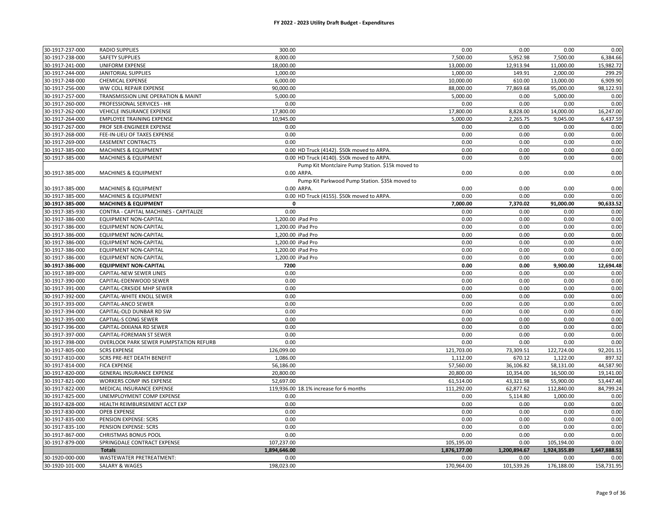#### **FY 2022 - 2023 Utility Draft Budget - Expenditures**

| 30-1917-237-000                    | <b>RADIO SUPPLIES</b>                                 | 300.00                                           | 0.00               | 0.00               | 0.00               | 0.00               |
|------------------------------------|-------------------------------------------------------|--------------------------------------------------|--------------------|--------------------|--------------------|--------------------|
| 30-1917-238-000                    | <b>SAFETY SUPPLIES</b>                                | 8,000.00                                         | 7,500.00           | 5,952.98           | 7,500.00           | 6,384.66           |
| 30-1917-241-000                    | <b>UNIFORM EXPENSE</b>                                | 18,000.00                                        | 13,000.00          | 12,913.94          | 11,000.00          | 15,982.72          |
| 30-1917-244-000                    | <b>JANITORIAL SUPPLIES</b>                            | 1,000.00                                         | 1,000.00           | 149.91             | 2,000.00           | 299.29             |
| 30-1917-248-000                    | CHEMICAL EXPENSE                                      | 6,000.00                                         | 10,000.00          | 610.00             | 13,000.00          | 6,909.90           |
| 30-1917-256-000                    | WW COLL REPAIR EXPENSE                                | 90,000.00                                        | 88,000.00          | 77,869.68          | 95,000.00          | 98,122.93          |
| 30-1917-257-000                    | TRANSMISSION LINE OPERATION & MAINT                   | 5,000.00                                         | 5,000.00           | 0.00               | 5,000.00           | 0.00               |
| 30-1917-260-000                    | PROFESSIONAL SERVICES - HR                            | 0.00                                             | 0.00               | 0.00               | 0.00               | 0.00               |
| 30-1917-262-000                    | <b>VEHICLE INSURANCE EXPENSE</b>                      | 17,800.00                                        | 17,800.00          | 8,828.00           | 14,000.00          | 16,247.00          |
| 30-1917-264-000                    | <b>EMPLOYEE TRAINING EXPENSE</b>                      | 10,945.00                                        | 5,000.00           | 2,265.75           | 9,045.00           | 6,437.59           |
| 30-1917-267-000                    | PROF SER-ENGINEER EXPENSE                             | 0.00                                             | 0.00               | 0.00               | 0.00               | 0.00               |
| 30-1917-268-000                    | FEE-IN-LIEU OF TAXES EXPENSE                          | 0.00                                             | 0.00               | 0.00               | 0.00               | 0.00               |
| 30-1917-269-000                    | <b>EASEMENT CONTRACTS</b>                             | 0.00                                             | 0.00               | 0.00               | 0.00               | 0.00               |
| 30-1917-385-000                    | <b>MACHINES &amp; EQUIPMENT</b>                       | 0.00 HD Truck (4142). \$50k moved to ARPA.       | 0.00               | 0.00               | 0.00               | 0.00               |
| 30-1917-385-000                    | <b>MACHINES &amp; EQUIPMENT</b>                       | 0.00 HD Truck (4140). \$50k moved to ARPA.       | 0.00               | 0.00               | 0.00               | 0.00               |
|                                    |                                                       | Pump Kit Montclaire Pump Station. \$15k moved to |                    |                    |                    |                    |
| 30-1917-385-000                    | <b>MACHINES &amp; EQUIPMENT</b>                       | 0.00 ARPA.                                       | 0.00               | 0.00               | 0.00               | 0.00               |
|                                    |                                                       | Pump Kit Parkwood Pump Station. \$35k moved to   |                    |                    |                    |                    |
| 30-1917-385-000                    | <b>MACHINES &amp; EQUIPMENT</b>                       | 0.00 ARPA.                                       | 0.00               | 0.00               | 0.00               | 0.00               |
| 30-1917-385-000                    | <b>MACHINES &amp; EQUIPMENT</b>                       | 0.00 HD Truck (4155). \$50k moved to ARPA.       | 0.00               | 0.00               | 0.00               | 0.00               |
| 30-1917-385-000                    | <b>MACHINES &amp; EQUIPMENT</b>                       | 0                                                | 7,000.00           | 7,370.02           | 91,000.00          | 90,633.52          |
| 30-1917-385-930                    | CONTRA - CAPITAL MACHINES - CAPITALIZE                | 0.00                                             | 0.00               | 0.00               | 0.00               | 0.00               |
| 30-1917-386-000                    | <b>EQUIPMENT NON-CAPITAL</b>                          | 1,200.00 iPad Pro                                | 0.00               | 0.00               | 0.00               | 0.00               |
| 30-1917-386-000                    | <b>EQUIPMENT NON-CAPITAL</b>                          | 1,200.00 iPad Pro                                | 0.00               | 0.00               | 0.00               | 0.00               |
| 30-1917-386-000                    | <b>EQUIPMENT NON-CAPITAL</b>                          | 1,200.00 iPad Pro                                | 0.00               | 0.00               | 0.00               | 0.00               |
| 30-1917-386-000                    | <b>EQUIPMENT NON-CAPITAL</b>                          | 1,200.00 iPad Pro                                | 0.00               | 0.00               | 0.00               | 0.00               |
| 30-1917-386-000                    | <b>EQUIPMENT NON-CAPITAL</b>                          | 1,200.00 iPad Pro                                | 0.00               | 0.00               | 0.00               | 0.00               |
| 30-1917-386-000                    | <b>EQUIPMENT NON-CAPITAL</b>                          | 1,200.00 iPad Pro                                | 0.00               | 0.00               | 0.00               | 0.00               |
| 30-1917-386-000                    | <b>EQUIPMENT NON-CAPITAL</b>                          | 7200                                             | 0.00               | 0.00               | 9,900.00           | 12,694.48          |
| 30-1917-389-000                    | <b>CAPITAL-NEW SEWER LINES</b>                        | 0.00                                             | 0.00               | 0.00               | 0.00               | 0.00               |
| 30-1917-390-000                    | CAPITAL-EDENWOOD SEWER                                | 0.00                                             | 0.00               | 0.00               | 0.00               | 0.00               |
| 30-1917-391-000                    | CAPITAL-CRKSIDE MHP SEWER                             | 0.00                                             | 0.00               | 0.00               | 0.00               | 0.00               |
| 30-1917-392-000                    | CAPITAL-WHITE KNOLL SEWER                             | 0.00                                             | 0.00               | 0.00               | 0.00               | 0.00               |
| 30-1917-393-000                    | CAPITAL-ANCO SEWER                                    | 0.00                                             | 0.00               | 0.00               | 0.00               | 0.00               |
| 30-1917-394-000                    | CAPITAL-OLD DUNBAR RD SW                              | 0.00                                             | 0.00               | 0.00               | 0.00               | 0.00               |
| 30-1917-395-000                    | <b>CAPTIAL-S CONG SEWER</b>                           | 0.00                                             | 0.00               | 0.00               | 0.00               | 0.00               |
| 30-1917-396-000                    | CAPITAL-DIXIANA RD SEWER                              | 0.00                                             | 0.00               | 0.00               | 0.00               | 0.00               |
| 30-1917-397-000                    | CAPITAL-FOREMAN ST SEWER                              | 0.00                                             | 0.00               | 0.00               | 0.00               | 0.00               |
| 30-1917-398-000                    | OVERLOOK PARK SEWER PUMPSTATION REFURB                | 0.00                                             | 0.00               | 0.00               | 0.00               | 0.00               |
| 30-1917-805-000                    | <b>SCRS EXPENSE</b>                                   | 126,099.00                                       | 121,703.00         | 73,309.51          | 122,724.00         | 92,201.15          |
| 30-1917-810-000                    | <b>SCRS PRE-RET DEATH BENEFIT</b>                     | 1,086.00                                         | 1,112.00           | 670.12             | 1,122.00           | 897.32             |
| 30-1917-814-000                    | <b>FICA EXPENSE</b>                                   | 56,186.00                                        | 57,560.00          | 36,106.82          | 58,131.00          | 44,587.90          |
| 30-1917-820-000                    | <b>GENERAL INSURANCE EXPENSE</b>                      | 20,800.00                                        | 20,800.00          | 10,354.00          | 16,500.00          | 19,141.00          |
| 30-1917-821-000                    | WORKERS COMP INS EXPENSE                              | 52,697.00                                        | 61,514.00          | 43,321.98          | 55,900.00          | 53,447.48          |
| 30-1917-822-000                    | MEDICAL INSURANCE EXPENSE                             | 119,936.00 18.1% increase for 6 months           | 111,292.00         | 62,877.62          | 112,840.00         | 84,799.24          |
| 30-1917-825-000                    | UNEMPLOYMENT COMP EXPENSE                             | 0.00                                             | 0.00               | 5,114.80           | 1,000.00           | 0.00               |
| 30-1917-828-000                    | HEALTH REIMBURSEMENT ACCT EXP                         | 0.00                                             | 0.00               | 0.00               | 0.00               | 0.00               |
| 30-1917-830-000                    | <b>OPEB EXPENSE</b>                                   | 0.00                                             | 0.00               | 0.00               | 0.00               | 0.00               |
| 30-1917-835-000                    | PENSION EXPENSE: SCRS                                 | 0.00                                             | 0.00               | 0.00               | 0.00               | 0.00               |
| 30-1917-835-100                    | PENSION EXPENSE: SCRS                                 | 0.00                                             | 0.00               | 0.00               | 0.00               | 0.00               |
| 30-1917-867-000                    | <b>CHRISTMAS BONUS POOL</b>                           | 0.00                                             | 0.00               | 0.00               | 0.00               | 0.00               |
| 30-1917-879-000                    | SPRINGDALE CONTRACT EXPENSE                           | 107,237.00                                       | 105,195.00         | 0.00               | 105,194.00         | 0.00               |
|                                    |                                                       |                                                  |                    |                    |                    |                    |
|                                    | <b>Totals</b>                                         | 1,894,646.00                                     | 1,876,177.00       | 1,200,894.67       | 1,924,355.89       | 1,647,888.51       |
| 30-1920-000-000<br>30-1920-101-000 | WASTEWATER PRETREATMENT:<br><b>SALARY &amp; WAGES</b> | 0.00<br>198,023.00                               | 0.00<br>170,964.00 | 0.00<br>101,539.26 | 0.00<br>176,188.00 | 0.00<br>158,731.95 |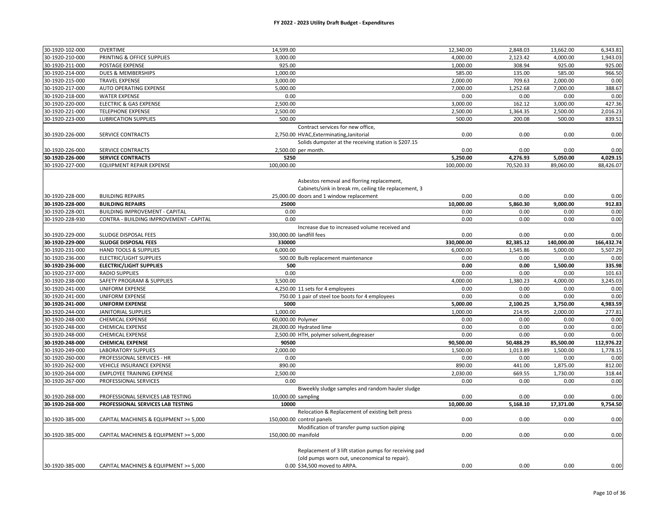| 30-1920-102-000 | OVERTIME                                | 14,599.00                                                                                                                                        | 12,340.00  | 2,848.03  | 13,662.00  | 6,343.81   |
|-----------------|-----------------------------------------|--------------------------------------------------------------------------------------------------------------------------------------------------|------------|-----------|------------|------------|
| 30-1920-210-000 | PRINTING & OFFICE SUPPLIES              | 3,000.00                                                                                                                                         | 4,000.00   | 2,123.42  | 4,000.00   | 1,943.03   |
| 30-1920-211-000 | POSTAGE EXPENSE                         | 925.00                                                                                                                                           | 1,000.00   | 308.94    | 925.00     | 925.00     |
| 30-1920-214-000 | DUES & MEMBERSHIPS                      | 1,000.00                                                                                                                                         | 585.00     | 135.00    | 585.00     | 966.50     |
| 30-1920-215-000 | <b>TRAVEL EXPENSE</b>                   | 3,000.00                                                                                                                                         | 2,000.00   | 709.63    | 2,000.00   | 0.00       |
| 30-1920-217-000 | AUTO OPERATING EXPENSE                  | 5,000.00                                                                                                                                         | 7,000.00   | 1,252.68  | 7,000.00   | 388.67     |
| 30-1920-218-000 | <b>WATER EXPENSE</b>                    | 0.00                                                                                                                                             | 0.00       | 0.00      | 0.00       | 0.00       |
| 30-1920-220-000 | <b>ELECTRIC &amp; GAS EXPENSE</b>       | 2,500.00                                                                                                                                         | 3,000.00   | 162.12    | 3,000.00   | 427.36     |
| 30-1920-221-000 | <b>TELEPHONE EXPENSE</b>                | 2,500.00                                                                                                                                         | 2,500.00   | 1,364.35  | 2,500.00   | 2,016.23   |
| 30-1920-223-000 | <b>LUBRICATION SUPPLIES</b>             | 500.00                                                                                                                                           | 500.00     | 200.08    | 500.00     | 839.51     |
|                 |                                         | Contract services for new office,                                                                                                                |            |           |            |            |
| 30-1920-226-000 | SERVICE CONTRACTS                       | 2,750.00 HVAC, Exterminating, Janitorial                                                                                                         | 0.00       | 0.00      | 0.00       | 0.00       |
|                 |                                         | Solids dumpster at the receiving station is \$207.15                                                                                             |            |           |            |            |
| 30-1920-226-000 | SERVICE CONTRACTS                       | 2,500.00 per month.                                                                                                                              | 0.00       | 0.00      | 0.00       | 0.00       |
| 30-1920-226-000 | <b>SERVICE CONTRACTS</b>                | 5250                                                                                                                                             | 5,250.00   | 4,276.93  | 5,050.00   | 4,029.15   |
| 30-1920-227-000 | <b>EQUIPMENT REPAIR EXPENSE</b>         | 100,000.00                                                                                                                                       | 100,000.00 | 70,520.33 | 89,060.00  | 88,426.07  |
| 30-1920-228-000 | <b>BUILDING REPAIRS</b>                 | Asbestos removal and florring replacement,<br>Cabinets/sink in break rm, ceiling tile replacement, 3<br>25,000.00 doors and 1 window replacement | 0.00       | 0.00      | 0.00       | 0.00       |
| 30-1920-228-000 | <b>BUILDING REPAIRS</b>                 | 25000                                                                                                                                            | 10,000.00  | 5,860.30  | 9,000.00   | 912.83     |
| 30-1920-228-001 | <b>BUILDING IMPROVEMENT - CAPITAL</b>   | 0.00                                                                                                                                             | 0.00       | 0.00      | 0.00       | 0.00       |
| 30-1920-228-930 | CONTRA - BUILDING IMPROVEMENT - CAPITAL | 0.00                                                                                                                                             | 0.00       | 0.00      | 0.00       | 0.00       |
|                 |                                         | Increase due to increased volume received and                                                                                                    |            |           |            |            |
| 30-1920-229-000 | SLUDGE DISPOSAL FEES                    | 330,000.00 landfill fees                                                                                                                         | 0.00       | 0.00      | 0.00       | 0.00       |
| 30-1920-229-000 | SLUDGE DISPOSAL FEES                    | 330000                                                                                                                                           | 330,000.00 | 82,385.12 | 140,000.00 | 166,432.74 |
| 30-1920-231-000 | <b>HAND TOOLS &amp; SUPPLIES</b>        | 6,000.00                                                                                                                                         | 6,000.00   | 1,545.86  | 5,000.00   | 5,507.29   |
| 30-1920-236-000 | ELECTRIC/LIGHT SUPPLIES                 | 500.00 Bulb replacement maintenance                                                                                                              | 0.00       | 0.00      | 0.00       | 0.00       |
| 30-1920-236-000 | <b>ELECTRIC/LIGHT SUPPLIES</b>          | 500                                                                                                                                              | 0.00       | 0.00      | 1,500.00   | 335.98     |
| 30-1920-237-000 | <b>RADIO SUPPLIES</b>                   | 0.00                                                                                                                                             | 0.00       | 0.00      | 0.00       | 101.63     |
| 30-1920-238-000 | SAFETY PROGRAM & SUPPLIES               | 3,500.00                                                                                                                                         | 4.000.00   | 1,380.23  | 4,000.00   | 3,245.03   |
| 30-1920-241-000 | <b>UNIFORM EXPENSE</b>                  | 4,250.00 11 sets for 4 employees                                                                                                                 | 0.00       | 0.00      | 0.00       | 0.00       |
| 30-1920-241-000 | <b>UNIFORM EXPENSE</b>                  | 750.00 1 pair of steel toe boots for 4 employees                                                                                                 | 0.00       | 0.00      | 0.00       | 0.00       |
| 30-1920-241-000 | <b>UNIFORM EXPENSE</b>                  | 5000                                                                                                                                             | 5,000.00   | 2,100.25  | 3,750.00   | 4,983.59   |
| 30-1920-244-000 | <b>JANITORIAL SUPPLIES</b>              | 1,000.00                                                                                                                                         | 1,000.00   | 214.95    | 2,000.00   | 277.81     |
| 30-1920-248-000 | <b>CHEMICAL EXPENSE</b>                 | 60,000.00 Polymer                                                                                                                                | 0.00       | 0.00      | 0.00       | 0.00       |
| 30-1920-248-000 | <b>CHEMICAL EXPENSE</b>                 | 28,000.00 Hydrated lime                                                                                                                          | 0.00       | 0.00      | 0.00       | 0.00       |
| 30-1920-248-000 | <b>CHEMICAL EXPENSE</b>                 | 2,500.00 HTH, polymer solvent, degreaser                                                                                                         | 0.00       | 0.00      | 0.00       | 0.00       |
| 30-1920-248-000 | <b>CHEMICAL EXPENSE</b>                 | 90500                                                                                                                                            | 90,500.00  | 50,488.29 | 85,500.00  | 112,976.22 |
| 30-1920-249-000 | <b>LABORATORY SUPPLIES</b>              | 2,000.00                                                                                                                                         | 1,500.00   | 1,013.89  | 1,500.00   | 1,778.15   |
| 30-1920-260-000 | PROFESSIONAL SERVICES - HR              | 0.00                                                                                                                                             | 0.00       | 0.00      | 0.00       | 0.00       |
| 30-1920-262-000 | <b>VEHICLE INSURANCE EXPENSE</b>        | 890.00                                                                                                                                           | 890.00     | 441.00    | 1,875.00   | 812.00     |
| 30-1920-264-000 | <b>EMPLOYEE TRAINING EXPENSE</b>        | 2,500.00                                                                                                                                         | 2,030.00   | 669.55    | 1,730.00   | 318.44     |
| 30-1920-267-000 | PROFESSIONAL SERVICES                   | 0.00                                                                                                                                             | 0.00       | 0.00      | 0.00       | 0.00       |
|                 |                                         | Biweekly sludge samples and random hauler sludge                                                                                                 |            |           |            |            |
| 30-1920-268-000 | PROFESSIONAL SERVICES LAB TESTING       | 10,000.00 sampling                                                                                                                               | 0.00       | 0.00      | 0.00       | 0.00       |
| 30-1920-268-000 | PROFESSIONAL SERVICES LAB TESTING       | 10000                                                                                                                                            | 10,000.00  | 5,168.10  | 17,371.00  | 9,754.50   |
|                 |                                         | Relocation & Replacement of existing belt press                                                                                                  |            |           |            |            |
| 30-1920-385-000 | CAPITAL MACHINES & EQUIPMENT >= 5,000   | 150,000.00 control panels                                                                                                                        | 0.00       | 0.00      | 0.00       | 0.00       |
|                 |                                         | Modification of transfer pump suction piping                                                                                                     |            |           |            |            |
| 30-1920-385-000 | CAPITAL MACHINES & EQUIPMENT >= 5,000   | 150,000.00 manifold                                                                                                                              | 0.00       | 0.00      | 0.00       | 0.00       |
|                 |                                         | Replacement of 3 lift station pumps for receiving pad<br>(old pumps worn out, uneconomical to repair).                                           |            |           |            |            |
| 30-1920-385-000 | CAPITAL MACHINES & EQUIPMENT >= 5,000   | 0.00 \$34,500 moved to ARPA.                                                                                                                     | 0.00       | 0.00      | 0.00       | 0.00       |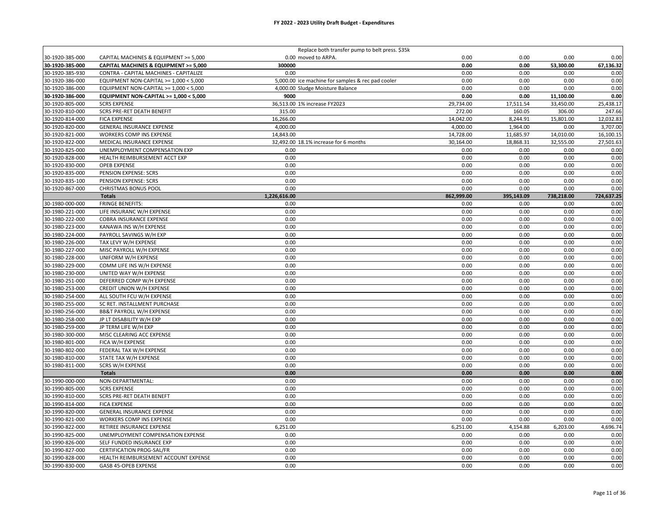| 0.00<br>30-1920-385-000<br>0.00 moved to ARPA.<br>0.00<br>0.00<br>0.00<br>CAPITAL MACHINES & EQUIPMENT >= 5,000<br>300000<br>0.00<br>53,300.00<br>30-1920-385-000<br>CAPITAL MACHINES & EQUIPMENT >= 5,000<br>0.00<br>67,136.32<br>30-1920-385-930<br>CONTRA - CAPITAL MACHINES - CAPITALIZE<br>0.00<br>0.00<br>0.00<br>0.00<br>0.00<br>0.00<br>0.00<br>0.00<br>30-1920-386-000<br>EQUIPMENT NON-CAPITAL >= 1,000 < 5,000<br>5,000.00 ice machine for samples & rec pad cooler<br>0.00<br>30-1920-386-000<br>0.00<br>0.00<br>EQUIPMENT NON-CAPITAL >= 1,000 < 5,000<br>4,000.00 Sludge Moisture Balance<br>0.00<br>0.00<br>30-1920-386-000<br>9000<br>0.00<br>0.00<br>11,100.00<br>0.00<br>EQUIPMENT NON-CAPITAL >= 1,000 < 5,000<br>30-1920-805-000<br><b>SCRS EXPENSE</b><br>36,513.00 1% increase FY2023<br>29,734.00<br>17,511.54<br>33,450.00<br>25,438.17<br>30-1920-810-000<br><b>SCRS PRE-RET DEATH BENEFIT</b><br>315.00<br>272.00<br>160.05<br>247.66<br>306.00<br>16,266.00<br>14,042.00<br>12,032.83<br>30-1920-814-000<br><b>FICA EXPENSE</b><br>8,244.91<br>15,801.00<br>30-1920-820-000<br><b>GENERAL INSURANCE EXPENSE</b><br>4,000.00<br>4,000.00<br>1,964.00<br>0.00<br>3,707.00<br>11,685.97<br>30-1920-821-000<br>WORKERS COMP INS EXPENSE<br>14,843.00<br>14,728.00<br>14,010.00<br>16,100.15<br>30-1920-822-000<br>MEDICAL INSURANCE EXPENSE<br>32,492.00 18.1% increase for 6 months<br>30,164.00<br>18,868.31<br>32,555.00<br>27,501.63<br>30-1920-825-000<br>UNEMPLOYMENT COMPENSATION EXP<br>0.00<br>0.00<br>0.00<br>0.00<br>0.00<br>0.00<br>0.00<br>0.00<br>30-1920-828-000<br>HEALTH REIMBURSEMENT ACCT EXP<br>0.00<br>0.00<br>0.00<br>30-1920-830-000<br><b>OPEB EXPENSE</b><br>0.00<br>0.00<br>0.00<br>0.00<br>0.00<br>30-1920-835-000<br>PENSION EXPENSE: SCRS<br>0.00<br>0.00<br>0.00<br>0.00<br>30-1920-835-100<br>PENSION EXPENSE: SCRS<br>0.00<br>0.00<br>0.00<br>0.00<br>0.00<br>0.00<br>30-1920-867-000<br>CHRISTMAS BONUS POOL<br>0.00<br>0.00<br>0.00<br>0.00<br>1,226,616.00<br>862,999.00<br>395,143.09<br>738,218.00<br>724,637.25<br><b>Totals</b><br>30-1980-000-000<br><b>FRINGE BENEFITS:</b><br>0.00<br>0.00<br>0.00<br>0.00<br>0.00<br>30-1980-221-000<br>LIFE INSURANC W/H EXPENSE<br>0.00<br>0.00<br>0.00<br>0.00<br>0.00<br>30-1980-222-000<br>COBRA INSURANCE EXPENSE<br>0.00<br>0.00<br>0.00<br>0.00<br>0.00<br>30-1980-223-000<br>KANAWA INS W/H EXPENSE<br>0.00<br>0.00<br>0.00<br>0.00<br>0.00<br>0.00<br>0.00<br>0.00<br>30-1980-224-000<br>PAYROLL SAVINGS W/H EXP<br>0.00<br>0.00<br>30-1980-226-000<br>TAX LEVY W/H EXPENSE<br>0.00<br>0.00<br>0.00<br>0.00<br>0.00<br>0.00<br>0.00<br>0.00<br>0.00<br>0.00<br>30-1980-227-000<br>MISC PAYROLL W/H EXPENSE<br>0.00<br>0.00<br>0.00<br>0.00<br>30-1980-228-000<br>UNIFORM W/H EXPENSE<br>0.00<br>30-1980-229-000<br>COMM LIFE INS W/H EXPENSE<br>0.00<br>0.00<br>0.00<br>0.00<br>0.00<br>0.00<br>30-1980-230-000<br>UNITED WAY W/H EXPENSE<br>0.00<br>0.00<br>0.00<br>0.00<br>30-1980-251-000<br>DEFERRED COMP W/H EXPENSE<br>0.00<br>0.00<br>0.00<br>0.00<br>0.00<br>0.00<br>0.00<br>30-1980-253-000<br>CREDIT UNION W/H EXPENSE<br>0.00<br>0.00<br>0.00<br>30-1980-254-000<br>ALL SOUTH FCU W/H EXPENSE<br>0.00<br>0.00<br>0.00<br>0.00<br>0.00<br>0.00<br>0.00<br>0.00<br>30-1980-255-000<br>SC RET. INSTALLMENT PURCHASE<br>0.00<br>0.00<br>30-1980-256-000<br><b>BB&amp;T PAYROLL W/H EXPENSE</b><br>0.00<br>0.00<br>0.00<br>0.00<br>0.00<br>30-1980-258-000<br>0.00<br>0.00<br>0.00<br>0.00<br>0.00<br>JP LT DISABILITY W/H EXP<br>0.00<br>0.00<br>0.00<br>30-1980-259-000<br>JP TERM LIFE W/H EXP<br>0.00<br>0.00<br>0.00<br>0.00<br>0.00<br>0.00<br>0.00<br>30-1980-300-000<br>MISC CLEARING ACC EXPENSE<br>FICA W/H EXPENSE<br>0.00<br>0.00<br>0.00<br>0.00<br>0.00<br>30-1980-801-000<br>0.00<br>30-1980-802-000<br>FEDERAL TAX W/H EXPENSE<br>0.00<br>0.00<br>0.00<br>0.00<br>30-1980-810-000<br>STATE TAX W/H EXPENSE<br>0.00<br>0.00<br>0.00<br>0.00<br>0.00<br>30-1980-811-000<br>SCRS W/H EXPENSE<br>0.00<br>0.00<br>0.00<br>0.00<br>0.00<br>0.00<br>0.00<br>0.00<br>0.00<br>0.00<br><b>Totals</b><br>NON-DEPARTMENTAL:<br>0.00<br>0.00<br>0.00<br>0.00<br>0.00<br>30-1990-000-000<br>0.00<br>0.00<br>0.00<br>0.00<br>30-1990-805-000<br><b>SCRS EXPENSE</b><br>0.00<br>0.00<br>0.00<br>30-1990-810-000<br><b>SCRS PRE-RET DEATH BENEFT</b><br>0.00<br>0.00<br>0.00<br>30-1990-814-000<br><b>FICA EXPENSE</b><br>0.00<br>0.00<br>0.00<br>0.00<br>0.00<br>0.00<br>0.00<br>0.00<br>0.00<br>30-1990-820-000<br>GENERAL INSURANCE EXPENSE<br>0.00<br>0.00<br>0.00<br>0.00<br>0.00<br>0.00<br>30-1990-821-000<br>WORKERS COMP INS EXPENSE<br>6,251.00<br>6,251.00<br>4,154.88<br>6,203.00<br>4,696.74<br>30-1990-822-000<br>RETIREE INSURANCE EXPENSE<br>0.00<br>0.00<br>0.00<br>0.00<br>30-1990-825-000<br>UNEMPLOYMENT COMPENSATION EXPENSE<br>0.00<br>SELF FUNDED INSURANCE EXP<br>0.00<br>0.00<br>0.00<br>0.00<br>0.00<br>30-1990-826-000<br>30-1990-827-000<br><b>CERTIFICATION PROG-SAL/FR</b><br>0.00<br>0.00<br>0.00<br>0.00<br>0.00<br>0.00<br>0.00<br>0.00<br>0.00<br>30-1990-828-000<br>HEALTH REIMBURSEMENT ACCOUNT EXPENSE<br>0.00 |                 |                      | Replace both transfer pump to belt press. \$35k |      |      |      |      |
|----------------------------------------------------------------------------------------------------------------------------------------------------------------------------------------------------------------------------------------------------------------------------------------------------------------------------------------------------------------------------------------------------------------------------------------------------------------------------------------------------------------------------------------------------------------------------------------------------------------------------------------------------------------------------------------------------------------------------------------------------------------------------------------------------------------------------------------------------------------------------------------------------------------------------------------------------------------------------------------------------------------------------------------------------------------------------------------------------------------------------------------------------------------------------------------------------------------------------------------------------------------------------------------------------------------------------------------------------------------------------------------------------------------------------------------------------------------------------------------------------------------------------------------------------------------------------------------------------------------------------------------------------------------------------------------------------------------------------------------------------------------------------------------------------------------------------------------------------------------------------------------------------------------------------------------------------------------------------------------------------------------------------------------------------------------------------------------------------------------------------------------------------------------------------------------------------------------------------------------------------------------------------------------------------------------------------------------------------------------------------------------------------------------------------------------------------------------------------------------------------------------------------------------------------------------------------------------------------------------------------------------------------------------------------------------------------------------------------------------------------------------------------------------------------------------------------------------------------------------------------------------------------------------------------------------------------------------------------------------------------------------------------------------------------------------------------------------------------------------------------------------------------------------------------------------------------------------------------------------------------------------------------------------------------------------------------------------------------------------------------------------------------------------------------------------------------------------------------------------------------------------------------------------------------------------------------------------------------------------------------------------------------------------------------------------------------------------------------------------------------------------------------------------------------------------------------------------------------------------------------------------------------------------------------------------------------------------------------------------------------------------------------------------------------------------------------------------------------------------------------------------------------------------------------------------------------------------------------------------------------------------------------------------------------------------------------------------------------------------------------------------------------------------------------------------------------------------------------------------------------------------------------------------------------------------------------------------------------------------------------------------------------------------------------------------------------------------------------------------------------------------------------------------------------------------------------------------------------------------------------------------------------------------------------------------------------------------------------------------------------------------------------------------------------------------------------------------------------------------------------------------------------------------------|-----------------|----------------------|-------------------------------------------------|------|------|------|------|
|                                                                                                                                                                                                                                                                                                                                                                                                                                                                                                                                                                                                                                                                                                                                                                                                                                                                                                                                                                                                                                                                                                                                                                                                                                                                                                                                                                                                                                                                                                                                                                                                                                                                                                                                                                                                                                                                                                                                                                                                                                                                                                                                                                                                                                                                                                                                                                                                                                                                                                                                                                                                                                                                                                                                                                                                                                                                                                                                                                                                                                                                                                                                                                                                                                                                                                                                                                                                                                                                                                                                                                                                                                                                                                                                                                                                                                                                                                                                                                                                                                                                                                                                                                                                                                                                                                                                                                                                                                                                                                                                                                                                                                                                                                                                                                                                                                                                                                                                                                                                                                                                                                                                                                      |                 |                      |                                                 |      |      |      |      |
|                                                                                                                                                                                                                                                                                                                                                                                                                                                                                                                                                                                                                                                                                                                                                                                                                                                                                                                                                                                                                                                                                                                                                                                                                                                                                                                                                                                                                                                                                                                                                                                                                                                                                                                                                                                                                                                                                                                                                                                                                                                                                                                                                                                                                                                                                                                                                                                                                                                                                                                                                                                                                                                                                                                                                                                                                                                                                                                                                                                                                                                                                                                                                                                                                                                                                                                                                                                                                                                                                                                                                                                                                                                                                                                                                                                                                                                                                                                                                                                                                                                                                                                                                                                                                                                                                                                                                                                                                                                                                                                                                                                                                                                                                                                                                                                                                                                                                                                                                                                                                                                                                                                                                                      |                 |                      |                                                 |      |      |      |      |
|                                                                                                                                                                                                                                                                                                                                                                                                                                                                                                                                                                                                                                                                                                                                                                                                                                                                                                                                                                                                                                                                                                                                                                                                                                                                                                                                                                                                                                                                                                                                                                                                                                                                                                                                                                                                                                                                                                                                                                                                                                                                                                                                                                                                                                                                                                                                                                                                                                                                                                                                                                                                                                                                                                                                                                                                                                                                                                                                                                                                                                                                                                                                                                                                                                                                                                                                                                                                                                                                                                                                                                                                                                                                                                                                                                                                                                                                                                                                                                                                                                                                                                                                                                                                                                                                                                                                                                                                                                                                                                                                                                                                                                                                                                                                                                                                                                                                                                                                                                                                                                                                                                                                                                      |                 |                      |                                                 |      |      |      |      |
|                                                                                                                                                                                                                                                                                                                                                                                                                                                                                                                                                                                                                                                                                                                                                                                                                                                                                                                                                                                                                                                                                                                                                                                                                                                                                                                                                                                                                                                                                                                                                                                                                                                                                                                                                                                                                                                                                                                                                                                                                                                                                                                                                                                                                                                                                                                                                                                                                                                                                                                                                                                                                                                                                                                                                                                                                                                                                                                                                                                                                                                                                                                                                                                                                                                                                                                                                                                                                                                                                                                                                                                                                                                                                                                                                                                                                                                                                                                                                                                                                                                                                                                                                                                                                                                                                                                                                                                                                                                                                                                                                                                                                                                                                                                                                                                                                                                                                                                                                                                                                                                                                                                                                                      |                 |                      |                                                 |      |      |      |      |
|                                                                                                                                                                                                                                                                                                                                                                                                                                                                                                                                                                                                                                                                                                                                                                                                                                                                                                                                                                                                                                                                                                                                                                                                                                                                                                                                                                                                                                                                                                                                                                                                                                                                                                                                                                                                                                                                                                                                                                                                                                                                                                                                                                                                                                                                                                                                                                                                                                                                                                                                                                                                                                                                                                                                                                                                                                                                                                                                                                                                                                                                                                                                                                                                                                                                                                                                                                                                                                                                                                                                                                                                                                                                                                                                                                                                                                                                                                                                                                                                                                                                                                                                                                                                                                                                                                                                                                                                                                                                                                                                                                                                                                                                                                                                                                                                                                                                                                                                                                                                                                                                                                                                                                      |                 |                      |                                                 |      |      |      |      |
|                                                                                                                                                                                                                                                                                                                                                                                                                                                                                                                                                                                                                                                                                                                                                                                                                                                                                                                                                                                                                                                                                                                                                                                                                                                                                                                                                                                                                                                                                                                                                                                                                                                                                                                                                                                                                                                                                                                                                                                                                                                                                                                                                                                                                                                                                                                                                                                                                                                                                                                                                                                                                                                                                                                                                                                                                                                                                                                                                                                                                                                                                                                                                                                                                                                                                                                                                                                                                                                                                                                                                                                                                                                                                                                                                                                                                                                                                                                                                                                                                                                                                                                                                                                                                                                                                                                                                                                                                                                                                                                                                                                                                                                                                                                                                                                                                                                                                                                                                                                                                                                                                                                                                                      |                 |                      |                                                 |      |      |      |      |
|                                                                                                                                                                                                                                                                                                                                                                                                                                                                                                                                                                                                                                                                                                                                                                                                                                                                                                                                                                                                                                                                                                                                                                                                                                                                                                                                                                                                                                                                                                                                                                                                                                                                                                                                                                                                                                                                                                                                                                                                                                                                                                                                                                                                                                                                                                                                                                                                                                                                                                                                                                                                                                                                                                                                                                                                                                                                                                                                                                                                                                                                                                                                                                                                                                                                                                                                                                                                                                                                                                                                                                                                                                                                                                                                                                                                                                                                                                                                                                                                                                                                                                                                                                                                                                                                                                                                                                                                                                                                                                                                                                                                                                                                                                                                                                                                                                                                                                                                                                                                                                                                                                                                                                      |                 |                      |                                                 |      |      |      |      |
|                                                                                                                                                                                                                                                                                                                                                                                                                                                                                                                                                                                                                                                                                                                                                                                                                                                                                                                                                                                                                                                                                                                                                                                                                                                                                                                                                                                                                                                                                                                                                                                                                                                                                                                                                                                                                                                                                                                                                                                                                                                                                                                                                                                                                                                                                                                                                                                                                                                                                                                                                                                                                                                                                                                                                                                                                                                                                                                                                                                                                                                                                                                                                                                                                                                                                                                                                                                                                                                                                                                                                                                                                                                                                                                                                                                                                                                                                                                                                                                                                                                                                                                                                                                                                                                                                                                                                                                                                                                                                                                                                                                                                                                                                                                                                                                                                                                                                                                                                                                                                                                                                                                                                                      |                 |                      |                                                 |      |      |      |      |
|                                                                                                                                                                                                                                                                                                                                                                                                                                                                                                                                                                                                                                                                                                                                                                                                                                                                                                                                                                                                                                                                                                                                                                                                                                                                                                                                                                                                                                                                                                                                                                                                                                                                                                                                                                                                                                                                                                                                                                                                                                                                                                                                                                                                                                                                                                                                                                                                                                                                                                                                                                                                                                                                                                                                                                                                                                                                                                                                                                                                                                                                                                                                                                                                                                                                                                                                                                                                                                                                                                                                                                                                                                                                                                                                                                                                                                                                                                                                                                                                                                                                                                                                                                                                                                                                                                                                                                                                                                                                                                                                                                                                                                                                                                                                                                                                                                                                                                                                                                                                                                                                                                                                                                      |                 |                      |                                                 |      |      |      |      |
|                                                                                                                                                                                                                                                                                                                                                                                                                                                                                                                                                                                                                                                                                                                                                                                                                                                                                                                                                                                                                                                                                                                                                                                                                                                                                                                                                                                                                                                                                                                                                                                                                                                                                                                                                                                                                                                                                                                                                                                                                                                                                                                                                                                                                                                                                                                                                                                                                                                                                                                                                                                                                                                                                                                                                                                                                                                                                                                                                                                                                                                                                                                                                                                                                                                                                                                                                                                                                                                                                                                                                                                                                                                                                                                                                                                                                                                                                                                                                                                                                                                                                                                                                                                                                                                                                                                                                                                                                                                                                                                                                                                                                                                                                                                                                                                                                                                                                                                                                                                                                                                                                                                                                                      |                 |                      |                                                 |      |      |      |      |
|                                                                                                                                                                                                                                                                                                                                                                                                                                                                                                                                                                                                                                                                                                                                                                                                                                                                                                                                                                                                                                                                                                                                                                                                                                                                                                                                                                                                                                                                                                                                                                                                                                                                                                                                                                                                                                                                                                                                                                                                                                                                                                                                                                                                                                                                                                                                                                                                                                                                                                                                                                                                                                                                                                                                                                                                                                                                                                                                                                                                                                                                                                                                                                                                                                                                                                                                                                                                                                                                                                                                                                                                                                                                                                                                                                                                                                                                                                                                                                                                                                                                                                                                                                                                                                                                                                                                                                                                                                                                                                                                                                                                                                                                                                                                                                                                                                                                                                                                                                                                                                                                                                                                                                      |                 |                      |                                                 |      |      |      |      |
|                                                                                                                                                                                                                                                                                                                                                                                                                                                                                                                                                                                                                                                                                                                                                                                                                                                                                                                                                                                                                                                                                                                                                                                                                                                                                                                                                                                                                                                                                                                                                                                                                                                                                                                                                                                                                                                                                                                                                                                                                                                                                                                                                                                                                                                                                                                                                                                                                                                                                                                                                                                                                                                                                                                                                                                                                                                                                                                                                                                                                                                                                                                                                                                                                                                                                                                                                                                                                                                                                                                                                                                                                                                                                                                                                                                                                                                                                                                                                                                                                                                                                                                                                                                                                                                                                                                                                                                                                                                                                                                                                                                                                                                                                                                                                                                                                                                                                                                                                                                                                                                                                                                                                                      |                 |                      |                                                 |      |      |      |      |
|                                                                                                                                                                                                                                                                                                                                                                                                                                                                                                                                                                                                                                                                                                                                                                                                                                                                                                                                                                                                                                                                                                                                                                                                                                                                                                                                                                                                                                                                                                                                                                                                                                                                                                                                                                                                                                                                                                                                                                                                                                                                                                                                                                                                                                                                                                                                                                                                                                                                                                                                                                                                                                                                                                                                                                                                                                                                                                                                                                                                                                                                                                                                                                                                                                                                                                                                                                                                                                                                                                                                                                                                                                                                                                                                                                                                                                                                                                                                                                                                                                                                                                                                                                                                                                                                                                                                                                                                                                                                                                                                                                                                                                                                                                                                                                                                                                                                                                                                                                                                                                                                                                                                                                      |                 |                      |                                                 |      |      |      |      |
|                                                                                                                                                                                                                                                                                                                                                                                                                                                                                                                                                                                                                                                                                                                                                                                                                                                                                                                                                                                                                                                                                                                                                                                                                                                                                                                                                                                                                                                                                                                                                                                                                                                                                                                                                                                                                                                                                                                                                                                                                                                                                                                                                                                                                                                                                                                                                                                                                                                                                                                                                                                                                                                                                                                                                                                                                                                                                                                                                                                                                                                                                                                                                                                                                                                                                                                                                                                                                                                                                                                                                                                                                                                                                                                                                                                                                                                                                                                                                                                                                                                                                                                                                                                                                                                                                                                                                                                                                                                                                                                                                                                                                                                                                                                                                                                                                                                                                                                                                                                                                                                                                                                                                                      |                 |                      |                                                 |      |      |      |      |
|                                                                                                                                                                                                                                                                                                                                                                                                                                                                                                                                                                                                                                                                                                                                                                                                                                                                                                                                                                                                                                                                                                                                                                                                                                                                                                                                                                                                                                                                                                                                                                                                                                                                                                                                                                                                                                                                                                                                                                                                                                                                                                                                                                                                                                                                                                                                                                                                                                                                                                                                                                                                                                                                                                                                                                                                                                                                                                                                                                                                                                                                                                                                                                                                                                                                                                                                                                                                                                                                                                                                                                                                                                                                                                                                                                                                                                                                                                                                                                                                                                                                                                                                                                                                                                                                                                                                                                                                                                                                                                                                                                                                                                                                                                                                                                                                                                                                                                                                                                                                                                                                                                                                                                      |                 |                      |                                                 |      |      |      |      |
|                                                                                                                                                                                                                                                                                                                                                                                                                                                                                                                                                                                                                                                                                                                                                                                                                                                                                                                                                                                                                                                                                                                                                                                                                                                                                                                                                                                                                                                                                                                                                                                                                                                                                                                                                                                                                                                                                                                                                                                                                                                                                                                                                                                                                                                                                                                                                                                                                                                                                                                                                                                                                                                                                                                                                                                                                                                                                                                                                                                                                                                                                                                                                                                                                                                                                                                                                                                                                                                                                                                                                                                                                                                                                                                                                                                                                                                                                                                                                                                                                                                                                                                                                                                                                                                                                                                                                                                                                                                                                                                                                                                                                                                                                                                                                                                                                                                                                                                                                                                                                                                                                                                                                                      |                 |                      |                                                 |      |      |      |      |
|                                                                                                                                                                                                                                                                                                                                                                                                                                                                                                                                                                                                                                                                                                                                                                                                                                                                                                                                                                                                                                                                                                                                                                                                                                                                                                                                                                                                                                                                                                                                                                                                                                                                                                                                                                                                                                                                                                                                                                                                                                                                                                                                                                                                                                                                                                                                                                                                                                                                                                                                                                                                                                                                                                                                                                                                                                                                                                                                                                                                                                                                                                                                                                                                                                                                                                                                                                                                                                                                                                                                                                                                                                                                                                                                                                                                                                                                                                                                                                                                                                                                                                                                                                                                                                                                                                                                                                                                                                                                                                                                                                                                                                                                                                                                                                                                                                                                                                                                                                                                                                                                                                                                                                      |                 |                      |                                                 |      |      |      |      |
|                                                                                                                                                                                                                                                                                                                                                                                                                                                                                                                                                                                                                                                                                                                                                                                                                                                                                                                                                                                                                                                                                                                                                                                                                                                                                                                                                                                                                                                                                                                                                                                                                                                                                                                                                                                                                                                                                                                                                                                                                                                                                                                                                                                                                                                                                                                                                                                                                                                                                                                                                                                                                                                                                                                                                                                                                                                                                                                                                                                                                                                                                                                                                                                                                                                                                                                                                                                                                                                                                                                                                                                                                                                                                                                                                                                                                                                                                                                                                                                                                                                                                                                                                                                                                                                                                                                                                                                                                                                                                                                                                                                                                                                                                                                                                                                                                                                                                                                                                                                                                                                                                                                                                                      |                 |                      |                                                 |      |      |      |      |
|                                                                                                                                                                                                                                                                                                                                                                                                                                                                                                                                                                                                                                                                                                                                                                                                                                                                                                                                                                                                                                                                                                                                                                                                                                                                                                                                                                                                                                                                                                                                                                                                                                                                                                                                                                                                                                                                                                                                                                                                                                                                                                                                                                                                                                                                                                                                                                                                                                                                                                                                                                                                                                                                                                                                                                                                                                                                                                                                                                                                                                                                                                                                                                                                                                                                                                                                                                                                                                                                                                                                                                                                                                                                                                                                                                                                                                                                                                                                                                                                                                                                                                                                                                                                                                                                                                                                                                                                                                                                                                                                                                                                                                                                                                                                                                                                                                                                                                                                                                                                                                                                                                                                                                      |                 |                      |                                                 |      |      |      |      |
|                                                                                                                                                                                                                                                                                                                                                                                                                                                                                                                                                                                                                                                                                                                                                                                                                                                                                                                                                                                                                                                                                                                                                                                                                                                                                                                                                                                                                                                                                                                                                                                                                                                                                                                                                                                                                                                                                                                                                                                                                                                                                                                                                                                                                                                                                                                                                                                                                                                                                                                                                                                                                                                                                                                                                                                                                                                                                                                                                                                                                                                                                                                                                                                                                                                                                                                                                                                                                                                                                                                                                                                                                                                                                                                                                                                                                                                                                                                                                                                                                                                                                                                                                                                                                                                                                                                                                                                                                                                                                                                                                                                                                                                                                                                                                                                                                                                                                                                                                                                                                                                                                                                                                                      |                 |                      |                                                 |      |      |      |      |
|                                                                                                                                                                                                                                                                                                                                                                                                                                                                                                                                                                                                                                                                                                                                                                                                                                                                                                                                                                                                                                                                                                                                                                                                                                                                                                                                                                                                                                                                                                                                                                                                                                                                                                                                                                                                                                                                                                                                                                                                                                                                                                                                                                                                                                                                                                                                                                                                                                                                                                                                                                                                                                                                                                                                                                                                                                                                                                                                                                                                                                                                                                                                                                                                                                                                                                                                                                                                                                                                                                                                                                                                                                                                                                                                                                                                                                                                                                                                                                                                                                                                                                                                                                                                                                                                                                                                                                                                                                                                                                                                                                                                                                                                                                                                                                                                                                                                                                                                                                                                                                                                                                                                                                      |                 |                      |                                                 |      |      |      |      |
|                                                                                                                                                                                                                                                                                                                                                                                                                                                                                                                                                                                                                                                                                                                                                                                                                                                                                                                                                                                                                                                                                                                                                                                                                                                                                                                                                                                                                                                                                                                                                                                                                                                                                                                                                                                                                                                                                                                                                                                                                                                                                                                                                                                                                                                                                                                                                                                                                                                                                                                                                                                                                                                                                                                                                                                                                                                                                                                                                                                                                                                                                                                                                                                                                                                                                                                                                                                                                                                                                                                                                                                                                                                                                                                                                                                                                                                                                                                                                                                                                                                                                                                                                                                                                                                                                                                                                                                                                                                                                                                                                                                                                                                                                                                                                                                                                                                                                                                                                                                                                                                                                                                                                                      |                 |                      |                                                 |      |      |      |      |
|                                                                                                                                                                                                                                                                                                                                                                                                                                                                                                                                                                                                                                                                                                                                                                                                                                                                                                                                                                                                                                                                                                                                                                                                                                                                                                                                                                                                                                                                                                                                                                                                                                                                                                                                                                                                                                                                                                                                                                                                                                                                                                                                                                                                                                                                                                                                                                                                                                                                                                                                                                                                                                                                                                                                                                                                                                                                                                                                                                                                                                                                                                                                                                                                                                                                                                                                                                                                                                                                                                                                                                                                                                                                                                                                                                                                                                                                                                                                                                                                                                                                                                                                                                                                                                                                                                                                                                                                                                                                                                                                                                                                                                                                                                                                                                                                                                                                                                                                                                                                                                                                                                                                                                      |                 |                      |                                                 |      |      |      |      |
|                                                                                                                                                                                                                                                                                                                                                                                                                                                                                                                                                                                                                                                                                                                                                                                                                                                                                                                                                                                                                                                                                                                                                                                                                                                                                                                                                                                                                                                                                                                                                                                                                                                                                                                                                                                                                                                                                                                                                                                                                                                                                                                                                                                                                                                                                                                                                                                                                                                                                                                                                                                                                                                                                                                                                                                                                                                                                                                                                                                                                                                                                                                                                                                                                                                                                                                                                                                                                                                                                                                                                                                                                                                                                                                                                                                                                                                                                                                                                                                                                                                                                                                                                                                                                                                                                                                                                                                                                                                                                                                                                                                                                                                                                                                                                                                                                                                                                                                                                                                                                                                                                                                                                                      |                 |                      |                                                 |      |      |      |      |
|                                                                                                                                                                                                                                                                                                                                                                                                                                                                                                                                                                                                                                                                                                                                                                                                                                                                                                                                                                                                                                                                                                                                                                                                                                                                                                                                                                                                                                                                                                                                                                                                                                                                                                                                                                                                                                                                                                                                                                                                                                                                                                                                                                                                                                                                                                                                                                                                                                                                                                                                                                                                                                                                                                                                                                                                                                                                                                                                                                                                                                                                                                                                                                                                                                                                                                                                                                                                                                                                                                                                                                                                                                                                                                                                                                                                                                                                                                                                                                                                                                                                                                                                                                                                                                                                                                                                                                                                                                                                                                                                                                                                                                                                                                                                                                                                                                                                                                                                                                                                                                                                                                                                                                      |                 |                      |                                                 |      |      |      |      |
|                                                                                                                                                                                                                                                                                                                                                                                                                                                                                                                                                                                                                                                                                                                                                                                                                                                                                                                                                                                                                                                                                                                                                                                                                                                                                                                                                                                                                                                                                                                                                                                                                                                                                                                                                                                                                                                                                                                                                                                                                                                                                                                                                                                                                                                                                                                                                                                                                                                                                                                                                                                                                                                                                                                                                                                                                                                                                                                                                                                                                                                                                                                                                                                                                                                                                                                                                                                                                                                                                                                                                                                                                                                                                                                                                                                                                                                                                                                                                                                                                                                                                                                                                                                                                                                                                                                                                                                                                                                                                                                                                                                                                                                                                                                                                                                                                                                                                                                                                                                                                                                                                                                                                                      |                 |                      |                                                 |      |      |      |      |
|                                                                                                                                                                                                                                                                                                                                                                                                                                                                                                                                                                                                                                                                                                                                                                                                                                                                                                                                                                                                                                                                                                                                                                                                                                                                                                                                                                                                                                                                                                                                                                                                                                                                                                                                                                                                                                                                                                                                                                                                                                                                                                                                                                                                                                                                                                                                                                                                                                                                                                                                                                                                                                                                                                                                                                                                                                                                                                                                                                                                                                                                                                                                                                                                                                                                                                                                                                                                                                                                                                                                                                                                                                                                                                                                                                                                                                                                                                                                                                                                                                                                                                                                                                                                                                                                                                                                                                                                                                                                                                                                                                                                                                                                                                                                                                                                                                                                                                                                                                                                                                                                                                                                                                      |                 |                      |                                                 |      |      |      |      |
|                                                                                                                                                                                                                                                                                                                                                                                                                                                                                                                                                                                                                                                                                                                                                                                                                                                                                                                                                                                                                                                                                                                                                                                                                                                                                                                                                                                                                                                                                                                                                                                                                                                                                                                                                                                                                                                                                                                                                                                                                                                                                                                                                                                                                                                                                                                                                                                                                                                                                                                                                                                                                                                                                                                                                                                                                                                                                                                                                                                                                                                                                                                                                                                                                                                                                                                                                                                                                                                                                                                                                                                                                                                                                                                                                                                                                                                                                                                                                                                                                                                                                                                                                                                                                                                                                                                                                                                                                                                                                                                                                                                                                                                                                                                                                                                                                                                                                                                                                                                                                                                                                                                                                                      |                 |                      |                                                 |      |      |      |      |
|                                                                                                                                                                                                                                                                                                                                                                                                                                                                                                                                                                                                                                                                                                                                                                                                                                                                                                                                                                                                                                                                                                                                                                                                                                                                                                                                                                                                                                                                                                                                                                                                                                                                                                                                                                                                                                                                                                                                                                                                                                                                                                                                                                                                                                                                                                                                                                                                                                                                                                                                                                                                                                                                                                                                                                                                                                                                                                                                                                                                                                                                                                                                                                                                                                                                                                                                                                                                                                                                                                                                                                                                                                                                                                                                                                                                                                                                                                                                                                                                                                                                                                                                                                                                                                                                                                                                                                                                                                                                                                                                                                                                                                                                                                                                                                                                                                                                                                                                                                                                                                                                                                                                                                      |                 |                      |                                                 |      |      |      |      |
|                                                                                                                                                                                                                                                                                                                                                                                                                                                                                                                                                                                                                                                                                                                                                                                                                                                                                                                                                                                                                                                                                                                                                                                                                                                                                                                                                                                                                                                                                                                                                                                                                                                                                                                                                                                                                                                                                                                                                                                                                                                                                                                                                                                                                                                                                                                                                                                                                                                                                                                                                                                                                                                                                                                                                                                                                                                                                                                                                                                                                                                                                                                                                                                                                                                                                                                                                                                                                                                                                                                                                                                                                                                                                                                                                                                                                                                                                                                                                                                                                                                                                                                                                                                                                                                                                                                                                                                                                                                                                                                                                                                                                                                                                                                                                                                                                                                                                                                                                                                                                                                                                                                                                                      |                 |                      |                                                 |      |      |      |      |
|                                                                                                                                                                                                                                                                                                                                                                                                                                                                                                                                                                                                                                                                                                                                                                                                                                                                                                                                                                                                                                                                                                                                                                                                                                                                                                                                                                                                                                                                                                                                                                                                                                                                                                                                                                                                                                                                                                                                                                                                                                                                                                                                                                                                                                                                                                                                                                                                                                                                                                                                                                                                                                                                                                                                                                                                                                                                                                                                                                                                                                                                                                                                                                                                                                                                                                                                                                                                                                                                                                                                                                                                                                                                                                                                                                                                                                                                                                                                                                                                                                                                                                                                                                                                                                                                                                                                                                                                                                                                                                                                                                                                                                                                                                                                                                                                                                                                                                                                                                                                                                                                                                                                                                      |                 |                      |                                                 |      |      |      |      |
|                                                                                                                                                                                                                                                                                                                                                                                                                                                                                                                                                                                                                                                                                                                                                                                                                                                                                                                                                                                                                                                                                                                                                                                                                                                                                                                                                                                                                                                                                                                                                                                                                                                                                                                                                                                                                                                                                                                                                                                                                                                                                                                                                                                                                                                                                                                                                                                                                                                                                                                                                                                                                                                                                                                                                                                                                                                                                                                                                                                                                                                                                                                                                                                                                                                                                                                                                                                                                                                                                                                                                                                                                                                                                                                                                                                                                                                                                                                                                                                                                                                                                                                                                                                                                                                                                                                                                                                                                                                                                                                                                                                                                                                                                                                                                                                                                                                                                                                                                                                                                                                                                                                                                                      |                 |                      |                                                 |      |      |      |      |
|                                                                                                                                                                                                                                                                                                                                                                                                                                                                                                                                                                                                                                                                                                                                                                                                                                                                                                                                                                                                                                                                                                                                                                                                                                                                                                                                                                                                                                                                                                                                                                                                                                                                                                                                                                                                                                                                                                                                                                                                                                                                                                                                                                                                                                                                                                                                                                                                                                                                                                                                                                                                                                                                                                                                                                                                                                                                                                                                                                                                                                                                                                                                                                                                                                                                                                                                                                                                                                                                                                                                                                                                                                                                                                                                                                                                                                                                                                                                                                                                                                                                                                                                                                                                                                                                                                                                                                                                                                                                                                                                                                                                                                                                                                                                                                                                                                                                                                                                                                                                                                                                                                                                                                      |                 |                      |                                                 |      |      |      |      |
|                                                                                                                                                                                                                                                                                                                                                                                                                                                                                                                                                                                                                                                                                                                                                                                                                                                                                                                                                                                                                                                                                                                                                                                                                                                                                                                                                                                                                                                                                                                                                                                                                                                                                                                                                                                                                                                                                                                                                                                                                                                                                                                                                                                                                                                                                                                                                                                                                                                                                                                                                                                                                                                                                                                                                                                                                                                                                                                                                                                                                                                                                                                                                                                                                                                                                                                                                                                                                                                                                                                                                                                                                                                                                                                                                                                                                                                                                                                                                                                                                                                                                                                                                                                                                                                                                                                                                                                                                                                                                                                                                                                                                                                                                                                                                                                                                                                                                                                                                                                                                                                                                                                                                                      |                 |                      |                                                 |      |      |      |      |
|                                                                                                                                                                                                                                                                                                                                                                                                                                                                                                                                                                                                                                                                                                                                                                                                                                                                                                                                                                                                                                                                                                                                                                                                                                                                                                                                                                                                                                                                                                                                                                                                                                                                                                                                                                                                                                                                                                                                                                                                                                                                                                                                                                                                                                                                                                                                                                                                                                                                                                                                                                                                                                                                                                                                                                                                                                                                                                                                                                                                                                                                                                                                                                                                                                                                                                                                                                                                                                                                                                                                                                                                                                                                                                                                                                                                                                                                                                                                                                                                                                                                                                                                                                                                                                                                                                                                                                                                                                                                                                                                                                                                                                                                                                                                                                                                                                                                                                                                                                                                                                                                                                                                                                      |                 |                      |                                                 |      |      |      |      |
|                                                                                                                                                                                                                                                                                                                                                                                                                                                                                                                                                                                                                                                                                                                                                                                                                                                                                                                                                                                                                                                                                                                                                                                                                                                                                                                                                                                                                                                                                                                                                                                                                                                                                                                                                                                                                                                                                                                                                                                                                                                                                                                                                                                                                                                                                                                                                                                                                                                                                                                                                                                                                                                                                                                                                                                                                                                                                                                                                                                                                                                                                                                                                                                                                                                                                                                                                                                                                                                                                                                                                                                                                                                                                                                                                                                                                                                                                                                                                                                                                                                                                                                                                                                                                                                                                                                                                                                                                                                                                                                                                                                                                                                                                                                                                                                                                                                                                                                                                                                                                                                                                                                                                                      |                 |                      |                                                 |      |      |      |      |
|                                                                                                                                                                                                                                                                                                                                                                                                                                                                                                                                                                                                                                                                                                                                                                                                                                                                                                                                                                                                                                                                                                                                                                                                                                                                                                                                                                                                                                                                                                                                                                                                                                                                                                                                                                                                                                                                                                                                                                                                                                                                                                                                                                                                                                                                                                                                                                                                                                                                                                                                                                                                                                                                                                                                                                                                                                                                                                                                                                                                                                                                                                                                                                                                                                                                                                                                                                                                                                                                                                                                                                                                                                                                                                                                                                                                                                                                                                                                                                                                                                                                                                                                                                                                                                                                                                                                                                                                                                                                                                                                                                                                                                                                                                                                                                                                                                                                                                                                                                                                                                                                                                                                                                      |                 |                      |                                                 |      |      |      |      |
|                                                                                                                                                                                                                                                                                                                                                                                                                                                                                                                                                                                                                                                                                                                                                                                                                                                                                                                                                                                                                                                                                                                                                                                                                                                                                                                                                                                                                                                                                                                                                                                                                                                                                                                                                                                                                                                                                                                                                                                                                                                                                                                                                                                                                                                                                                                                                                                                                                                                                                                                                                                                                                                                                                                                                                                                                                                                                                                                                                                                                                                                                                                                                                                                                                                                                                                                                                                                                                                                                                                                                                                                                                                                                                                                                                                                                                                                                                                                                                                                                                                                                                                                                                                                                                                                                                                                                                                                                                                                                                                                                                                                                                                                                                                                                                                                                                                                                                                                                                                                                                                                                                                                                                      |                 |                      |                                                 |      |      |      |      |
|                                                                                                                                                                                                                                                                                                                                                                                                                                                                                                                                                                                                                                                                                                                                                                                                                                                                                                                                                                                                                                                                                                                                                                                                                                                                                                                                                                                                                                                                                                                                                                                                                                                                                                                                                                                                                                                                                                                                                                                                                                                                                                                                                                                                                                                                                                                                                                                                                                                                                                                                                                                                                                                                                                                                                                                                                                                                                                                                                                                                                                                                                                                                                                                                                                                                                                                                                                                                                                                                                                                                                                                                                                                                                                                                                                                                                                                                                                                                                                                                                                                                                                                                                                                                                                                                                                                                                                                                                                                                                                                                                                                                                                                                                                                                                                                                                                                                                                                                                                                                                                                                                                                                                                      |                 |                      |                                                 |      |      |      |      |
|                                                                                                                                                                                                                                                                                                                                                                                                                                                                                                                                                                                                                                                                                                                                                                                                                                                                                                                                                                                                                                                                                                                                                                                                                                                                                                                                                                                                                                                                                                                                                                                                                                                                                                                                                                                                                                                                                                                                                                                                                                                                                                                                                                                                                                                                                                                                                                                                                                                                                                                                                                                                                                                                                                                                                                                                                                                                                                                                                                                                                                                                                                                                                                                                                                                                                                                                                                                                                                                                                                                                                                                                                                                                                                                                                                                                                                                                                                                                                                                                                                                                                                                                                                                                                                                                                                                                                                                                                                                                                                                                                                                                                                                                                                                                                                                                                                                                                                                                                                                                                                                                                                                                                                      |                 |                      |                                                 |      |      |      |      |
|                                                                                                                                                                                                                                                                                                                                                                                                                                                                                                                                                                                                                                                                                                                                                                                                                                                                                                                                                                                                                                                                                                                                                                                                                                                                                                                                                                                                                                                                                                                                                                                                                                                                                                                                                                                                                                                                                                                                                                                                                                                                                                                                                                                                                                                                                                                                                                                                                                                                                                                                                                                                                                                                                                                                                                                                                                                                                                                                                                                                                                                                                                                                                                                                                                                                                                                                                                                                                                                                                                                                                                                                                                                                                                                                                                                                                                                                                                                                                                                                                                                                                                                                                                                                                                                                                                                                                                                                                                                                                                                                                                                                                                                                                                                                                                                                                                                                                                                                                                                                                                                                                                                                                                      |                 |                      |                                                 |      |      |      |      |
|                                                                                                                                                                                                                                                                                                                                                                                                                                                                                                                                                                                                                                                                                                                                                                                                                                                                                                                                                                                                                                                                                                                                                                                                                                                                                                                                                                                                                                                                                                                                                                                                                                                                                                                                                                                                                                                                                                                                                                                                                                                                                                                                                                                                                                                                                                                                                                                                                                                                                                                                                                                                                                                                                                                                                                                                                                                                                                                                                                                                                                                                                                                                                                                                                                                                                                                                                                                                                                                                                                                                                                                                                                                                                                                                                                                                                                                                                                                                                                                                                                                                                                                                                                                                                                                                                                                                                                                                                                                                                                                                                                                                                                                                                                                                                                                                                                                                                                                                                                                                                                                                                                                                                                      |                 |                      |                                                 |      |      |      |      |
|                                                                                                                                                                                                                                                                                                                                                                                                                                                                                                                                                                                                                                                                                                                                                                                                                                                                                                                                                                                                                                                                                                                                                                                                                                                                                                                                                                                                                                                                                                                                                                                                                                                                                                                                                                                                                                                                                                                                                                                                                                                                                                                                                                                                                                                                                                                                                                                                                                                                                                                                                                                                                                                                                                                                                                                                                                                                                                                                                                                                                                                                                                                                                                                                                                                                                                                                                                                                                                                                                                                                                                                                                                                                                                                                                                                                                                                                                                                                                                                                                                                                                                                                                                                                                                                                                                                                                                                                                                                                                                                                                                                                                                                                                                                                                                                                                                                                                                                                                                                                                                                                                                                                                                      |                 |                      |                                                 |      |      |      |      |
|                                                                                                                                                                                                                                                                                                                                                                                                                                                                                                                                                                                                                                                                                                                                                                                                                                                                                                                                                                                                                                                                                                                                                                                                                                                                                                                                                                                                                                                                                                                                                                                                                                                                                                                                                                                                                                                                                                                                                                                                                                                                                                                                                                                                                                                                                                                                                                                                                                                                                                                                                                                                                                                                                                                                                                                                                                                                                                                                                                                                                                                                                                                                                                                                                                                                                                                                                                                                                                                                                                                                                                                                                                                                                                                                                                                                                                                                                                                                                                                                                                                                                                                                                                                                                                                                                                                                                                                                                                                                                                                                                                                                                                                                                                                                                                                                                                                                                                                                                                                                                                                                                                                                                                      |                 |                      |                                                 |      |      |      |      |
|                                                                                                                                                                                                                                                                                                                                                                                                                                                                                                                                                                                                                                                                                                                                                                                                                                                                                                                                                                                                                                                                                                                                                                                                                                                                                                                                                                                                                                                                                                                                                                                                                                                                                                                                                                                                                                                                                                                                                                                                                                                                                                                                                                                                                                                                                                                                                                                                                                                                                                                                                                                                                                                                                                                                                                                                                                                                                                                                                                                                                                                                                                                                                                                                                                                                                                                                                                                                                                                                                                                                                                                                                                                                                                                                                                                                                                                                                                                                                                                                                                                                                                                                                                                                                                                                                                                                                                                                                                                                                                                                                                                                                                                                                                                                                                                                                                                                                                                                                                                                                                                                                                                                                                      |                 |                      |                                                 |      |      |      |      |
|                                                                                                                                                                                                                                                                                                                                                                                                                                                                                                                                                                                                                                                                                                                                                                                                                                                                                                                                                                                                                                                                                                                                                                                                                                                                                                                                                                                                                                                                                                                                                                                                                                                                                                                                                                                                                                                                                                                                                                                                                                                                                                                                                                                                                                                                                                                                                                                                                                                                                                                                                                                                                                                                                                                                                                                                                                                                                                                                                                                                                                                                                                                                                                                                                                                                                                                                                                                                                                                                                                                                                                                                                                                                                                                                                                                                                                                                                                                                                                                                                                                                                                                                                                                                                                                                                                                                                                                                                                                                                                                                                                                                                                                                                                                                                                                                                                                                                                                                                                                                                                                                                                                                                                      |                 |                      |                                                 |      |      |      |      |
|                                                                                                                                                                                                                                                                                                                                                                                                                                                                                                                                                                                                                                                                                                                                                                                                                                                                                                                                                                                                                                                                                                                                                                                                                                                                                                                                                                                                                                                                                                                                                                                                                                                                                                                                                                                                                                                                                                                                                                                                                                                                                                                                                                                                                                                                                                                                                                                                                                                                                                                                                                                                                                                                                                                                                                                                                                                                                                                                                                                                                                                                                                                                                                                                                                                                                                                                                                                                                                                                                                                                                                                                                                                                                                                                                                                                                                                                                                                                                                                                                                                                                                                                                                                                                                                                                                                                                                                                                                                                                                                                                                                                                                                                                                                                                                                                                                                                                                                                                                                                                                                                                                                                                                      |                 |                      |                                                 |      |      |      |      |
|                                                                                                                                                                                                                                                                                                                                                                                                                                                                                                                                                                                                                                                                                                                                                                                                                                                                                                                                                                                                                                                                                                                                                                                                                                                                                                                                                                                                                                                                                                                                                                                                                                                                                                                                                                                                                                                                                                                                                                                                                                                                                                                                                                                                                                                                                                                                                                                                                                                                                                                                                                                                                                                                                                                                                                                                                                                                                                                                                                                                                                                                                                                                                                                                                                                                                                                                                                                                                                                                                                                                                                                                                                                                                                                                                                                                                                                                                                                                                                                                                                                                                                                                                                                                                                                                                                                                                                                                                                                                                                                                                                                                                                                                                                                                                                                                                                                                                                                                                                                                                                                                                                                                                                      |                 |                      |                                                 |      |      |      |      |
|                                                                                                                                                                                                                                                                                                                                                                                                                                                                                                                                                                                                                                                                                                                                                                                                                                                                                                                                                                                                                                                                                                                                                                                                                                                                                                                                                                                                                                                                                                                                                                                                                                                                                                                                                                                                                                                                                                                                                                                                                                                                                                                                                                                                                                                                                                                                                                                                                                                                                                                                                                                                                                                                                                                                                                                                                                                                                                                                                                                                                                                                                                                                                                                                                                                                                                                                                                                                                                                                                                                                                                                                                                                                                                                                                                                                                                                                                                                                                                                                                                                                                                                                                                                                                                                                                                                                                                                                                                                                                                                                                                                                                                                                                                                                                                                                                                                                                                                                                                                                                                                                                                                                                                      |                 |                      |                                                 |      |      |      |      |
|                                                                                                                                                                                                                                                                                                                                                                                                                                                                                                                                                                                                                                                                                                                                                                                                                                                                                                                                                                                                                                                                                                                                                                                                                                                                                                                                                                                                                                                                                                                                                                                                                                                                                                                                                                                                                                                                                                                                                                                                                                                                                                                                                                                                                                                                                                                                                                                                                                                                                                                                                                                                                                                                                                                                                                                                                                                                                                                                                                                                                                                                                                                                                                                                                                                                                                                                                                                                                                                                                                                                                                                                                                                                                                                                                                                                                                                                                                                                                                                                                                                                                                                                                                                                                                                                                                                                                                                                                                                                                                                                                                                                                                                                                                                                                                                                                                                                                                                                                                                                                                                                                                                                                                      |                 |                      |                                                 |      |      |      |      |
|                                                                                                                                                                                                                                                                                                                                                                                                                                                                                                                                                                                                                                                                                                                                                                                                                                                                                                                                                                                                                                                                                                                                                                                                                                                                                                                                                                                                                                                                                                                                                                                                                                                                                                                                                                                                                                                                                                                                                                                                                                                                                                                                                                                                                                                                                                                                                                                                                                                                                                                                                                                                                                                                                                                                                                                                                                                                                                                                                                                                                                                                                                                                                                                                                                                                                                                                                                                                                                                                                                                                                                                                                                                                                                                                                                                                                                                                                                                                                                                                                                                                                                                                                                                                                                                                                                                                                                                                                                                                                                                                                                                                                                                                                                                                                                                                                                                                                                                                                                                                                                                                                                                                                                      |                 |                      |                                                 |      |      |      |      |
|                                                                                                                                                                                                                                                                                                                                                                                                                                                                                                                                                                                                                                                                                                                                                                                                                                                                                                                                                                                                                                                                                                                                                                                                                                                                                                                                                                                                                                                                                                                                                                                                                                                                                                                                                                                                                                                                                                                                                                                                                                                                                                                                                                                                                                                                                                                                                                                                                                                                                                                                                                                                                                                                                                                                                                                                                                                                                                                                                                                                                                                                                                                                                                                                                                                                                                                                                                                                                                                                                                                                                                                                                                                                                                                                                                                                                                                                                                                                                                                                                                                                                                                                                                                                                                                                                                                                                                                                                                                                                                                                                                                                                                                                                                                                                                                                                                                                                                                                                                                                                                                                                                                                                                      |                 |                      |                                                 |      |      |      |      |
|                                                                                                                                                                                                                                                                                                                                                                                                                                                                                                                                                                                                                                                                                                                                                                                                                                                                                                                                                                                                                                                                                                                                                                                                                                                                                                                                                                                                                                                                                                                                                                                                                                                                                                                                                                                                                                                                                                                                                                                                                                                                                                                                                                                                                                                                                                                                                                                                                                                                                                                                                                                                                                                                                                                                                                                                                                                                                                                                                                                                                                                                                                                                                                                                                                                                                                                                                                                                                                                                                                                                                                                                                                                                                                                                                                                                                                                                                                                                                                                                                                                                                                                                                                                                                                                                                                                                                                                                                                                                                                                                                                                                                                                                                                                                                                                                                                                                                                                                                                                                                                                                                                                                                                      |                 |                      |                                                 |      |      |      |      |
|                                                                                                                                                                                                                                                                                                                                                                                                                                                                                                                                                                                                                                                                                                                                                                                                                                                                                                                                                                                                                                                                                                                                                                                                                                                                                                                                                                                                                                                                                                                                                                                                                                                                                                                                                                                                                                                                                                                                                                                                                                                                                                                                                                                                                                                                                                                                                                                                                                                                                                                                                                                                                                                                                                                                                                                                                                                                                                                                                                                                                                                                                                                                                                                                                                                                                                                                                                                                                                                                                                                                                                                                                                                                                                                                                                                                                                                                                                                                                                                                                                                                                                                                                                                                                                                                                                                                                                                                                                                                                                                                                                                                                                                                                                                                                                                                                                                                                                                                                                                                                                                                                                                                                                      | 30-1990-830-000 | GASB 45-OPEB EXPENSE | 0.00                                            | 0.00 | 0.00 | 0.00 | 0.00 |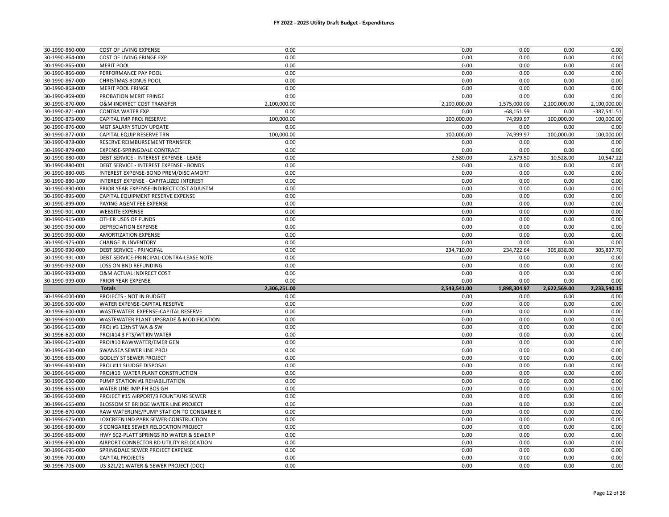| 30-1990-860-000 | COST OF LIVING EXPENSE                   | 0.00         | 0.00         | 0.00         | 0.00         | 0.00          |
|-----------------|------------------------------------------|--------------|--------------|--------------|--------------|---------------|
| 30-1990-864-000 | COST OF LIVING FRINGE EXP                | 0.00         | 0.00         | 0.00         | 0.00         | 0.00          |
| 30-1990-865-000 | <b>MERIT POOL</b>                        | 0.00         | 0.00         | 0.00         | 0.00         | 0.00          |
| 30-1990-866-000 | PERFORMANCE PAY POOL                     | 0.00         | 0.00         | 0.00         | 0.00         | 0.00          |
| 30-1990-867-000 | <b>CHRISTMAS BONUS POOL</b>              | 0.00         | 0.00         | 0.00         | 0.00         | 0.00          |
| 30-1990-868-000 | <b>MERIT POOL FRINGE</b>                 | 0.00         | 0.00         | 0.00         | 0.00         | 0.00          |
| 30-1990-869-000 | PROBATION MERIT FRINGE                   | 0.00         | 0.00         | 0.00         | 0.00         | 0.00          |
| 30-1990-870-000 | O&M INDIRECT COST TRANSFER               | 2,100,000.00 | 2,100,000.00 | 1,575,000.00 | 2,100,000.00 | 2,100,000.00  |
| 30-1990-871-000 | <b>CONTRA WATER EXP</b>                  | 0.00         | 0.00         | $-68,151.99$ | 0.00         | $-387,541.51$ |
| 30-1990-875-000 | CAPITAL IMP PROJ RESERVE                 | 100,000.00   | 100,000.00   | 74,999.97    | 100,000.00   | 100,000.00    |
| 30-1990-876-000 | MGT SALARY STUDY UPDATE                  | 0.00         | 0.00         | 0.00         | 0.00         | 0.00          |
| 30-1990-877-000 | CAPITAL EQUIP RESERVE TRN                | 100,000.00   | 100,000.00   | 74,999.97    | 100,000.00   | 100,000.00    |
| 30-1990-878-000 | RESERVE REIMBURSEMENT TRANSFER           | 0.00         | 0.00         | 0.00         | 0.00         | 0.00          |
| 30-1990-879-000 | EXPENSE-SPRINGDALE CONTRACT              | 0.00         | 0.00         | 0.00         | 0.00         | 0.00          |
| 30-1990-880-000 | DEBT SERVICE - INTEREST EXPENSE - LEASE  | 0.00         | 2,580.00     | 2,579.50     | 10,528.00    | 10,547.22     |
| 30-1990-880-001 | DEBT SERVICE - INTEREST EXPENSE - BONDS  | 0.00         | 0.00         | 0.00         | 0.00         | 0.00          |
| 30-1990-880-003 | INTEREST EXPENSE-BOND PREM/DISC AMORT    | 0.00         | 0.00         | 0.00         | 0.00         | 0.00          |
| 30-1990-880-100 | INTEREST EXPENSE - CAPITALIZED INTEREST  | 0.00         | 0.00         | 0.00         | 0.00         | 0.00          |
| 30-1990-890-000 | PRIOR YEAR EXPENSE-INDIRECT COST ADJUSTM | 0.00         | 0.00         | 0.00         | 0.00         | 0.00          |
| 30-1990-895-000 | CAPITAL EQUIPMENT RESERVE EXPENSE        | 0.00         | 0.00         | 0.00         | 0.00         | 0.00          |
| 30-1990-899-000 | PAYING AGENT FEE EXPENSE                 | 0.00         | 0.00         | 0.00         | 0.00         | 0.00          |
| 30-1990-901-000 | <b>WEBSITE EXPENSE</b>                   | 0.00         | 0.00         | 0.00         | 0.00         | 0.00          |
| 30-1990-915-000 | OTHER USES OF FUNDS                      | 0.00         | 0.00         | 0.00         | 0.00         | 0.00          |
| 30-1990-950-000 | <b>DEPRECIATION EXPENSE</b>              | 0.00         | 0.00         | 0.00         | 0.00         | 0.00          |
| 30-1990-960-000 | <b>AMORTIZATION EXPENSE</b>              | 0.00         | 0.00         | 0.00         | 0.00         | 0.00          |
| 30-1990-975-000 | <b>CHANGE IN INVENTORY</b>               | 0.00         | 0.00         | 0.00         | 0.00         | 0.00          |
| 30-1990-990-000 | DEBT SERVICE - PRINCIPAL                 | 0.00         | 234,710.00   | 234,722.64   | 305,838.00   | 305,837.70    |
| 30-1990-991-000 | DEBT SERVICE-PRINCIPAL-CONTRA-LEASE NOTE | 0.00         | 0.00         | 0.00         | 0.00         | 0.00          |
|                 |                                          |              |              |              |              |               |
| 30-1990-992-000 | <b>LOSS ON BND REFUNDING</b>             | 0.00         | 0.00         | 0.00         | 0.00         | 0.00          |
| 30-1990-993-000 | O&M ACTUAL INDIRECT COST                 | 0.00         | 0.00         | 0.00         | 0.00         | 0.00          |
| 30-1990-999-000 | PRIOR YEAR EXPENSE                       | 0.00         | 0.00         | 0.00         | 0.00         | 0.00          |
|                 | <b>Totals</b>                            | 2,306,251.00 | 2,543,541.00 | 1,898,304.97 | 2,622,569.00 | 2,233,540.15  |
| 30-1996-000-000 | PROJECTS - NOT IN BUDGET                 | 0.00         | 0.00         | 0.00         | 0.00         | 0.00          |
| 30-1996-500-000 | WATER EXPENSE-CAPITAL RESERVE            | 0.00         | 0.00         | 0.00         | 0.00         | 0.00          |
| 30-1996-600-000 | WASTEWATER EXPENSE-CAPITAL RESERVE       | 0.00         | 0.00         | 0.00         | 0.00         | 0.00          |
| 30-1996-610-000 | WASTEWATER PLANT UPGRADE & MODIFICATION  | 0.00         | 0.00         | 0.00         | 0.00         | 0.00          |
| 30-1996-615-000 | PROJ #3 12th ST WA & SW                  | 0.00         | 0.00         | 0.00         | 0.00         | 0.00          |
| 30-1996-620-000 | PROJ#14 3 FTS/WT KN WATER                | 0.00         | 0.00         | 0.00         | 0.00         | 0.00          |
| 30-1996-625-000 | PROJ#10 RAWWATER/EMER GEN                | 0.00         | 0.00         | 0.00         | 0.00         | 0.00          |
| 30-1996-630-000 | SWANSEA SEWER LINE PROJ                  | 0.00         | 0.00         | 0.00         | 0.00         | 0.00          |
| 30-1996-635-000 | <b>GODLEY ST SEWER PROJECT</b>           | 0.00         | 0.00         | 0.00         | 0.00         | 0.00          |
| 30-1996-640-000 | PROJ #11 SLUDGE DISPOSAL                 | 0.00         | 0.00         | 0.00         | 0.00         | 0.00          |
| 30-1996-645-000 | PROJ#16 WATER PLANT CONSTRUCTION         | 0.00         | 0.00         | 0.00         | 0.00         | 0.00          |
| 30-1996-650-000 | PUMP STATION #1 REHABILITATION           | 0.00         | 0.00         | 0.00         | 0.00         | 0.00          |
| 30-1996-655-000 | WATER LINE IMP-FH BOS GH                 | 0.00         | 0.00         | 0.00         | 0.00         | 0.00          |
| 30-1996-660-000 | PROJECT #15 AIRPORT/3 FOUNTAINS SEWER    | 0.00         | 0.00         | 0.00         | 0.00         | 0.00          |
| 30-1996-665-000 | BLOSSOM ST BRIDGE WATER LINE PROJECT     | 0.00         | 0.00         | 0.00         | 0.00         | 0.00          |
| 30-1996-670-000 | RAW WATERLINE/PUMP STATION TO CONGAREE R | 0.00         | 0.00         | 0.00         | 0.00         | 0.00          |
| 30-1996-675-000 | LOXCREEN IND PARK SEWER CONSTRUCTION     | 0.00         | 0.00         | 0.00         | 0.00         | 0.00          |
| 30-1996-680-000 | S CONGAREE SEWER RELOCATION PROJECT      | 0.00         | 0.00         | 0.00         | 0.00         | 0.00          |
| 30-1996-685-000 | HWY 602-PLATT SPRINGS RD WATER & SEWER P | 0.00         | 0.00         | 0.00         | 0.00         | 0.00          |
| 30-1996-690-000 | AIRPORT CONNECTOR RD UTILITY RELOCATION  | 0.00         | 0.00         | 0.00         | 0.00         | 0.00          |
| 30-1996-695-000 | SPRINGDALE SEWER PROJECT EXPENSE         | 0.00         | 0.00         | 0.00         | 0.00         | 0.00          |
| 30-1996-700-000 | <b>CAPITAL PROJECTS</b>                  | 0.00         | 0.00         | 0.00         | 0.00         | 0.00          |
| 30-1996-705-000 | US 321/21 WATER & SEWER PROJECT (DOC)    | 0.00         | 0.00         | 0.00         | 0.00         | 0.00          |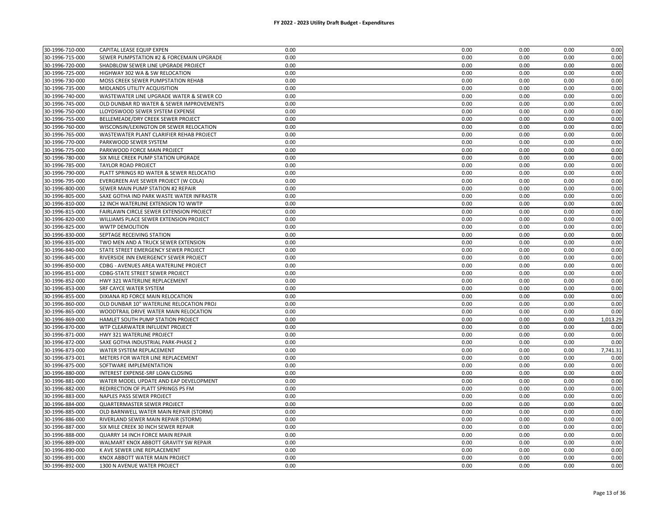| 30-1996-715-000<br>0.00<br>0.00<br>0.00<br>0.00<br>0.00<br>SEWER PUMPSTATION #2 & FORCEMAIN UPGRADE<br>0.00<br>0.00<br>0.00<br>30-1996-720-000<br>SHADBLOW SEWER LINE UPGRADE PROJECT<br>0.00<br>0.00<br>30-1996-725-000<br>HIGHWAY 302 WA & SW RELOCATION<br>0.00<br>0.00<br>0.00<br>0.00<br>0.00<br>0.00<br>0.00<br>30-1996-730-000<br>MOSS CREEK SEWER PUMPSTATION REHAB<br>0.00<br>0.00<br>0.00<br>0.00<br>30-1996-735-000<br>MIDLANDS UTILITY ACQUISITION<br>0.00<br>0.00<br>0.00<br>0.00<br>30-1996-740-000<br>0.00<br>0.00<br>0.00<br>0.00<br>0.00<br>WASTEWATER LINE UPGRADE WATER & SEWER CO<br>0.00<br>30-1996-745-000<br>OLD DUNBAR RD WATER & SEWER IMPROVEMENTS<br>0.00<br>0.00<br>0.00<br>0.00<br>30-1996-750-000<br>LLOYDSWOOD SEWER SYSTEM EXPENSE<br>0.00<br>0.00<br>0.00<br>0.00<br>0.00<br>30-1996-755-000<br>BELLEMEADE/DRY CREEK SEWER PROJECT<br>0.00<br>0.00<br>0.00<br>0.00<br>0.00<br>30-1996-760-000<br>WISCONSIN/LEXINGTON DR SEWER RELOCATION<br>0.00<br>0.00<br>0.00<br>0.00<br>0.00<br>30-1996-765-000<br>WASTEWATER PLANT CLARIFIER REHAB PROJECT<br>0.00<br>0.00<br>0.00<br>0.00<br>0.00<br>30-1996-770-000<br>PARKWOOD SEWER SYSTEM<br>0.00<br>0.00<br>0.00<br>0.00<br>0.00<br>0.00<br>0.00<br>0.00<br>0.00<br>30-1996-775-000<br>PARKWOOD FORCE MAIN PROJECT<br>0.00<br>30-1996-780-000<br>SIX MILE CREEK PUMP STATION UPGRADE<br>0.00<br>0.00<br>0.00<br>0.00<br>0.00<br>30-1996-785-000<br>0.00<br>0.00<br>0.00<br><b>TAYLOR ROAD PROJECT</b><br>0.00<br>0.00<br>30-1996-790-000<br>PLATT SPRINGS RD WATER & SEWER RELOCATIO<br>0.00<br>0.00<br>0.00<br>0.00<br>0.00<br>0.00<br>0.00<br>0.00<br>30-1996-795-000<br>EVERGREEN AVE SEWER PROJECT (W COLA)<br>0.00<br>0.00<br>0.00<br>0.00<br>0.00<br>0.00<br>30-1996-800-000<br>SEWER MAIN PUMP STATION #2 REPAIR<br>0.00<br>0.00<br>30-1996-805-000<br>SAXE GOTHA IND PARK WASTE WATER INFRASTR<br>0.00<br>0.00<br>0.00<br>0.00<br>0.00<br>0.00<br>0.00<br>0.00<br>30-1996-810-000<br>12 INCH WATERLINE EXTENSION TO WWTP<br>0.00<br>30-1996-815-000<br>FAIRLAWN CIRCLE SEWER EXTENSION PROJECT<br>0.00<br>0.00<br>0.00<br>0.00<br>0.00<br>0.00<br>0.00<br>30-1996-820-000<br>WILLIAMS PLACE SEWER EXTENSION PROJECT<br>0.00<br>0.00<br>0.00<br>30-1996-825-000<br><b>WWTP DEMOLITION</b><br>0.00<br>0.00<br>0.00<br>0.00<br>0.00<br>0.00<br>0.00<br>0.00<br>0.00<br>30-1996-830-000<br>SEPTAGE RECEIVING STATION<br>0.00<br>0.00<br>30-1996-835-000<br>TWO MEN AND A TRUCK SEWER EXTENSION<br>0.00<br>0.00<br>0.00<br>0.00<br>0.00<br>0.00<br>0.00<br>30-1996-840-000<br>STATE STREET EMERGENCY SEWER PROJECT<br>0.00<br>0.00<br>30-1996-845-000<br>RIVERSIDE INN EMERGENCY SEWER PROJECT<br>0.00<br>0.00<br>0.00<br>0.00<br>0.00<br>0.00<br>0.00<br>30-1996-850-000<br>CDBG - AVENUES AREA WATERLINE PROJECT<br>0.00<br>0.00<br>0.00<br>0.00<br>0.00<br>0.00<br>0.00<br>0.00<br>30-1996-851-000<br><b>CDBG-STATE STREET SEWER PROJECT</b><br>30-1996-852-000<br>HWY 321 WATERLINE REPLACEMENT<br>0.00<br>0.00<br>0.00<br>0.00<br>0.00<br>0.00<br>0.00<br>30-1996-853-000<br>SRF CAYCE WATER SYSTEM<br>0.00<br>0.00<br>0.00<br>DIXIANA RD FORCE MAIN RELOCATION<br>0.00<br>0.00<br>0.00<br>0.00<br>30-1996-855-000<br>0.00<br>30-1996-860-000<br>OLD DUNBAR 10" WATERLINE RELOCATION PROJ<br>0.00<br>0.00<br>0.00<br>0.00<br>0.00<br>0.00<br>30-1996-865-000<br>WOODTRAIL DRIVE WATER MAIN RELOCATION<br>0.00<br>0.00<br>0.00<br>0.00<br>0.00<br>1,013.29<br>30-1996-869-000<br>HAMLET SOUTH PUMP STATION PROJECT<br>0.00<br>0.00<br>0.00<br>30-1996-870-000<br>WTP CLEARWATER INFLUENT PROJECT<br>0.00<br>0.00<br>0.00<br>0.00<br>0.00<br>30-1996-871-000<br>HWY 321 WATERLINE PROJECT<br>0.00<br>0.00<br>0.00<br>0.00<br>0.00<br>30-1996-872-000<br>0.00<br>0.00<br>0.00<br>SAXE GOTHA INDUSTRIAL PARK-PHASE 2<br>0.00<br>0.00<br>0.00<br>0.00<br>0.00<br>0.00<br>7,741.31<br>30-1996-873-000<br>WATER SYSTEM REPLACEMENT<br>30-1996-873-001<br>0.00<br>METERS FOR WATER LINE REPLACEMENT<br>0.00<br>0.00<br>0.00<br>0.00<br>30-1996-875-000<br>SOFTWARE IMPLEMENTATION<br>0.00<br>0.00<br>0.00<br>0.00<br>0.00<br>0.00<br>30-1996-880-000<br>INTEREST EXPENSE-SRF LOAN CLOSING<br>0.00<br>0.00<br>0.00<br>0.00<br>0.00<br>0.00<br>30-1996-881-000<br>WATER MODEL UPDATE AND EAP DEVELOPMENT<br>0.00<br>0.00<br>0.00<br>30-1996-882-000<br>REDIRECTION OF PLATT SPRINGS PS FM<br>0.00<br>0.00<br>0.00<br>0.00<br>0.00<br>0.00<br>0.00<br>0.00<br>0.00<br>0.00<br>30-1996-883-000<br>NAPLES PASS SEWER PROJECT<br>0.00<br>30-1996-884-000<br>QUARTERMASTER SEWER PROJECT<br>0.00<br>0.00<br>0.00<br>0.00<br>0.00<br>0.00<br>0.00<br>30-1996-885-000<br>OLD BARNWELL WATER MAIN REPAIR (STORM)<br>0.00<br>0.00<br>30-1996-886-000<br>RIVERLAND SEWER MAIN REPAIR (STORM)<br>0.00<br>0.00<br>0.00<br>0.00<br>0.00<br>30-1996-887-000<br>SIX MILE CREEK 30 INCH SEWER REPAIR<br>0.00<br>0.00<br>0.00<br>0.00<br>0.00<br>30-1996-888-000<br>QUARRY 14 INCH FORCE MAIN REPAIR<br>0.00<br>0.00<br>0.00<br>0.00<br>0.00<br>30-1996-889-000<br>WALMART KNOX ABBOTT GRAVITY SW REPAIR<br>0.00<br>0.00<br>0.00<br>0.00<br>0.00<br>0.00<br>30-1996-890-000<br>K AVE SEWER LINE REPLACEMENT<br>0.00<br>0.00<br>0.00<br>0.00<br>30-1996-891-000<br>KNOX ABBOTT WATER MAIN PROJECT<br>0.00<br>0.00<br>0.00<br>0.00<br>0.00 | 30-1996-710-000 | CAPITAL LEASE EQUIP EXPEN   | 0.00 | 0.00 | 0.00 | 0.00 | 0.00 |
|---------------------------------------------------------------------------------------------------------------------------------------------------------------------------------------------------------------------------------------------------------------------------------------------------------------------------------------------------------------------------------------------------------------------------------------------------------------------------------------------------------------------------------------------------------------------------------------------------------------------------------------------------------------------------------------------------------------------------------------------------------------------------------------------------------------------------------------------------------------------------------------------------------------------------------------------------------------------------------------------------------------------------------------------------------------------------------------------------------------------------------------------------------------------------------------------------------------------------------------------------------------------------------------------------------------------------------------------------------------------------------------------------------------------------------------------------------------------------------------------------------------------------------------------------------------------------------------------------------------------------------------------------------------------------------------------------------------------------------------------------------------------------------------------------------------------------------------------------------------------------------------------------------------------------------------------------------------------------------------------------------------------------------------------------------------------------------------------------------------------------------------------------------------------------------------------------------------------------------------------------------------------------------------------------------------------------------------------------------------------------------------------------------------------------------------------------------------------------------------------------------------------------------------------------------------------------------------------------------------------------------------------------------------------------------------------------------------------------------------------------------------------------------------------------------------------------------------------------------------------------------------------------------------------------------------------------------------------------------------------------------------------------------------------------------------------------------------------------------------------------------------------------------------------------------------------------------------------------------------------------------------------------------------------------------------------------------------------------------------------------------------------------------------------------------------------------------------------------------------------------------------------------------------------------------------------------------------------------------------------------------------------------------------------------------------------------------------------------------------------------------------------------------------------------------------------------------------------------------------------------------------------------------------------------------------------------------------------------------------------------------------------------------------------------------------------------------------------------------------------------------------------------------------------------------------------------------------------------------------------------------------------------------------------------------------------------------------------------------------------------------------------------------------------------------------------------------------------------------------------------------------------------------------------------------------------------------------------------------------------------------------------------------------------------------------------------------------------------------------------------------------------------------------------------------------------------------------------------------------------------------------------------------------------------------------------------------------------------------------------------------------------------------------------------------------------------------------------------------------------------------------------------------------------------------------------------------------------------------------------------------------------------------------------------|-----------------|-----------------------------|------|------|------|------|------|
|                                                                                                                                                                                                                                                                                                                                                                                                                                                                                                                                                                                                                                                                                                                                                                                                                                                                                                                                                                                                                                                                                                                                                                                                                                                                                                                                                                                                                                                                                                                                                                                                                                                                                                                                                                                                                                                                                                                                                                                                                                                                                                                                                                                                                                                                                                                                                                                                                                                                                                                                                                                                                                                                                                                                                                                                                                                                                                                                                                                                                                                                                                                                                                                                                                                                                                                                                                                                                                                                                                                                                                                                                                                                                                                                                                                                                                                                                                                                                                                                                                                                                                                                                                                                                                                                                                                                                                                                                                                                                                                                                                                                                                                                                                                                                                                                                                                                                                                                                                                                                                                                                                                                                                                                                                                                                                   |                 |                             |      |      |      |      |      |
|                                                                                                                                                                                                                                                                                                                                                                                                                                                                                                                                                                                                                                                                                                                                                                                                                                                                                                                                                                                                                                                                                                                                                                                                                                                                                                                                                                                                                                                                                                                                                                                                                                                                                                                                                                                                                                                                                                                                                                                                                                                                                                                                                                                                                                                                                                                                                                                                                                                                                                                                                                                                                                                                                                                                                                                                                                                                                                                                                                                                                                                                                                                                                                                                                                                                                                                                                                                                                                                                                                                                                                                                                                                                                                                                                                                                                                                                                                                                                                                                                                                                                                                                                                                                                                                                                                                                                                                                                                                                                                                                                                                                                                                                                                                                                                                                                                                                                                                                                                                                                                                                                                                                                                                                                                                                                                   |                 |                             |      |      |      |      |      |
|                                                                                                                                                                                                                                                                                                                                                                                                                                                                                                                                                                                                                                                                                                                                                                                                                                                                                                                                                                                                                                                                                                                                                                                                                                                                                                                                                                                                                                                                                                                                                                                                                                                                                                                                                                                                                                                                                                                                                                                                                                                                                                                                                                                                                                                                                                                                                                                                                                                                                                                                                                                                                                                                                                                                                                                                                                                                                                                                                                                                                                                                                                                                                                                                                                                                                                                                                                                                                                                                                                                                                                                                                                                                                                                                                                                                                                                                                                                                                                                                                                                                                                                                                                                                                                                                                                                                                                                                                                                                                                                                                                                                                                                                                                                                                                                                                                                                                                                                                                                                                                                                                                                                                                                                                                                                                                   |                 |                             |      |      |      |      |      |
|                                                                                                                                                                                                                                                                                                                                                                                                                                                                                                                                                                                                                                                                                                                                                                                                                                                                                                                                                                                                                                                                                                                                                                                                                                                                                                                                                                                                                                                                                                                                                                                                                                                                                                                                                                                                                                                                                                                                                                                                                                                                                                                                                                                                                                                                                                                                                                                                                                                                                                                                                                                                                                                                                                                                                                                                                                                                                                                                                                                                                                                                                                                                                                                                                                                                                                                                                                                                                                                                                                                                                                                                                                                                                                                                                                                                                                                                                                                                                                                                                                                                                                                                                                                                                                                                                                                                                                                                                                                                                                                                                                                                                                                                                                                                                                                                                                                                                                                                                                                                                                                                                                                                                                                                                                                                                                   |                 |                             |      |      |      |      |      |
|                                                                                                                                                                                                                                                                                                                                                                                                                                                                                                                                                                                                                                                                                                                                                                                                                                                                                                                                                                                                                                                                                                                                                                                                                                                                                                                                                                                                                                                                                                                                                                                                                                                                                                                                                                                                                                                                                                                                                                                                                                                                                                                                                                                                                                                                                                                                                                                                                                                                                                                                                                                                                                                                                                                                                                                                                                                                                                                                                                                                                                                                                                                                                                                                                                                                                                                                                                                                                                                                                                                                                                                                                                                                                                                                                                                                                                                                                                                                                                                                                                                                                                                                                                                                                                                                                                                                                                                                                                                                                                                                                                                                                                                                                                                                                                                                                                                                                                                                                                                                                                                                                                                                                                                                                                                                                                   |                 |                             |      |      |      |      |      |
|                                                                                                                                                                                                                                                                                                                                                                                                                                                                                                                                                                                                                                                                                                                                                                                                                                                                                                                                                                                                                                                                                                                                                                                                                                                                                                                                                                                                                                                                                                                                                                                                                                                                                                                                                                                                                                                                                                                                                                                                                                                                                                                                                                                                                                                                                                                                                                                                                                                                                                                                                                                                                                                                                                                                                                                                                                                                                                                                                                                                                                                                                                                                                                                                                                                                                                                                                                                                                                                                                                                                                                                                                                                                                                                                                                                                                                                                                                                                                                                                                                                                                                                                                                                                                                                                                                                                                                                                                                                                                                                                                                                                                                                                                                                                                                                                                                                                                                                                                                                                                                                                                                                                                                                                                                                                                                   |                 |                             |      |      |      |      |      |
|                                                                                                                                                                                                                                                                                                                                                                                                                                                                                                                                                                                                                                                                                                                                                                                                                                                                                                                                                                                                                                                                                                                                                                                                                                                                                                                                                                                                                                                                                                                                                                                                                                                                                                                                                                                                                                                                                                                                                                                                                                                                                                                                                                                                                                                                                                                                                                                                                                                                                                                                                                                                                                                                                                                                                                                                                                                                                                                                                                                                                                                                                                                                                                                                                                                                                                                                                                                                                                                                                                                                                                                                                                                                                                                                                                                                                                                                                                                                                                                                                                                                                                                                                                                                                                                                                                                                                                                                                                                                                                                                                                                                                                                                                                                                                                                                                                                                                                                                                                                                                                                                                                                                                                                                                                                                                                   |                 |                             |      |      |      |      |      |
|                                                                                                                                                                                                                                                                                                                                                                                                                                                                                                                                                                                                                                                                                                                                                                                                                                                                                                                                                                                                                                                                                                                                                                                                                                                                                                                                                                                                                                                                                                                                                                                                                                                                                                                                                                                                                                                                                                                                                                                                                                                                                                                                                                                                                                                                                                                                                                                                                                                                                                                                                                                                                                                                                                                                                                                                                                                                                                                                                                                                                                                                                                                                                                                                                                                                                                                                                                                                                                                                                                                                                                                                                                                                                                                                                                                                                                                                                                                                                                                                                                                                                                                                                                                                                                                                                                                                                                                                                                                                                                                                                                                                                                                                                                                                                                                                                                                                                                                                                                                                                                                                                                                                                                                                                                                                                                   |                 |                             |      |      |      |      |      |
|                                                                                                                                                                                                                                                                                                                                                                                                                                                                                                                                                                                                                                                                                                                                                                                                                                                                                                                                                                                                                                                                                                                                                                                                                                                                                                                                                                                                                                                                                                                                                                                                                                                                                                                                                                                                                                                                                                                                                                                                                                                                                                                                                                                                                                                                                                                                                                                                                                                                                                                                                                                                                                                                                                                                                                                                                                                                                                                                                                                                                                                                                                                                                                                                                                                                                                                                                                                                                                                                                                                                                                                                                                                                                                                                                                                                                                                                                                                                                                                                                                                                                                                                                                                                                                                                                                                                                                                                                                                                                                                                                                                                                                                                                                                                                                                                                                                                                                                                                                                                                                                                                                                                                                                                                                                                                                   |                 |                             |      |      |      |      |      |
|                                                                                                                                                                                                                                                                                                                                                                                                                                                                                                                                                                                                                                                                                                                                                                                                                                                                                                                                                                                                                                                                                                                                                                                                                                                                                                                                                                                                                                                                                                                                                                                                                                                                                                                                                                                                                                                                                                                                                                                                                                                                                                                                                                                                                                                                                                                                                                                                                                                                                                                                                                                                                                                                                                                                                                                                                                                                                                                                                                                                                                                                                                                                                                                                                                                                                                                                                                                                                                                                                                                                                                                                                                                                                                                                                                                                                                                                                                                                                                                                                                                                                                                                                                                                                                                                                                                                                                                                                                                                                                                                                                                                                                                                                                                                                                                                                                                                                                                                                                                                                                                                                                                                                                                                                                                                                                   |                 |                             |      |      |      |      |      |
|                                                                                                                                                                                                                                                                                                                                                                                                                                                                                                                                                                                                                                                                                                                                                                                                                                                                                                                                                                                                                                                                                                                                                                                                                                                                                                                                                                                                                                                                                                                                                                                                                                                                                                                                                                                                                                                                                                                                                                                                                                                                                                                                                                                                                                                                                                                                                                                                                                                                                                                                                                                                                                                                                                                                                                                                                                                                                                                                                                                                                                                                                                                                                                                                                                                                                                                                                                                                                                                                                                                                                                                                                                                                                                                                                                                                                                                                                                                                                                                                                                                                                                                                                                                                                                                                                                                                                                                                                                                                                                                                                                                                                                                                                                                                                                                                                                                                                                                                                                                                                                                                                                                                                                                                                                                                                                   |                 |                             |      |      |      |      |      |
|                                                                                                                                                                                                                                                                                                                                                                                                                                                                                                                                                                                                                                                                                                                                                                                                                                                                                                                                                                                                                                                                                                                                                                                                                                                                                                                                                                                                                                                                                                                                                                                                                                                                                                                                                                                                                                                                                                                                                                                                                                                                                                                                                                                                                                                                                                                                                                                                                                                                                                                                                                                                                                                                                                                                                                                                                                                                                                                                                                                                                                                                                                                                                                                                                                                                                                                                                                                                                                                                                                                                                                                                                                                                                                                                                                                                                                                                                                                                                                                                                                                                                                                                                                                                                                                                                                                                                                                                                                                                                                                                                                                                                                                                                                                                                                                                                                                                                                                                                                                                                                                                                                                                                                                                                                                                                                   |                 |                             |      |      |      |      |      |
|                                                                                                                                                                                                                                                                                                                                                                                                                                                                                                                                                                                                                                                                                                                                                                                                                                                                                                                                                                                                                                                                                                                                                                                                                                                                                                                                                                                                                                                                                                                                                                                                                                                                                                                                                                                                                                                                                                                                                                                                                                                                                                                                                                                                                                                                                                                                                                                                                                                                                                                                                                                                                                                                                                                                                                                                                                                                                                                                                                                                                                                                                                                                                                                                                                                                                                                                                                                                                                                                                                                                                                                                                                                                                                                                                                                                                                                                                                                                                                                                                                                                                                                                                                                                                                                                                                                                                                                                                                                                                                                                                                                                                                                                                                                                                                                                                                                                                                                                                                                                                                                                                                                                                                                                                                                                                                   |                 |                             |      |      |      |      |      |
|                                                                                                                                                                                                                                                                                                                                                                                                                                                                                                                                                                                                                                                                                                                                                                                                                                                                                                                                                                                                                                                                                                                                                                                                                                                                                                                                                                                                                                                                                                                                                                                                                                                                                                                                                                                                                                                                                                                                                                                                                                                                                                                                                                                                                                                                                                                                                                                                                                                                                                                                                                                                                                                                                                                                                                                                                                                                                                                                                                                                                                                                                                                                                                                                                                                                                                                                                                                                                                                                                                                                                                                                                                                                                                                                                                                                                                                                                                                                                                                                                                                                                                                                                                                                                                                                                                                                                                                                                                                                                                                                                                                                                                                                                                                                                                                                                                                                                                                                                                                                                                                                                                                                                                                                                                                                                                   |                 |                             |      |      |      |      |      |
|                                                                                                                                                                                                                                                                                                                                                                                                                                                                                                                                                                                                                                                                                                                                                                                                                                                                                                                                                                                                                                                                                                                                                                                                                                                                                                                                                                                                                                                                                                                                                                                                                                                                                                                                                                                                                                                                                                                                                                                                                                                                                                                                                                                                                                                                                                                                                                                                                                                                                                                                                                                                                                                                                                                                                                                                                                                                                                                                                                                                                                                                                                                                                                                                                                                                                                                                                                                                                                                                                                                                                                                                                                                                                                                                                                                                                                                                                                                                                                                                                                                                                                                                                                                                                                                                                                                                                                                                                                                                                                                                                                                                                                                                                                                                                                                                                                                                                                                                                                                                                                                                                                                                                                                                                                                                                                   |                 |                             |      |      |      |      |      |
|                                                                                                                                                                                                                                                                                                                                                                                                                                                                                                                                                                                                                                                                                                                                                                                                                                                                                                                                                                                                                                                                                                                                                                                                                                                                                                                                                                                                                                                                                                                                                                                                                                                                                                                                                                                                                                                                                                                                                                                                                                                                                                                                                                                                                                                                                                                                                                                                                                                                                                                                                                                                                                                                                                                                                                                                                                                                                                                                                                                                                                                                                                                                                                                                                                                                                                                                                                                                                                                                                                                                                                                                                                                                                                                                                                                                                                                                                                                                                                                                                                                                                                                                                                                                                                                                                                                                                                                                                                                                                                                                                                                                                                                                                                                                                                                                                                                                                                                                                                                                                                                                                                                                                                                                                                                                                                   |                 |                             |      |      |      |      |      |
|                                                                                                                                                                                                                                                                                                                                                                                                                                                                                                                                                                                                                                                                                                                                                                                                                                                                                                                                                                                                                                                                                                                                                                                                                                                                                                                                                                                                                                                                                                                                                                                                                                                                                                                                                                                                                                                                                                                                                                                                                                                                                                                                                                                                                                                                                                                                                                                                                                                                                                                                                                                                                                                                                                                                                                                                                                                                                                                                                                                                                                                                                                                                                                                                                                                                                                                                                                                                                                                                                                                                                                                                                                                                                                                                                                                                                                                                                                                                                                                                                                                                                                                                                                                                                                                                                                                                                                                                                                                                                                                                                                                                                                                                                                                                                                                                                                                                                                                                                                                                                                                                                                                                                                                                                                                                                                   |                 |                             |      |      |      |      |      |
|                                                                                                                                                                                                                                                                                                                                                                                                                                                                                                                                                                                                                                                                                                                                                                                                                                                                                                                                                                                                                                                                                                                                                                                                                                                                                                                                                                                                                                                                                                                                                                                                                                                                                                                                                                                                                                                                                                                                                                                                                                                                                                                                                                                                                                                                                                                                                                                                                                                                                                                                                                                                                                                                                                                                                                                                                                                                                                                                                                                                                                                                                                                                                                                                                                                                                                                                                                                                                                                                                                                                                                                                                                                                                                                                                                                                                                                                                                                                                                                                                                                                                                                                                                                                                                                                                                                                                                                                                                                                                                                                                                                                                                                                                                                                                                                                                                                                                                                                                                                                                                                                                                                                                                                                                                                                                                   |                 |                             |      |      |      |      |      |
|                                                                                                                                                                                                                                                                                                                                                                                                                                                                                                                                                                                                                                                                                                                                                                                                                                                                                                                                                                                                                                                                                                                                                                                                                                                                                                                                                                                                                                                                                                                                                                                                                                                                                                                                                                                                                                                                                                                                                                                                                                                                                                                                                                                                                                                                                                                                                                                                                                                                                                                                                                                                                                                                                                                                                                                                                                                                                                                                                                                                                                                                                                                                                                                                                                                                                                                                                                                                                                                                                                                                                                                                                                                                                                                                                                                                                                                                                                                                                                                                                                                                                                                                                                                                                                                                                                                                                                                                                                                                                                                                                                                                                                                                                                                                                                                                                                                                                                                                                                                                                                                                                                                                                                                                                                                                                                   |                 |                             |      |      |      |      |      |
|                                                                                                                                                                                                                                                                                                                                                                                                                                                                                                                                                                                                                                                                                                                                                                                                                                                                                                                                                                                                                                                                                                                                                                                                                                                                                                                                                                                                                                                                                                                                                                                                                                                                                                                                                                                                                                                                                                                                                                                                                                                                                                                                                                                                                                                                                                                                                                                                                                                                                                                                                                                                                                                                                                                                                                                                                                                                                                                                                                                                                                                                                                                                                                                                                                                                                                                                                                                                                                                                                                                                                                                                                                                                                                                                                                                                                                                                                                                                                                                                                                                                                                                                                                                                                                                                                                                                                                                                                                                                                                                                                                                                                                                                                                                                                                                                                                                                                                                                                                                                                                                                                                                                                                                                                                                                                                   |                 |                             |      |      |      |      |      |
|                                                                                                                                                                                                                                                                                                                                                                                                                                                                                                                                                                                                                                                                                                                                                                                                                                                                                                                                                                                                                                                                                                                                                                                                                                                                                                                                                                                                                                                                                                                                                                                                                                                                                                                                                                                                                                                                                                                                                                                                                                                                                                                                                                                                                                                                                                                                                                                                                                                                                                                                                                                                                                                                                                                                                                                                                                                                                                                                                                                                                                                                                                                                                                                                                                                                                                                                                                                                                                                                                                                                                                                                                                                                                                                                                                                                                                                                                                                                                                                                                                                                                                                                                                                                                                                                                                                                                                                                                                                                                                                                                                                                                                                                                                                                                                                                                                                                                                                                                                                                                                                                                                                                                                                                                                                                                                   |                 |                             |      |      |      |      |      |
|                                                                                                                                                                                                                                                                                                                                                                                                                                                                                                                                                                                                                                                                                                                                                                                                                                                                                                                                                                                                                                                                                                                                                                                                                                                                                                                                                                                                                                                                                                                                                                                                                                                                                                                                                                                                                                                                                                                                                                                                                                                                                                                                                                                                                                                                                                                                                                                                                                                                                                                                                                                                                                                                                                                                                                                                                                                                                                                                                                                                                                                                                                                                                                                                                                                                                                                                                                                                                                                                                                                                                                                                                                                                                                                                                                                                                                                                                                                                                                                                                                                                                                                                                                                                                                                                                                                                                                                                                                                                                                                                                                                                                                                                                                                                                                                                                                                                                                                                                                                                                                                                                                                                                                                                                                                                                                   |                 |                             |      |      |      |      |      |
|                                                                                                                                                                                                                                                                                                                                                                                                                                                                                                                                                                                                                                                                                                                                                                                                                                                                                                                                                                                                                                                                                                                                                                                                                                                                                                                                                                                                                                                                                                                                                                                                                                                                                                                                                                                                                                                                                                                                                                                                                                                                                                                                                                                                                                                                                                                                                                                                                                                                                                                                                                                                                                                                                                                                                                                                                                                                                                                                                                                                                                                                                                                                                                                                                                                                                                                                                                                                                                                                                                                                                                                                                                                                                                                                                                                                                                                                                                                                                                                                                                                                                                                                                                                                                                                                                                                                                                                                                                                                                                                                                                                                                                                                                                                                                                                                                                                                                                                                                                                                                                                                                                                                                                                                                                                                                                   |                 |                             |      |      |      |      |      |
|                                                                                                                                                                                                                                                                                                                                                                                                                                                                                                                                                                                                                                                                                                                                                                                                                                                                                                                                                                                                                                                                                                                                                                                                                                                                                                                                                                                                                                                                                                                                                                                                                                                                                                                                                                                                                                                                                                                                                                                                                                                                                                                                                                                                                                                                                                                                                                                                                                                                                                                                                                                                                                                                                                                                                                                                                                                                                                                                                                                                                                                                                                                                                                                                                                                                                                                                                                                                                                                                                                                                                                                                                                                                                                                                                                                                                                                                                                                                                                                                                                                                                                                                                                                                                                                                                                                                                                                                                                                                                                                                                                                                                                                                                                                                                                                                                                                                                                                                                                                                                                                                                                                                                                                                                                                                                                   |                 |                             |      |      |      |      |      |
|                                                                                                                                                                                                                                                                                                                                                                                                                                                                                                                                                                                                                                                                                                                                                                                                                                                                                                                                                                                                                                                                                                                                                                                                                                                                                                                                                                                                                                                                                                                                                                                                                                                                                                                                                                                                                                                                                                                                                                                                                                                                                                                                                                                                                                                                                                                                                                                                                                                                                                                                                                                                                                                                                                                                                                                                                                                                                                                                                                                                                                                                                                                                                                                                                                                                                                                                                                                                                                                                                                                                                                                                                                                                                                                                                                                                                                                                                                                                                                                                                                                                                                                                                                                                                                                                                                                                                                                                                                                                                                                                                                                                                                                                                                                                                                                                                                                                                                                                                                                                                                                                                                                                                                                                                                                                                                   |                 |                             |      |      |      |      |      |
|                                                                                                                                                                                                                                                                                                                                                                                                                                                                                                                                                                                                                                                                                                                                                                                                                                                                                                                                                                                                                                                                                                                                                                                                                                                                                                                                                                                                                                                                                                                                                                                                                                                                                                                                                                                                                                                                                                                                                                                                                                                                                                                                                                                                                                                                                                                                                                                                                                                                                                                                                                                                                                                                                                                                                                                                                                                                                                                                                                                                                                                                                                                                                                                                                                                                                                                                                                                                                                                                                                                                                                                                                                                                                                                                                                                                                                                                                                                                                                                                                                                                                                                                                                                                                                                                                                                                                                                                                                                                                                                                                                                                                                                                                                                                                                                                                                                                                                                                                                                                                                                                                                                                                                                                                                                                                                   |                 |                             |      |      |      |      |      |
|                                                                                                                                                                                                                                                                                                                                                                                                                                                                                                                                                                                                                                                                                                                                                                                                                                                                                                                                                                                                                                                                                                                                                                                                                                                                                                                                                                                                                                                                                                                                                                                                                                                                                                                                                                                                                                                                                                                                                                                                                                                                                                                                                                                                                                                                                                                                                                                                                                                                                                                                                                                                                                                                                                                                                                                                                                                                                                                                                                                                                                                                                                                                                                                                                                                                                                                                                                                                                                                                                                                                                                                                                                                                                                                                                                                                                                                                                                                                                                                                                                                                                                                                                                                                                                                                                                                                                                                                                                                                                                                                                                                                                                                                                                                                                                                                                                                                                                                                                                                                                                                                                                                                                                                                                                                                                                   |                 |                             |      |      |      |      |      |
|                                                                                                                                                                                                                                                                                                                                                                                                                                                                                                                                                                                                                                                                                                                                                                                                                                                                                                                                                                                                                                                                                                                                                                                                                                                                                                                                                                                                                                                                                                                                                                                                                                                                                                                                                                                                                                                                                                                                                                                                                                                                                                                                                                                                                                                                                                                                                                                                                                                                                                                                                                                                                                                                                                                                                                                                                                                                                                                                                                                                                                                                                                                                                                                                                                                                                                                                                                                                                                                                                                                                                                                                                                                                                                                                                                                                                                                                                                                                                                                                                                                                                                                                                                                                                                                                                                                                                                                                                                                                                                                                                                                                                                                                                                                                                                                                                                                                                                                                                                                                                                                                                                                                                                                                                                                                                                   |                 |                             |      |      |      |      |      |
|                                                                                                                                                                                                                                                                                                                                                                                                                                                                                                                                                                                                                                                                                                                                                                                                                                                                                                                                                                                                                                                                                                                                                                                                                                                                                                                                                                                                                                                                                                                                                                                                                                                                                                                                                                                                                                                                                                                                                                                                                                                                                                                                                                                                                                                                                                                                                                                                                                                                                                                                                                                                                                                                                                                                                                                                                                                                                                                                                                                                                                                                                                                                                                                                                                                                                                                                                                                                                                                                                                                                                                                                                                                                                                                                                                                                                                                                                                                                                                                                                                                                                                                                                                                                                                                                                                                                                                                                                                                                                                                                                                                                                                                                                                                                                                                                                                                                                                                                                                                                                                                                                                                                                                                                                                                                                                   |                 |                             |      |      |      |      |      |
|                                                                                                                                                                                                                                                                                                                                                                                                                                                                                                                                                                                                                                                                                                                                                                                                                                                                                                                                                                                                                                                                                                                                                                                                                                                                                                                                                                                                                                                                                                                                                                                                                                                                                                                                                                                                                                                                                                                                                                                                                                                                                                                                                                                                                                                                                                                                                                                                                                                                                                                                                                                                                                                                                                                                                                                                                                                                                                                                                                                                                                                                                                                                                                                                                                                                                                                                                                                                                                                                                                                                                                                                                                                                                                                                                                                                                                                                                                                                                                                                                                                                                                                                                                                                                                                                                                                                                                                                                                                                                                                                                                                                                                                                                                                                                                                                                                                                                                                                                                                                                                                                                                                                                                                                                                                                                                   |                 |                             |      |      |      |      |      |
|                                                                                                                                                                                                                                                                                                                                                                                                                                                                                                                                                                                                                                                                                                                                                                                                                                                                                                                                                                                                                                                                                                                                                                                                                                                                                                                                                                                                                                                                                                                                                                                                                                                                                                                                                                                                                                                                                                                                                                                                                                                                                                                                                                                                                                                                                                                                                                                                                                                                                                                                                                                                                                                                                                                                                                                                                                                                                                                                                                                                                                                                                                                                                                                                                                                                                                                                                                                                                                                                                                                                                                                                                                                                                                                                                                                                                                                                                                                                                                                                                                                                                                                                                                                                                                                                                                                                                                                                                                                                                                                                                                                                                                                                                                                                                                                                                                                                                                                                                                                                                                                                                                                                                                                                                                                                                                   |                 |                             |      |      |      |      |      |
|                                                                                                                                                                                                                                                                                                                                                                                                                                                                                                                                                                                                                                                                                                                                                                                                                                                                                                                                                                                                                                                                                                                                                                                                                                                                                                                                                                                                                                                                                                                                                                                                                                                                                                                                                                                                                                                                                                                                                                                                                                                                                                                                                                                                                                                                                                                                                                                                                                                                                                                                                                                                                                                                                                                                                                                                                                                                                                                                                                                                                                                                                                                                                                                                                                                                                                                                                                                                                                                                                                                                                                                                                                                                                                                                                                                                                                                                                                                                                                                                                                                                                                                                                                                                                                                                                                                                                                                                                                                                                                                                                                                                                                                                                                                                                                                                                                                                                                                                                                                                                                                                                                                                                                                                                                                                                                   |                 |                             |      |      |      |      |      |
|                                                                                                                                                                                                                                                                                                                                                                                                                                                                                                                                                                                                                                                                                                                                                                                                                                                                                                                                                                                                                                                                                                                                                                                                                                                                                                                                                                                                                                                                                                                                                                                                                                                                                                                                                                                                                                                                                                                                                                                                                                                                                                                                                                                                                                                                                                                                                                                                                                                                                                                                                                                                                                                                                                                                                                                                                                                                                                                                                                                                                                                                                                                                                                                                                                                                                                                                                                                                                                                                                                                                                                                                                                                                                                                                                                                                                                                                                                                                                                                                                                                                                                                                                                                                                                                                                                                                                                                                                                                                                                                                                                                                                                                                                                                                                                                                                                                                                                                                                                                                                                                                                                                                                                                                                                                                                                   |                 |                             |      |      |      |      |      |
|                                                                                                                                                                                                                                                                                                                                                                                                                                                                                                                                                                                                                                                                                                                                                                                                                                                                                                                                                                                                                                                                                                                                                                                                                                                                                                                                                                                                                                                                                                                                                                                                                                                                                                                                                                                                                                                                                                                                                                                                                                                                                                                                                                                                                                                                                                                                                                                                                                                                                                                                                                                                                                                                                                                                                                                                                                                                                                                                                                                                                                                                                                                                                                                                                                                                                                                                                                                                                                                                                                                                                                                                                                                                                                                                                                                                                                                                                                                                                                                                                                                                                                                                                                                                                                                                                                                                                                                                                                                                                                                                                                                                                                                                                                                                                                                                                                                                                                                                                                                                                                                                                                                                                                                                                                                                                                   |                 |                             |      |      |      |      |      |
|                                                                                                                                                                                                                                                                                                                                                                                                                                                                                                                                                                                                                                                                                                                                                                                                                                                                                                                                                                                                                                                                                                                                                                                                                                                                                                                                                                                                                                                                                                                                                                                                                                                                                                                                                                                                                                                                                                                                                                                                                                                                                                                                                                                                                                                                                                                                                                                                                                                                                                                                                                                                                                                                                                                                                                                                                                                                                                                                                                                                                                                                                                                                                                                                                                                                                                                                                                                                                                                                                                                                                                                                                                                                                                                                                                                                                                                                                                                                                                                                                                                                                                                                                                                                                                                                                                                                                                                                                                                                                                                                                                                                                                                                                                                                                                                                                                                                                                                                                                                                                                                                                                                                                                                                                                                                                                   |                 |                             |      |      |      |      |      |
|                                                                                                                                                                                                                                                                                                                                                                                                                                                                                                                                                                                                                                                                                                                                                                                                                                                                                                                                                                                                                                                                                                                                                                                                                                                                                                                                                                                                                                                                                                                                                                                                                                                                                                                                                                                                                                                                                                                                                                                                                                                                                                                                                                                                                                                                                                                                                                                                                                                                                                                                                                                                                                                                                                                                                                                                                                                                                                                                                                                                                                                                                                                                                                                                                                                                                                                                                                                                                                                                                                                                                                                                                                                                                                                                                                                                                                                                                                                                                                                                                                                                                                                                                                                                                                                                                                                                                                                                                                                                                                                                                                                                                                                                                                                                                                                                                                                                                                                                                                                                                                                                                                                                                                                                                                                                                                   |                 |                             |      |      |      |      |      |
|                                                                                                                                                                                                                                                                                                                                                                                                                                                                                                                                                                                                                                                                                                                                                                                                                                                                                                                                                                                                                                                                                                                                                                                                                                                                                                                                                                                                                                                                                                                                                                                                                                                                                                                                                                                                                                                                                                                                                                                                                                                                                                                                                                                                                                                                                                                                                                                                                                                                                                                                                                                                                                                                                                                                                                                                                                                                                                                                                                                                                                                                                                                                                                                                                                                                                                                                                                                                                                                                                                                                                                                                                                                                                                                                                                                                                                                                                                                                                                                                                                                                                                                                                                                                                                                                                                                                                                                                                                                                                                                                                                                                                                                                                                                                                                                                                                                                                                                                                                                                                                                                                                                                                                                                                                                                                                   |                 |                             |      |      |      |      |      |
|                                                                                                                                                                                                                                                                                                                                                                                                                                                                                                                                                                                                                                                                                                                                                                                                                                                                                                                                                                                                                                                                                                                                                                                                                                                                                                                                                                                                                                                                                                                                                                                                                                                                                                                                                                                                                                                                                                                                                                                                                                                                                                                                                                                                                                                                                                                                                                                                                                                                                                                                                                                                                                                                                                                                                                                                                                                                                                                                                                                                                                                                                                                                                                                                                                                                                                                                                                                                                                                                                                                                                                                                                                                                                                                                                                                                                                                                                                                                                                                                                                                                                                                                                                                                                                                                                                                                                                                                                                                                                                                                                                                                                                                                                                                                                                                                                                                                                                                                                                                                                                                                                                                                                                                                                                                                                                   |                 |                             |      |      |      |      |      |
|                                                                                                                                                                                                                                                                                                                                                                                                                                                                                                                                                                                                                                                                                                                                                                                                                                                                                                                                                                                                                                                                                                                                                                                                                                                                                                                                                                                                                                                                                                                                                                                                                                                                                                                                                                                                                                                                                                                                                                                                                                                                                                                                                                                                                                                                                                                                                                                                                                                                                                                                                                                                                                                                                                                                                                                                                                                                                                                                                                                                                                                                                                                                                                                                                                                                                                                                                                                                                                                                                                                                                                                                                                                                                                                                                                                                                                                                                                                                                                                                                                                                                                                                                                                                                                                                                                                                                                                                                                                                                                                                                                                                                                                                                                                                                                                                                                                                                                                                                                                                                                                                                                                                                                                                                                                                                                   |                 |                             |      |      |      |      |      |
|                                                                                                                                                                                                                                                                                                                                                                                                                                                                                                                                                                                                                                                                                                                                                                                                                                                                                                                                                                                                                                                                                                                                                                                                                                                                                                                                                                                                                                                                                                                                                                                                                                                                                                                                                                                                                                                                                                                                                                                                                                                                                                                                                                                                                                                                                                                                                                                                                                                                                                                                                                                                                                                                                                                                                                                                                                                                                                                                                                                                                                                                                                                                                                                                                                                                                                                                                                                                                                                                                                                                                                                                                                                                                                                                                                                                                                                                                                                                                                                                                                                                                                                                                                                                                                                                                                                                                                                                                                                                                                                                                                                                                                                                                                                                                                                                                                                                                                                                                                                                                                                                                                                                                                                                                                                                                                   |                 |                             |      |      |      |      |      |
|                                                                                                                                                                                                                                                                                                                                                                                                                                                                                                                                                                                                                                                                                                                                                                                                                                                                                                                                                                                                                                                                                                                                                                                                                                                                                                                                                                                                                                                                                                                                                                                                                                                                                                                                                                                                                                                                                                                                                                                                                                                                                                                                                                                                                                                                                                                                                                                                                                                                                                                                                                                                                                                                                                                                                                                                                                                                                                                                                                                                                                                                                                                                                                                                                                                                                                                                                                                                                                                                                                                                                                                                                                                                                                                                                                                                                                                                                                                                                                                                                                                                                                                                                                                                                                                                                                                                                                                                                                                                                                                                                                                                                                                                                                                                                                                                                                                                                                                                                                                                                                                                                                                                                                                                                                                                                                   |                 |                             |      |      |      |      |      |
|                                                                                                                                                                                                                                                                                                                                                                                                                                                                                                                                                                                                                                                                                                                                                                                                                                                                                                                                                                                                                                                                                                                                                                                                                                                                                                                                                                                                                                                                                                                                                                                                                                                                                                                                                                                                                                                                                                                                                                                                                                                                                                                                                                                                                                                                                                                                                                                                                                                                                                                                                                                                                                                                                                                                                                                                                                                                                                                                                                                                                                                                                                                                                                                                                                                                                                                                                                                                                                                                                                                                                                                                                                                                                                                                                                                                                                                                                                                                                                                                                                                                                                                                                                                                                                                                                                                                                                                                                                                                                                                                                                                                                                                                                                                                                                                                                                                                                                                                                                                                                                                                                                                                                                                                                                                                                                   |                 |                             |      |      |      |      |      |
|                                                                                                                                                                                                                                                                                                                                                                                                                                                                                                                                                                                                                                                                                                                                                                                                                                                                                                                                                                                                                                                                                                                                                                                                                                                                                                                                                                                                                                                                                                                                                                                                                                                                                                                                                                                                                                                                                                                                                                                                                                                                                                                                                                                                                                                                                                                                                                                                                                                                                                                                                                                                                                                                                                                                                                                                                                                                                                                                                                                                                                                                                                                                                                                                                                                                                                                                                                                                                                                                                                                                                                                                                                                                                                                                                                                                                                                                                                                                                                                                                                                                                                                                                                                                                                                                                                                                                                                                                                                                                                                                                                                                                                                                                                                                                                                                                                                                                                                                                                                                                                                                                                                                                                                                                                                                                                   |                 |                             |      |      |      |      |      |
|                                                                                                                                                                                                                                                                                                                                                                                                                                                                                                                                                                                                                                                                                                                                                                                                                                                                                                                                                                                                                                                                                                                                                                                                                                                                                                                                                                                                                                                                                                                                                                                                                                                                                                                                                                                                                                                                                                                                                                                                                                                                                                                                                                                                                                                                                                                                                                                                                                                                                                                                                                                                                                                                                                                                                                                                                                                                                                                                                                                                                                                                                                                                                                                                                                                                                                                                                                                                                                                                                                                                                                                                                                                                                                                                                                                                                                                                                                                                                                                                                                                                                                                                                                                                                                                                                                                                                                                                                                                                                                                                                                                                                                                                                                                                                                                                                                                                                                                                                                                                                                                                                                                                                                                                                                                                                                   |                 |                             |      |      |      |      |      |
|                                                                                                                                                                                                                                                                                                                                                                                                                                                                                                                                                                                                                                                                                                                                                                                                                                                                                                                                                                                                                                                                                                                                                                                                                                                                                                                                                                                                                                                                                                                                                                                                                                                                                                                                                                                                                                                                                                                                                                                                                                                                                                                                                                                                                                                                                                                                                                                                                                                                                                                                                                                                                                                                                                                                                                                                                                                                                                                                                                                                                                                                                                                                                                                                                                                                                                                                                                                                                                                                                                                                                                                                                                                                                                                                                                                                                                                                                                                                                                                                                                                                                                                                                                                                                                                                                                                                                                                                                                                                                                                                                                                                                                                                                                                                                                                                                                                                                                                                                                                                                                                                                                                                                                                                                                                                                                   |                 |                             |      |      |      |      |      |
|                                                                                                                                                                                                                                                                                                                                                                                                                                                                                                                                                                                                                                                                                                                                                                                                                                                                                                                                                                                                                                                                                                                                                                                                                                                                                                                                                                                                                                                                                                                                                                                                                                                                                                                                                                                                                                                                                                                                                                                                                                                                                                                                                                                                                                                                                                                                                                                                                                                                                                                                                                                                                                                                                                                                                                                                                                                                                                                                                                                                                                                                                                                                                                                                                                                                                                                                                                                                                                                                                                                                                                                                                                                                                                                                                                                                                                                                                                                                                                                                                                                                                                                                                                                                                                                                                                                                                                                                                                                                                                                                                                                                                                                                                                                                                                                                                                                                                                                                                                                                                                                                                                                                                                                                                                                                                                   |                 |                             |      |      |      |      |      |
|                                                                                                                                                                                                                                                                                                                                                                                                                                                                                                                                                                                                                                                                                                                                                                                                                                                                                                                                                                                                                                                                                                                                                                                                                                                                                                                                                                                                                                                                                                                                                                                                                                                                                                                                                                                                                                                                                                                                                                                                                                                                                                                                                                                                                                                                                                                                                                                                                                                                                                                                                                                                                                                                                                                                                                                                                                                                                                                                                                                                                                                                                                                                                                                                                                                                                                                                                                                                                                                                                                                                                                                                                                                                                                                                                                                                                                                                                                                                                                                                                                                                                                                                                                                                                                                                                                                                                                                                                                                                                                                                                                                                                                                                                                                                                                                                                                                                                                                                                                                                                                                                                                                                                                                                                                                                                                   |                 |                             |      |      |      |      |      |
|                                                                                                                                                                                                                                                                                                                                                                                                                                                                                                                                                                                                                                                                                                                                                                                                                                                                                                                                                                                                                                                                                                                                                                                                                                                                                                                                                                                                                                                                                                                                                                                                                                                                                                                                                                                                                                                                                                                                                                                                                                                                                                                                                                                                                                                                                                                                                                                                                                                                                                                                                                                                                                                                                                                                                                                                                                                                                                                                                                                                                                                                                                                                                                                                                                                                                                                                                                                                                                                                                                                                                                                                                                                                                                                                                                                                                                                                                                                                                                                                                                                                                                                                                                                                                                                                                                                                                                                                                                                                                                                                                                                                                                                                                                                                                                                                                                                                                                                                                                                                                                                                                                                                                                                                                                                                                                   |                 |                             |      |      |      |      |      |
|                                                                                                                                                                                                                                                                                                                                                                                                                                                                                                                                                                                                                                                                                                                                                                                                                                                                                                                                                                                                                                                                                                                                                                                                                                                                                                                                                                                                                                                                                                                                                                                                                                                                                                                                                                                                                                                                                                                                                                                                                                                                                                                                                                                                                                                                                                                                                                                                                                                                                                                                                                                                                                                                                                                                                                                                                                                                                                                                                                                                                                                                                                                                                                                                                                                                                                                                                                                                                                                                                                                                                                                                                                                                                                                                                                                                                                                                                                                                                                                                                                                                                                                                                                                                                                                                                                                                                                                                                                                                                                                                                                                                                                                                                                                                                                                                                                                                                                                                                                                                                                                                                                                                                                                                                                                                                                   |                 |                             |      |      |      |      |      |
|                                                                                                                                                                                                                                                                                                                                                                                                                                                                                                                                                                                                                                                                                                                                                                                                                                                                                                                                                                                                                                                                                                                                                                                                                                                                                                                                                                                                                                                                                                                                                                                                                                                                                                                                                                                                                                                                                                                                                                                                                                                                                                                                                                                                                                                                                                                                                                                                                                                                                                                                                                                                                                                                                                                                                                                                                                                                                                                                                                                                                                                                                                                                                                                                                                                                                                                                                                                                                                                                                                                                                                                                                                                                                                                                                                                                                                                                                                                                                                                                                                                                                                                                                                                                                                                                                                                                                                                                                                                                                                                                                                                                                                                                                                                                                                                                                                                                                                                                                                                                                                                                                                                                                                                                                                                                                                   |                 |                             |      |      |      |      |      |
|                                                                                                                                                                                                                                                                                                                                                                                                                                                                                                                                                                                                                                                                                                                                                                                                                                                                                                                                                                                                                                                                                                                                                                                                                                                                                                                                                                                                                                                                                                                                                                                                                                                                                                                                                                                                                                                                                                                                                                                                                                                                                                                                                                                                                                                                                                                                                                                                                                                                                                                                                                                                                                                                                                                                                                                                                                                                                                                                                                                                                                                                                                                                                                                                                                                                                                                                                                                                                                                                                                                                                                                                                                                                                                                                                                                                                                                                                                                                                                                                                                                                                                                                                                                                                                                                                                                                                                                                                                                                                                                                                                                                                                                                                                                                                                                                                                                                                                                                                                                                                                                                                                                                                                                                                                                                                                   |                 |                             |      |      |      |      |      |
|                                                                                                                                                                                                                                                                                                                                                                                                                                                                                                                                                                                                                                                                                                                                                                                                                                                                                                                                                                                                                                                                                                                                                                                                                                                                                                                                                                                                                                                                                                                                                                                                                                                                                                                                                                                                                                                                                                                                                                                                                                                                                                                                                                                                                                                                                                                                                                                                                                                                                                                                                                                                                                                                                                                                                                                                                                                                                                                                                                                                                                                                                                                                                                                                                                                                                                                                                                                                                                                                                                                                                                                                                                                                                                                                                                                                                                                                                                                                                                                                                                                                                                                                                                                                                                                                                                                                                                                                                                                                                                                                                                                                                                                                                                                                                                                                                                                                                                                                                                                                                                                                                                                                                                                                                                                                                                   |                 |                             |      |      |      |      |      |
|                                                                                                                                                                                                                                                                                                                                                                                                                                                                                                                                                                                                                                                                                                                                                                                                                                                                                                                                                                                                                                                                                                                                                                                                                                                                                                                                                                                                                                                                                                                                                                                                                                                                                                                                                                                                                                                                                                                                                                                                                                                                                                                                                                                                                                                                                                                                                                                                                                                                                                                                                                                                                                                                                                                                                                                                                                                                                                                                                                                                                                                                                                                                                                                                                                                                                                                                                                                                                                                                                                                                                                                                                                                                                                                                                                                                                                                                                                                                                                                                                                                                                                                                                                                                                                                                                                                                                                                                                                                                                                                                                                                                                                                                                                                                                                                                                                                                                                                                                                                                                                                                                                                                                                                                                                                                                                   |                 |                             |      |      |      |      |      |
|                                                                                                                                                                                                                                                                                                                                                                                                                                                                                                                                                                                                                                                                                                                                                                                                                                                                                                                                                                                                                                                                                                                                                                                                                                                                                                                                                                                                                                                                                                                                                                                                                                                                                                                                                                                                                                                                                                                                                                                                                                                                                                                                                                                                                                                                                                                                                                                                                                                                                                                                                                                                                                                                                                                                                                                                                                                                                                                                                                                                                                                                                                                                                                                                                                                                                                                                                                                                                                                                                                                                                                                                                                                                                                                                                                                                                                                                                                                                                                                                                                                                                                                                                                                                                                                                                                                                                                                                                                                                                                                                                                                                                                                                                                                                                                                                                                                                                                                                                                                                                                                                                                                                                                                                                                                                                                   | 30-1996-892-000 | 1300 N AVENUE WATER PROJECT | 0.00 | 0.00 | 0.00 | 0.00 | 0.00 |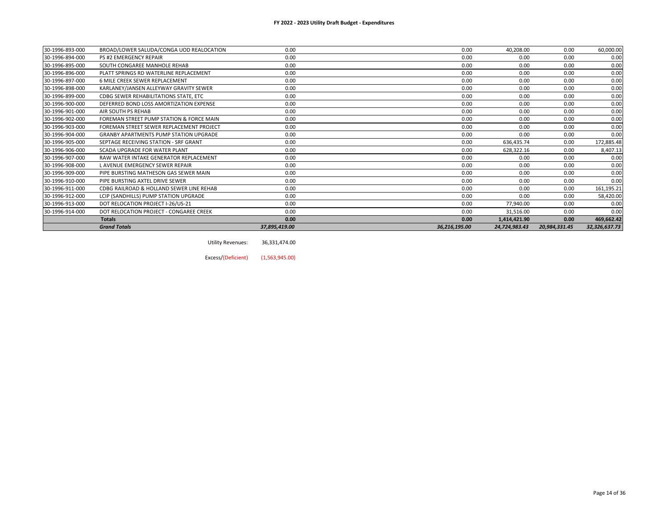| 30-1996-893-000 | BROAD/LOWER SALUDA/CONGA UOD REALOCATION      | 0.00          | 0.00          | 40,208.00     | 0.00          | 60,000.00     |
|-----------------|-----------------------------------------------|---------------|---------------|---------------|---------------|---------------|
| 30-1996-894-000 | <b>PS #2 EMERGENCY REPAIR</b>                 | 0.00          | 0.00          | 0.00          | 0.00          | 0.00          |
| 30-1996-895-000 | SOUTH CONGAREE MANHOLE REHAB                  | 0.00          | 0.00          | 0.00          | 0.00          | 0.00          |
| 30-1996-896-000 | PLATT SPRINGS RD WATERLINE REPLACEMENT        | 0.00          | 0.00          | 0.00          | 0.00          | 0.00          |
| 30-1996-897-000 | 6 MILE CREEK SEWER REPLACEMENT                | 0.00          | 0.00          | 0.00          | 0.00          | 0.00          |
| 30-1996-898-000 | KARLANEY/JANSEN ALLEYWAY GRAVITY SEWER        | 0.00          | 0.00          | 0.00          | 0.00          | 0.00          |
| 30-1996-899-000 | CDBG SEWER REHABILITATIONS STATE, ETC         | 0.00          | 0.00          | 0.00          | 0.00          | 0.00          |
| 30-1996-900-000 | DEFERRED BOND LOSS AMORTIZATION EXPENSE       | 0.00          | 0.00          | 0.00          | 0.00          | 0.00          |
| 30-1996-901-000 | AIR SOUTH PS REHAB                            | 0.00          | 0.00          | 0.00          | 0.00          | 0.00          |
| 30-1996-902-000 | FOREMAN STREET PUMP STATION & FORCE MAIN      | 0.00          | 0.00          | 0.00          | 0.00          | 0.00          |
| 30-1996-903-000 | FOREMAN STREET SEWER REPLACEMENT PROJECT      | 0.00          | 0.00          | 0.00          | 0.00          | 0.00          |
| 30-1996-904-000 | <b>GRANBY APARTMENTS PUMP STATION UPGRADE</b> | 0.00          | 0.00          | 0.00          | 0.00          | 0.00          |
| 30-1996-905-000 | SEPTAGE RECEIVING STATION - SRF GRANT         | 0.00          | 0.00          | 636,435.74    | 0.00          | 172,885.48    |
| 30-1996-906-000 | SCADA UPGRADE FOR WATER PLANT                 | 0.00          | 0.00          | 628,322.16    | 0.00          | 8,407.13      |
| 30-1996-907-000 | RAW WATER INTAKE GENERATOR REPLACEMENT        | 0.00          | 0.00          | 0.00          | 0.00          | 0.00          |
| 30-1996-908-000 | L AVENUE EMERGENCY SEWER REPAIR               | 0.00          | 0.00          | 0.00          | 0.00          | 0.00          |
| 30-1996-909-000 | PIPE BURSTING MATHESON GAS SEWER MAIN         | 0.00          | 0.00          | 0.00          | 0.00          | 0.00          |
| 30-1996-910-000 | PIPE BURSTING AXTEL DRIVE SEWER               | 0.00          | 0.00          | 0.00          | 0.00          | 0.00          |
| 30-1996-911-000 | CDBG RAILROAD & HOLLAND SEWER LINE REHAB      | 0.00          | 0.00          | 0.00          | 0.00          | 161,195.21    |
| 30-1996-912-000 | LCIP (SANDHILLS) PUMP STATION UPGRADE         | 0.00          | 0.00          | 0.00          | 0.00          | 58,420.00     |
| 30-1996-913-000 | DOT RELOCATION PROJECT I-26/US-21             | 0.00          | 0.00          | 77,940.00     | 0.00          | 0.00          |
| 30-1996-914-000 | DOT RELOCATION PROJECT - CONGAREE CREEK       | 0.00          | 0.00          | 31,516.00     | 0.00          | 0.00          |
|                 | <b>Totals</b>                                 | 0.00          | 0.00          | 1,414,421.90  | 0.00          | 469,662.42    |
|                 | <b>Grand Totals</b>                           | 37,895,419.00 | 36,216,195.00 | 24,724,983.43 | 20,984,331.45 | 32,326,637.73 |

Utility Revenues: 36,331,474.00

Excess/(Deficient) (1,563,945.00)

Page 14 of 36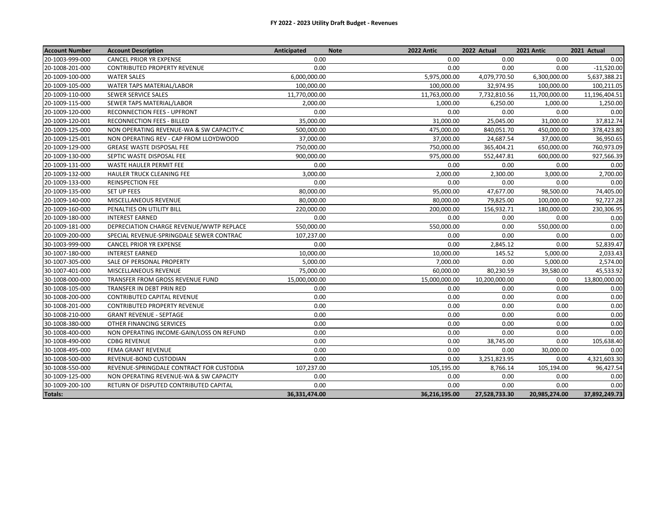| <b>Account Number</b> | <b>Account Description</b>               | Anticipated   | 2022 Antic<br><b>Note</b> | 2022 Actual   | 2021 Antic    | 2021 Actual   |
|-----------------------|------------------------------------------|---------------|---------------------------|---------------|---------------|---------------|
| 20-1003-999-000       | <b>CANCEL PRIOR YR EXPENSE</b>           | 0.00          | 0.00                      | 0.00          | 0.00          | 0.00          |
| 20-1008-201-000       | <b>CONTRIBUTED PROPERTY REVENUE</b>      | 0.00          | 0.00                      | 0.00          | 0.00          | $-11,520.00$  |
| 20-1009-100-000       | <b>WATER SALES</b>                       | 6,000,000.00  | 5,975,000.00              | 4,079,770.50  | 6,300,000.00  | 5,637,388.21  |
| 20-1009-105-000       | WATER TAPS MATERIAL/LABOR                | 100,000.00    | 100,000.00                | 32,974.95     | 100,000.00    | 100,211.05    |
| 20-1009-110-000       | SEWER SERVICE SALES                      | 11,770,000.00 | 11,763,000.00             | 7,732,810.56  | 11,700,000.00 | 11,196,404.51 |
| 20-1009-115-000       | SEWER TAPS MATERIAL/LABOR                | 2,000.00      | 1,000.00                  | 6,250.00      | 1,000.00      | 1,250.00      |
| 20-1009-120-000       | <b>RECONNECTION FEES - UPFRONT</b>       | 0.00          | 0.00                      | 0.00          | 0.00          | 0.00          |
| 20-1009-120-001       | RECONNECTION FEES - BILLED               | 35,000.00     | 31,000.00                 | 25,045.00     | 31,000.00     | 37,812.74     |
| 20-1009-125-000       | NON OPERATING REVENUE-WA & SW CAPACITY-C | 500,000.00    | 475,000.00                | 840,051.70    | 450,000.00    | 378,423.80    |
| 20-1009-125-001       | NON OPERATING REV - CAP FROM LLOYDWOOD   | 37,000.00     | 37,000.00                 | 24,687.54     | 37,000.00     | 36,950.65     |
| 20-1009-129-000       | GREASE WASTE DISPOSAL FEE                | 750,000.00    | 750,000.00                | 365,404.21    | 650,000.00    | 760,973.09    |
| 20-1009-130-000       | SEPTIC WASTE DISPOSAL FEE                | 900,000.00    | 975,000.00                | 552,447.81    | 600,000.00    | 927,566.39    |
| 20-1009-131-000       | WASTE HAULER PERMIT FEE                  | 0.00          | 0.00                      | 0.00          | 0.00          | 0.00          |
| 20-1009-132-000       | HAULER TRUCK CLEANING FEE                | 3,000.00      | 2,000.00                  | 2,300.00      | 3,000.00      | 2,700.00      |
| 20-1009-133-000       | <b>REINSPECTION FEE</b>                  | 0.00          | 0.00                      | 0.00          | 0.00          | 0.00          |
| 20-1009-135-000       | SET UP FEES                              | 80,000.00     | 95,000.00                 | 47,677.00     | 98,500.00     | 74,405.00     |
| 20-1009-140-000       | MISCELLANEOUS REVENUE                    | 80,000.00     | 80,000.00                 | 79,825.00     | 100,000.00    | 92,727.28     |
| 20-1009-160-000       | PENALTIES ON UTILITY BILL                | 220,000.00    | 200,000.00                | 156,932.71    | 180,000.00    | 230,306.95    |
| 20-1009-180-000       | <b>INTEREST EARNED</b>                   | 0.00          | 0.00                      | 0.00          | 0.00          | 0.00          |
| 20-1009-181-000       | DEPRECIATION CHARGE REVENUE/WWTP REPLACE | 550,000.00    | 550,000.00                | 0.00          | 550,000.00    | 0.00          |
| 20-1009-200-000       | SPECIAL REVENUE-SPRINGDALE SEWER CONTRAC | 107,237.00    | 0.00                      | 0.00          | 0.00          | 0.00          |
| 30-1003-999-000       | <b>CANCEL PRIOR YR EXPENSE</b>           | 0.00          | 0.00                      | 2,845.12      | 0.00          | 52,839.47     |
| 30-1007-180-000       | <b>INTEREST EARNED</b>                   | 10,000.00     | 10,000.00                 | 145.52        | 5,000.00      | 2.033.43      |
| 30-1007-305-000       | SALE OF PERSONAL PROPERTY                | 5,000.00      | 7,000.00                  | 0.00          | 5,000.00      | 2,574.00      |
| 30-1007-401-000       | MISCELLANEOUS REVENUE                    | 75,000.00     | 60,000.00                 | 80,230.59     | 39,580.00     | 45,533.92     |
| 30-1008-000-000       | TRANSFER FROM GROSS REVENUE FUND         | 15,000,000.00 | 15,000,000.00             | 10,200,000.00 | 0.00          | 13,800,000.00 |
| 30-1008-105-000       | TRANSFER IN DEBT PRIN RED                | 0.00          | 0.00                      | 0.00          | 0.00          | 0.00          |
| 30-1008-200-000       | CONTRIBUTED CAPITAL REVENUE              | 0.00          | 0.00                      | 0.00          | 0.00          | 0.00          |
| 30-1008-201-000       | <b>CONTRIBUTED PROPERTY REVENUE</b>      | 0.00          | 0.00                      | 0.00          | 0.00          | 0.00          |
| 30-1008-210-000       | <b>GRANT REVENUE - SEPTAGE</b>           | 0.00          | 0.00                      | 0.00          | 0.00          | 0.00          |
| 30-1008-380-000       | OTHER FINANCING SERVICES                 | 0.00          | 0.00                      | 0.00          | 0.00          | 0.00          |
| 30-1008-400-000       | NON OPERATING INCOME-GAIN/LOSS ON REFUND | 0.00          | 0.00                      | 0.00          | 0.00          | 0.00          |
| 30-1008-490-000       | <b>CDBG REVENUE</b>                      | 0.00          | 0.00                      | 38,745.00     | 0.00          | 105,638.40    |
| 30-1008-495-000       | <b>FEMA GRANT REVENUE</b>                | 0.00          | 0.00                      | 0.00          | 30,000.00     | 0.00          |
| 30-1008-500-000       | REVENUE-BOND CUSTODIAN                   | 0.00          | 0.00                      | 3,251,823.95  | 0.00          | 4,321,603.30  |
| 30-1008-550-000       | REVENUE-SPRINGDALE CONTRACT FOR CUSTODIA | 107,237.00    | 105,195.00                | 8,766.14      | 105,194.00    | 96,427.54     |
| 30-1009-125-000       | NON OPERATING REVENUE-WA & SW CAPACITY   | 0.00          | 0.00                      | 0.00          | 0.00          | 0.00          |
| 30-1009-200-100       | RETURN OF DISPUTED CONTRIBUTED CAPITAL   | 0.00          | 0.00                      | 0.00          | 0.00          | 0.00          |
| Totals:               |                                          | 36,331,474.00 | 36,216,195.00             | 27,528,733.30 | 20,985,274.00 | 37,892,249.73 |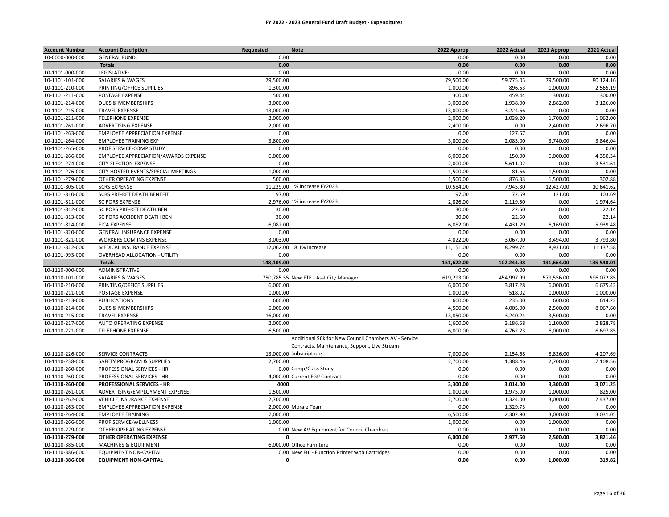#### **FY 2022 - 2023 General Fund Draft Budget - Expenditures**

| <b>Account Number</b> | <b>Account Description</b>           | Requested  | <b>Note</b>                                           | 2022 Approp | 2022 Actual | 2021 Approp | 2021 Actual |
|-----------------------|--------------------------------------|------------|-------------------------------------------------------|-------------|-------------|-------------|-------------|
| 10-0000-000-000       | <b>GENERAL FUND:</b>                 | 0.00       |                                                       | 0.00        | 0.00        | 0.00        | 0.00        |
|                       | <b>Totals</b>                        | 0.00       |                                                       | 0.00        | 0.00        | 0.00        | 0.00        |
| 10-1101-000-000       | LEGISLATIVE:                         | 0.00       |                                                       | 0.00        | 0.00        | 0.00        | 0.00        |
| 10-1101-101-000       | SALARIES & WAGES                     | 79,500.00  |                                                       | 79,500.00   | 59,775.05   | 79,500.00   | 80,124.16   |
| 10-1101-210-000       | PRINTING/OFFICE SUPPLIES             | 1,300.00   |                                                       | 1,000.00    | 896.53      | 1,000.00    | 2,565.19    |
| 10-1101-211-000       | POSTAGE EXPENSE                      | 500.00     |                                                       | 300.00      | 459.44      | 300.00      | 300.00      |
| 10-1101-214-000       | DUES & MEMBERSHIPS                   | 3,000.00   |                                                       | 3,000.00    | 1,938.00    | 2,882.00    | 3,126.00    |
| 10-1101-215-000       | <b>TRAVEL EXPENSE</b>                | 13,000.00  |                                                       | 13,000.00   | 3,224.66    | 0.00        | 0.00        |
| 10-1101-221-000       | <b>TELEPHONE EXPENSE</b>             | 2,000.00   |                                                       | 2,000.00    | 1,039.20    | 1,700.00    | 1,062.00    |
| 10-1101-261-000       | ADVERTISING EXPENSE                  | 2,000.00   |                                                       | 2,400.00    | 0.00        | 2,400.00    | 2,696.70    |
| 10-1101-263-000       | EMPLOYEE APPRECIATION EXPENSE        | 0.00       |                                                       | 0.00        | 127.57      | 0.00        | 0.00        |
| 10-1101-264-000       | <b>EMPLOYEE TRAINING EXP</b>         | 3,800.00   |                                                       | 3,800.00    | 2,085.00    | 3,740.00    | 3,846.04    |
| 10-1101-265-000       | PROF SERVICE-COMP STUDY              | 0.00       |                                                       | 0.00        | 0.00        | 0.00        | 0.00        |
| 10-1101-266-000       | EMPLOYEE APPRECIATION/AWARDS EXPENSE | 6,000.00   |                                                       | 6,000.00    | 150.00      | 6,000.00    | 4,350.34    |
| 10-1101-274-000       | <b>CITY ELECTION EXPENSE</b>         | 0.00       |                                                       | 2,000.00    | 5,611.02    | 0.00        | 3,531.61    |
| 10-1101-276-000       | CITY HOSTED EVENTS/SPECIAL MEETINGS  | 1,000.00   |                                                       | 1,500.00    | 81.66       | 1,500.00    | 0.00        |
| 10-1101-279-000       | OTHER OPERATING EXPENSE              | 500.00     |                                                       | 1,500.00    | 876.33      | 1,500.00    | 302.88      |
| 10-1101-805-000       | <b>SCRS EXPENSE</b>                  |            | 11.229.00 1% increase FY2023                          | 10,584.00   | 7,945.30    | 12,427.00   | 10,641.62   |
| 10-1101-810-000       | SCRS PRE-RET DEATH BENEFIT           | 97.00      |                                                       | 97.00       | 72.69       | 121.00      | 103.69      |
| 10-1101-811-000       | <b>SC PORS EXPENSE</b>               |            | 2,976.00 1% increase FY2023                           | 2,826.00    | 2,119.50    | 0.00        | 1,974.64    |
| 10-1101-812-000       | SC PORS PRE-RET DEATH BEN            | 30.00      |                                                       | 30.00       | 22.50       | 0.00        | 22.14       |
| 10-1101-813-000       | SC PORS ACCIDENT DEATH BEN           | 30.00      |                                                       | 30.00       | 22.50       | 0.00        | 22.14       |
| 10-1101-814-000       | <b>FICA EXPENSE</b>                  | 6,082.00   |                                                       | 6,082.00    | 4,431.29    | 6,169.00    | 5,939.48    |
| 10-1101-820-000       | <b>GENERAL INSURANCE EXPENSE</b>     | 0.00       |                                                       | 0.00        | 0.00        | 0.00        | 0.00        |
| 10-1101-821-000       | WORKERS COM INS EXPENSE              | 3,003.00   |                                                       | 4,822.00    | 3,067.00    | 3,494.00    | 3,793.80    |
| 10-1101-822-000       | MEDICAL INSURANCE EXPENSE            |            | 12,062.00 18.1% increase                              | 11,151.00   | 8,299.74    | 8,931.00    | 11,137.58   |
| 10-1101-993-000       | OVERHEAD ALLOCATION - UTILITY        | 0.00       |                                                       | 0.00        | 0.00        | 0.00        | 0.00        |
|                       | <b>Totals</b>                        | 148,109.00 |                                                       | 151,622.00  | 102,244.98  | 131,664.00  | 135,540.01  |
| 10-1110-000-000       | ADMINISTRATIVE:                      | 0.00       |                                                       | 0.00        | 0.00        | 0.00        | 0.00        |
| 10-1110-101-000       | <b>SALARIES &amp; WAGES</b>          |            | 750,785.55 New FTE - Asst City Manager                | 619,293.00  | 454,997.99  | 579,556.00  | 596,072.85  |
| 10-1110-210-000       | PRINTING/OFFICE SUPPLIES             | 6.000.00   |                                                       | 6,000.00    | 3,817.28    | 6,000.00    | 6,675.42    |
| 10-1110-211-000       | POSTAGE EXPENSE                      | 1,000.00   |                                                       | 1,000.00    | 518.02      | 1,000.00    | 1,000.00    |
| 10-1110-213-000       | <b>PUBLICATIONS</b>                  | 600.00     |                                                       | 600.00      | 235.00      | 600.00      | 614.22      |
| 10-1110-214-000       | DUES & MEMBERSHIPS                   | 5,000.00   |                                                       | 4,500.00    | 4,005.00    | 2,500.00    | 8,067.60    |
| 10-1110-215-000       | <b>TRAVEL EXPENSE</b>                | 16,000.00  |                                                       | 13,850.00   | 3,240.24    | 3,500.00    | 0.00        |
| 10-1110-217-000       | AUTO OPERATING EXPENSE               | 2,000.00   |                                                       | 1,600.00    | 3,186.58    | 1,100.00    | 2,828.78    |
| 10-1110-221-000       | <b>TELEPHONE EXPENSE</b>             | 6,500.00   |                                                       | 6,000.00    | 4,762.23    | 6,000.00    | 6,697.85    |
|                       |                                      |            | Additional \$6k for New Council Chambers AV - Service |             |             |             |             |
|                       |                                      |            | Contracts, Maintenance, Support, Live Stream          |             |             |             |             |
| 10-1110-226-000       | SERVICE CONTRACTS                    |            | 13,000.00 Subscriptions                               | 7,000.00    | 2,154.68    | 8,826.00    | 4,207.69    |
| 10-1110-238-000       | SAFETY PROGRAM & SUPPLIES            | 2,700.00   |                                                       | 2,700.00    | 1,388.46    | 2,700.00    | 7,108.56    |
| 10-1110-260-000       | PROFESSIONAL SERVICES - HR           |            | 0.00 Comp/Class Study                                 | 0.00        | 0.00        | 0.00        | 0.00        |
| 10-1110-260-000       | PROFESSIONAL SERVICES - HR           |            | 4,000.00 Current FGP Contract                         | 0.00        | 0.00        | 0.00        | 0.00        |
| 10-1110-260-000       | PROFESSIONAL SERVICES - HR           | 4000       |                                                       | 3,300.00    | 3,014.00    | 3,300.00    | 3,071.25    |
| 10-1110-261-000       | ADVERTISING/EMPLOYMENT EXPENSE       | 1,500.00   |                                                       | 1,000.00    | 1,975.00    | 1,000.00    | 825.00      |
| 10-1110-262-000       | VEHICLE INSURANCE EXPENSE            | 2.700.00   |                                                       | 2,700.00    | 1,324.00    | 3,000.00    | 2,437.00    |
| 10-1110-263-000       | EMPLOYEE APPRECIATION EXPENSE        |            | 2,000.00 Morale Team                                  | 0.00        | 1,329.73    | 0.00        | 0.00        |
| 10-1110-264-000       | <b>EMPLOYEE TRAINING</b>             | 7.000.00   |                                                       | 6,500.00    | 2,302.90    | 3,000.00    | 3,031.05    |
| 10-1110-266-000       | PROF SERVICE-WELLNESS                | 1,000.00   |                                                       | 1,000.00    | 0.00        | 1,000.00    | 0.00        |
| 10-1110-279-000       | OTHER OPERATING EXPENSE              |            | 0.00 New AV Equipment for Council Chambers            | 0.00        | 0.00        | 0.00        | 0.00        |
| 10-1110-279-000       | OTHER OPERATING EXPENSE              | $\Omega$   |                                                       | 6,000.00    | 2,977.50    | 2,500.00    | 3,821.46    |
| 10-1110-385-000       | <b>MACHINES &amp; EQUIPMENT</b>      |            | 6,000.00 Office Furniture                             | 0.00        | 0.00        | 0.00        | 0.00        |
| 10-1110-386-000       | <b>EQUIPMENT NON-CAPITAL</b>         |            | 0.00 New Full- Function Printer with Cartridges       | 0.00        | 0.00        | 0.00        | 0.00        |
| 10-1110-386-000       | <b>EQUIPMENT NON-CAPITAL</b>         | 0          |                                                       | 0.00        | 0.00        | 1,000.00    | 319.82      |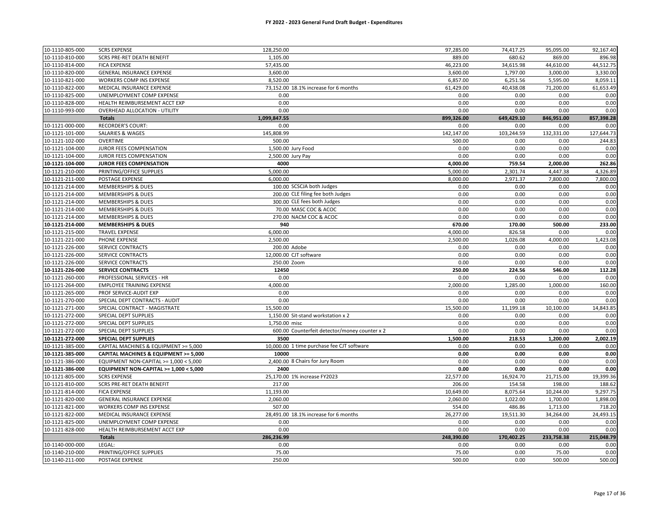| 10-1110-805-000 | <b>SCRS EXPENSE</b>                    | 128,250.00                                    | 97,285.00  | 74,417.25  | 95,095.00  | 92,167.40  |
|-----------------|----------------------------------------|-----------------------------------------------|------------|------------|------------|------------|
| 10-1110-810-000 | <b>SCRS PRE-RET DEATH BENEFIT</b>      | 1,105.00                                      | 889.00     | 680.62     | 869.00     | 896.98     |
| 10-1110-814-000 | <b>FICA EXPENSE</b>                    | 57,435.00                                     | 46,223.00  | 34,615.98  | 44,610.00  | 44,512.75  |
| 10-1110-820-000 | GENERAL INSURANCE EXPENSE              | 3,600.00                                      | 3,600.00   | 1,797.00   | 3,000.00   | 3,330.00   |
| 10-1110-821-000 | WORKERS COMP INS EXPENSE               | 8,520.00                                      | 6,857.00   | 6,251.56   | 5,595.00   | 8,059.11   |
| 10-1110-822-000 | MEDICAL INSURANCE EXPENSE              | 73,152.00 18.1% increase for 6 months         | 61,429.00  | 40,438.08  | 71,200.00  | 61,653.49  |
| 10-1110-825-000 | UNEMPLOYMENT COMP EXPENSE              | 0.00                                          | 0.00       | 0.00       | 0.00       | 0.00       |
| 10-1110-828-000 | HEALTH REIMBURSEMENT ACCT EXP          | 0.00                                          | 0.00       | 0.00       | 0.00       | 0.00       |
| 10-1110-993-000 | <b>OVERHEAD ALLOCATION - UTILITY</b>   | 0.00                                          | 0.00       | 0.00       | 0.00       | 0.00       |
|                 | <b>Totals</b>                          | 1,099,847.55                                  | 899,326.00 | 649,429.10 | 846,951.00 | 857,398.28 |
| 10-1121-000-000 | <b>RECORDER'S COURT:</b>               | 0.00                                          | 0.00       | 0.00       | 0.00       | 0.00       |
| 10-1121-101-000 | <b>SALARIES &amp; WAGES</b>            | 145,808.99                                    | 142,147.00 | 103,244.59 | 132,331.00 | 127,644.73 |
| 10-1121-102-000 | OVERTIME                               | 500.00                                        | 500.00     | 0.00       | 0.00       | 244.83     |
| 10-1121-104-000 | JUROR FEES COMPENSATION                | 1,500.00 Jury Food                            | 0.00       | 0.00       | 0.00       | 0.00       |
| 10-1121-104-000 | JUROR FEES COMPENSATION                | 2,500.00 Jury Pay                             | 0.00       | 0.00       | 0.00       | 0.00       |
| 10-1121-104-000 | <b>JUROR FEES COMPENSATION</b>         | 4000                                          | 4,000.00   | 759.54     | 2,000.00   | 262.86     |
| 10-1121-210-000 | PRINTING/OFFICE SUPPLIES               | 5,000.00                                      | 5,000.00   | 2,301.74   | 4,447.38   | 4,326.89   |
| 10-1121-211-000 | POSTAGE EXPENSE                        | 6,000.00                                      | 8,000.00   | 2,971.37   | 7,800.00   | 7,800.00   |
| 10-1121-214-000 | <b>MEMBERSHIPS &amp; DUES</b>          | 100.00 SCSCJA both Judges                     | 0.00       | 0.00       | 0.00       | 0.00       |
| 10-1121-214-000 | MEMBERSHIPS & DUES                     | 200.00 CLE filing fee both Judges             | 0.00       | 0.00       | 0.00       | 0.00       |
| 10-1121-214-000 | <b>MEMBERSHIPS &amp; DUES</b>          | 300.00 CLE fees both Judges                   | 0.00       | 0.00       | 0.00       | 0.00       |
| 10-1121-214-000 | <b>MEMBERSHIPS &amp; DUES</b>          | 70.00 MASC COC & ACOC                         | 0.00       | 0.00       | 0.00       | 0.00       |
| 10-1121-214-000 | <b>MEMBERSHIPS &amp; DUES</b>          | 270.00 NACM COC & ACOC                        | 0.00       | 0.00       | 0.00       | 0.00       |
| 10-1121-214-000 | <b>MEMBERSHIPS &amp; DUES</b>          | 940                                           | 670.00     | 170.00     | 500.00     | 233.00     |
| 10-1121-215-000 | <b>TRAVEL EXPENSE</b>                  | 6,000.00                                      | 4,000.00   | 826.58     | 0.00       | 0.00       |
| 10-1121-221-000 | PHONE EXPENSE                          | 2,500.00                                      | 2,500.00   | 1,026.08   | 4,000.00   | 1,423.08   |
| 10-1121-226-000 | SERVICE CONTRACTS                      | 200.00 Adobe                                  | 0.00       | 0.00       | 0.00       | 0.00       |
| 10-1121-226-000 | SERVICE CONTRACTS                      | 12,000.00 CJT software                        | 0.00       | 0.00       | 0.00       | 0.00       |
| 10-1121-226-000 | SERVICE CONTRACTS                      | 250.00 Zoom                                   | 0.00       | 0.00       | 0.00       | 0.00       |
| 10-1121-226-000 | <b>SERVICE CONTRACTS</b>               | 12450                                         | 250.00     | 224.56     | 546.00     | 112.28     |
| 10-1121-260-000 | PROFESSIONAL SERVICES - HR             | 0.00                                          | 0.00       | 0.00       | 0.00       | 0.00       |
| 10-1121-264-000 | <b>EMPLOYEE TRAINING EXPENSE</b>       | 4,000.00                                      | 2,000.00   | 1,285.00   | 1,000.00   | 160.00     |
| 10-1121-265-000 | PROF SERVICE-AUDIT EXP                 | 0.00                                          | 0.00       | 0.00       | 0.00       | 0.00       |
| 10-1121-270-000 | SPECIAL DEPT CONTRACTS - AUDIT         | 0.00                                          | 0.00       | 0.00       | 0.00       | 0.00       |
| 10-1121-271-000 | SPECIAL CONTRACT - MAGISTRATE          | 15,500.00                                     | 15,500.00  | 11,199.18  | 10,100.00  | 14,843.85  |
| 10-1121-272-000 | SPECIAL DEPT SUPPLIES                  | 1,150.00 Sit-stand workstation x 2            | 0.00       | 0.00       | 0.00       | 0.00       |
| 10-1121-272-000 | SPECIAL DEPT SUPPLIES                  | 1,750.00 misc                                 | 0.00       | 0.00       | 0.00       | 0.00       |
| 10-1121-272-000 | SPECIAL DEPT SUPPLIES                  | 600.00 Counterfeit detector/money counter x 2 | 0.00       | 0.00       | 0.00       | 0.00       |
| 10-1121-272-000 | <b>SPECIAL DEPT SUPPLIES</b>           | 3500                                          | 1,500.00   | 218.53     | 1,200.00   | 2,002.19   |
| 10-1121-385-000 | CAPITAL MACHINES & EQUIPMENT >= 5,000  | 10,000.00 1 time purchase fee CJT software    | 0.00       | 0.00       | 0.00       | 0.00       |
| 10-1121-385-000 | CAPITAL MACHINES & EQUIPMENT >= 5,000  | 10000                                         | 0.00       | 0.00       | 0.00       | 0.00       |
| 10-1121-386-000 | EQUIPMENT NON-CAPITAL >= 1,000 < 5,000 | 2,400.00 8 Chairs for Jury Room               | 0.00       | 0.00       | 0.00       | 0.00       |
| 10-1121-386-000 | EQUIPMENT NON-CAPITAL >= 1,000 < 5,000 | 2400                                          | 0.00       | 0.00       | 0.00       | 0.00       |
| 10-1121-805-000 | <b>SCRS EXPENSE</b>                    | 25,170.00 1% increase FY2023                  | 22,577.00  | 16,924.70  | 21,715.00  | 19,399.36  |
| 10-1121-810-000 | SCRS PRE-RET DEATH BENEFIT             | 217.00                                        | 206.00     | 154.58     | 198.00     | 188.62     |
| 10-1121-814-000 | <b>FICA EXPENSE</b>                    | 11,193.00                                     | 10,649.00  | 8,075.64   | 10,244.00  | 9,297.75   |
| 10-1121-820-000 | GENERAL INSURANCE EXPENSE              | 2,060.00                                      | 2,060.00   | 1,022.00   | 1,700.00   | 1,898.00   |
| 10-1121-821-000 | WORKERS COMP INS EXPENSE               | 507.00                                        | 554.00     | 486.86     | 1,713.00   | 718.20     |
| 10-1121-822-000 | MEDICAL INSURANCE EXPENSE              | 28,491.00 18.1% increase for 6 months         | 26,277.00  | 19,511.30  | 34,264.00  | 24,493.15  |
| 10-1121-825-000 | UNEMPLOYMENT COMP EXPENSE              | 0.00                                          | 0.00       | 0.00       | 0.00       | 0.00       |
| 10-1121-828-000 | HEALTH REIMBURSEMENT ACCT EXP          | 0.00                                          | 0.00       | 0.00       | 0.00       | 0.00       |
|                 | <b>Totals</b>                          | 286,236.99                                    | 248,390.00 | 170,402.25 | 233,758.38 | 215,048.79 |
| 10-1140-000-000 | LEGAL:                                 | 0.00                                          | 0.00       | 0.00       | 0.00       | 0.00       |
| 10-1140-210-000 | PRINTING/OFFICE SUPPLIES               | 75.00                                         | 75.00      | 0.00       | 75.00      | 0.00       |
| 10-1140-211-000 | POSTAGE EXPENSE                        | 250.00                                        | 500.00     | 0.00       | 500.00     | 500.00     |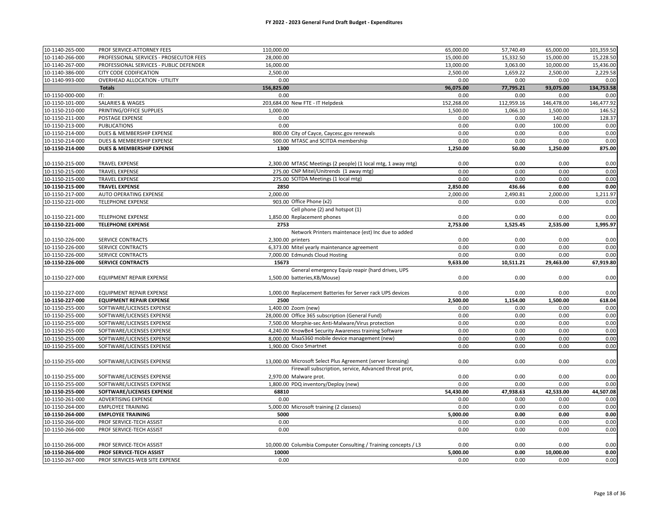#### **FY 2022 - 2023 General Fund Draft Budget - Expenditures**

| 10-1140-265-000 | PROF SERVICE-ATTORNEY FEES              | 110,000.00                                                      | 65,000.00  | 57,740.49  | 65,000.00  | 101,359.50 |
|-----------------|-----------------------------------------|-----------------------------------------------------------------|------------|------------|------------|------------|
| 10-1140-266-000 | PROFESSIONAL SERVICES - PROSECUTOR FEES | 28,000.00                                                       | 15,000.00  | 15,332.50  | 15,000.00  | 15,228.50  |
| 10-1140-267-000 | PROFESSIONAL SERVICES - PUBLIC DEFENDER | 16,000.00                                                       | 13,000.00  | 3,063.00   | 10,000.00  | 15,436.00  |
| 10-1140-386-000 | CITY CODE CODIFICATION                  | 2,500.00                                                        | 2,500.00   | 1,659.22   | 2,500.00   | 2,229.58   |
| 10-1140-993-000 | <b>OVERHEAD ALLOCATION - UTILITY</b>    | 0.00                                                            | 0.00       | 0.00       | 0.00       | 0.00       |
|                 | <b>Totals</b>                           | 156,825.00                                                      | 96,075.00  | 77,795.21  | 93,075.00  | 134,753.58 |
| 10-1150-000-000 | IT:                                     | 0.00                                                            | 0.00       | 0.00       | 0.00       | 0.00       |
| 10-1150-101-000 | SALARIES & WAGES                        | 203,684.00 New FTE - IT Helpdesk                                | 152,268.00 | 112,959.16 | 146,478.00 | 146,477.92 |
| 10-1150-210-000 | PRINTING/OFFICE SUPPLIES                | 1,000.00                                                        | 1,500.00   | 1,066.10   | 1,500.00   | 146.52     |
| 10-1150-211-000 | POSTAGE EXPENSE                         | 0.00                                                            | 0.00       | 0.00       | 140.00     | 128.37     |
| 10-1150-213-000 | <b>PUBLICATIONS</b>                     | 0.00                                                            | 0.00       | 0.00       | 100.00     | 0.00       |
| 10-1150-214-000 | DUES & MEMBERSHIP EXPENSE               | 800.00 City of Cayce, Caycesc.gov renewals                      | 0.00       | 0.00       | 0.00       | 0.00       |
| 10-1150-214-000 | DUES & MEMBERSHIP EXPENSE               | 500.00 MTASC and SCITDA membership                              | 0.00       | 0.00       | 0.00       | 0.00       |
| 10-1150-214-000 | DUES & MEMBERSHIP EXPENSE               | 1300                                                            | 1,250.00   | 50.00      | 1,250.00   | 875.00     |
|                 |                                         |                                                                 |            |            |            |            |
| 10-1150-215-000 | <b>TRAVEL EXPENSE</b>                   | 2,300.00 MTASC Meetings (2 people) (1 local mtg, 1 away mtg)    | 0.00       | 0.00       | 0.00       | 0.00       |
| 10-1150-215-000 | <b>TRAVEL EXPENSE</b>                   | 275.00 CNP Mitel/Unitrends (1 away mtg)                         | 0.00       | 0.00       | 0.00       | 0.00       |
| 10-1150-215-000 | <b>TRAVEL EXPENSE</b>                   | 275.00 SCITDA Meetings (1 local mtg)                            | 0.00       | 0.00       | 0.00       | 0.00       |
| 10-1150-215-000 | <b>TRAVEL EXPENSE</b>                   | 2850                                                            | 2,850.00   | 436.66     | 0.00       | 0.00       |
| 10-1150-217-000 | AUTO OPERATING EXPENSE                  | 2,000.00                                                        | 2,000.00   | 2,490.81   | 2,000.00   | 1,211.97   |
| 10-1150-221-000 | <b>TELEPHONE EXPENSE</b>                | 903.00 Office Phone (x2)                                        | 0.00       | 0.00       | 0.00       | 0.00       |
|                 |                                         | Cell phone (2) and hotspot (1)                                  |            |            |            |            |
| 10-1150-221-000 | <b>TELEPHONE EXPENSE</b>                | 1,850.00 Replacement phones                                     | 0.00       | 0.00       | 0.00       | 0.00       |
| 10-1150-221-000 | <b>TELEPHONE EXPENSE</b>                | 2753                                                            | 2,753.00   | 1,525.45   | 2,535.00   | 1,995.97   |
|                 |                                         | Network Printers maintenace (est) Inc due to added              |            |            |            |            |
| 10-1150-226-000 | SERVICE CONTRACTS                       | 2.300.00 printers                                               | 0.00       | 0.00       | 0.00       | 0.00       |
| 10-1150-226-000 | SERVICE CONTRACTS                       | 6,373.00 Mitel yearly maintenance agreement                     | 0.00       | 0.00       | 0.00       | 0.00       |
| 10-1150-226-000 | SERVICE CONTRACTS                       | 7,000.00 Edmunds Cloud Hosting                                  | 0.00       | 0.00       | 0.00       | 0.00       |
| 10-1150-226-000 | <b>SERVICE CONTRACTS</b>                | 15673                                                           | 9,633.00   | 10,511.21  | 29,463.00  | 67,919.80  |
|                 |                                         | General emergency Equip reapir (hard drives, UPS                |            |            |            |            |
| 10-1150-227-000 | EQUIPMENT REPAIR EXPENSE                | 1,500.00 batteries, KB/Mouse)                                   | 0.00       | 0.00       | 0.00       | 0.00       |
|                 |                                         |                                                                 |            |            |            |            |
| 10-1150-227-000 | EQUIPMENT REPAIR EXPENSE                | 1,000.00 Replacement Batteries for Server rack UPS devices      | 0.00       | 0.00       | 0.00       | 0.00       |
| 10-1150-227-000 | <b>EQUIPMENT REPAIR EXPENSE</b>         | 2500                                                            | 2,500.00   | 1,154.00   | 1,500.00   | 618.04     |
| 10-1150-255-000 | SOFTWARE/LICENSES EXPENSE               | 1,400.00 Zoom (new)                                             | 0.00       | 0.00       | 0.00       | 0.00       |
| 10-1150-255-000 | SOFTWARE/LICENSES EXPENSE               | 28,000.00 Office 365 subscription (General Fund)                | 0.00       | 0.00       | 0.00       | 0.00       |
| 10-1150-255-000 | SOFTWARE/LICENSES EXPENSE               | 7,500.00 Morphie-sec Anti-Malware/Virus protection              | 0.00       | 0.00       | 0.00       | 0.00       |
| 10-1150-255-000 | SOFTWARE/LICENSES EXPENSE               | 4,240.00 KnowBe4 Security Awareness training Software           | 0.00       | 0.00       | 0.00       | 0.00       |
| 10-1150-255-000 | SOFTWARE/LICENSES EXPENSE               | 8,000.00 MaaS360 mobile device management (new)                 | 0.00       | 0.00       | 0.00       | 0.00       |
| 10-1150-255-000 | SOFTWARE/LICENSES EXPENSE               | 1,900.00 Cisco Smartnet                                         | 0.00       | 0.00       | 0.00       | 0.00       |
|                 |                                         |                                                                 |            |            |            |            |
| 10-1150-255-000 | SOFTWARE/LICENSES EXPENSE               | 13,000.00 Microsoft Select Plus Agreement (server licensing)    | 0.00       | 0.00       | 0.00       | 0.00       |
|                 |                                         | Firewall subscription, service, Advanced threat prot,           |            |            |            |            |
| 10-1150-255-000 | SOFTWARE/LICENSES EXPENSE               | 2,970.00 Malware prot.                                          | 0.00       | 0.00       | 0.00       | 0.00       |
| 10-1150-255-000 | SOFTWARE/LICENSES EXPENSE               | 1,800.00 PDQ inventory/Deploy (new)                             | 0.00       | 0.00       | 0.00       | 0.00       |
| 10-1150-255-000 | SOFTWARE/LICENSES EXPENSE               | 68810                                                           | 54,430.00  | 47,938.63  | 42,533.00  | 44,507.08  |
| 10-1150-261-000 | ADVERTISING EXPENSE                     | 0.00                                                            | 0.00       | 0.00       | 0.00       | 0.00       |
| 10-1150-264-000 | <b>EMPLOYEE TRAINING</b>                | 5,000.00 Microsoft training (2 classess)                        | 0.00       | 0.00       | 0.00       | 0.00       |
| 10-1150-264-000 | <b>EMPLOYEE TRAINING</b>                | 5000                                                            | 5,000.00   | 0.00       | 0.00       | 0.00       |
| 10-1150-266-000 | PROF SERVICE-TECH ASSIST                | 0.00                                                            | 0.00       | 0.00       | 0.00       | 0.00       |
| 10-1150-266-000 | PROF SERVICE-TECH ASSIST                | 0.00                                                            | 0.00       | 0.00       | 0.00       | 0.00       |
|                 |                                         |                                                                 |            |            |            |            |
| 10-1150-266-000 | PROF SERVICE-TECH ASSIST                | 10,000.00 Columbia Computer Consulting / Training concepts / L3 | 0.00       | 0.00       | 0.00       | 0.00       |
| 10-1150-266-000 | PROF SERVICE-TECH ASSIST                | 10000                                                           | 5,000.00   | 0.00       | 10,000.00  | 0.00       |
| 10-1150-267-000 | PROF SERVICES-WEB SITE EXPENSE          | 0.00                                                            | 0.00       | 0.00       | 0.00       | 0.00       |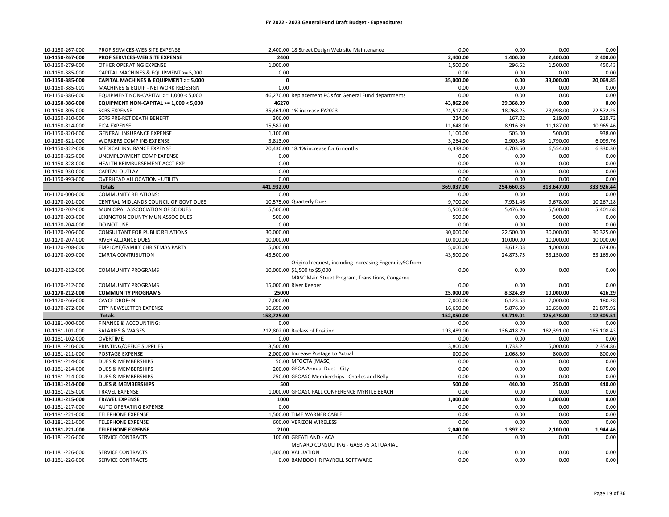| 10-1150-267-000 | PROF SERVICES-WEB SITE EXPENSE         | 2,400.00 18 Street Design Web site Maintenance          | 0.00       | 0.00       | 0.00       | 0.00       |
|-----------------|----------------------------------------|---------------------------------------------------------|------------|------------|------------|------------|
| 10-1150-267-000 | PROF SERVICES-WEB SITE EXPENSE         | 2400                                                    | 2,400.00   | 1,400.00   | 2,400.00   | 2,400.00   |
| 10-1150-279-000 | OTHER OPERATING EXPENSE                | 1,000.00                                                | 1,500.00   | 296.52     | 1,500.00   | 450.43     |
| 10-1150-385-000 | CAPITAL MACHINES & EQUIPMENT >= 5,000  | 0.00                                                    | 0.00       | 0.00       | 0.00       | 0.00       |
| 10-1150-385-000 | CAPITAL MACHINES & EQUIPMENT >= 5,000  | $\pmb{\mathsf{o}}$                                      | 35,000.00  | 0.00       | 33,000.00  | 20,069.85  |
| 10-1150-385-001 | MACHINES & EQUIP - NETWORK REDESIGN    | 0.00                                                    | 0.00       | 0.00       | 0.00       | 0.00       |
| 10-1150-386-000 | EQUIPMENT NON-CAPITAL >= 1,000 < 5,000 | 46,270.00 Replacement PC's for General Fund departments | 0.00       | 0.00       | 0.00       | 0.00       |
| 10-1150-386-000 | EQUIPMENT NON-CAPITAL >= 1,000 < 5,000 | 46270                                                   | 43,862.00  | 39,368.09  | 0.00       | 0.00       |
| 10-1150-805-000 | <b>SCRS EXPENSE</b>                    | 35,461.00 1% increase FY2023                            | 24,517.00  | 18,268.25  | 23,998.00  | 22,572.25  |
| 10-1150-810-000 | SCRS PRE-RET DEATH BENEFIT             | 306.00                                                  | 224.00     | 167.02     | 219.00     | 219.72     |
| 10-1150-814-000 | <b>FICA EXPENSE</b>                    | 15,582.00                                               | 11,648.00  | 8,916.39   | 11,187.00  | 10,965.46  |
| 10-1150-820-000 | GENERAL INSURANCE EXPENSE              | 1,100.00                                                | 1,100.00   | 505.00     | 500.00     | 938.00     |
| 10-1150-821-000 | WORKERS COMP INS EXPENSE               | 3,813.00                                                | 3,264.00   | 2,903.46   | 1,790.00   | 6,099.76   |
| 10-1150-822-000 | MEDICAL INSURANCE EXPENSE              | 20,430.00 18.1% increase for 6 months                   | 6,338.00   | 4,703.60   | 6,554.00   | 6,330.30   |
| 10-1150-825-000 | UNEMPLOYMENT COMP EXPENSE              | 0.00                                                    | 0.00       | 0.00       | 0.00       | 0.00       |
| 10-1150-828-000 | HEALTH REIMBURSEMENT ACCT EXP          | 0.00                                                    | 0.00       | 0.00       | 0.00       | 0.00       |
| 10-1150-930-000 | CAPITAL OUTLAY                         | 0.00                                                    | 0.00       | 0.00       | 0.00       | 0.00       |
| 10-1150-993-000 | OVERHEAD ALLOCATION - UTILITY          | 0.00                                                    | 0.00       | 0.00       | 0.00       | 0.00       |
|                 | <b>Totals</b>                          | 441,932.00                                              | 369,037.00 | 254,660.35 | 318,647.00 | 333,926.44 |
| 10-1170-000-000 | <b>COMMUNITY RELATIONS:</b>            | 0.00                                                    | 0.00       | 0.00       | 0.00       | 0.00       |
| 10-1170-201-000 | CENTRAL MIDLANDS COUNCIL OF GOVT DUES  | 10,575.00 Quarterly Dues                                | 9,700.00   | 7,931.46   | 9,678.00   | 10,267.28  |
| 10-1170-202-000 | MUNICIPAL ASSCOCIATION OF SC DUES      | 5,500.00                                                | 5,500.00   | 5,476.86   | 5,500.00   | 5,401.68   |
| 10-1170-203-000 | LEXINGTON COUNTY MUN ASSOC DUES        | 500.00                                                  | 500.00     | 0.00       | 500.00     | 0.00       |
| 10-1170-204-000 | DO NOT USE                             | 0.00                                                    | 0.00       | 0.00       | 0.00       | 0.00       |
| 10-1170-206-000 | <b>CONSULTANT FOR PUBLIC RELATIONS</b> | 30,000.00                                               | 30,000.00  | 22,500.00  | 30,000.00  | 30,325.00  |
| 10-1170-207-000 | RIVER ALLIANCE DUES                    | 10,000.00                                               | 10,000.00  | 10,000.00  | 10,000.00  | 10,000.00  |
| 10-1170-208-000 | EMPLOYE/FAMILY CHRISTMAS PARTY         | 5,000.00                                                | 5,000.00   | 3,612.03   | 4,000.00   | 674.06     |
| 10-1170-209-000 | <b>CMRTA CONTRIBUTION</b>              | 43,500.00                                               | 43,500.00  | 24,873.75  | 33,150.00  | 33,165.00  |
|                 |                                        | Original request, including increasing EngenuitySC from |            |            |            |            |
| 10-1170-212-000 | <b>COMMUNITY PROGRAMS</b>              | 10,000.00 \$1,500 to \$5,000                            | 0.00       | 0.00       | 0.00       | 0.00       |
|                 |                                        | MASC Main Street Program, Transitions, Congaree         |            |            |            |            |
| 10-1170-212-000 | <b>COMMUNITY PROGRAMS</b>              | 15,000.00 River Keeper                                  | 0.00       | 0.00       | 0.00       | 0.00       |
| 10-1170-212-000 | <b>COMMUNITY PROGRAMS</b>              | 25000                                                   | 25,000.00  | 8,324.89   | 10,000.00  | 416.29     |
| 10-1170-266-000 | <b>CAYCE DROP-IN</b>                   | 7,000.00                                                | 7,000.00   | 6,123.63   | 7,000.00   | 180.28     |
| 10-1170-272-000 | CITY NEWSLETTER EXPENSE                | 16,650.00                                               | 16,650.00  | 5,876.39   | 16,650.00  | 21,875.92  |
|                 | <b>Totals</b>                          | 153,725.00                                              | 152,850.00 | 94,719.01  | 126,478.00 | 112,305.51 |
| 10-1181-000-000 | FINANCE & ACCOUNTING:                  | 0.00                                                    | 0.00       | 0.00       | 0.00       | 0.00       |
| 10-1181-101-000 | <b>SALARIES &amp; WAGES</b>            | 212,802.00 Reclass of Position                          | 193,489.00 | 136,418.79 | 182,391.00 | 185,108.43 |
| 10-1181-102-000 | OVERTIME                               | 0.00                                                    | 0.00       | 0.00       | 0.00       | 0.00       |
| 10-1181-210-000 | PRINTING/OFFICE SUPPLIES               | 3,500.00                                                | 3,800.00   | 1,733.21   | 5,000.00   | 2,354.86   |
| 10-1181-211-000 | POSTAGE EXPENSE                        | 2,000.00 Increase Postage to Actual                     | 800.00     | 1,068.50   | 800.00     | 800.00     |
| 10-1181-214-000 | <b>DUES &amp; MEMBERSHIPS</b>          | 50.00 MFOCTA (MASC)                                     | 0.00       | 0.00       | 0.00       | 0.00       |
| 10-1181-214-000 | DUES & MEMBERSHIPS                     | 200.00 GFOA Annual Dues - City                          | 0.00       | 0.00       | 0.00       | 0.00       |
| 10-1181-214-000 | DUES & MEMBERSHIPS                     | 250.00 GFOASC Memberships - Charles and Kelly           | 0.00       | 0.00       | 0.00       | 0.00       |
| 10-1181-214-000 | <b>DUES &amp; MEMBERSHIPS</b>          | 500                                                     | 500.00     | 440.00     | 250.00     | 440.00     |
| 10-1181-215-000 | <b>TRAVEL EXPENSE</b>                  | 1,000.00 GFOASC FALL CONFERENCE MYRTLE BEACH            | 0.00       | 0.00       | 0.00       | 0.00       |
| 10-1181-215-000 | <b>TRAVEL EXPENSE</b>                  | 1000                                                    | 1,000.00   | 0.00       | 1,000.00   | 0.00       |
| 10-1181-217-000 | AUTO OPERATING EXPENSE                 | 0.00                                                    | 0.00       | 0.00       | 0.00       | 0.00       |
| 10-1181-221-000 | <b>TELEPHONE EXPENSE</b>               | 1.500.00 TIME WARNER CABLE                              | 0.00       | 0.00       | 0.00       | 0.00       |
| 10-1181-221-000 | <b>TELEPHONE EXPENSE</b>               | 600.00 VERIZON WIRELESS                                 | 0.00       | 0.00       | 0.00       | 0.00       |
| 10-1181-221-000 | <b>TELEPHONE EXPENSE</b>               | 2100                                                    | 2,040.00   | 1,397.32   | 2,100.00   | 1,944.46   |
| 10-1181-226-000 | SERVICE CONTRACTS                      | 100.00 GREATLAND - ACA                                  | 0.00       | 0.00       | 0.00       | 0.00       |
|                 |                                        | MENARD CONSULTING - GASB 75 ACTUARIAL                   |            |            |            |            |
| 10-1181-226-000 | SERVICE CONTRACTS                      | 1.300.00 VALUATION                                      | 0.00       | 0.00       | 0.00       | 0.00       |
| 10-1181-226-000 | SERVICE CONTRACTS                      | 0.00 BAMBOO HR PAYROLL SOFTWARE                         | 0.00       | 0.00       | 0.00       | 0.00       |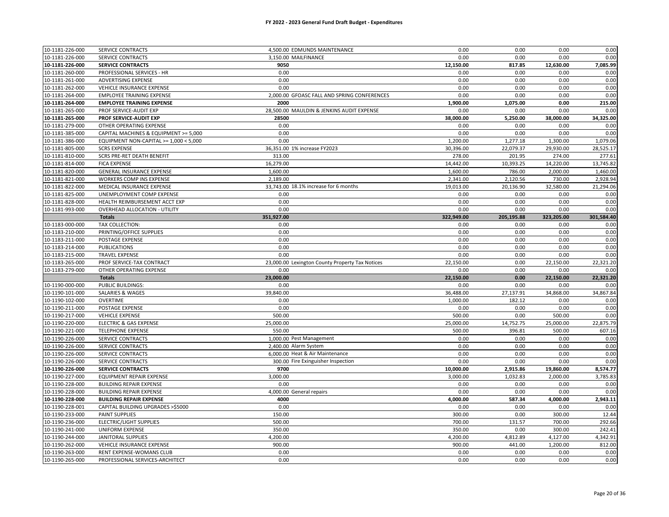| 10-1181-226-000 | SERVICE CONTRACTS                      | 4,500.00 EDMUNDS MAINTENANCE                    | 0.00       | 0.00       | 0.00       | 0.00       |
|-----------------|----------------------------------------|-------------------------------------------------|------------|------------|------------|------------|
| 10-1181-226-000 | SERVICE CONTRACTS                      | 3.150.00 MAILFINANCE                            | 0.00       | 0.00       | 0.00       | 0.00       |
| 10-1181-226-000 | <b>SERVICE CONTRACTS</b>               | 9050                                            | 12,150.00  | 817.85     | 12,630.00  | 7,085.99   |
| 10-1181-260-000 | PROFESSIONAL SERVICES - HR             | 0.00                                            | 0.00       | 0.00       | 0.00       | 0.00       |
| 10-1181-261-000 | ADVERTISING EXPENSE                    | 0.00                                            | 0.00       | 0.00       | 0.00       | 0.00       |
| 10-1181-262-000 | VEHICLE INSURANCE EXPENSE              | 0.00                                            | 0.00       | 0.00       | 0.00       | 0.00       |
| 10-1181-264-000 | <b>EMPLOYEE TRAINING EXPENSE</b>       | 2,000.00 GFOASC FALL AND SPRING CONFERENCES     | 0.00       | 0.00       | 0.00       | 0.00       |
| 10-1181-264-000 | <b>EMPLOYEE TRAINING EXPENSE</b>       | 2000                                            | 1,900.00   | 1,075.00   | 0.00       | 215.00     |
| 10-1181-265-000 | PROF SERVICE-AUDIT EXP                 | 28,500.00 MAULDIN & JENKINS AUDIT EXPENSE       | 0.00       | 0.00       | 0.00       | 0.00       |
| 10-1181-265-000 | PROF SERVICE-AUDIT EXP                 | 28500                                           | 38,000.00  | 5,250.00   | 38,000.00  | 34,325.00  |
| 10-1181-279-000 | OTHER OPERATING EXPENSE                | 0.00                                            | 0.00       | 0.00       | 0.00       | 0.00       |
| 10-1181-385-000 | CAPITAL MACHINES & EQUIPMENT >= 5,000  | 0.00                                            | 0.00       | 0.00       | 0.00       | 0.00       |
| 10-1181-386-000 | EQUIPMENT NON-CAPITAL >= 1,000 < 5,000 | 0.00                                            | 1,200.00   | 1,277.18   | 1,300.00   | 1,079.06   |
| 10-1181-805-000 | <b>SCRS EXPENSE</b>                    | 36,351.00 1% increase FY2023                    | 30,396.00  | 22,079.37  | 29,930.00  | 28,525.17  |
| 10-1181-810-000 | SCRS PRE-RET DEATH BENEFIT             | 313.00                                          | 278.00     | 201.95     | 274.00     | 277.61     |
| 10-1181-814-000 | <b>FICA EXPENSE</b>                    | 16,279.00                                       | 14,442.00  | 10,393.25  | 14,220.00  | 13,745.82  |
| 10-1181-820-000 | GENERAL INSURANCE EXPENSE              | 1,600.00                                        | 1,600.00   | 786.00     | 2,000.00   | 1,460.00   |
| 10-1181-821-000 | WORKERS COMP INS EXPENSE               | 2,189.00                                        | 2,341.00   | 2,120.56   | 730.00     | 2,928.94   |
| 10-1181-822-000 | MEDICAL INSURANCE EXPENSE              | 33,743.00 18.1% increase for 6 months           | 19,013.00  | 20,136.90  | 32,580.00  | 21,294.06  |
| 10-1181-825-000 | UNEMPLOYMENT COMP EXPENSE              | 0.00                                            | 0.00       | 0.00       | 0.00       | 0.00       |
| 10-1181-828-000 | HEALTH REIMBURSEMENT ACCT EXP          | 0.00                                            | 0.00       | 0.00       | 0.00       | 0.00       |
| 10-1181-993-000 | <b>OVERHEAD ALLOCATION - UTILITY</b>   | 0.00                                            | 0.00       | 0.00       | 0.00       | 0.00       |
|                 | <b>Totals</b>                          | 351,927.00                                      | 322,949.00 | 205,195.88 | 323,205.00 | 301,584.40 |
| 10-1183-000-000 | TAX COLLECTION:                        | 0.00                                            | 0.00       | 0.00       | 0.00       | 0.00       |
| 10-1183-210-000 | PRINTING/OFFICE SUPPLIES               | 0.00                                            | 0.00       | 0.00       | 0.00       | 0.00       |
| 10-1183-211-000 | POSTAGE EXPENSE                        | 0.00                                            | 0.00       | 0.00       | 0.00       | 0.00       |
| 10-1183-214-000 | <b>PUBLICATIONS</b>                    | 0.00                                            | 0.00       | 0.00       | 0.00       | 0.00       |
| 10-1183-215-000 | <b>TRAVEL EXPENSE</b>                  | 0.00                                            | 0.00       | 0.00       | 0.00       | 0.00       |
| 10-1183-265-000 | PROF SERVICE-TAX CONTRACT              | 23,000.00 Lexington County Property Tax Notices | 22,150.00  | 0.00       | 22,150.00  | 22,321.20  |
| 10-1183-279-000 | OTHER OPERATING EXPENSE                | 0.00                                            | 0.00       | 0.00       | 0.00       | 0.00       |
|                 | <b>Totals</b>                          | 23,000.00                                       | 22,150.00  | 0.00       | 22,150.00  | 22,321.20  |
| 10-1190-000-000 | PUBLIC BUILDINGS:                      | 0.00                                            | 0.00       | 0.00       | 0.00       | 0.00       |
| 10-1190-101-000 | <b>SALARIES &amp; WAGES</b>            | 39,840.00                                       | 36,488.00  | 27,137.91  | 34,868.00  | 34,867.84  |
| 10-1190-102-000 | <b>OVERTIME</b>                        | 0.00                                            | 1,000.00   | 182.12     | 0.00       | 0.00       |
| 10-1190-211-000 | POSTAGE EXPENSE                        | 0.00                                            | 0.00       | 0.00       | 0.00       | 0.00       |
| 10-1190-217-000 | <b>VEHICLE EXPENSE</b>                 | 500.00                                          | 500.00     | 0.00       | 500.00     | 0.00       |
| 10-1190-220-000 | <b>ELECTRIC &amp; GAS EXPENSE</b>      | 25,000.00                                       | 25,000.00  | 14,752.75  | 25,000.00  | 22,875.79  |
| 10-1190-221-000 | <b>TELEPHONE EXPENSE</b>               | 550.00                                          | 500.00     | 396.81     | 500.00     | 607.16     |
| 10-1190-226-000 | SERVICE CONTRACTS                      | 1,000.00 Pest Management                        | 0.00       | 0.00       | 0.00       | 0.00       |
| 10-1190-226-000 | SERVICE CONTRACTS                      | 2,400.00 Alarm System                           | 0.00       | 0.00       | 0.00       | 0.00       |
| 10-1190-226-000 | SERVICE CONTRACTS                      | 6,000.00 Heat & Air Maintenance                 | 0.00       | 0.00       | 0.00       | 0.00       |
| 10-1190-226-000 | <b>SERVICE CONTRACTS</b>               | 300.00 Fire Exinguisher Inspection              | 0.00       | 0.00       | 0.00       | 0.00       |
| 10-1190-226-000 | <b>SERVICE CONTRACTS</b>               | 9700                                            | 10,000.00  | 2,915.86   | 19,860.00  | 8,574.77   |
| 10-1190-227-000 | EQUIPMENT REPAIR EXPENSE               | 3.000.00                                        | 3,000.00   | 1,032.83   | 2,000.00   | 3,785.83   |
| 10-1190-228-000 | <b>BUILDING REPAIR EXPENSE</b>         | 0.00                                            | 0.00       | 0.00       | 0.00       | 0.00       |
| 10-1190-228-000 | <b>BUILDING REPAIR EXPENSE</b>         | 4,000.00 General repairs                        | 0.00       | 0.00       | 0.00       | 0.00       |
| 10-1190-228-000 | <b>BUILDING REPAIR EXPENSE</b>         | 4000                                            | 4,000.00   | 587.34     | 4,000.00   | 2,943.11   |
| 10-1190-228-001 | CAPITAL BUILDING UPGRADES >\$5000      | 0.00                                            | 0.00       | 0.00       | 0.00       | 0.00       |
| 10-1190-233-000 | PAINT SUPPLIES                         | 150.00                                          | 300.00     | 0.00       | 300.00     | 12.44      |
| 10-1190-236-000 | ELECTRIC/LIGHT SUPPLIES                | 500.00                                          | 700.00     | 131.57     | 700.00     | 292.66     |
| 10-1190-241-000 | UNIFORM EXPENSE                        | 350.00                                          | 350.00     | 0.00       | 300.00     | 242.41     |
| 10-1190-244-000 | <b>JANITORAL SUPPLIES</b>              | 4,200.00                                        | 4,200.00   | 4,812.89   | 4,127.00   | 4,342.91   |
| 10-1190-262-000 | VEHICLE INSURANCE EXPENSE              | 900.00                                          | 900.00     | 441.00     | 1,200.00   | 812.00     |
| 10-1190-263-000 | RENT EXPENSE-WOMANS CLUB               | 0.00                                            | 0.00       | 0.00       | 0.00       | 0.00       |
| 10-1190-265-000 | PROFESSIONAL SERVICES-ARCHITECT        | 0.00                                            | 0.00       | 0.00       | 0.00       | 0.00       |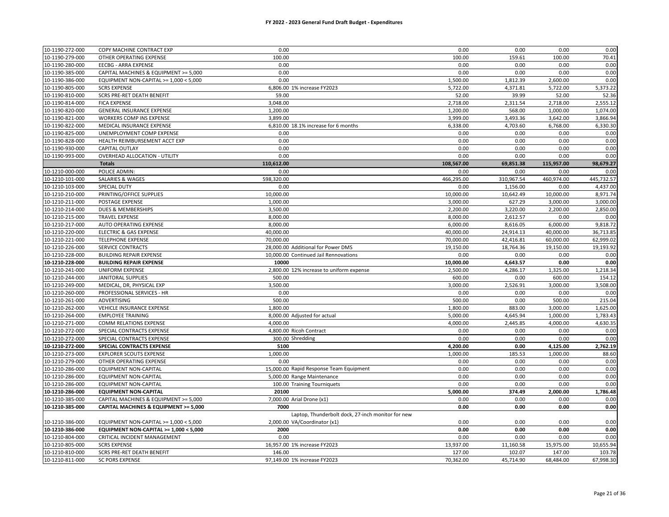| 10-1190-272-000 | COPY MACHINE CONTRACT EXP              | 0.00                                              | 0.00       | 0.00       | 0.00       | 0.00       |
|-----------------|----------------------------------------|---------------------------------------------------|------------|------------|------------|------------|
| 10-1190-279-000 | OTHER OPERATING EXPENSE                | 100.00                                            | 100.00     | 159.61     | 100.00     | 70.41      |
| 10-1190-280-000 | <b>EECBG - ARRA EXPENSE</b>            | 0.00                                              | 0.00       | 0.00       | 0.00       | 0.00       |
| 10-1190-385-000 | CAPITAL MACHINES & EQUIPMENT >= 5,000  | 0.00                                              | 0.00       | 0.00       | 0.00       | 0.00       |
| 10-1190-386-000 | EQUIPMENT NON-CAPITAL >= 1,000 < 5,000 | 0.00                                              | 1,500.00   | 1,812.39   | 2,600.00   | 0.00       |
| 10-1190-805-000 | <b>SCRS EXPENSE</b>                    | 6,806.00 1% increase FY2023                       | 5,722.00   | 4,371.81   | 5,722.00   | 5,373.22   |
| 10-1190-810-000 | <b>SCRS PRE-RET DEATH BENEFIT</b>      | 59.00                                             | 52.00      | 39.99      | 52.00      | 52.36      |
| 10-1190-814-000 | <b>FICA EXPENSE</b>                    | 3,048.00                                          | 2,718.00   | 2,311.54   | 2,718.00   | 2,555.12   |
| 10-1190-820-000 | GENERAL INSURANCE EXPENSE              | 1,200.00                                          | 1,200.00   | 568.00     | 1,000.00   | 1,074.00   |
| 10-1190-821-000 | WORKERS COMP INS EXPENSE               | 3,899.00                                          | 3,999.00   | 3,493.36   | 3,642.00   | 3,866.94   |
| 10-1190-822-000 | MEDICAL INSURANCE EXPENSE              | 6,810.00 18.1% increase for 6 months              | 6,338.00   | 4,703.60   | 6,768.00   | 6,330.30   |
| 10-1190-825-000 | UNEMPLOYMENT COMP EXPENSE              | 0.00                                              | 0.00       | 0.00       | 0.00       | 0.00       |
| 10-1190-828-000 | HEALTH REIMBURSEMENT ACCT EXP          | 0.00                                              | 0.00       | 0.00       | 0.00       | 0.00       |
| 10-1190-930-000 | <b>CAPITAL OUTLAY</b>                  | 0.00                                              | 0.00       | 0.00       | 0.00       | 0.00       |
| 10-1190-993-000 | OVERHEAD ALLOCATION - UTILITY          | 0.00                                              | 0.00       | 0.00       | 0.00       | 0.00       |
|                 | <b>Totals</b>                          | 110,612.00                                        | 108,567.00 | 69,851.38  | 115,957.00 | 98,679.27  |
| 10-1210-000-000 | POLICE ADMIN:                          | 0.00                                              | 0.00       | 0.00       | 0.00       | 0.00       |
| 10-1210-101-000 | SALARIES & WAGES                       | 598,320.00                                        | 466,295.00 | 310,967.54 | 460,974.00 | 445,732.57 |
| 10-1210-103-000 | SPECIAL DUTY                           | 0.00                                              | 0.00       | 1,156.00   | 0.00       | 4,437.00   |
| 10-1210-210-000 | PRINTING/OFFICE SUPPLIES               | 10,000.00                                         | 10,000.00  | 10,642.49  | 10,000.00  | 8,971.74   |
| 10-1210-211-000 | POSTAGE EXPENSE                        | 1,000.00                                          | 3,000.00   | 627.29     | 3,000.00   | 3,000.00   |
| 10-1210-214-000 | DUES & MEMBERSHIPS                     | 3,500.00                                          | 2,200.00   | 3,220.00   | 2,200.00   | 2,850.00   |
| 10-1210-215-000 | <b>TRAVEL EXPENSE</b>                  | 8,000.00                                          | 8,000.00   | 2,612.57   | 0.00       | 0.00       |
| 10-1210-217-000 | AUTO OPERATING EXPENSE                 | 8,000.00                                          | 6,000.00   | 8,616.05   | 6,000.00   | 9,818.72   |
| 10-1210-220-000 | <b>ELECTRIC &amp; GAS EXPENSE</b>      | 40,000.00                                         | 40,000.00  | 24,914.13  | 40,000.00  | 36,713.85  |
| 10-1210-221-000 | <b>TELEPHONE EXPENSE</b>               | 70,000.00                                         | 70,000.00  | 42,416.81  | 60,000.00  | 62,999.02  |
| 10-1210-226-000 | SERVICE CONTRACTS                      | 28,000.00 Additional for Power DMS                | 19,150.00  | 18,764.36  | 19,150.00  | 19,193.92  |
| 10-1210-228-000 | <b>BUILDING REPAIR EXPENSE</b>         | 10,000.00 Continued Jail Rennovations             | 0.00       | 0.00       | 0.00       | 0.00       |
| 10-1210-228-000 | <b>BUILDING REPAIR EXPENSE</b>         | 10000                                             | 10,000.00  | 4,643.57   | 0.00       | 0.00       |
| 10-1210-241-000 | UNIFORM EXPENSE                        | 2,800.00 12% increase to uniform expense          | 2,500.00   | 4,286.17   | 1,325.00   | 1,218.34   |
| 10-1210-244-000 | <b>JANITORAL SUPPLIES</b>              | 500.00                                            | 600.00     | 0.00       | 600.00     | 154.12     |
| 10-1210-249-000 | MEDICAL, DR, PHYSICAL EXP              | 3,500.00                                          | 3,000.00   | 2,526.91   | 3,000.00   | 3,508.00   |
| 10-1210-260-000 | PROFESSIONAL SERVICES - HR             | 0.00                                              | 0.00       | 0.00       | 0.00       | 0.00       |
| 10-1210-261-000 | ADVERTISING                            | 500.00                                            | 500.00     | 0.00       | 500.00     | 215.04     |
| 10-1210-262-000 | VEHICLE INSURANCE EXPENSE              | 1,800.00                                          | 1,800.00   | 883.00     | 3,000.00   | 1,625.00   |
| 10-1210-264-000 | <b>EMPLOYEE TRAINING</b>               | 8,000.00 Adjusted for actual                      | 5,000.00   | 4,645.94   | 1,000.00   | 1,783.43   |
| 10-1210-271-000 | COMM RELATIONS EXPENSE                 | 4.000.00                                          | 4,000.00   | 2,445.85   | 4,000.00   | 4,630.35   |
| 10-1210-272-000 | SPECIAL CONTRACTS EXPENSE              | 4,800.00 Ricoh Contract                           | 0.00       | 0.00       | 0.00       | 0.00       |
| 10-1210-272-000 | SPECIAL CONTRACTS EXPENSE              | 300.00 Shredding                                  | 0.00       | 0.00       | 0.00       | 0.00       |
| 10-1210-272-000 | SPECIAL CONTRACTS EXPENSE              | 5100                                              | 4,200.00   | 0.00       | 4,125.00   | 2,762.19   |
| 10-1210-273-000 | <b>EXPLORER SCOUTS EXPENSE</b>         | 1,000.00                                          | 1,000.00   | 185.53     | 1,000.00   | 88.60      |
| 10-1210-279-000 | OTHER OPERATING EXPENSE                | 0.00                                              | 0.00       | 0.00       | 0.00       | 0.00       |
| 10-1210-286-000 | EQUIPMENT NON-CAPITAL                  | 15,000.00 Rapid Response Team Equipment           | 0.00       | 0.00       | 0.00       | 0.00       |
| 10-1210-286-000 | EQUIPMENT NON-CAPITAL                  | 5,000.00 Range Maintenance                        | 0.00       | 0.00       | 0.00       | 0.00       |
| 10-1210-286-000 | <b>EQUIPMENT NON-CAPITAL</b>           | 100.00 Training Tourniquets                       | 0.00       | 0.00       | 0.00       | 0.00       |
| 10-1210-286-000 | <b>EQUIPMENT NON-CAPITAL</b>           | 20100                                             | 5,000.00   | 374.49     | 2,000.00   | 1,786.48   |
| 10-1210-385-000 | CAPITAL MACHINES & EQUIPMENT >= 5,000  | 7,000.00 Arial Drone (x1)                         | 0.00       | 0.00       | 0.00       | 0.00       |
| 10-1210-385-000 | CAPITAL MACHINES & EQUIPMENT >= 5,000  | 7000                                              | 0.00       | 0.00       | 0.00       | 0.00       |
|                 |                                        | Laptop, Thunderbolt dock, 27-inch monitor for new |            |            |            |            |
| 10-1210-386-000 | EQUIPMENT NON-CAPITAL >= 1,000 < 5,000 | 2,000.00 VA/Coordinator (x1)                      | 0.00       | 0.00       | 0.00       | 0.00       |
| 10-1210-386-000 | EQUIPMENT NON-CAPITAL >= 1,000 < 5,000 | 2000                                              | 0.00       | 0.00       | 0.00       | 0.00       |
| 10-1210-804-000 | CRITICAL INCIDENT MANAGEMENT           | 0.00                                              | 0.00       | 0.00       | 0.00       | 0.00       |
| 10-1210-805-000 | <b>SCRS EXPENSE</b>                    | 16,957.00 1% increase FY2023                      | 13,937.00  | 11,160.58  | 15,975.00  | 10,655.94  |
| 10-1210-810-000 | SCRS PRE-RET DEATH BENEFIT             | 146.00                                            | 127.00     | 102.07     | 147.00     | 103.78     |
| 10-1210-811-000 | <b>SC PORS EXPENSE</b>                 | 97,149.00 1% increase FY2023                      | 70,362.00  | 45,714.90  | 68,484.00  | 67,998.30  |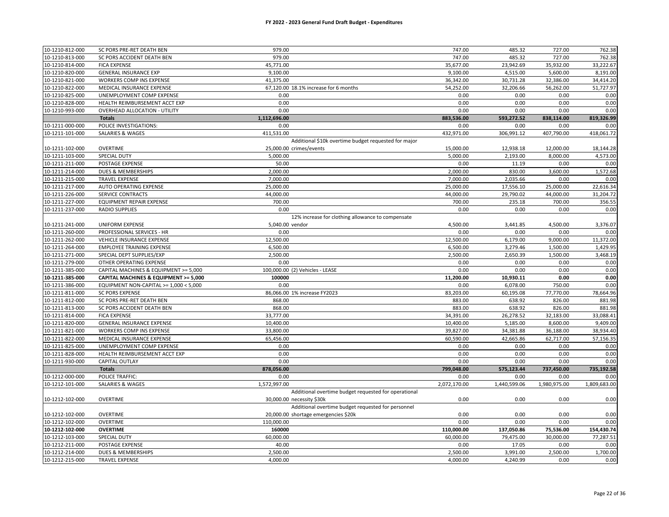#### **FY 2022 - 2023 General Fund Draft Budget - Expenditures**

| 10-1210-812-000 | SC PORS PRE-RET DEATH BEN              | 979.00                                               | 747.00       | 485.32       | 727.00       | 762.38       |
|-----------------|----------------------------------------|------------------------------------------------------|--------------|--------------|--------------|--------------|
| 10-1210-813-000 | SC PORS ACCIDENT DEATH BEN             | 979.00                                               | 747.00       | 485.32       | 727.00       | 762.38       |
| 10-1210-814-000 | <b>FICA EXPENSE</b>                    | 45,771.00                                            | 35,677.00    | 23,942.69    | 35,932.00    | 33,222.67    |
| 10-1210-820-000 | <b>GENERAL INSURANCE EXP</b>           | 9,100.00                                             | 9,100.00     | 4,515.00     | 5,600.00     | 8,191.00     |
| 10-1210-821-000 | WORKERS COMP INS EXPENSE               | 41,375.00                                            | 36,342.00    | 30,731.28    | 32,386.00    | 34,414.20    |
| 10-1210-822-000 | MEDICAL INSURANCE EXPENSE              | 67,120.00 18.1% increase for 6 months                | 54,252.00    | 32,206.66    | 56,262.00    | 51,727.97    |
| 10-1210-825-000 | UNEMPLOYMENT COMP EXPENSE              | 0.00                                                 | 0.00         | 0.00         | 0.00         | 0.00         |
| 10-1210-828-000 | HEALTH REIMBURSEMENT ACCT EXP          | 0.00                                                 | 0.00         | 0.00         | 0.00         | 0.00         |
| 10-1210-993-000 | <b>OVERHEAD ALLOCATION - UTILITY</b>   | 0.00                                                 | 0.00         | 0.00         | 0.00         | 0.00         |
|                 | <b>Totals</b>                          | 1,112,696.00                                         | 883,536.00   | 593,272.52   | 838,114.00   | 819,326.99   |
| 10-1211-000-000 | POLICE INVESTIGATIONS:                 | 0.00                                                 | 0.00         | 0.00         | 0.00         | 0.00         |
| 10-1211-101-000 | SALARIES & WAGES                       | 411,531.00                                           | 432,971.00   | 306,991.12   | 407,790.00   | 418,061.72   |
|                 |                                        | Additional \$10k overtime budget requested for major |              |              |              |              |
| 10-1211-102-000 | <b>OVERTIME</b>                        | 25.000.00 crimes/events                              | 15,000.00    | 12,938.18    | 12,000.00    | 18,144.28    |
| 10-1211-103-000 | SPECIAL DUTY                           | 5.000.00                                             | 5,000.00     | 2,193.00     | 8,000.00     | 4,573.00     |
| 10-1211-211-000 | POSTAGE EXPENSE                        | 50.00                                                | 0.00         | 11.19        | 0.00         | 0.00         |
| 10-1211-214-000 | DUES & MEMBERSHIPS                     | 2,000.00                                             | 2,000.00     | 830.00       | 3,600.00     | 1,572.68     |
| 10-1211-215-000 | <b>TRAVEL EXPENSE</b>                  | 7,000.00                                             | 7,000.00     | 2,035.66     | 0.00         | 0.00         |
| 10-1211-217-000 | AUTO OPERATING EXPENSE                 | 25,000.00                                            | 25,000.00    | 17,556.10    | 25,000.00    | 22,616.34    |
| 10-1211-226-000 | SERVICE CONTRACTS                      | 44,000.00                                            | 44,000.00    | 29,790.02    | 44,000.00    | 31,204.72    |
| 10-1211-227-000 | EQUIPMENT REPAIR EXPENSE               | 700.00                                               | 700.00       | 235.18       | 700.00       | 356.55       |
| 10-1211-237-000 | <b>RADIO SUPPLIES</b>                  | 0.00                                                 | 0.00         | 0.00         | 0.00         | 0.00         |
|                 |                                        | 12% increase for clothing allowance to compensate    |              |              |              |              |
| 10-1211-241-000 | UNIFORM EXPENSE                        | 5,040.00 vendor                                      | 4,500.00     | 3,441.85     | 4,500.00     | 3,376.07     |
| 10-1211-260-000 | PROFESSIONAL SERVICES - HR             | 0.00                                                 | 0.00         | 0.00         | 0.00         | 0.00         |
| 10-1211-262-000 | VEHICLE INSURANCE EXPENSE              | 12,500.00                                            | 12,500.00    | 6,179.00     | 9,000.00     | 11,372.00    |
| 10-1211-264-000 | <b>EMPLOYEE TRAINING EXPENSE</b>       | 6,500.00                                             | 6,500.00     | 3,279.46     | 1,500.00     | 1,429.95     |
| 10-1211-271-000 | SPECIAL DEPT SUPPLIES/EXP              | 2,500.00                                             | 2,500.00     | 2,650.39     | 1,500.00     | 3,468.19     |
| 10-1211-279-000 | OTHER OPERATING EXPENSE                | 0.00                                                 | 0.00         | 0.00         | 0.00         | 0.00         |
|                 |                                        | 100,000.00 (2) Vehicles - LEASE                      | 0.00         | 0.00         | 0.00         | 0.00         |
| 10-1211-385-000 | CAPITAL MACHINES & EQUIPMENT >= 5,000  | 100000                                               |              |              | 0.00         |              |
| 10-1211-385-000 | CAPITAL MACHINES & EQUIPMENT >= 5,000  |                                                      | 11,200.00    | 10,930.11    |              | 0.00<br>0.00 |
| 10-1211-386-000 | EQUIPMENT NON-CAPITAL >= 1,000 < 5,000 | 0.00                                                 | 0.00         | 6,078.00     | 750.00       |              |
| 10-1211-811-000 | <b>SC PORS EXPENSE</b>                 | 86,066.00 1% increase FY2023                         | 83,203.00    | 60,195.08    | 77,770.00    | 78,664.96    |
| 10-1211-812-000 | SC PORS PRE-RET DEATH BEN              | 868.00                                               | 883.00       | 638.92       | 826.00       | 881.98       |
| 10-1211-813-000 | SC PORS ACCIDENT DEATH BEN             | 868.00                                               | 883.00       | 638.92       | 826.00       | 881.98       |
| 10-1211-814-000 | <b>FICA EXPENSE</b>                    | 33,777.00                                            | 34,391.00    | 26,278.52    | 32,183.00    | 33,088.41    |
| 10-1211-820-000 | <b>GENERAL INSURANCE EXPENSE</b>       | 10,400.00                                            | 10,400.00    | 5,185.00     | 8,600.00     | 9,409.00     |
| 10-1211-821-000 | WORKERS COMP INS EXPENSE               | 33,800.00                                            | 39,827.00    | 34,381.88    | 36,188.00    | 38,934.40    |
| 10-1211-822-000 | MEDICAL INSURANCE EXPENSE              | 65,456.00                                            | 60,590.00    | 42,665.86    | 62,717.00    | 57,156.35    |
| 10-1211-825-000 | UNEMPLOYMENT COMP EXPENSE              | 0.00                                                 | 0.00         | 0.00         | 0.00         | 0.00         |
| 10-1211-828-000 | HEALTH REIMBURSEMENT ACCT EXP          | 0.00                                                 | 0.00         | 0.00         | 0.00         | 0.00         |
| 10-1211-930-000 | CAPITAL OUTLAY                         | 0.00                                                 | 0.00         | 0.00         | 0.00         | 0.00         |
|                 | <b>Totals</b>                          | 878,056.00                                           | 799,048.00   | 575,123.44   | 737,450.00   | 735,192.58   |
| 10-1212-000-000 | POLICE TRAFFIC:                        | 0.00                                                 | 0.00         | 0.00         | 0.00         | 0.00         |
| 10-1212-101-000 | <b>SALARIES &amp; WAGES</b>            | 1,572,997.00                                         | 2,072,170.00 | 1,440,599.06 | 1,980,975.00 | 1,809,683.00 |
|                 |                                        | Additional overtime budget requested for operational |              |              |              |              |
| 10-1212-102-000 | OVERTIME                               | 30,000.00 necessity \$30k                            | 0.00         | 0.00         | 0.00         | 0.00         |
|                 |                                        | Additional overtime budget requested for personnel   |              |              |              |              |
| 10-1212-102-000 | OVERTIME                               | 20,000.00 shortage emergencies \$20k                 | 0.00         | 0.00         | 0.00         | 0.00         |
| 10-1212-102-000 | <b>OVERTIME</b>                        | 110,000.00                                           | 0.00         | 0.00         | 0.00         | 0.00         |
| 10-1212-102-000 | <b>OVERTIME</b>                        | 160000                                               | 110,000.00   | 137,050.86   | 75,536.00    | 154,430.74   |
| 10-1212-103-000 | SPECIAL DUTY                           | 60,000.00                                            | 60,000.00    | 79,475.00    | 30,000.00    | 77,287.51    |
| 10-1212-211-000 | POSTAGE EXPENSE                        | 40.00                                                | 0.00         | 17.05        | 0.00         | 0.00         |
| 10-1212-214-000 | DUES & MEMBERSHIPS                     | 2,500.00                                             | 2,500.00     | 3,991.00     | 2,500.00     | 1,700.00     |
| 10-1212-215-000 | <b>TRAVEL EXPENSE</b>                  | 4,000.00                                             | 4,000.00     | 4,240.99     | 0.00         | 0.00         |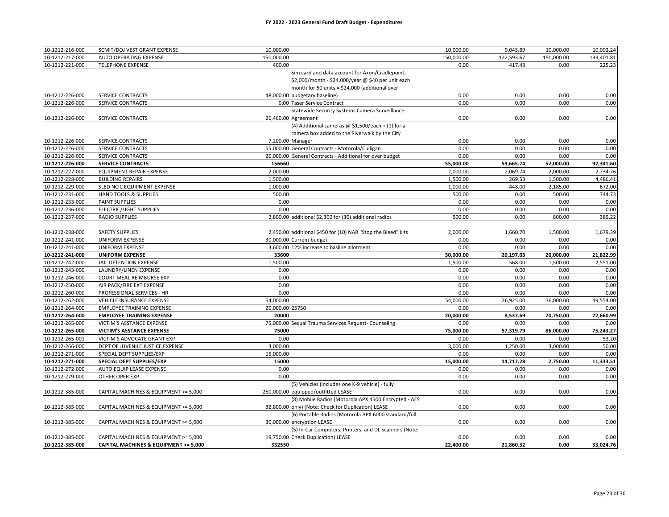| 10-1212-216-000 | SCMIT/DOJ VEST GRANT EXPENSE          | 10,000.00                                                    | 10,000.00  | 9,045.89   | 10,000.00  | 10,092.24  |
|-----------------|---------------------------------------|--------------------------------------------------------------|------------|------------|------------|------------|
| 10-1212-217-000 | AUTO OPERATING EXPENSE                | 150,000.00                                                   | 150,000.00 | 122,593.67 | 150,000.00 | 139,401.81 |
| 10-1212-221-000 | <b>TELEPHONE EXPENSE</b>              | 400.00                                                       | 0.00       | 417.43     | 0.00       | 225.23     |
|                 |                                       | Sim card and data account for Axon/Cradlepoint,              |            |            |            |            |
|                 |                                       | \$2,000/month - \$24,000/year @ \$40 per unit each           |            |            |            |            |
|                 |                                       | month for 50 units = \$24,000 (additional over               |            |            |            |            |
| 10-1212-226-000 | SERVICE CONTRACTS                     | 48,000.00 budgetary baseline)                                | 0.00       | 0.00       | 0.00       | 0.00       |
| 10-1212-226-000 | SERVICE CONTRACTS                     | 0.00 Taser Service Contract                                  | 0.00       | 0.00       | 0.00       | 0.00       |
|                 |                                       | Statewide Security Systems Camera Surveillance               |            |            |            |            |
| 10-1212-226-000 | SERVICE CONTRACTS                     | 26,460.00 Agreement                                          | 0.00       | 0.00       | 0.00       | 0.00       |
|                 |                                       | (4) Additional cameras $@$ \$1,500/each + (1) for a          |            |            |            |            |
|                 |                                       | camera box added to the Riverwalk by the City                |            |            |            |            |
| 10-1212-226-000 | SERVICE CONTRACTS                     | 7,200.00 Manager                                             | 0.00       | 0.00       | 0.00       | 0.00       |
| 10-1212-226-000 | SERVICE CONTRACTS                     | 55,000.00 General Contracts - Motorola/Culligan              | 0.00       | 0.00       | 0.00       | 0.00       |
| 10-1212-226-000 | SERVICE CONTRACTS                     | 20,000.00 General Contracts - Additional for over budget     | 0.00       | 0.00       | 0.00       | 0.00       |
| 10-1212-226-000 | <b>SERVICE CONTRACTS</b>              | 156660                                                       | 55,000.00  | 59,665.74  | 52,000.00  | 92,341.60  |
| 10-1212-227-000 | <b>EQUIPMENT REPAIR EXPENSE</b>       | 2.000.00                                                     | 2,000.00   | 2,069.74   | 2,000.00   | 2,734.76   |
| 10-1212-228-000 | <b>BUILDING REPAIRS</b>               | 1,500.00                                                     | 1,500.00   | 269.53     | 1,500.00   | 4,486.41   |
| 10-1212-229-000 | SLED NCIC EQUIPMENT EXPENSE           | 1,000.00                                                     | 1,000.00   | 448.00     | 2,185.00   | 672.00     |
| 10-1212-231-000 | HAND TOOLS & SUPPLIES                 | 500.00                                                       | 500.00     | 0.00       | 500.00     | 744.73     |
| 10-1212-233-000 | PAINT SUPPLIES                        | 0.00                                                         | 0.00       | 0.00       | 0.00       | 0.00       |
| 10-1212-236-000 | <b>ELECTRIC/LIGHT SUPPLIES</b>        | 0.00                                                         | 0.00       | 0.00       | 0.00       | 0.00       |
| 10-1212-237-000 | <b>RADIO SUPPLIES</b>                 | 2,800.00 additional \$2,300 for (30) additional radios       | 500.00     | 0.00       | 800.00     | 389.22     |
|                 |                                       |                                                              |            |            |            |            |
| 10-1212-238-000 | <b>SAFETY SUPPLIES</b>                | 2,450.00 additional \$450 for (10) NAR "Stop the Bleed" kits | 2,000.00   | 1,660.70   | 1,500.00   | 1,679.39   |
| 10-1212-241-000 | UNIFORM EXPENSE                       | 30,000.00 Current budget                                     | 0.00       | 0.00       | 0.00       | 0.00       |
| 10-1212-241-000 | <b>UNIFORM EXPENSE</b>                | 3,600.00 12% increase to basline allotment                   | 0.00       | 0.00       | 0.00       | 0.00       |
| 10-1212-241-000 | <b>UNIFORM EXPENSE</b>                | 33600                                                        | 30,000.00  | 20,197.03  | 20,000.00  | 21,822.99  |
| 10-1212-242-000 | JAIL DETENTION EXPENSE                | 1,500.00                                                     | 1,500.00   | 568.00     | 1,500.00   | 2,551.00   |
| 10-1212-243-000 | LAUNDRY/LINEN EXPENSE                 | 0.00                                                         | 0.00       | 0.00       | 0.00       | 0.00       |
| 10-1212-246-000 | COURT MEAL REIMBURSE EXP              | 0.00                                                         | 0.00       | 0.00       | 0.00       | 0.00       |
| 10-1212-250-000 | AIR PACK/FIRE EXT EXPENSE             | 0.00                                                         | 0.00       | 0.00       | 0.00       | 0.00       |
| 10-1212-260-000 | PROFESSIONAL SERVICES - HR            | 0.00                                                         | 0.00       | 0.00       | 0.00       | 0.00       |
| 10-1212-262-000 | VEHICLE INSURANCE EXPENSE             | 54,000.00                                                    | 54,000.00  | 26,925.00  | 36,000.00  | 49,554.00  |
| 10-1212-264-000 | <b>EMPLOYEE TRAINING EXPENSE</b>      | 20,000.00 25750                                              | 0.00       | 0.00       | 0.00       | 0.00       |
| 10-1212-264-000 | <b>EMPLOYEE TRAINING EXPENSE</b>      | 20000                                                        | 20,000.00  | 8,537.69   | 20,750.00  | 22,660.99  |
| 10-1212-265-000 | VICTIM'S ASSTANCE EXPENSE             | 75,000.00 Sexual Trauma Services Request- Counseling         | 0.00       | 0.00       | 0.00       | 0.00       |
| 10-1212-265-000 | VICTIM'S ASSTANCE EXPENSE             | 75000                                                        | 75,000.00  | 57,319.79  | 86,000.00  | 75,243.27  |
| 10-1212-265-001 | VICTIM'S ADVOCATE GRANT EXP           | 0.00                                                         | 0.00       | 0.00       | 0.00       | 53.20      |
| 10-1212-266-000 | DEPT OF JUVENILE JUSTICE EXPENSE      | 3,000.00                                                     | 3,000.00   | 1,250.00   | 3,000.00   | 50.00      |
| 10-1212-271-000 | SPECIAL DEPT SUPPLIES/EXP             | 15,000.00                                                    | 0.00       | 0.00       | 0.00       | 0.00       |
| 10-1212-271-000 | SPECIAL DEPT SUPPLIES/EXP             | 15000                                                        | 15,000.00  | 14,717.28  | 2,750.00   | 11,333.51  |
| 10-1212-272-000 | AUTO EQUIP LEASE EXPENSE              | 0.00                                                         | 0.00       | 0.00       | 0.00       | 0.00       |
| 10-1212-279-000 | OTHER OPER EXP                        | 0.00                                                         | 0.00       | 0.00       | 0.00       | 0.00       |
|                 |                                       | (5) Vehicles (includes one K-9 vehicle) - fully              |            |            |            |            |
| 10-1212-385-000 | CAPITAL MACHINES & EQUIPMENT >= 5,000 | 250,000.00 equipped/outfitted LEASE                          | 0.00       | 0.00       | 0.00       | 0.00       |
|                 |                                       | (8) Mobile Radios (Motorola APX 4500 Encrypted - AES         |            |            |            |            |
| 10-1212-385-000 | CAPITAL MACHINES & EQUIPMENT >= 5,000 | 32,800.00 only) (Note: Check for Duplication) LEASE          | 0.00       | 0.00       | 0.00       | 0.00       |
|                 |                                       | (6) Portable Radios (Motorola APX 6000 standard/full         |            |            |            |            |
| 10-1212-385-000 | CAPITAL MACHINES & EQUIPMENT >= 5,000 | 30,000.00 encryption LEASE                                   | 0.00       | 0.00       | 0.00       | 0.00       |
|                 |                                       | (5) In-Car Computers, Printers, and DL Scanners (Note:       |            |            |            |            |
| 10-1212-385-000 | CAPITAL MACHINES & EQUIPMENT >= 5,000 | 19,750.00 Check Duplication) LEASE                           | 0.00       | 0.00       | 0.00       | 0.00       |
| 10-1212-385-000 | CAPITAL MACHINES & EQUIPMENT >= 5,000 | 332550                                                       | 22,400.00  | 21,860.32  | 0.00       | 33,024.76  |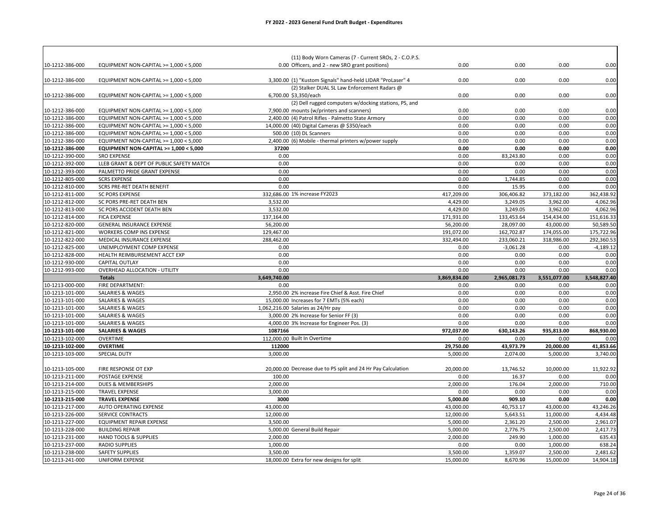|                                    |                                                       | (11) Body Worn Cameras (7 - Current SROs, 2 - C.O.P.S.       |                      |                  |                      |                      |
|------------------------------------|-------------------------------------------------------|--------------------------------------------------------------|----------------------|------------------|----------------------|----------------------|
| 10-1212-386-000                    | EQUIPMENT NON-CAPITAL $>= 1,000 < 5,000$              | 0.00 Officers, and 2 - new SRO grant positions)              | 0.00                 | 0.00             | 0.00                 | 0.00                 |
|                                    |                                                       |                                                              |                      |                  |                      |                      |
| 10-1212-386-000                    | EQUIPMENT NON-CAPITAL >= $1,000 < 5,000$              | 3,300.00 (1) "Kustom Signals" hand-held LIDAR "ProLaser" 4   | 0.00                 | 0.00             | 0.00                 | 0.00                 |
|                                    |                                                       | (2) Stalker DUAL SL Law Enforcement Radars @                 |                      |                  |                      |                      |
| 10-1212-386-000                    | EQUIPMENT NON-CAPITAL >= 1,000 < 5,000                | 6,700.00 \$3,350/each                                        | 0.00                 | 0.00             | 0.00                 | 0.00                 |
|                                    |                                                       | (2) Dell rugged computers w/docking stations, PS, and        |                      |                  |                      |                      |
| 10-1212-386-000                    | EQUIPMENT NON-CAPITAL >= 1,000 < 5,000                | 7,900.00 mounts (w/printers and scanners)                    | 0.00                 | 0.00             | 0.00                 | 0.00                 |
| 10-1212-386-000                    | EQUIPMENT NON-CAPITAL >= 1,000 < 5,000                | 2,400.00 (4) Patrol Rifles - Palmetto State Armory           | 0.00                 | 0.00             | 0.00                 | 0.00                 |
| 10-1212-386-000                    | EQUIPMENT NON-CAPITAL >= 1,000 < 5,000                | 14,000.00 (40) Digital Cameras @ \$350/each                  | 0.00                 | 0.00             | 0.00                 | 0.00                 |
| 10-1212-386-000                    | EQUIPMENT NON-CAPITAL >= 1,000 < 5,000                | 500.00 (10) DL Scanners                                      | 0.00                 | 0.00             | 0.00                 | 0.00                 |
| 10-1212-386-000                    | EQUIPMENT NON-CAPITAL >= 1,000 < 5,000                | 2,400.00 (6) Mobile - thermal printers w/power supply        | 0.00                 | 0.00             | 0.00                 | 0.00                 |
| 10-1212-386-000                    | EQUIPMENT NON-CAPITAL >= 1,000 < 5,000                | 37200                                                        | 0.00                 | 0.00             | 0.00                 | 0.00                 |
| 10-1212-390-000                    | <b>SRO EXPENSE</b>                                    | 0.00                                                         | 0.00                 | 83,243.80        | 0.00                 | 0.00                 |
| 10-1212-392-000                    | LLEB GRANT & DEPT OF PUBLIC SAFETY MATCH              | 0.00                                                         | 0.00                 | 0.00             | 0.00                 | 0.00                 |
| 10-1212-393-000                    | PALMETTO PRIDE GRANT EXPENSE                          | 0.00                                                         | 0.00                 | 0.00             | 0.00                 | 0.00                 |
| 10-1212-805-000                    | <b>SCRS EXPENSE</b>                                   | 0.00                                                         | 0.00                 | 1,744.85         | 0.00                 | 0.00                 |
| 10-1212-810-000                    | SCRS PRE-RET DEATH BENEFIT                            | 0.00                                                         | 0.00                 | 15.95            | 0.00                 | 0.00                 |
| 10-1212-811-000                    | <b>SC PORS EXPENSE</b>                                | 332,686.00 1% increase FY2023                                | 417,209.00           | 306,406.82       | 373,182.00           | 362,438.92           |
| 10-1212-812-000                    | SC PORS PRE-RET DEATH BEN                             | 3,532.00                                                     | 4,429.00             | 3,249.05         | 3,962.00             | 4,062.96             |
| 10-1212-813-000                    | SC PORS ACCIDENT DEATH BEN                            | 3,532.00                                                     | 4,429.00             | 3,249.05         | 3,962.00             | 4,062.96             |
| 10-1212-814-000                    | <b>FICA EXPENSE</b>                                   | 137,164.00                                                   | 171,931.00           | 133,453.64       | 154,434.00           | 151,616.33           |
| 10-1212-820-000                    | <b>GENERAL INSURANCE EXPENSE</b>                      | 56,200.00                                                    | 56,200.00            | 28,097.00        | 43,000.00            | 50,589.50            |
| 10-1212-821-000                    | WORKERS COMP INS EXPENSE                              | 129,467.00                                                   | 191,072.00           | 162,702.87       | 174,055.00           | 175,722.96           |
| 10-1212-822-000                    | MEDICAL INSURANCE EXPENSE                             | 288,462.00                                                   | 332,494.00           | 233,060.21       | 318,986.00           | 292,360.53           |
| 10-1212-825-000                    | UNEMPLOYMENT COMP EXPENSE                             | 0.00                                                         | 0.00                 | $-3,061.28$      | 0.00                 | $-4,189.12$          |
| 10-1212-828-000                    | HEALTH REIMBURSEMENT ACCT EXP                         | 0.00                                                         | 0.00                 | 0.00             | 0.00                 | 0.00                 |
| 10-1212-930-000                    | CAPITAL OUTLAY                                        | 0.00                                                         | 0.00                 | 0.00             | 0.00                 | 0.00                 |
| 10-1212-993-000                    | <b>OVERHEAD ALLOCATION - UTILITY</b><br><b>Totals</b> | 0.00<br>3,649,740.00                                         | 0.00<br>3,869,834.00 | 0.00             | 0.00<br>3,551,077.00 | 0.00<br>3,548,827.40 |
|                                    |                                                       |                                                              |                      |                  |                      |                      |
|                                    |                                                       |                                                              |                      | 2,965,081.73     |                      |                      |
| 10-1213-000-000                    | FIRE DEPARTMENT:                                      | 0.00                                                         | 0.00                 | 0.00             | 0.00                 | 0.00                 |
| 10-1213-101-000                    | SALARIES & WAGES                                      | 2,950.00 2% increase Fire Chief & Asst. Fire Chief           | 0.00                 | 0.00             | 0.00                 | 0.00                 |
| 10-1213-101-000                    | <b>SALARIES &amp; WAGES</b>                           | 15,000.00 Increases for 7 EMTs (5% each)                     | 0.00                 | 0.00             | 0.00                 | 0.00                 |
| 10-1213-101-000                    | SALARIES & WAGES                                      | 1,062,216.00 Salaries as 24/Hr pay                           | 0.00                 | 0.00             | 0.00                 | 0.00                 |
| 10-1213-101-000                    | <b>SALARIES &amp; WAGES</b>                           | 3,000.00 2% Increase for Senior FF (3)                       | 0.00                 | 0.00             | 0.00                 | 0.00                 |
| 10-1213-101-000                    | SALARIES & WAGES                                      | 4,000.00 3% Increase for Engineer Pos. (3)                   | 0.00                 | 0.00             | 0.00                 | 0.00                 |
| 10-1213-101-000                    | <b>SALARIES &amp; WAGES</b>                           | 1087166                                                      | 972,037.00           | 630,143.26       | 935,813.00           | 868,930.00           |
| 10-1213-102-000                    | <b>OVERTIME</b>                                       | 112,000.00 Built In Overtime                                 | 0.00                 | 0.00             | 0.00                 | 0.00                 |
| 10-1213-102-000                    | <b>OVERTIME</b>                                       | 112000                                                       | 29,750.00            | 43,973.79        | 20,000.00            | 41,853.66            |
| 10-1213-103-000                    | SPECIAL DUTY                                          | 3.000.00                                                     | 5,000.00             | 2,074.00         | 5,000.00             | 3,740.00             |
|                                    |                                                       |                                                              |                      |                  |                      |                      |
| 10-1213-105-000                    | FIRE RESPONSE OT EXP                                  | 20,000.00 Decrease due to PS split and 24 Hr Pay Calculation | 20,000.00            | 13,746.52        | 10,000.00            | 11,922.92            |
| 10-1213-211-000                    | POSTAGE EXPENSE                                       | 100.00                                                       | 0.00                 | 16.37            | 0.00                 | 0.00                 |
| 10-1213-214-000                    | <b>DUES &amp; MEMBERSHIPS</b>                         | 2,000.00                                                     | 2,000.00             | 176.04           | 2,000.00             | 710.00               |
| 10-1213-215-000                    | <b>TRAVEL EXPENSE</b>                                 | 3,000.00                                                     | 0.00                 | 0.00             | 0.00                 | 0.00                 |
| 10-1213-215-000                    | <b>TRAVEL EXPENSE</b>                                 | 3000                                                         | 5,000.00             | 909.10           | 0.00                 | 0.00                 |
| 10-1213-217-000                    | AUTO OPERATING EXPENSE                                | 43,000.00                                                    | 43,000.00            | 40,753.17        | 43,000.00            | 43,246.26            |
| 10-1213-226-000                    | SERVICE CONTRACTS                                     | 12,000.00                                                    | 12,000.00            | 5,643.51         | 11,000.00            | 4,434.48             |
| 10-1213-227-000                    | <b>EQUIPMENT REPAIR EXPENSE</b>                       | 3,500.00                                                     | 5,000.00             | 2,361.20         | 2,500.00             | 2,961.07             |
| 10-1213-228-000                    | <b>BUILDING REPAIR</b>                                | 5,000.00 General Build Repair                                | 5,000.00             | 2,776.75         | 2,500.00             | 2,417.73             |
| 10-1213-231-000                    | HAND TOOLS & SUPPLIES                                 | 2,000.00                                                     | 2,000.00             | 249.90           | 1,000.00             | 635.43               |
| 10-1213-237-000<br>10-1213-238-000 | <b>RADIO SUPPLIES</b><br><b>SAFETY SUPPLIES</b>       | 1,000.00<br>3,500.00                                         | 0.00<br>3,500.00     | 0.00<br>1,359.07 | 1,000.00<br>2,500.00 | 638.24<br>2,481.62   |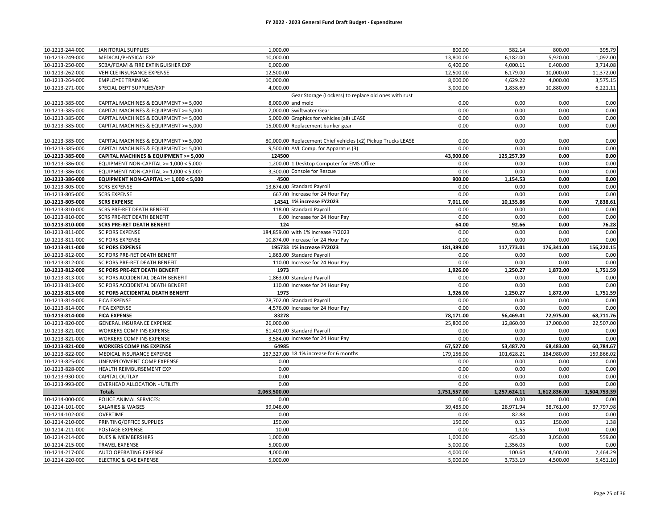| 10-1213-244-000 | JANITORIAL SUPPLIES                    | 1,000.00                                                      | 800.00       | 582.14       | 800.00       | 395.79       |
|-----------------|----------------------------------------|---------------------------------------------------------------|--------------|--------------|--------------|--------------|
| 10-1213-249-000 | MEDICAL/PHYSICAL EXP                   | 10,000.00                                                     | 13,800.00    | 6,182.00     | 5,920.00     | 1,092.00     |
| 10-1213-250-000 | SCBA/FOAM & FIRE EXTINGUISHER EXP      | 6,000.00                                                      | 6,400.00     | 4,000.11     | 6,400.00     | 3,714.08     |
| 10-1213-262-000 | VEHICLE INSURANCE EXPENSE              | 12,500.00                                                     | 12,500.00    | 6,179.00     | 10,000.00    | 11,372.00    |
| 10-1213-264-000 | <b>EMPLOYEE TRAINING</b>               | 10,000.00                                                     | 8,000.00     | 4,629.22     | 4,000.00     | 3,575.15     |
| 10-1213-271-000 | SPECIAL DEPT SUPPLIES/EXP              | 4.000.00                                                      | 3,000.00     | 1,838.69     | 10,880.00    | 6,221.11     |
|                 |                                        | Gear Storage (Lockers) to replace old ones with rust          |              |              |              |              |
| 10-1213-385-000 | CAPITAL MACHINES & EQUIPMENT >= 5,000  | 8,000.00 and mold                                             | 0.00         | 0.00         | 0.00         | 0.00         |
| 10-1213-385-000 | CAPITAL MACHINES & EQUIPMENT >= 5,000  | 7,000.00 Swiftwater Gear                                      | 0.00         | 0.00         | 0.00         | 0.00         |
| 10-1213-385-000 | CAPITAL MACHINES & EQUIPMENT >= 5,000  | 5,000.00 Graphics for vehicles (all) LEASE                    | 0.00         | 0.00         | 0.00         | 0.00         |
| 10-1213-385-000 | CAPITAL MACHINES & EQUIPMENT >= 5,000  | 15,000.00 Replacement bunker gear                             | 0.00         | 0.00         | 0.00         | 0.00         |
|                 |                                        |                                                               |              |              |              |              |
| 10-1213-385-000 | CAPITAL MACHINES & EQUIPMENT >= 5,000  | 80,000.00 Replacement Chief vehicles (x2) Pickup Trucks LEASE | 0.00         | 0.00         | 0.00         | 0.00         |
| 10-1213-385-000 | CAPITAL MACHINES & EQUIPMENT >= 5,000  | 9,500.00 AVL Comp. for Apparatus (3)                          | 0.00         | 0.00         | 0.00         | 0.00         |
| 10-1213-385-000 | CAPITAL MACHINES & EQUIPMENT >= 5,000  | 124500                                                        | 43,900.00    | 125,257.39   | 0.00         | 0.00         |
| 10-1213-386-000 | EQUIPMENT NON-CAPITAL >= 1,000 < 5,000 | 1,200.00 1 Desktop Computer for EMS Office                    | 0.00         | 0.00         | 0.00         | 0.00         |
| 10-1213-386-000 | EQUIPMENT NON-CAPITAL >= 1,000 < 5,000 | 3.300.00 Console for Rescue                                   | 0.00         | 0.00         | 0.00         | 0.00         |
| 10-1213-386-000 | EQUIPMENT NON-CAPITAL >= 1,000 < 5,000 | 4500                                                          | 900.00       | 1,154.53     | 0.00         | 0.00         |
| 10-1213-805-000 | <b>SCRS EXPENSE</b>                    | 13,674.00 Standard Payroll                                    | 0.00         | 0.00         | 0.00         | 0.00         |
| 10-1213-805-000 | <b>SCRS EXPENSE</b>                    | 667.00 Increase for 24 Hour Pay                               | 0.00         | 0.00         | 0.00         | 0.00         |
| 10-1213-805-000 | <b>SCRS EXPENSE</b>                    | 14341 1% increase FY2023                                      | 7,011.00     | 10,135.86    | 0.00         | 7,838.61     |
| 10-1213-810-000 | SCRS PRE-RET DEATH BENEFIT             | 118.00 Standard Payroll                                       | 0.00         | 0.00         | 0.00         | 0.00         |
| 10-1213-810-000 | <b>SCRS PRE-RET DEATH BENEFIT</b>      | 6.00 Increase for 24 Hour Pay                                 | 0.00         | 0.00         | 0.00         | 0.00         |
| 10-1213-810-000 | <b>SCRS PRE-RET DEATH BENEFIT</b>      | 124                                                           | 64.00        | 92.66        | 0.00         | 76.28        |
| 10-1213-811-000 | <b>SC PORS EXPENSE</b>                 | 184,859.00 with 1% increase FY2023                            | 0.00         | 0.00         | 0.00         | 0.00         |
| 10-1213-811-000 | <b>SC PORS EXPENSE</b>                 | 10,874.00 increase for 24 Hour Pay                            | 0.00         | 0.00         | 0.00         | 0.00         |
| 10-1213-811-000 | <b>SC PORS EXPENSE</b>                 | 195733 1% increase FY2023                                     | 181,389.00   | 117,773.01   | 176,341.00   | 156,220.15   |
| 10-1213-812-000 | SC PORS PRE-RET DEATH BENEFIT          | 1.863.00 Standard Payroll                                     | 0.00         | 0.00         | 0.00         | 0.00         |
| 10-1213-812-000 | SC PORS PRE-RET DEATH BENEFIT          | 110.00 Increase for 24 Hour Pay                               | 0.00         | 0.00         | 0.00         | 0.00         |
| 10-1213-812-000 | SC PORS PRE-RET DEATH BENEFIT          | 1973                                                          | 1,926.00     | 1,250.27     | 1,872.00     | 1,751.59     |
| 10-1213-813-000 | SC PORS ACCIDENTAL DEATH BENEFIT       | 1,863.00 Standard Payroll                                     | 0.00         | 0.00         | 0.00         | 0.00         |
| 10-1213-813-000 | SC PORS ACCIDENTAL DEATH BENEFIT       | 110.00 Increase for 24 Hour Pay                               | 0.00         | 0.00         | 0.00         | 0.00         |
| 10-1213-813-000 | SC PORS ACCIDENTAL DEATH BENEFIT       | 1973                                                          | 1,926.00     | 1,250.27     | 1,872.00     | 1,751.59     |
| 10-1213-814-000 | <b>FICA EXPENSE</b>                    | 78,702.00 Standard Payroll                                    | 0.00         | 0.00         | 0.00         | 0.00         |
| 10-1213-814-000 | <b>FICA EXPENSE</b>                    | 4,576.00 Increase for 24 Hour Pay                             | 0.00         | 0.00         | 0.00         | 0.00         |
| 10-1213-814-000 | <b>FICA EXPENSE</b>                    | 83278                                                         | 78,171.00    | 56,469.41    | 72,975.00    | 68,711.76    |
| 10-1213-820-000 | GENERAL INSURANCE EXPENSE              | 26,000.00                                                     | 25,800.00    | 12,860.00    | 17,000.00    | 22,507.00    |
| 10-1213-821-000 | WORKERS COMP INS EXPENSE               | 61,401.00 Standard Payroll                                    | 0.00         | 0.00         | 0.00         | 0.00         |
| 10-1213-821-000 | WORKERS COMP INS EXPENSE               | 3,584.00 Increase for 24 Hour Pay                             | 0.00         | 0.00         | 0.00         | 0.00         |
| 10-1213-821-000 | <b>WORKERS COMP INS EXPENSE</b>        | 64985                                                         | 67,527.00    | 53,487.70    | 68,483.00    | 60,784.67    |
| 10-1213-822-000 | MEDICAL INSURANCE EXPENSE              | 187,327.00 18.1% increase for 6 months                        | 179,156.00   | 101,628.21   | 184,980.00   | 159,866.02   |
| 10-1213-825-000 | UNEMPLOYMENT COMP EXPENSE              | 0.00                                                          | 0.00         | 0.00         | 0.00         | 0.00         |
| 10-1213-828-000 | HEALTH REIMBURSEMENT EXP               | 0.00                                                          | 0.00         | 0.00         | 0.00         | 0.00         |
| 10-1213-930-000 | <b>CAPITAL OUTLAY</b>                  | 0.00                                                          | 0.00         | 0.00         | 0.00         | 0.00         |
| 10-1213-993-000 | OVERHEAD ALLOCATION - UTILITY          | 0.00                                                          | 0.00         | 0.00         | 0.00         | 0.00         |
|                 | <b>Totals</b>                          | 2,063,500.00                                                  | 1,751,557.00 | 1,257,624.11 | 1,612,836.00 | 1,504,753.39 |
| 10-1214-000-000 | POLICE ANIMAL SERVICES:                | 0.00                                                          | 0.00         | 0.00         | 0.00         | 0.00         |
| 10-1214-101-000 | SALARIES & WAGES                       | 39,046.00                                                     | 39,485.00    | 28,971.94    | 38,761.00    | 37,797.98    |
| 10-1214-102-000 | OVERTIME                               | 0.00                                                          | 0.00         | 82.88        | 0.00         | 0.00         |
| 10-1214-210-000 | PRINTING/OFFICE SUPPLIES               | 150.00                                                        | 150.00       | 0.35         | 150.00       | 1.38         |
| 10-1214-211-000 | POSTAGE EXPENSE                        | 10.00                                                         | 0.00         | 1.55         | 0.00         | 0.00         |
| 10-1214-214-000 | DUES & MEMBERSHIPS                     | 1,000.00                                                      | 1,000.00     | 425.00       | 3,050.00     | 559.00       |
| 10-1214-215-000 | <b>TRAVEL EXPENSE</b>                  | 5,000.00                                                      | 5,000.00     | 2,356.05     | 0.00         | 0.00         |
| 10-1214-217-000 | AUTO OPERATING EXPENSE                 | 4,000.00                                                      | 4,000.00     | 100.64       | 4,500.00     | 2,464.29     |
| 10-1214-220-000 | <b>ELECTRIC &amp; GAS EXPENSE</b>      | 5,000.00                                                      | 5,000.00     | 3,733.19     | 4,500.00     | 5,451.10     |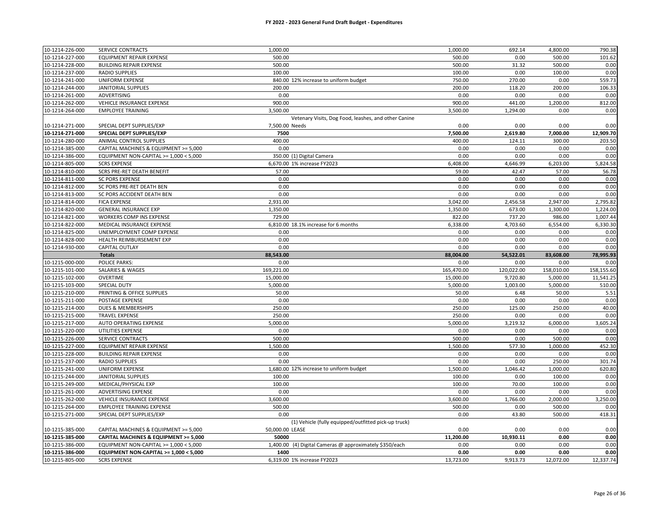| 10-1214-226-000                    | SERVICE CONTRACTS                                                              | 1,000.00                                                | 1,000.00          | 692.14           | 4,800.00          | 790.38            |
|------------------------------------|--------------------------------------------------------------------------------|---------------------------------------------------------|-------------------|------------------|-------------------|-------------------|
| 10-1214-227-000                    | EQUIPMENT REPAIR EXPENSE                                                       | 500.00                                                  | 500.00            | 0.00             | 500.00            | 101.62            |
| 10-1214-228-000                    | <b>BUILDING REPAIR EXPENSE</b>                                                 | 500.00                                                  | 500.00            | 31.32            | 500.00            | 0.00              |
| 10-1214-237-000                    | <b>RADIO SUPPLIES</b>                                                          | 100.00                                                  | 100.00            | 0.00             | 100.00            | 0.00              |
| 10-1214-241-000                    | <b>UNIFORM EXPENSE</b>                                                         | 840.00 12% increase to uniform budget                   | 750.00            | 270.00           | 0.00              | 559.73            |
| 10-1214-244-000                    | <b>JANITORIAL SUPPLIES</b>                                                     | 200.00                                                  | 200.00            | 118.20           | 200.00            | 106.33            |
| 10-1214-261-000                    | ADVERTISING                                                                    | 0.00                                                    | 0.00              | 0.00             | 0.00              | 0.00              |
| 10-1214-262-000                    | VEHICLE INSURANCE EXPENSE                                                      | 900.00                                                  | 900.00            | 441.00           | 1,200.00          | 812.00            |
| 10-1214-264-000                    | <b>EMPLOYEE TRAINING</b>                                                       | 3,500.00                                                | 3,500.00          | 1,294.00         | 0.00              | 0.00              |
|                                    |                                                                                | Vetenary Visits, Dog Food, leashes, and other Canine    |                   |                  |                   |                   |
| 10-1214-271-000                    | SPECIAL DEPT SUPPLIES/EXP                                                      | 7,500.00 Needs                                          | 0.00              | 0.00             | 0.00              | 0.00              |
| 10-1214-271-000                    | SPECIAL DEPT SUPPLIES/EXP                                                      | 7500                                                    | 7,500.00          | 2,619.80         | 7,000.00          | 12,909.70         |
| 10-1214-280-000                    | ANIMAL CONTROL SUPPLIES                                                        | 400.00                                                  | 400.00            | 124.11           | 300.00            | 203.50            |
| 10-1214-385-000                    | CAPITAL MACHINES & EQUIPMENT >= 5,000                                          | 0.00                                                    | 0.00              | 0.00             | 0.00              | 0.00              |
| 10-1214-386-000                    | EQUIPMENT NON-CAPITAL >= 1,000 < 5,000                                         | 350.00 (1) Digital Camera                               | 0.00              | 0.00             | 0.00              | 0.00              |
| 10-1214-805-000                    | <b>SCRS EXPENSE</b>                                                            | 6,670.00 1% increase FY2023                             | 6,408.00          | 4,646.99         | 6,203.00          | 5,824.58          |
| 10-1214-810-000                    | <b>SCRS PRE-RET DEATH BENEFIT</b>                                              | 57.00                                                   | 59.00             | 42.47            | 57.00             | 56.78             |
| 10-1214-811-000                    | <b>SC PORS EXPENSE</b>                                                         | 0.00                                                    | 0.00              | 0.00             | 0.00              | 0.00              |
| 10-1214-812-000                    | SC PORS PRE-RET DEATH BEN                                                      | 0.00                                                    | 0.00              | 0.00             | 0.00              | 0.00              |
| 10-1214-813-000                    | SC PORS ACCIDENT DEATH BEN                                                     | 0.00                                                    | 0.00              | 0.00             | 0.00              | 0.00              |
| 10-1214-814-000                    | <b>FICA EXPENSE</b>                                                            | 2,931.00                                                | 3,042.00          | 2,456.58         | 2,947.00          | 2,795.82          |
| 10-1214-820-000                    | <b>GENERAL INSURANCE EXP</b>                                                   | 1,350.00                                                | 1,350.00          | 673.00           | 1,300.00          | 1,224.00          |
| 10-1214-821-000                    | WORKERS COMP INS EXPENSE                                                       | 729.00                                                  | 822.00            | 737.20           | 986.00            | 1,007.44          |
| 10-1214-822-000                    | MEDICAL INSURANCE EXPENSE                                                      | 6,810.00 18.1% increase for 6 months                    | 6,338.00          | 4,703.60         | 6,554.00          | 6,330.30          |
| 10-1214-825-000                    | UNEMPLOYMENT COMP EXPENSE                                                      | 0.00                                                    | 0.00              | 0.00             | 0.00              | 0.00              |
| 10-1214-828-000                    | HEALTH REIMBURSEMENT EXP                                                       | 0.00                                                    | 0.00              | 0.00             | 0.00              | 0.00              |
| 10-1214-930-000                    | CAPITAL OUTLAY                                                                 | 0.00                                                    | 0.00              | 0.00             | 0.00              | 0.00              |
|                                    | <b>Totals</b>                                                                  | 88,543.00                                               | 88,004.00         | 54,522.01        | 83,608.00         | 78,995.93         |
| 10-1215-000-000                    | <b>POLICE PARKS:</b>                                                           | 0.00                                                    | 0.00              | 0.00             | 0.00              | 0.00              |
| 10-1215-101-000                    | SALARIES & WAGES                                                               | 169,221.00                                              | 165,470.00        | 120,022.00       | 158,010.00        | 158,155.60        |
| 10-1215-102-000                    | <b>OVERTIME</b>                                                                | 15,000.00                                               | 15,000.00         | 9,720.80         | 5,000.00          | 11,541.25         |
| 10-1215-103-000                    | SPECIAL DUTY                                                                   | 5,000.00                                                | 5,000.00          | 1,003.00         | 5,000.00          | 510.00            |
| 10-1215-210-000                    | PRINTING & OFFICE SUPPLIES                                                     | 50.00                                                   | 50.00             | 6.48             | 50.00             | 5.51              |
| 10-1215-211-000                    | POSTAGE EXPENSE                                                                | 0.00                                                    | 0.00              | 0.00             | 0.00              | 0.00              |
| 10-1215-214-000                    | <b>DUES &amp; MEMBERSHIPS</b>                                                  | 250.00                                                  | 250.00            | 125.00           | 250.00            | 40.00             |
| 10-1215-215-000                    | <b>TRAVEL EXPENSE</b>                                                          | 250.00                                                  | 250.00            | 0.00             | 0.00              | 0.00              |
| 10-1215-217-000                    | AUTO OPERATING EXPENSE                                                         | 5,000.00                                                | 5,000.00          | 3,219.32         | 6,000.00          | 3,605.24          |
| 10-1215-220-000                    | UTILITIES EXPENSE                                                              | 0.00                                                    | 0.00              | 0.00             | 0.00              | 0.00              |
| 10-1215-226-000                    | SERVICE CONTRACTS                                                              | 500.00                                                  | 500.00            | 0.00             | 500.00            | 0.00              |
| 10-1215-227-000                    | EQUIPMENT REPAIR EXPENSE                                                       | 1,500.00                                                | 1,500.00          | 577.30           | 1,000.00          | 452.30            |
| 10-1215-228-000                    | <b>BUILDING REPAIR EXPENSE</b>                                                 | 0.00                                                    | 0.00              | 0.00             | 0.00              | 0.00              |
| 10-1215-237-000                    | <b>RADIO SUPPLIES</b>                                                          | 0.00                                                    | 0.00              | 0.00             | 250.00            | 301.74            |
| 10-1215-241-000                    | UNIFORM EXPENSE                                                                | 1,680.00 12% increase to uniform budget                 | 1,500.00          | 1,046.42         | 1,000.00          | 620.80            |
| 10-1215-244-000                    | <b>JANITORIAL SUPPLIES</b>                                                     | 100.00                                                  | 100.00            | 0.00             | 100.00            | 0.00              |
| 10-1215-249-000                    | MEDICAL/PHYSICAL EXP                                                           | 100.00                                                  | 100.00            | 70.00            | 100.00            | 0.00              |
| 10-1215-261-000                    | ADVERTISING EXPENSE                                                            | 0.00                                                    | 0.00              | 0.00             | 0.00              | 0.00              |
| 10-1215-262-000                    | VEHICLE INSURANCE EXPENSE                                                      | 3,600.00                                                | 3,600.00          | 1,766.00         | 2,000.00          | 3,250.00          |
| 10-1215-264-000                    | <b>EMPLOYEE TRAINING EXPENSE</b>                                               | 500.00                                                  | 500.00            | 0.00             | 500.00            | 0.00              |
| 10-1215-271-000                    | SPECIAL DEPT SUPPLIES/EXP                                                      | 0.00                                                    | 0.00              | 43.80            | 500.00            | 418.31            |
|                                    |                                                                                | (1) Vehicle (fully equipped/outfitted pick-up truck)    |                   |                  |                   |                   |
|                                    |                                                                                | 50,000.00 LEASE                                         | 0.00              | 0.00             | 0.00              | 0.00              |
| 10-1215-385-000<br>10-1215-385-000 | CAPITAL MACHINES & EQUIPMENT >= 5,000<br>CAPITAL MACHINES & EQUIPMENT >= 5,000 | 50000                                                   | 11,200.00         | 10,930.11        | 0.00              | 0.00              |
| 10-1215-386-000                    |                                                                                |                                                         |                   |                  |                   |                   |
|                                    |                                                                                |                                                         |                   |                  |                   |                   |
|                                    | EQUIPMENT NON-CAPITAL >= 1,000 < 5,000                                         | 1,400.00 (4) Digital Cameras @ approximately \$350/each | 0.00              | 0.00             | 0.00              | 0.00              |
| 10-1215-386-000<br>10-1215-805-000 | EQUIPMENT NON-CAPITAL >= 1,000 < 5,000<br><b>SCRS EXPENSE</b>                  | 1400<br>6,319.00 1% increase FY2023                     | 0.00<br>13,723.00 | 0.00<br>9,913.73 | 0.00<br>12,072.00 | 0.00<br>12,337.74 |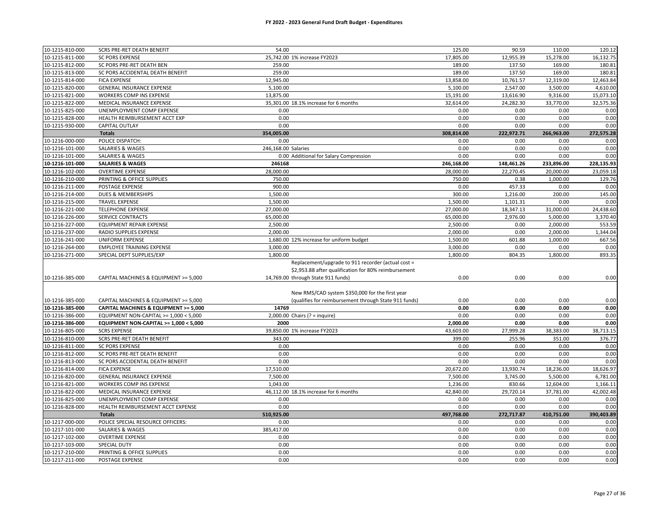| 10-1215-810-000 | <b>SCRS PRE-RET DEATH BENEFIT</b>                     | 54.00                                                 | 125.00     | 90.59      | 110.00     | 120.12     |
|-----------------|-------------------------------------------------------|-------------------------------------------------------|------------|------------|------------|------------|
| 10-1215-811-000 | <b>SC PORS EXPENSE</b>                                | 25,742.00 1% increase FY2023                          | 17,805.00  | 12,955.39  | 15,278.00  | 16,132.75  |
| 10-1215-812-000 | SC PORS PRE-RET DEATH BEN                             | 259.00                                                | 189.00     | 137.50     | 169.00     | 180.81     |
| 10-1215-813-000 | SC PORS ACCIDENTAL DEATH BENEFIT                      | 259.00                                                | 189.00     | 137.50     | 169.00     | 180.81     |
| 10-1215-814-000 | <b>FICA EXPENSE</b>                                   | 12,945.00                                             | 13,858.00  | 10,761.57  | 12,319.00  | 12,463.84  |
| 10-1215-820-000 | <b>GENERAL INSURANCE EXPENSE</b>                      | 5,100.00                                              | 5,100.00   | 2,547.00   | 3,500.00   | 4,610.00   |
| 10-1215-821-000 | WORKERS COMP INS EXPENSE                              | 13,875.00                                             | 15,191.00  | 13,616.90  | 9,316.00   | 15,073.10  |
| 10-1215-822-000 | MEDICAL INSURANCE EXPENSE                             | 35.301.00 18.1% increase for 6 months                 | 32,614.00  | 24,282.30  | 33,770.00  | 32,575.36  |
| 10-1215-825-000 | UNEMPLOYMENT COMP EXPENSE                             | 0.00                                                  | 0.00       | 0.00       | 0.00       | 0.00       |
| 10-1215-828-000 | HEALTH REIMBURSEMENT ACCT EXP                         | 0.00                                                  | 0.00       | 0.00       | 0.00       | 0.00       |
| 10-1215-930-000 | CAPITAL OUTLAY                                        | 0.00                                                  | 0.00       | 0.00       | 0.00       | 0.00       |
|                 | <b>Totals</b>                                         | 354,005.00                                            | 308,814.00 | 222,972.71 | 266,963.00 | 272,575.28 |
| 10-1216-000-000 | POLICE DISPATCH:                                      | 0.00                                                  | 0.00       | 0.00       | 0.00       | 0.00       |
| 10-1216-101-000 | SALARIES & WAGES                                      | 246,168.00 Salaries                                   | 0.00       | 0.00       | 0.00       | 0.00       |
| 10-1216-101-000 | SALARIES & WAGES                                      | 0.00 Additional for Salary Compression                | 0.00       | 0.00       | 0.00       | 0.00       |
| 10-1216-101-000 | <b>SALARIES &amp; WAGES</b>                           | 246168                                                | 246,168.00 | 148,461.26 | 233,896.00 | 228,135.93 |
| 10-1216-102-000 | <b>OVERTIME EXPENSE</b>                               | 28,000.00                                             | 28,000.00  | 22,270.45  | 20,000.00  | 23,059.18  |
| 10-1216-210-000 | PRINTING & OFFICE SUPPLIES                            | 750.00                                                | 750.00     | 0.38       | 1,000.00   | 129.76     |
| 10-1216-211-000 | POSTAGE EXPENSE                                       | 900.00                                                | 0.00       | 457.33     | 0.00       | 0.00       |
| 10-1216-214-000 | DUES & MEMBERSHIPS                                    | 1,500.00                                              | 300.00     | 1,216.00   | 200.00     | 145.00     |
| 10-1216-215-000 | <b>TRAVEL EXPENSE</b>                                 | 1,500.00                                              | 1,500.00   | 1,101.31   | 0.00       | 0.00       |
| 10-1216-221-000 | <b>TELEPHONE EXPENSE</b>                              | 27,000.00                                             | 27,000.00  | 18,347.13  | 31,000.00  | 24,438.60  |
| 10-1216-226-000 | SERVICE CONTRACTS                                     | 65,000.00                                             | 65,000.00  | 2,976.00   | 5,000.00   | 3,370.40   |
| 10-1216-227-000 | EQUIPMENT REPAIR EXPENSE                              | 2,500.00                                              | 2,500.00   | 0.00       | 2,000.00   | 553.59     |
| 10-1216-237-000 | RADIO SUPPLIES EXPENSE                                | 2,000.00                                              | 2,000.00   | 0.00       | 2,000.00   | 1,344.04   |
| 10-1216-241-000 | <b>UNIFORM EXPENSE</b>                                | 1,680.00 12% increase for uniform budget              | 1,500.00   | 601.88     | 1,000.00   | 667.56     |
| 10-1216-264-000 | <b>EMPLOYEE TRAINING EXPENSE</b>                      | 3,000.00                                              | 3,000.00   | 0.00       | 0.00       | 0.00       |
| 10-1216-271-000 | SPECIAL DEPT SUPPLIES/EXP                             | 1,800.00                                              | 1,800.00   | 804.35     | 1,800.00   | 893.35     |
|                 |                                                       | Replacement/upgrade to 911 recorder (actual cost =    |            |            |            |            |
|                 |                                                       | \$2,953.88 after qualification for 80% reimbursement  |            |            |            |            |
| 10-1216-385-000 | CAPITAL MACHINES & EQUIPMENT >= 5,000                 | 14,769.00 through State 911 funds)                    | 0.00       | 0.00       | 0.00       | 0.00       |
|                 |                                                       |                                                       |            |            |            |            |
|                 |                                                       | New RMS/CAD system \$350,000 for the first year       |            |            |            |            |
| 10-1216-385-000 | CAPITAL MACHINES & EQUIPMENT >= 5,000                 | (qualifies for reimbursement through State 911 funds) | 0.00       | 0.00       | 0.00       | 0.00       |
| 10-1216-385-000 | CAPITAL MACHINES & EQUIPMENT >= 5,000                 | 14769                                                 | 0.00       | 0.00       | 0.00       | 0.00       |
| 10-1216-386-000 | EQUIPMENT NON-CAPITAL >= 1,000 < 5,000                | $2,000.00$ Chairs (? = inquire)                       | 0.00       | 0.00       | 0.00       | 0.00       |
| 10-1216-386-000 | EQUIPMENT NON-CAPITAL >= 1,000 < 5,000                | 2000                                                  | 2,000.00   | 0.00       | 0.00       | 0.00       |
| 10-1216-805-000 | <b>SCRS EXPENSE</b>                                   | 39,850.00 1% increase FY2023                          | 43,603.00  | 27,999.28  | 38,383.00  | 38,713.15  |
| 10-1216-810-000 | SCRS PRE-RET DEATH BENEFIT                            | 343.00                                                | 399.00     | 255.96     | 351.00     | 376.77     |
| 10-1216-811-000 | <b>SC PORS EXPENSE</b>                                | 0.00                                                  | 0.00       | 0.00       | 0.00       | 0.00       |
| 10-1216-812-000 | SC PORS PRE-RET DEATH BENEFIT                         | 0.00                                                  | 0.00       | 0.00       | 0.00       | 0.00       |
| 10-1216-813-000 | SC PORS ACCIDENTAL DEATH BENEFIT                      | 0.00                                                  | 0.00       | 0.00       | 0.00       | 0.00       |
| 10-1216-814-000 | <b>FICA EXPENSE</b>                                   | 17,510.00                                             | 20,672.00  | 13,930.74  | 18,236.00  | 18,626.97  |
|                 |                                                       |                                                       |            |            |            |            |
| 10-1216-820-000 |                                                       | 7,500.00                                              | 7,500.00   | 3,745.00   | 5,500.00   | 6,781.00   |
| 10-1216-821-000 | GENERAL INSURANCE EXPENSE<br>WORKERS COMP INS EXPENSE | 1,043.00                                              | 1,236.00   | 830.66     | 12,604.00  | 1,166.11   |
| 10-1216-822-000 | MEDICAL INSURANCE EXPENSE                             | 46,112.00 18.1% increase for 6 months                 | 42,840.00  | 29,720.14  | 37,781.00  | 42,002.48  |
| 10-1216-825-000 | UNEMPLOYMENT COMP EXPENSE                             | 0.00                                                  | 0.00       | 0.00       | 0.00       | 0.00       |
| 10-1216-828-000 | HEALTH REIMBURSEMENT ACCT EXPENSE                     | 0.00                                                  | 0.00       | 0.00       | 0.00       | 0.00       |
|                 | <b>Totals</b>                                         | 510,925.00                                            | 497,768.00 | 272,717.87 | 410,751.00 | 390,403.89 |
| 10-1217-000-000 | POLICE SPECIAL RESOURCE OFFICERS:                     | 0.00                                                  | 0.00       | 0.00       | 0.00       | 0.00       |
| 10-1217-101-000 | <b>SALARIES &amp; WAGES</b>                           | 385,417.00                                            | 0.00       | 0.00       | 0.00       | 0.00       |
| 10-1217-102-000 | <b>OVERTIME EXPENSE</b>                               | 0.00                                                  | 0.00       | 0.00       | 0.00       | 0.00       |
| 10-1217-103-000 | SPECIAL DUTY                                          | 0.00                                                  | 0.00       | 0.00       | 0.00       | 0.00       |
| 10-1217-210-000 | PRINTING & OFFICE SUPPLIES                            | 0.00                                                  | 0.00       | 0.00       | 0.00       | 0.00       |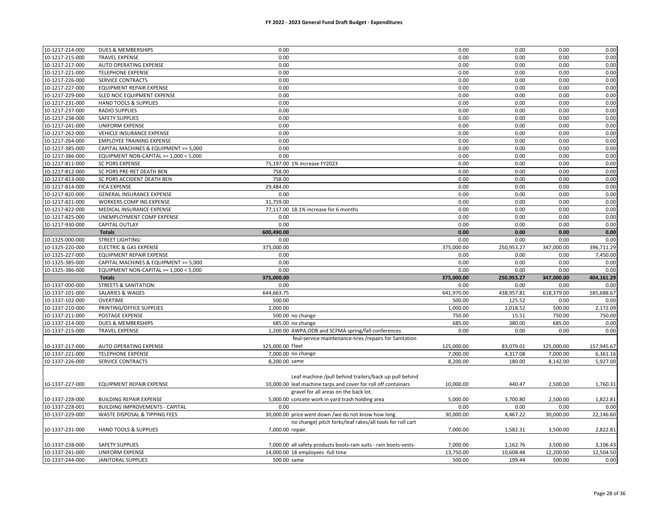| 10-1217-214-000 | DUES & MEMBERSHIPS                     | 0.00                                                              | 0.00       | 0.00       | 0.00       | 0.00       |
|-----------------|----------------------------------------|-------------------------------------------------------------------|------------|------------|------------|------------|
| 10-1217-215-000 | <b>TRAVEL EXPENSE</b>                  | 0.00                                                              | 0.00       | 0.00       | 0.00       | 0.00       |
| 10-1217-217-000 | AUTO OPERATING EXPENSE                 | 0.00                                                              | 0.00       | 0.00       | 0.00       | 0.00       |
| 10-1217-221-000 | <b>TELEPHONE EXPENSE</b>               | 0.00                                                              | 0.00       | 0.00       | 0.00       | 0.00       |
| 10-1217-226-000 | SERVICE CONTRACTS                      | 0.00                                                              | 0.00       | 0.00       | 0.00       | 0.00       |
| 10-1217-227-000 | <b>EQUIPMENT REPAIR EXPENSE</b>        | 0.00                                                              | 0.00       | 0.00       | 0.00       | 0.00       |
| 10-1217-229-000 | SLED NCIC EQUIPMENT EXPENSE            | 0.00                                                              | 0.00       | 0.00       | 0.00       | 0.00       |
| 10-1217-231-000 | HAND TOOLS & SUPPLIES                  | 0.00                                                              | 0.00       | 0.00       | 0.00       | 0.00       |
| 10-1217-237-000 | <b>RADIO SUPPLIES</b>                  | 0.00                                                              | 0.00       | 0.00       | 0.00       | 0.00       |
| 10-1217-238-000 | <b>SAFETY SUPPLIES</b>                 | 0.00                                                              | 0.00       | 0.00       | 0.00       | 0.00       |
| 10-1217-241-000 | <b>UNIFORM EXPENSE</b>                 | 0.00                                                              | 0.00       | 0.00       | 0.00       | 0.00       |
| 10-1217-262-000 | VEHICLE INSURANCE EXPENSE              | 0.00                                                              | 0.00       | 0.00       | 0.00       | 0.00       |
| 10-1217-264-000 | <b>EMPLOYEE TRAINING EXPENSE</b>       | 0.00                                                              | 0.00       | 0.00       | 0.00       | 0.00       |
| 10-1217-385-000 | CAPITAL MACHINES & EQUIPMENT >= 5,000  | 0.00                                                              | 0.00       | 0.00       | 0.00       | 0.00       |
| 10-1217-386-000 | EQUIPMENT NON-CAPITAL >= 1,000 < 5,000 | 0.00                                                              | 0.00       | 0.00       | 0.00       | 0.00       |
| 10-1217-811-000 | <b>SC PORS EXPENSE</b>                 | 75,197.00 1% increase FY2023                                      | 0.00       | 0.00       | 0.00       | 0.00       |
| 10-1217-812-000 | SC PORS PRE-RET DEATH BEN              | 758.00                                                            | 0.00       | 0.00       | 0.00       | 0.00       |
| 10-1217-813-000 | SC PORS ACCIDENT DEATH BEN             | 758.00                                                            | 0.00       | 0.00       | 0.00       | 0.00       |
| 10-1217-814-000 | <b>FICA EXPENSE</b>                    | 29,484.00                                                         | 0.00       | 0.00       | 0.00       | 0.00       |
| 10-1217-820-000 | <b>GENERAL INSURANCE EXPENSE</b>       | 0.00                                                              | 0.00       | 0.00       | 0.00       | 0.00       |
| 10-1217-821-000 | WORKERS COMP INS EXPENSE               | 31,759.00                                                         | 0.00       | 0.00       | 0.00       | 0.00       |
| 10-1217-822-000 | MEDICAL INSURANCE EXPENSE              | 77,117.00 18.1% increase for 6 months                             | 0.00       | 0.00       | 0.00       | 0.00       |
| 10-1217-825-000 | UNEMPLOYMENT COMP EXPENSE              | 0.00                                                              | 0.00       | 0.00       | 0.00       | 0.00       |
| 10-1217-930-000 | <b>CAPITAL OUTLAY</b>                  | 0.00                                                              | 0.00       | 0.00       | 0.00       | 0.00       |
|                 | <b>Totals</b>                          | 600,490.00                                                        | 0.00       | 0.00       | 0.00       | 0.00       |
| 10-1325-000-000 | <b>STREET LIGHTING:</b>                | 0.00                                                              | 0.00       | 0.00       | 0.00       | 0.00       |
| 10-1325-220-000 | <b>ELECTRIC &amp; GAS EXPENSE</b>      | 375,000.00                                                        | 375,000.00 | 250,953.27 | 347,000.00 | 396,711.29 |
| 10-1325-227-000 | EQUIPMENT REPAIR EXPENSE               | 0.00                                                              | 0.00       | 0.00       | 0.00       | 7,450.00   |
| 10-1325-385-000 | CAPITAL MACHINES & EQUIPMENT >= 5,000  | 0.00                                                              | 0.00       | 0.00       | 0.00       | 0.00       |
| 10-1325-386-000 | EQUIPMENT NON-CAPITAL >= 1,000 < 5,000 | 0.00                                                              | 0.00       | 0.00       | 0.00       | 0.00       |
|                 | <b>Totals</b>                          | 375,000.00                                                        | 375,000.00 | 250,953.27 | 347,000.00 | 404,161.29 |
| 10-1337-000-000 | <b>STREETS &amp; SANITATION:</b>       | 0.00                                                              | 0.00       | 0.00       | 0.00       | 0.00       |
| 10-1337-101-000 | <b>SALARIES &amp; WAGES</b>            | 644,663.75                                                        | 641,970.00 | 438,957.81 | 618,379.00 | 585,688.67 |
| 10-1337-102-000 | <b>OVERTIME</b>                        | 500.00                                                            | 500.00     | 125.52     | 0.00       | 0.00       |
| 10-1337-210-000 | PRINTING/OFFICE SUPPLIES               | 2,000.00                                                          | 1,000.00   | 2,018.52   | 500.00     | 2,172.09   |
| 10-1337-211-000 | POSTAGE EXPENSE                        | 500.00 no change                                                  | 750.00     | 15.51      | 750.00     | 750.00     |
| 10-1337-214-000 | DUES & MEMBERSHIPS                     | 685.00 no change                                                  | 685.00     | 380.00     | 685.00     | 0.00       |
| 10-1337-215-000 | <b>TRAVEL EXPENSE</b>                  | 1,200.00 AWPA, ODB and SCFMA spring/fall conferences              | 0.00       | 0.00       | 0.00       | 0.00       |
|                 |                                        | feul-service maintenance-tires /repairs for Sanitation            |            |            |            |            |
| 10-1337-217-000 | AUTO OPERATING EXPENSE                 | 125,000.00 Fleet                                                  | 125,000.00 | 83,079.01  | 125,000.00 | 157,945.67 |
| 10-1337-221-000 | <b>TELEPHONE EXPENSE</b>               | 7,000.00 no change                                                | 7,000.00   | 4,317.08   | 7,000.00   | 6,361.16   |
| 10-1337-226-000 | <b>SERVICE CONTRACTS</b>               | 8,200.00 same                                                     | 8,200.00   | 180.00     | 8,142.00   | 5,927.00   |
|                 |                                        |                                                                   |            |            |            |            |
|                 |                                        | Leaf machine /pull behind trailers/back up pull behind            |            |            |            |            |
| 10-1337-227-000 | EQUIPMENT REPAIR EXPENSE               | 10,000.00 leaf machine tarps and cover for roll off containars    | 10,000.00  | 440.47     | 2,500.00   | 1,760.31   |
|                 |                                        | gravel for all areas on the back lot.                             |            |            |            |            |
| 10-1337-228-000 | BUILDING REPAIR EXPENSE                | 5,000.00 concete work in yard trash holding area                  | 5,000.00   | 3,700.80   | 2,500.00   | 1,822.81   |
| 10-1337-228-001 | <b>BUILDING IMPROVEMENTS - CAPITAL</b> | 0.00                                                              | 0.00       | 0.00       | 0.00       | 0.00       |
| 10-1337-229-000 | WASTE DISPOSAL & TIPPING FEES          | 30,000,00 price went down /we do not know how long                | 30,000.00  | 4,467.22   | 30,000.00  | 22,146.60  |
|                 |                                        | no change( pitch forks/leaf rakes/all tools for roll cart         |            |            |            |            |
| 10-1337-231-000 | HAND TOOLS & SUPPLIES                  | 7,000.00 repair.                                                  | 7,000.00   | 1,582.31   | 3,500.00   | 2,822.81   |
|                 |                                        |                                                                   |            |            |            |            |
| 10-1337-238-000 | <b>SAFETY SUPPLIES</b>                 | 7,000.00 all safety products boots-rain suits - rain boots-vests- | 7,000.00   | 1,162.76   | 3,500.00   | 3,106.43   |
| 10-1337-241-000 | UNIFORM EXPENSE                        | 14,000.00 18 employees -full time                                 | 13,750.00  | 10,608.48  | 12,200.00  | 12,504.50  |
| 10-1337-244-000 | <b>JANITORAL SUPPLIES</b>              | 500.00 same                                                       | 500.00     | 199.44     | 500.00     | 0.00       |
|                 |                                        |                                                                   |            |            |            |            |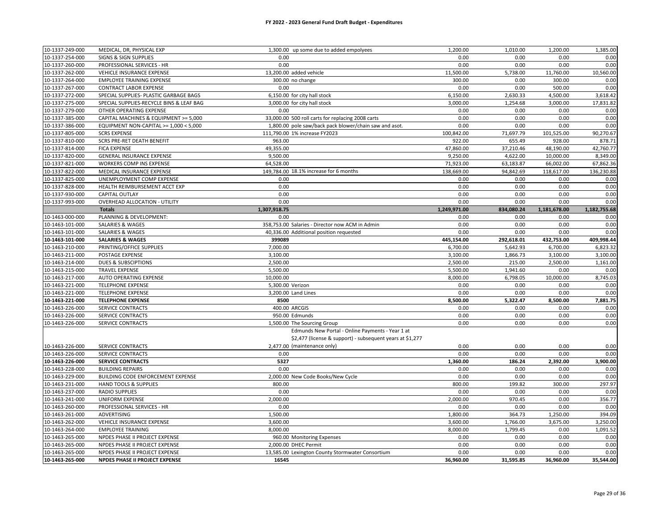| 10-1337-249-000 | MEDICAL, DR, PHYSICAL EXP                | 1,300.00 up some due to added empolyees                   | 1,200.00         | 1,010.00     | 1,200.00         | 1,385.00         |
|-----------------|------------------------------------------|-----------------------------------------------------------|------------------|--------------|------------------|------------------|
| 10-1337-254-000 | <b>SIGNS &amp; SIGN SUPPLIES</b>         | 0.00                                                      | 0.00             | 0.00         | 0.00             | 0.00             |
| 10-1337-260-000 | PROFESSIONAL SERVICES - HR               | 0.00                                                      | 0.00             | 0.00         | 0.00             | 0.00             |
| 10-1337-262-000 | VEHICLE INSURANCE EXPENSE                | 13,200.00 added vehicle                                   | 11,500.00        | 5,738.00     | 11,760.00        | 10,560.00        |
| 10-1337-264-000 | <b>EMPLOYEE TRAINING EXPENSE</b>         | 300.00 no change                                          | 300.00           | 0.00         | 300.00           | 0.00             |
| 10-1337-267-000 | <b>CONTRACT LABOR EXPENSE</b>            | 0.00                                                      | 0.00             | 0.00         | 500.00           | 0.00             |
| 10-1337-272-000 | SPECIAL SUPPLIES- PLASTIC GARBAGE BAGS   | 6,150.00 for city hall stock                              | 6,150.00         | 2,630.33     | 4,500.00         | 3,618.42         |
| 10-1337-275-000 | SPECIAL SUPPLIES-RECYCLE BINS & LEAF BAG | 3,000.00 for city hall stock                              | 3,000.00         | 1,254.68     | 3,000.00         | 17,831.82        |
| 10-1337-279-000 | OTHER OPERATING EXPENSE                  | 0.00                                                      | 0.00             | 0.00         | 0.00             | 0.00             |
| 10-1337-385-000 | CAPITAL MACHINES & EQUIPMENT >= 5,000    | 33,000.00 500 roll carts for replacing 2008 carts         | 0.00             | 0.00         | 0.00             | 0.00             |
| 10-1337-386-000 | EQUIPMENT NON-CAPITAL >= 1,000 < 5,000   | 1,800.00 pole saw/back pack blower/chain saw and asot.    | 0.00             | 0.00         | 0.00             | 0.00             |
| 10-1337-805-000 | <b>SCRS EXPENSE</b>                      | 111,790.00 1% increase FY2023                             | 100,842.00       | 71,697.79    | 101,525.00       | 90,270.67        |
| 10-1337-810-000 | SCRS PRE-RET DEATH BENEFIT               | 963.00                                                    | 922.00           | 655.49       | 928.00           | 878.71           |
| 10-1337-814-000 | <b>FICA EXPENSE</b>                      | 49,355.00                                                 | 47,860.00        | 37,210.46    | 48,190.00        | 42,760.77        |
| 10-1337-820-000 | <b>GENERAL INSURANCE EXPENSE</b>         | 9,500.00                                                  | 9,250.00         | 4,622.00     | 10,000.00        | 8,349.00         |
| 10-1337-821-000 | WORKERS COMP INS EXPENSE                 | 64,528.00                                                 | 71,923.00        | 63,183.87    | 66,002.00        | 67,862.36        |
| 10-1337-822-000 | MEDICAL INSURANCE EXPENSE                | 149,784.00 18.1% increase for 6 months                    | 138,669.00       | 94,842.69    | 118,617.00       | 136,230.88       |
| 10-1337-825-000 | UNEMPLOYMENT COMP EXPENSE                | 0.00                                                      | 0.00             | 0.00         | 0.00             | 0.00             |
| 10-1337-828-000 | HEALTH REIMBURSEMENT ACCT EXP            | 0.00                                                      | 0.00             | 0.00         | 0.00             | 0.00             |
| 10-1337-930-000 | CAPITAL OUTLAY                           | 0.00                                                      | 0.00             | 0.00         | 0.00             | 0.00             |
| 10-1337-993-000 | <b>OVERHEAD ALLOCATION - UTILITY</b>     | 0.00                                                      | 0.00             | 0.00         | 0.00             | 0.00             |
|                 | <b>Totals</b>                            | 1,307,918.75                                              | 1,249,971.00     | 834,080.24   | 1,181,678.00     | 1,182,755.68     |
| 10-1463-000-000 | PLANNING & DEVELOPMENT:                  | 0.00                                                      | 0.00             | 0.00         | 0.00             | 0.00             |
| 10-1463-101-000 | SALARIES & WAGES                         | 358,753.00 Salaries - Director now ACM in Admin           | 0.00             | 0.00         | 0.00             | 0.00             |
| 10-1463-101-000 | <b>SALARIES &amp; WAGES</b>              | 40,336.00 Additional position requested                   | 0.00             | 0.00         | 0.00             | 0.00             |
| 10-1463-101-000 | <b>SALARIES &amp; WAGES</b>              | 399089                                                    | 445,154.00       | 292,618.01   | 432,753.00       | 409,998.44       |
| 10-1463-210-000 | PRINTING/OFFICE SUPPLIES                 | 7,000.00                                                  | 6,700.00         | 5,642.93     | 6,700.00         | 6,823.32         |
| 10-1463-211-000 | POSTAGE EXPENSE                          | 3,100.00                                                  | 3,100.00         | 1,866.73     | 3,100.00         | 3,100.00         |
| 10-1463-214-000 | <b>DUES &amp; SUBSCIPTIONS</b>           | 2,500.00                                                  | 2,500.00         | 215.00       | 2,500.00         | 1,161.00         |
| 10-1463-215-000 | <b>TRAVEL EXPENSE</b>                    | 5,500.00                                                  | 5,500.00         | 1,941.60     | 0.00             | 0.00             |
| 10-1463-217-000 | AUTO OPERATING EXPENSE                   | 10,000.00                                                 | 8,000.00         | 6,798.05     | 10,000.00        | 8,745.03         |
| 10-1463-221-000 | <b>TELEPHONE EXPENSE</b>                 | 5,300.00 Verizon                                          | 0.00             | 0.00         | 0.00             | 0.00             |
| 10-1463-221-000 | <b>TELEPHONE EXPENSE</b>                 | 3,200.00 Land Lines                                       | 0.00             | 0.00         | 0.00             | 0.00             |
| 10-1463-221-000 | <b>TELEPHONE EXPENSE</b>                 | 8500                                                      | 8,500.00         | 5,322.47     | 8,500.00         | 7,881.75         |
| 10-1463-226-000 | <b>SERVICE CONTRACTS</b>                 | 400.00 ARCGIS                                             | 0.00             | 0.00         | 0.00             | 0.00             |
| 10-1463-226-000 | SERVICE CONTRACTS                        | 950.00 Edmunds                                            | 0.00             | 0.00         | 0.00             |                  |
| 10-1463-226-000 | SERVICE CONTRACTS                        | 1,500.00 The Sourcing Group                               | 0.00             | 0.00         | 0.00             | 0.00<br>0.00     |
|                 |                                          | Edmunds New Portal - Online Payments - Year 1 at          |                  |              |                  |                  |
|                 |                                          | \$2,477 (license & support) - subsequent years at \$1,277 |                  |              |                  |                  |
|                 |                                          |                                                           |                  |              |                  |                  |
| 10-1463-226-000 | SERVICE CONTRACTS                        | 2,477.00 (maintenance only)                               | 0.00             | 0.00<br>0.00 | 0.00             | 0.00             |
| 10-1463-226-000 | <b>SERVICE CONTRACTS</b>                 | 0.00<br>5327                                              | 0.00<br>1,360.00 | 186.24       | 0.00<br>2,392.00 | 0.00<br>3,900.00 |
| 10-1463-226-000 | <b>SERVICE CONTRACTS</b>                 |                                                           |                  |              |                  |                  |
| 10-1463-228-000 | <b>BUILDING REPAIRS</b>                  | 0.00                                                      | 0.00             | 0.00         | 0.00             | 0.00             |
| 10-1463-229-000 | BUILDING CODE ENFORCEMENT EXPENSE        | 2,000.00 New Code Books/New Cycle                         | 0.00             | 0.00         | 0.00             | 0.00             |
| 10-1463-231-000 | HAND TOOLS & SUPPLIES                    | 800.00                                                    | 800.00           | 199.82       | 300.00           | 297.97           |
| 10-1463-237-000 | <b>RADIO SUPPLIES</b>                    | 0.00                                                      | 0.00             | 0.00         | 0.00             | 0.00             |
| 10-1463-241-000 | <b>UNIFORM EXPENSE</b>                   | 2,000.00                                                  | 2,000.00         | 970.45       | 0.00             | 356.77           |
| 10-1463-260-000 | PROFESSIONAL SERVICES - HR               | 0.00                                                      | 0.00             | 0.00         | 0.00             | 0.00             |
| 10-1463-261-000 | ADVERTISING                              | 1,500.00                                                  | 1,800.00         | 364.73       | 1,250.00         | 394.09           |
| 10-1463-262-000 | VEHICLE INSURANCE EXPENSE                | 3,600.00                                                  | 3,600.00         | 1,766.00     | 3,675.00         | 3,250.00         |
| 10-1463-264-000 | <b>EMPLOYEE TRAINING</b>                 | 8,000.00                                                  | 8,000.00         | 1,799.45     | 0.00             | 1,091.52         |
| 10-1463-265-000 | NPDES PHASE II PROJECT EXPENSE           | 960.00 Monitoring Expenses                                | 0.00             | 0.00         | 0.00             | 0.00             |
| 10-1463-265-000 | NPDES PHASE II PROJECT EXPENSE           | 2,000.00 DHEC Permit                                      | 0.00             | 0.00         | 0.00             | 0.00             |
| 10-1463-265-000 | NPDES PHASE II PROJECT EXPENSE           | 13,585.00 Lexington County Stormwater Consortium          | 0.00             | 0.00         | 0.00             | 0.00             |
| 10-1463-265-000 | NPDES PHASE II PROJECT EXPENSE           | 16545                                                     | 36,960.00        | 31,595.85    | 36,960.00        | 35,544.00        |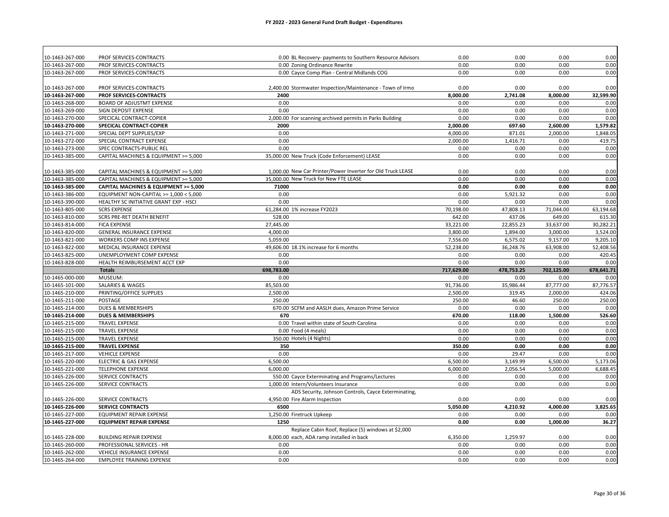| PROF SERVICES-CONTRACTS<br>0.00 BL Recovery- payments to Southern Resource Advisors<br>0.00<br>0.00<br>0.00<br>10-1463-267-000<br>PROF SERVICES-CONTRACTS<br>0.00 Zoning Ordinance Rewrite<br>0.00<br>0.00<br>0.00<br>0.00<br>0.00 Cayce Comp Plan - Central Midlands COG<br>0.00<br>0.00<br>0.00<br>0.00<br>10-1463-267-000<br>PROF SERVICES-CONTRACTS<br>2,400.00 Stormwater Inspection/Maintenance - Town of Irmo<br>0.00<br>PROF SERVICES-CONTRACTS<br>0.00<br>0.00<br>PROF SERVICES-CONTRACTS<br>2400<br>8,000.00<br>2,741.08<br>8,000.00<br>0.00<br>10-1463-268-000<br>BOARD OF ADJUSTMT EXPENSE<br>0.00<br>0.00<br>0.00<br>0.00<br>0.00<br>0.00<br>0.00<br>10-1463-269-000<br>SIGN DEPOSIT EXPENSE<br>SPECICAL CONTRACT-COPIER<br>2,000.00 For scanning archived permits in Parks Building<br>0.00<br>0.00<br>0.00<br>697.60<br>2,600.00<br>SPECICAL CONTRACT-COPIER<br>2000<br>2,000.00<br>10-1463-271-000<br>0.00<br>4,000.00<br>871.01<br>2,000.00<br>SPECIAL DEPT SUPPLIES/EXP<br>10-1463-272-000<br>0.00<br>2,000.00<br>1,416.71<br>0.00<br>SPECIAL CONTRACT EXPENSE<br>SPEC CONTRACTS-PUBLIC REL<br>0.00<br>0.00<br>0.00<br>0.00<br>35,000.00 New Truck (Code Enforcement) LEASE<br>0.00<br>CAPITAL MACHINES & EQUIPMENT >= 5,000<br>0.00<br>0.00<br>1,000.00 New Car Printer/Power Inverter for Old Truck LEASE<br>0.00<br>0.00<br>10-1463-385-000<br>0.00<br>0.00<br>CAPITAL MACHINES & EQUIPMENT >= 5,000<br>35,000.00 New Truck for New FTE LEASE<br>0.00<br>0.00<br>0.00<br>0.00<br>10-1463-385-000<br>CAPITAL MACHINES & EQUIPMENT >= 5,000<br>10-1463-385-000<br>CAPITAL MACHINES & EQUIPMENT >= 5,000<br>71000<br>0.00<br>0.00<br>0.00<br>0.00<br>0.00<br>10-1463-386-000<br>0.00<br>0.00<br>5,921.32<br>0.00<br>EQUIPMENT NON-CAPITAL >= 1,000 < 5,000<br>0.00<br>0.00<br>0.00<br>10-1463-390-000<br>HEALTHY SC INITIATIVE GRANT EXP - HSCI<br>0.00<br>0.00<br>61,284.00 1% increase FY2023<br>70,198.00<br>47,808.13<br>71,044.00<br>63,194.68<br>10-1463-805-000<br><b>SCRS EXPENSE</b><br>10-1463-810-000<br>SCRS PRE-RET DEATH BENEFIT<br>528.00<br>642.00<br>437.06<br>649.00<br>615.30<br>33,221.00<br>22,855.23<br>33,637.00<br>30,282.21<br>10-1463-814-000<br><b>FICA EXPENSE</b><br>27,445.00<br>10-1463-820-000<br>GENERAL INSURANCE EXPENSE<br>4,000.00<br>3,800.00<br>1,894.00<br>3,000.00<br>3,524.00<br>WORKERS COMP INS EXPENSE<br>7,556.00<br>6,575.02<br>9,157.00<br>9,205.10<br>10-1463-821-000<br>5,059.00<br>49,606.00 18.1% increase for 6 months<br>52,238.00<br>36,248.76<br>63,908.00<br>52,408.56<br>10-1463-822-000<br>MEDICAL INSURANCE EXPENSE<br>10-1463-825-000<br>UNEMPLOYMENT COMP EXPENSE<br>0.00<br>0.00<br>0.00<br>420.45<br>0.00<br>0.00<br>0.00<br>10-1463-828-000<br>HEALTH REIMBURSEMENT ACCT EXP<br>0.00<br>0.00<br>0.00<br>698,783.00<br>717,629.00<br>478,753.25<br>702,125.00<br>678,641.71<br><b>Totals</b><br>10-1465-000-000<br>MUSEUM:<br>0.00<br>0.00<br>0.00<br>0.00<br>0.00<br>10-1465-101-000<br>SALARIES & WAGES<br>85,503.00<br>91,736.00<br>35,986.44<br>87,777.00<br>87,776.57<br>319.45<br>2,000.00<br>424.06<br>10-1465-210-000<br>PRINTING/OFFICE SUPPLIES<br>2,500.00<br>2,500.00<br>250.00<br>10-1465-211-000<br><b>POSTAGE</b><br>250.00<br>250.00<br>46.60<br>250.00<br>10-1465-214-000<br>DUES & MEMBERSHIPS<br>670.00 SCFM and AASLH dues, Amazon Prime Service<br>0.00<br>0.00<br>0.00<br>0.00<br>526.60<br>10-1465-214-000<br><b>DUES &amp; MEMBERSHIPS</b><br>670<br>670.00<br>118.00<br>1,500.00<br>10-1465-215-000<br>0.00 Travel within state of South Carolina<br>0.00<br>0.00<br>0.00<br>0.00<br><b>TRAVEL EXPENSE</b><br>10-1465-215-000<br><b>TRAVEL EXPENSE</b><br>0.00 Food (4 meals)<br>0.00<br>0.00<br>0.00<br>0.00<br>350.00 Hotels (4 Nights)<br>0.00<br>10-1465-215-000<br><b>TRAVEL EXPENSE</b><br>0.00<br>0.00<br>0.00<br>0.00<br>10-1465-215-000<br>350<br>350.00<br>0.00<br>0.00<br><b>TRAVEL EXPENSE</b><br>10-1465-217-000<br>0.00<br>0.00<br>29.47<br>0.00<br>0.00<br><b>VEHICLE EXPENSE</b><br>5,173.06<br>10-1465-220-000<br>6,500.00<br>6,500.00<br>3,149.99<br>6,500.00<br><b>ELECTRIC &amp; GAS EXPENSE</b><br>6,688.45<br>10-1465-221-000<br><b>TELEPHONE EXPENSE</b><br>6,000.00<br>6,000.00<br>2,056.54<br>5,000.00<br>550.00 Cayce Exterminating and Programs/Lectures<br>0.00<br>10-1465-226-000<br>SERVICE CONTRACTS<br>0.00<br>0.00<br>0.00<br>1,000.00 Intern/Volunteers Insurance<br>0.00<br>10-1465-226-000<br>SERVICE CONTRACTS<br>0.00<br>0.00<br>0.00<br>ADS Security, Johnson Controls, Cayce Exterminating,<br>4,950.00 Fire Alarm Inspection<br>10-1465-226-000<br>SERVICE CONTRACTS<br>0.00<br>0.00<br>0.00<br>0.00<br>4,210.92<br>4,000.00<br><b>SERVICE CONTRACTS</b><br>6500<br>5,050.00<br>1,250.00 Firetruck Upkeep<br>10-1465-227-000<br>EQUIPMENT REPAIR EXPENSE<br>0.00<br>0.00<br>0.00<br><b>EQUIPMENT REPAIR EXPENSE</b><br>1250<br>0.00<br>0.00<br>1,000.00<br>10-1465-227-000<br>Replace Cabin Roof, Replace (5) windows at \$2,000<br>8,000.00 each, ADA ramp installed in back<br>6,350.00<br>1,259.97<br><b>BUILDING REPAIR EXPENSE</b><br>0.00<br>PROFESSIONAL SERVICES - HR<br>0.00<br>0.00<br>0.00<br>0.00<br>VEHICLE INSURANCE EXPENSE<br>0.00<br>0.00<br>0.00<br>0.00<br><b>EMPLOYEE TRAINING EXPENSE</b><br>0.00<br>0.00<br>0.00<br>0.00 |                 |  |  |           |
|----------------------------------------------------------------------------------------------------------------------------------------------------------------------------------------------------------------------------------------------------------------------------------------------------------------------------------------------------------------------------------------------------------------------------------------------------------------------------------------------------------------------------------------------------------------------------------------------------------------------------------------------------------------------------------------------------------------------------------------------------------------------------------------------------------------------------------------------------------------------------------------------------------------------------------------------------------------------------------------------------------------------------------------------------------------------------------------------------------------------------------------------------------------------------------------------------------------------------------------------------------------------------------------------------------------------------------------------------------------------------------------------------------------------------------------------------------------------------------------------------------------------------------------------------------------------------------------------------------------------------------------------------------------------------------------------------------------------------------------------------------------------------------------------------------------------------------------------------------------------------------------------------------------------------------------------------------------------------------------------------------------------------------------------------------------------------------------------------------------------------------------------------------------------------------------------------------------------------------------------------------------------------------------------------------------------------------------------------------------------------------------------------------------------------------------------------------------------------------------------------------------------------------------------------------------------------------------------------------------------------------------------------------------------------------------------------------------------------------------------------------------------------------------------------------------------------------------------------------------------------------------------------------------------------------------------------------------------------------------------------------------------------------------------------------------------------------------------------------------------------------------------------------------------------------------------------------------------------------------------------------------------------------------------------------------------------------------------------------------------------------------------------------------------------------------------------------------------------------------------------------------------------------------------------------------------------------------------------------------------------------------------------------------------------------------------------------------------------------------------------------------------------------------------------------------------------------------------------------------------------------------------------------------------------------------------------------------------------------------------------------------------------------------------------------------------------------------------------------------------------------------------------------------------------------------------------------------------------------------------------------------------------------------------------------------------------------------------------------------------------------------------------------------------------------------------------------------------------------------------------------------------------------------------------------------------------------------------------------------------------------------------------------------------------------------------------------------------------------------------------------------------------------------------------------------------------------------------------------------------------------------------------------------------------------------------------------------------------------------------------------------------------------------------------------------------------------------------------------------------------------------------------------------------------------------------------------------------------------------------------------------------------------------------------|-----------------|--|--|-----------|
|                                                                                                                                                                                                                                                                                                                                                                                                                                                                                                                                                                                                                                                                                                                                                                                                                                                                                                                                                                                                                                                                                                                                                                                                                                                                                                                                                                                                                                                                                                                                                                                                                                                                                                                                                                                                                                                                                                                                                                                                                                                                                                                                                                                                                                                                                                                                                                                                                                                                                                                                                                                                                                                                                                                                                                                                                                                                                                                                                                                                                                                                                                                                                                                                                                                                                                                                                                                                                                                                                                                                                                                                                                                                                                                                                                                                                                                                                                                                                                                                                                                                                                                                                                                                                                                                                                                                                                                                                                                                                                                                                                                                                                                                                                                                                                                                                                                                                                                                                                                                                                                                                                                                                                                                                                                                                                    | 10-1463-267-000 |  |  | 0.00      |
|                                                                                                                                                                                                                                                                                                                                                                                                                                                                                                                                                                                                                                                                                                                                                                                                                                                                                                                                                                                                                                                                                                                                                                                                                                                                                                                                                                                                                                                                                                                                                                                                                                                                                                                                                                                                                                                                                                                                                                                                                                                                                                                                                                                                                                                                                                                                                                                                                                                                                                                                                                                                                                                                                                                                                                                                                                                                                                                                                                                                                                                                                                                                                                                                                                                                                                                                                                                                                                                                                                                                                                                                                                                                                                                                                                                                                                                                                                                                                                                                                                                                                                                                                                                                                                                                                                                                                                                                                                                                                                                                                                                                                                                                                                                                                                                                                                                                                                                                                                                                                                                                                                                                                                                                                                                                                                    |                 |  |  |           |
|                                                                                                                                                                                                                                                                                                                                                                                                                                                                                                                                                                                                                                                                                                                                                                                                                                                                                                                                                                                                                                                                                                                                                                                                                                                                                                                                                                                                                                                                                                                                                                                                                                                                                                                                                                                                                                                                                                                                                                                                                                                                                                                                                                                                                                                                                                                                                                                                                                                                                                                                                                                                                                                                                                                                                                                                                                                                                                                                                                                                                                                                                                                                                                                                                                                                                                                                                                                                                                                                                                                                                                                                                                                                                                                                                                                                                                                                                                                                                                                                                                                                                                                                                                                                                                                                                                                                                                                                                                                                                                                                                                                                                                                                                                                                                                                                                                                                                                                                                                                                                                                                                                                                                                                                                                                                                                    |                 |  |  |           |
|                                                                                                                                                                                                                                                                                                                                                                                                                                                                                                                                                                                                                                                                                                                                                                                                                                                                                                                                                                                                                                                                                                                                                                                                                                                                                                                                                                                                                                                                                                                                                                                                                                                                                                                                                                                                                                                                                                                                                                                                                                                                                                                                                                                                                                                                                                                                                                                                                                                                                                                                                                                                                                                                                                                                                                                                                                                                                                                                                                                                                                                                                                                                                                                                                                                                                                                                                                                                                                                                                                                                                                                                                                                                                                                                                                                                                                                                                                                                                                                                                                                                                                                                                                                                                                                                                                                                                                                                                                                                                                                                                                                                                                                                                                                                                                                                                                                                                                                                                                                                                                                                                                                                                                                                                                                                                                    | 10-1463-267-000 |  |  | 0.00      |
|                                                                                                                                                                                                                                                                                                                                                                                                                                                                                                                                                                                                                                                                                                                                                                                                                                                                                                                                                                                                                                                                                                                                                                                                                                                                                                                                                                                                                                                                                                                                                                                                                                                                                                                                                                                                                                                                                                                                                                                                                                                                                                                                                                                                                                                                                                                                                                                                                                                                                                                                                                                                                                                                                                                                                                                                                                                                                                                                                                                                                                                                                                                                                                                                                                                                                                                                                                                                                                                                                                                                                                                                                                                                                                                                                                                                                                                                                                                                                                                                                                                                                                                                                                                                                                                                                                                                                                                                                                                                                                                                                                                                                                                                                                                                                                                                                                                                                                                                                                                                                                                                                                                                                                                                                                                                                                    | 10-1463-267-000 |  |  | 32,599.90 |
|                                                                                                                                                                                                                                                                                                                                                                                                                                                                                                                                                                                                                                                                                                                                                                                                                                                                                                                                                                                                                                                                                                                                                                                                                                                                                                                                                                                                                                                                                                                                                                                                                                                                                                                                                                                                                                                                                                                                                                                                                                                                                                                                                                                                                                                                                                                                                                                                                                                                                                                                                                                                                                                                                                                                                                                                                                                                                                                                                                                                                                                                                                                                                                                                                                                                                                                                                                                                                                                                                                                                                                                                                                                                                                                                                                                                                                                                                                                                                                                                                                                                                                                                                                                                                                                                                                                                                                                                                                                                                                                                                                                                                                                                                                                                                                                                                                                                                                                                                                                                                                                                                                                                                                                                                                                                                                    |                 |  |  | 0.00      |
|                                                                                                                                                                                                                                                                                                                                                                                                                                                                                                                                                                                                                                                                                                                                                                                                                                                                                                                                                                                                                                                                                                                                                                                                                                                                                                                                                                                                                                                                                                                                                                                                                                                                                                                                                                                                                                                                                                                                                                                                                                                                                                                                                                                                                                                                                                                                                                                                                                                                                                                                                                                                                                                                                                                                                                                                                                                                                                                                                                                                                                                                                                                                                                                                                                                                                                                                                                                                                                                                                                                                                                                                                                                                                                                                                                                                                                                                                                                                                                                                                                                                                                                                                                                                                                                                                                                                                                                                                                                                                                                                                                                                                                                                                                                                                                                                                                                                                                                                                                                                                                                                                                                                                                                                                                                                                                    |                 |  |  | 0.00      |
|                                                                                                                                                                                                                                                                                                                                                                                                                                                                                                                                                                                                                                                                                                                                                                                                                                                                                                                                                                                                                                                                                                                                                                                                                                                                                                                                                                                                                                                                                                                                                                                                                                                                                                                                                                                                                                                                                                                                                                                                                                                                                                                                                                                                                                                                                                                                                                                                                                                                                                                                                                                                                                                                                                                                                                                                                                                                                                                                                                                                                                                                                                                                                                                                                                                                                                                                                                                                                                                                                                                                                                                                                                                                                                                                                                                                                                                                                                                                                                                                                                                                                                                                                                                                                                                                                                                                                                                                                                                                                                                                                                                                                                                                                                                                                                                                                                                                                                                                                                                                                                                                                                                                                                                                                                                                                                    | 10-1463-270-000 |  |  | 0.00      |
|                                                                                                                                                                                                                                                                                                                                                                                                                                                                                                                                                                                                                                                                                                                                                                                                                                                                                                                                                                                                                                                                                                                                                                                                                                                                                                                                                                                                                                                                                                                                                                                                                                                                                                                                                                                                                                                                                                                                                                                                                                                                                                                                                                                                                                                                                                                                                                                                                                                                                                                                                                                                                                                                                                                                                                                                                                                                                                                                                                                                                                                                                                                                                                                                                                                                                                                                                                                                                                                                                                                                                                                                                                                                                                                                                                                                                                                                                                                                                                                                                                                                                                                                                                                                                                                                                                                                                                                                                                                                                                                                                                                                                                                                                                                                                                                                                                                                                                                                                                                                                                                                                                                                                                                                                                                                                                    | 10-1463-270-000 |  |  | 1,579.82  |
|                                                                                                                                                                                                                                                                                                                                                                                                                                                                                                                                                                                                                                                                                                                                                                                                                                                                                                                                                                                                                                                                                                                                                                                                                                                                                                                                                                                                                                                                                                                                                                                                                                                                                                                                                                                                                                                                                                                                                                                                                                                                                                                                                                                                                                                                                                                                                                                                                                                                                                                                                                                                                                                                                                                                                                                                                                                                                                                                                                                                                                                                                                                                                                                                                                                                                                                                                                                                                                                                                                                                                                                                                                                                                                                                                                                                                                                                                                                                                                                                                                                                                                                                                                                                                                                                                                                                                                                                                                                                                                                                                                                                                                                                                                                                                                                                                                                                                                                                                                                                                                                                                                                                                                                                                                                                                                    |                 |  |  | 1,848.05  |
|                                                                                                                                                                                                                                                                                                                                                                                                                                                                                                                                                                                                                                                                                                                                                                                                                                                                                                                                                                                                                                                                                                                                                                                                                                                                                                                                                                                                                                                                                                                                                                                                                                                                                                                                                                                                                                                                                                                                                                                                                                                                                                                                                                                                                                                                                                                                                                                                                                                                                                                                                                                                                                                                                                                                                                                                                                                                                                                                                                                                                                                                                                                                                                                                                                                                                                                                                                                                                                                                                                                                                                                                                                                                                                                                                                                                                                                                                                                                                                                                                                                                                                                                                                                                                                                                                                                                                                                                                                                                                                                                                                                                                                                                                                                                                                                                                                                                                                                                                                                                                                                                                                                                                                                                                                                                                                    |                 |  |  | 419.75    |
|                                                                                                                                                                                                                                                                                                                                                                                                                                                                                                                                                                                                                                                                                                                                                                                                                                                                                                                                                                                                                                                                                                                                                                                                                                                                                                                                                                                                                                                                                                                                                                                                                                                                                                                                                                                                                                                                                                                                                                                                                                                                                                                                                                                                                                                                                                                                                                                                                                                                                                                                                                                                                                                                                                                                                                                                                                                                                                                                                                                                                                                                                                                                                                                                                                                                                                                                                                                                                                                                                                                                                                                                                                                                                                                                                                                                                                                                                                                                                                                                                                                                                                                                                                                                                                                                                                                                                                                                                                                                                                                                                                                                                                                                                                                                                                                                                                                                                                                                                                                                                                                                                                                                                                                                                                                                                                    | 10-1463-273-000 |  |  | 0.00      |
|                                                                                                                                                                                                                                                                                                                                                                                                                                                                                                                                                                                                                                                                                                                                                                                                                                                                                                                                                                                                                                                                                                                                                                                                                                                                                                                                                                                                                                                                                                                                                                                                                                                                                                                                                                                                                                                                                                                                                                                                                                                                                                                                                                                                                                                                                                                                                                                                                                                                                                                                                                                                                                                                                                                                                                                                                                                                                                                                                                                                                                                                                                                                                                                                                                                                                                                                                                                                                                                                                                                                                                                                                                                                                                                                                                                                                                                                                                                                                                                                                                                                                                                                                                                                                                                                                                                                                                                                                                                                                                                                                                                                                                                                                                                                                                                                                                                                                                                                                                                                                                                                                                                                                                                                                                                                                                    | 10-1463-385-000 |  |  | 0.00      |
|                                                                                                                                                                                                                                                                                                                                                                                                                                                                                                                                                                                                                                                                                                                                                                                                                                                                                                                                                                                                                                                                                                                                                                                                                                                                                                                                                                                                                                                                                                                                                                                                                                                                                                                                                                                                                                                                                                                                                                                                                                                                                                                                                                                                                                                                                                                                                                                                                                                                                                                                                                                                                                                                                                                                                                                                                                                                                                                                                                                                                                                                                                                                                                                                                                                                                                                                                                                                                                                                                                                                                                                                                                                                                                                                                                                                                                                                                                                                                                                                                                                                                                                                                                                                                                                                                                                                                                                                                                                                                                                                                                                                                                                                                                                                                                                                                                                                                                                                                                                                                                                                                                                                                                                                                                                                                                    |                 |  |  |           |
|                                                                                                                                                                                                                                                                                                                                                                                                                                                                                                                                                                                                                                                                                                                                                                                                                                                                                                                                                                                                                                                                                                                                                                                                                                                                                                                                                                                                                                                                                                                                                                                                                                                                                                                                                                                                                                                                                                                                                                                                                                                                                                                                                                                                                                                                                                                                                                                                                                                                                                                                                                                                                                                                                                                                                                                                                                                                                                                                                                                                                                                                                                                                                                                                                                                                                                                                                                                                                                                                                                                                                                                                                                                                                                                                                                                                                                                                                                                                                                                                                                                                                                                                                                                                                                                                                                                                                                                                                                                                                                                                                                                                                                                                                                                                                                                                                                                                                                                                                                                                                                                                                                                                                                                                                                                                                                    |                 |  |  |           |
|                                                                                                                                                                                                                                                                                                                                                                                                                                                                                                                                                                                                                                                                                                                                                                                                                                                                                                                                                                                                                                                                                                                                                                                                                                                                                                                                                                                                                                                                                                                                                                                                                                                                                                                                                                                                                                                                                                                                                                                                                                                                                                                                                                                                                                                                                                                                                                                                                                                                                                                                                                                                                                                                                                                                                                                                                                                                                                                                                                                                                                                                                                                                                                                                                                                                                                                                                                                                                                                                                                                                                                                                                                                                                                                                                                                                                                                                                                                                                                                                                                                                                                                                                                                                                                                                                                                                                                                                                                                                                                                                                                                                                                                                                                                                                                                                                                                                                                                                                                                                                                                                                                                                                                                                                                                                                                    |                 |  |  |           |
|                                                                                                                                                                                                                                                                                                                                                                                                                                                                                                                                                                                                                                                                                                                                                                                                                                                                                                                                                                                                                                                                                                                                                                                                                                                                                                                                                                                                                                                                                                                                                                                                                                                                                                                                                                                                                                                                                                                                                                                                                                                                                                                                                                                                                                                                                                                                                                                                                                                                                                                                                                                                                                                                                                                                                                                                                                                                                                                                                                                                                                                                                                                                                                                                                                                                                                                                                                                                                                                                                                                                                                                                                                                                                                                                                                                                                                                                                                                                                                                                                                                                                                                                                                                                                                                                                                                                                                                                                                                                                                                                                                                                                                                                                                                                                                                                                                                                                                                                                                                                                                                                                                                                                                                                                                                                                                    |                 |  |  |           |
|                                                                                                                                                                                                                                                                                                                                                                                                                                                                                                                                                                                                                                                                                                                                                                                                                                                                                                                                                                                                                                                                                                                                                                                                                                                                                                                                                                                                                                                                                                                                                                                                                                                                                                                                                                                                                                                                                                                                                                                                                                                                                                                                                                                                                                                                                                                                                                                                                                                                                                                                                                                                                                                                                                                                                                                                                                                                                                                                                                                                                                                                                                                                                                                                                                                                                                                                                                                                                                                                                                                                                                                                                                                                                                                                                                                                                                                                                                                                                                                                                                                                                                                                                                                                                                                                                                                                                                                                                                                                                                                                                                                                                                                                                                                                                                                                                                                                                                                                                                                                                                                                                                                                                                                                                                                                                                    |                 |  |  |           |
|                                                                                                                                                                                                                                                                                                                                                                                                                                                                                                                                                                                                                                                                                                                                                                                                                                                                                                                                                                                                                                                                                                                                                                                                                                                                                                                                                                                                                                                                                                                                                                                                                                                                                                                                                                                                                                                                                                                                                                                                                                                                                                                                                                                                                                                                                                                                                                                                                                                                                                                                                                                                                                                                                                                                                                                                                                                                                                                                                                                                                                                                                                                                                                                                                                                                                                                                                                                                                                                                                                                                                                                                                                                                                                                                                                                                                                                                                                                                                                                                                                                                                                                                                                                                                                                                                                                                                                                                                                                                                                                                                                                                                                                                                                                                                                                                                                                                                                                                                                                                                                                                                                                                                                                                                                                                                                    |                 |  |  |           |
|                                                                                                                                                                                                                                                                                                                                                                                                                                                                                                                                                                                                                                                                                                                                                                                                                                                                                                                                                                                                                                                                                                                                                                                                                                                                                                                                                                                                                                                                                                                                                                                                                                                                                                                                                                                                                                                                                                                                                                                                                                                                                                                                                                                                                                                                                                                                                                                                                                                                                                                                                                                                                                                                                                                                                                                                                                                                                                                                                                                                                                                                                                                                                                                                                                                                                                                                                                                                                                                                                                                                                                                                                                                                                                                                                                                                                                                                                                                                                                                                                                                                                                                                                                                                                                                                                                                                                                                                                                                                                                                                                                                                                                                                                                                                                                                                                                                                                                                                                                                                                                                                                                                                                                                                                                                                                                    |                 |  |  |           |
|                                                                                                                                                                                                                                                                                                                                                                                                                                                                                                                                                                                                                                                                                                                                                                                                                                                                                                                                                                                                                                                                                                                                                                                                                                                                                                                                                                                                                                                                                                                                                                                                                                                                                                                                                                                                                                                                                                                                                                                                                                                                                                                                                                                                                                                                                                                                                                                                                                                                                                                                                                                                                                                                                                                                                                                                                                                                                                                                                                                                                                                                                                                                                                                                                                                                                                                                                                                                                                                                                                                                                                                                                                                                                                                                                                                                                                                                                                                                                                                                                                                                                                                                                                                                                                                                                                                                                                                                                                                                                                                                                                                                                                                                                                                                                                                                                                                                                                                                                                                                                                                                                                                                                                                                                                                                                                    |                 |  |  |           |
|                                                                                                                                                                                                                                                                                                                                                                                                                                                                                                                                                                                                                                                                                                                                                                                                                                                                                                                                                                                                                                                                                                                                                                                                                                                                                                                                                                                                                                                                                                                                                                                                                                                                                                                                                                                                                                                                                                                                                                                                                                                                                                                                                                                                                                                                                                                                                                                                                                                                                                                                                                                                                                                                                                                                                                                                                                                                                                                                                                                                                                                                                                                                                                                                                                                                                                                                                                                                                                                                                                                                                                                                                                                                                                                                                                                                                                                                                                                                                                                                                                                                                                                                                                                                                                                                                                                                                                                                                                                                                                                                                                                                                                                                                                                                                                                                                                                                                                                                                                                                                                                                                                                                                                                                                                                                                                    |                 |  |  |           |
|                                                                                                                                                                                                                                                                                                                                                                                                                                                                                                                                                                                                                                                                                                                                                                                                                                                                                                                                                                                                                                                                                                                                                                                                                                                                                                                                                                                                                                                                                                                                                                                                                                                                                                                                                                                                                                                                                                                                                                                                                                                                                                                                                                                                                                                                                                                                                                                                                                                                                                                                                                                                                                                                                                                                                                                                                                                                                                                                                                                                                                                                                                                                                                                                                                                                                                                                                                                                                                                                                                                                                                                                                                                                                                                                                                                                                                                                                                                                                                                                                                                                                                                                                                                                                                                                                                                                                                                                                                                                                                                                                                                                                                                                                                                                                                                                                                                                                                                                                                                                                                                                                                                                                                                                                                                                                                    |                 |  |  |           |
|                                                                                                                                                                                                                                                                                                                                                                                                                                                                                                                                                                                                                                                                                                                                                                                                                                                                                                                                                                                                                                                                                                                                                                                                                                                                                                                                                                                                                                                                                                                                                                                                                                                                                                                                                                                                                                                                                                                                                                                                                                                                                                                                                                                                                                                                                                                                                                                                                                                                                                                                                                                                                                                                                                                                                                                                                                                                                                                                                                                                                                                                                                                                                                                                                                                                                                                                                                                                                                                                                                                                                                                                                                                                                                                                                                                                                                                                                                                                                                                                                                                                                                                                                                                                                                                                                                                                                                                                                                                                                                                                                                                                                                                                                                                                                                                                                                                                                                                                                                                                                                                                                                                                                                                                                                                                                                    |                 |  |  |           |
|                                                                                                                                                                                                                                                                                                                                                                                                                                                                                                                                                                                                                                                                                                                                                                                                                                                                                                                                                                                                                                                                                                                                                                                                                                                                                                                                                                                                                                                                                                                                                                                                                                                                                                                                                                                                                                                                                                                                                                                                                                                                                                                                                                                                                                                                                                                                                                                                                                                                                                                                                                                                                                                                                                                                                                                                                                                                                                                                                                                                                                                                                                                                                                                                                                                                                                                                                                                                                                                                                                                                                                                                                                                                                                                                                                                                                                                                                                                                                                                                                                                                                                                                                                                                                                                                                                                                                                                                                                                                                                                                                                                                                                                                                                                                                                                                                                                                                                                                                                                                                                                                                                                                                                                                                                                                                                    |                 |  |  |           |
|                                                                                                                                                                                                                                                                                                                                                                                                                                                                                                                                                                                                                                                                                                                                                                                                                                                                                                                                                                                                                                                                                                                                                                                                                                                                                                                                                                                                                                                                                                                                                                                                                                                                                                                                                                                                                                                                                                                                                                                                                                                                                                                                                                                                                                                                                                                                                                                                                                                                                                                                                                                                                                                                                                                                                                                                                                                                                                                                                                                                                                                                                                                                                                                                                                                                                                                                                                                                                                                                                                                                                                                                                                                                                                                                                                                                                                                                                                                                                                                                                                                                                                                                                                                                                                                                                                                                                                                                                                                                                                                                                                                                                                                                                                                                                                                                                                                                                                                                                                                                                                                                                                                                                                                                                                                                                                    |                 |  |  |           |
|                                                                                                                                                                                                                                                                                                                                                                                                                                                                                                                                                                                                                                                                                                                                                                                                                                                                                                                                                                                                                                                                                                                                                                                                                                                                                                                                                                                                                                                                                                                                                                                                                                                                                                                                                                                                                                                                                                                                                                                                                                                                                                                                                                                                                                                                                                                                                                                                                                                                                                                                                                                                                                                                                                                                                                                                                                                                                                                                                                                                                                                                                                                                                                                                                                                                                                                                                                                                                                                                                                                                                                                                                                                                                                                                                                                                                                                                                                                                                                                                                                                                                                                                                                                                                                                                                                                                                                                                                                                                                                                                                                                                                                                                                                                                                                                                                                                                                                                                                                                                                                                                                                                                                                                                                                                                                                    |                 |  |  |           |
|                                                                                                                                                                                                                                                                                                                                                                                                                                                                                                                                                                                                                                                                                                                                                                                                                                                                                                                                                                                                                                                                                                                                                                                                                                                                                                                                                                                                                                                                                                                                                                                                                                                                                                                                                                                                                                                                                                                                                                                                                                                                                                                                                                                                                                                                                                                                                                                                                                                                                                                                                                                                                                                                                                                                                                                                                                                                                                                                                                                                                                                                                                                                                                                                                                                                                                                                                                                                                                                                                                                                                                                                                                                                                                                                                                                                                                                                                                                                                                                                                                                                                                                                                                                                                                                                                                                                                                                                                                                                                                                                                                                                                                                                                                                                                                                                                                                                                                                                                                                                                                                                                                                                                                                                                                                                                                    |                 |  |  |           |
|                                                                                                                                                                                                                                                                                                                                                                                                                                                                                                                                                                                                                                                                                                                                                                                                                                                                                                                                                                                                                                                                                                                                                                                                                                                                                                                                                                                                                                                                                                                                                                                                                                                                                                                                                                                                                                                                                                                                                                                                                                                                                                                                                                                                                                                                                                                                                                                                                                                                                                                                                                                                                                                                                                                                                                                                                                                                                                                                                                                                                                                                                                                                                                                                                                                                                                                                                                                                                                                                                                                                                                                                                                                                                                                                                                                                                                                                                                                                                                                                                                                                                                                                                                                                                                                                                                                                                                                                                                                                                                                                                                                                                                                                                                                                                                                                                                                                                                                                                                                                                                                                                                                                                                                                                                                                                                    |                 |  |  |           |
|                                                                                                                                                                                                                                                                                                                                                                                                                                                                                                                                                                                                                                                                                                                                                                                                                                                                                                                                                                                                                                                                                                                                                                                                                                                                                                                                                                                                                                                                                                                                                                                                                                                                                                                                                                                                                                                                                                                                                                                                                                                                                                                                                                                                                                                                                                                                                                                                                                                                                                                                                                                                                                                                                                                                                                                                                                                                                                                                                                                                                                                                                                                                                                                                                                                                                                                                                                                                                                                                                                                                                                                                                                                                                                                                                                                                                                                                                                                                                                                                                                                                                                                                                                                                                                                                                                                                                                                                                                                                                                                                                                                                                                                                                                                                                                                                                                                                                                                                                                                                                                                                                                                                                                                                                                                                                                    |                 |  |  |           |
|                                                                                                                                                                                                                                                                                                                                                                                                                                                                                                                                                                                                                                                                                                                                                                                                                                                                                                                                                                                                                                                                                                                                                                                                                                                                                                                                                                                                                                                                                                                                                                                                                                                                                                                                                                                                                                                                                                                                                                                                                                                                                                                                                                                                                                                                                                                                                                                                                                                                                                                                                                                                                                                                                                                                                                                                                                                                                                                                                                                                                                                                                                                                                                                                                                                                                                                                                                                                                                                                                                                                                                                                                                                                                                                                                                                                                                                                                                                                                                                                                                                                                                                                                                                                                                                                                                                                                                                                                                                                                                                                                                                                                                                                                                                                                                                                                                                                                                                                                                                                                                                                                                                                                                                                                                                                                                    |                 |  |  |           |
|                                                                                                                                                                                                                                                                                                                                                                                                                                                                                                                                                                                                                                                                                                                                                                                                                                                                                                                                                                                                                                                                                                                                                                                                                                                                                                                                                                                                                                                                                                                                                                                                                                                                                                                                                                                                                                                                                                                                                                                                                                                                                                                                                                                                                                                                                                                                                                                                                                                                                                                                                                                                                                                                                                                                                                                                                                                                                                                                                                                                                                                                                                                                                                                                                                                                                                                                                                                                                                                                                                                                                                                                                                                                                                                                                                                                                                                                                                                                                                                                                                                                                                                                                                                                                                                                                                                                                                                                                                                                                                                                                                                                                                                                                                                                                                                                                                                                                                                                                                                                                                                                                                                                                                                                                                                                                                    |                 |  |  |           |
|                                                                                                                                                                                                                                                                                                                                                                                                                                                                                                                                                                                                                                                                                                                                                                                                                                                                                                                                                                                                                                                                                                                                                                                                                                                                                                                                                                                                                                                                                                                                                                                                                                                                                                                                                                                                                                                                                                                                                                                                                                                                                                                                                                                                                                                                                                                                                                                                                                                                                                                                                                                                                                                                                                                                                                                                                                                                                                                                                                                                                                                                                                                                                                                                                                                                                                                                                                                                                                                                                                                                                                                                                                                                                                                                                                                                                                                                                                                                                                                                                                                                                                                                                                                                                                                                                                                                                                                                                                                                                                                                                                                                                                                                                                                                                                                                                                                                                                                                                                                                                                                                                                                                                                                                                                                                                                    |                 |  |  |           |
|                                                                                                                                                                                                                                                                                                                                                                                                                                                                                                                                                                                                                                                                                                                                                                                                                                                                                                                                                                                                                                                                                                                                                                                                                                                                                                                                                                                                                                                                                                                                                                                                                                                                                                                                                                                                                                                                                                                                                                                                                                                                                                                                                                                                                                                                                                                                                                                                                                                                                                                                                                                                                                                                                                                                                                                                                                                                                                                                                                                                                                                                                                                                                                                                                                                                                                                                                                                                                                                                                                                                                                                                                                                                                                                                                                                                                                                                                                                                                                                                                                                                                                                                                                                                                                                                                                                                                                                                                                                                                                                                                                                                                                                                                                                                                                                                                                                                                                                                                                                                                                                                                                                                                                                                                                                                                                    |                 |  |  |           |
|                                                                                                                                                                                                                                                                                                                                                                                                                                                                                                                                                                                                                                                                                                                                                                                                                                                                                                                                                                                                                                                                                                                                                                                                                                                                                                                                                                                                                                                                                                                                                                                                                                                                                                                                                                                                                                                                                                                                                                                                                                                                                                                                                                                                                                                                                                                                                                                                                                                                                                                                                                                                                                                                                                                                                                                                                                                                                                                                                                                                                                                                                                                                                                                                                                                                                                                                                                                                                                                                                                                                                                                                                                                                                                                                                                                                                                                                                                                                                                                                                                                                                                                                                                                                                                                                                                                                                                                                                                                                                                                                                                                                                                                                                                                                                                                                                                                                                                                                                                                                                                                                                                                                                                                                                                                                                                    |                 |  |  |           |
|                                                                                                                                                                                                                                                                                                                                                                                                                                                                                                                                                                                                                                                                                                                                                                                                                                                                                                                                                                                                                                                                                                                                                                                                                                                                                                                                                                                                                                                                                                                                                                                                                                                                                                                                                                                                                                                                                                                                                                                                                                                                                                                                                                                                                                                                                                                                                                                                                                                                                                                                                                                                                                                                                                                                                                                                                                                                                                                                                                                                                                                                                                                                                                                                                                                                                                                                                                                                                                                                                                                                                                                                                                                                                                                                                                                                                                                                                                                                                                                                                                                                                                                                                                                                                                                                                                                                                                                                                                                                                                                                                                                                                                                                                                                                                                                                                                                                                                                                                                                                                                                                                                                                                                                                                                                                                                    |                 |  |  |           |
|                                                                                                                                                                                                                                                                                                                                                                                                                                                                                                                                                                                                                                                                                                                                                                                                                                                                                                                                                                                                                                                                                                                                                                                                                                                                                                                                                                                                                                                                                                                                                                                                                                                                                                                                                                                                                                                                                                                                                                                                                                                                                                                                                                                                                                                                                                                                                                                                                                                                                                                                                                                                                                                                                                                                                                                                                                                                                                                                                                                                                                                                                                                                                                                                                                                                                                                                                                                                                                                                                                                                                                                                                                                                                                                                                                                                                                                                                                                                                                                                                                                                                                                                                                                                                                                                                                                                                                                                                                                                                                                                                                                                                                                                                                                                                                                                                                                                                                                                                                                                                                                                                                                                                                                                                                                                                                    |                 |  |  |           |
|                                                                                                                                                                                                                                                                                                                                                                                                                                                                                                                                                                                                                                                                                                                                                                                                                                                                                                                                                                                                                                                                                                                                                                                                                                                                                                                                                                                                                                                                                                                                                                                                                                                                                                                                                                                                                                                                                                                                                                                                                                                                                                                                                                                                                                                                                                                                                                                                                                                                                                                                                                                                                                                                                                                                                                                                                                                                                                                                                                                                                                                                                                                                                                                                                                                                                                                                                                                                                                                                                                                                                                                                                                                                                                                                                                                                                                                                                                                                                                                                                                                                                                                                                                                                                                                                                                                                                                                                                                                                                                                                                                                                                                                                                                                                                                                                                                                                                                                                                                                                                                                                                                                                                                                                                                                                                                    |                 |  |  |           |
|                                                                                                                                                                                                                                                                                                                                                                                                                                                                                                                                                                                                                                                                                                                                                                                                                                                                                                                                                                                                                                                                                                                                                                                                                                                                                                                                                                                                                                                                                                                                                                                                                                                                                                                                                                                                                                                                                                                                                                                                                                                                                                                                                                                                                                                                                                                                                                                                                                                                                                                                                                                                                                                                                                                                                                                                                                                                                                                                                                                                                                                                                                                                                                                                                                                                                                                                                                                                                                                                                                                                                                                                                                                                                                                                                                                                                                                                                                                                                                                                                                                                                                                                                                                                                                                                                                                                                                                                                                                                                                                                                                                                                                                                                                                                                                                                                                                                                                                                                                                                                                                                                                                                                                                                                                                                                                    |                 |  |  |           |
|                                                                                                                                                                                                                                                                                                                                                                                                                                                                                                                                                                                                                                                                                                                                                                                                                                                                                                                                                                                                                                                                                                                                                                                                                                                                                                                                                                                                                                                                                                                                                                                                                                                                                                                                                                                                                                                                                                                                                                                                                                                                                                                                                                                                                                                                                                                                                                                                                                                                                                                                                                                                                                                                                                                                                                                                                                                                                                                                                                                                                                                                                                                                                                                                                                                                                                                                                                                                                                                                                                                                                                                                                                                                                                                                                                                                                                                                                                                                                                                                                                                                                                                                                                                                                                                                                                                                                                                                                                                                                                                                                                                                                                                                                                                                                                                                                                                                                                                                                                                                                                                                                                                                                                                                                                                                                                    |                 |  |  |           |
|                                                                                                                                                                                                                                                                                                                                                                                                                                                                                                                                                                                                                                                                                                                                                                                                                                                                                                                                                                                                                                                                                                                                                                                                                                                                                                                                                                                                                                                                                                                                                                                                                                                                                                                                                                                                                                                                                                                                                                                                                                                                                                                                                                                                                                                                                                                                                                                                                                                                                                                                                                                                                                                                                                                                                                                                                                                                                                                                                                                                                                                                                                                                                                                                                                                                                                                                                                                                                                                                                                                                                                                                                                                                                                                                                                                                                                                                                                                                                                                                                                                                                                                                                                                                                                                                                                                                                                                                                                                                                                                                                                                                                                                                                                                                                                                                                                                                                                                                                                                                                                                                                                                                                                                                                                                                                                    |                 |  |  |           |
|                                                                                                                                                                                                                                                                                                                                                                                                                                                                                                                                                                                                                                                                                                                                                                                                                                                                                                                                                                                                                                                                                                                                                                                                                                                                                                                                                                                                                                                                                                                                                                                                                                                                                                                                                                                                                                                                                                                                                                                                                                                                                                                                                                                                                                                                                                                                                                                                                                                                                                                                                                                                                                                                                                                                                                                                                                                                                                                                                                                                                                                                                                                                                                                                                                                                                                                                                                                                                                                                                                                                                                                                                                                                                                                                                                                                                                                                                                                                                                                                                                                                                                                                                                                                                                                                                                                                                                                                                                                                                                                                                                                                                                                                                                                                                                                                                                                                                                                                                                                                                                                                                                                                                                                                                                                                                                    |                 |  |  |           |
|                                                                                                                                                                                                                                                                                                                                                                                                                                                                                                                                                                                                                                                                                                                                                                                                                                                                                                                                                                                                                                                                                                                                                                                                                                                                                                                                                                                                                                                                                                                                                                                                                                                                                                                                                                                                                                                                                                                                                                                                                                                                                                                                                                                                                                                                                                                                                                                                                                                                                                                                                                                                                                                                                                                                                                                                                                                                                                                                                                                                                                                                                                                                                                                                                                                                                                                                                                                                                                                                                                                                                                                                                                                                                                                                                                                                                                                                                                                                                                                                                                                                                                                                                                                                                                                                                                                                                                                                                                                                                                                                                                                                                                                                                                                                                                                                                                                                                                                                                                                                                                                                                                                                                                                                                                                                                                    |                 |  |  |           |
|                                                                                                                                                                                                                                                                                                                                                                                                                                                                                                                                                                                                                                                                                                                                                                                                                                                                                                                                                                                                                                                                                                                                                                                                                                                                                                                                                                                                                                                                                                                                                                                                                                                                                                                                                                                                                                                                                                                                                                                                                                                                                                                                                                                                                                                                                                                                                                                                                                                                                                                                                                                                                                                                                                                                                                                                                                                                                                                                                                                                                                                                                                                                                                                                                                                                                                                                                                                                                                                                                                                                                                                                                                                                                                                                                                                                                                                                                                                                                                                                                                                                                                                                                                                                                                                                                                                                                                                                                                                                                                                                                                                                                                                                                                                                                                                                                                                                                                                                                                                                                                                                                                                                                                                                                                                                                                    |                 |  |  |           |
|                                                                                                                                                                                                                                                                                                                                                                                                                                                                                                                                                                                                                                                                                                                                                                                                                                                                                                                                                                                                                                                                                                                                                                                                                                                                                                                                                                                                                                                                                                                                                                                                                                                                                                                                                                                                                                                                                                                                                                                                                                                                                                                                                                                                                                                                                                                                                                                                                                                                                                                                                                                                                                                                                                                                                                                                                                                                                                                                                                                                                                                                                                                                                                                                                                                                                                                                                                                                                                                                                                                                                                                                                                                                                                                                                                                                                                                                                                                                                                                                                                                                                                                                                                                                                                                                                                                                                                                                                                                                                                                                                                                                                                                                                                                                                                                                                                                                                                                                                                                                                                                                                                                                                                                                                                                                                                    | 10-1465-226-000 |  |  | 3,825.65  |
|                                                                                                                                                                                                                                                                                                                                                                                                                                                                                                                                                                                                                                                                                                                                                                                                                                                                                                                                                                                                                                                                                                                                                                                                                                                                                                                                                                                                                                                                                                                                                                                                                                                                                                                                                                                                                                                                                                                                                                                                                                                                                                                                                                                                                                                                                                                                                                                                                                                                                                                                                                                                                                                                                                                                                                                                                                                                                                                                                                                                                                                                                                                                                                                                                                                                                                                                                                                                                                                                                                                                                                                                                                                                                                                                                                                                                                                                                                                                                                                                                                                                                                                                                                                                                                                                                                                                                                                                                                                                                                                                                                                                                                                                                                                                                                                                                                                                                                                                                                                                                                                                                                                                                                                                                                                                                                    |                 |  |  | 0.00      |
|                                                                                                                                                                                                                                                                                                                                                                                                                                                                                                                                                                                                                                                                                                                                                                                                                                                                                                                                                                                                                                                                                                                                                                                                                                                                                                                                                                                                                                                                                                                                                                                                                                                                                                                                                                                                                                                                                                                                                                                                                                                                                                                                                                                                                                                                                                                                                                                                                                                                                                                                                                                                                                                                                                                                                                                                                                                                                                                                                                                                                                                                                                                                                                                                                                                                                                                                                                                                                                                                                                                                                                                                                                                                                                                                                                                                                                                                                                                                                                                                                                                                                                                                                                                                                                                                                                                                                                                                                                                                                                                                                                                                                                                                                                                                                                                                                                                                                                                                                                                                                                                                                                                                                                                                                                                                                                    |                 |  |  | 36.27     |
|                                                                                                                                                                                                                                                                                                                                                                                                                                                                                                                                                                                                                                                                                                                                                                                                                                                                                                                                                                                                                                                                                                                                                                                                                                                                                                                                                                                                                                                                                                                                                                                                                                                                                                                                                                                                                                                                                                                                                                                                                                                                                                                                                                                                                                                                                                                                                                                                                                                                                                                                                                                                                                                                                                                                                                                                                                                                                                                                                                                                                                                                                                                                                                                                                                                                                                                                                                                                                                                                                                                                                                                                                                                                                                                                                                                                                                                                                                                                                                                                                                                                                                                                                                                                                                                                                                                                                                                                                                                                                                                                                                                                                                                                                                                                                                                                                                                                                                                                                                                                                                                                                                                                                                                                                                                                                                    |                 |  |  |           |
|                                                                                                                                                                                                                                                                                                                                                                                                                                                                                                                                                                                                                                                                                                                                                                                                                                                                                                                                                                                                                                                                                                                                                                                                                                                                                                                                                                                                                                                                                                                                                                                                                                                                                                                                                                                                                                                                                                                                                                                                                                                                                                                                                                                                                                                                                                                                                                                                                                                                                                                                                                                                                                                                                                                                                                                                                                                                                                                                                                                                                                                                                                                                                                                                                                                                                                                                                                                                                                                                                                                                                                                                                                                                                                                                                                                                                                                                                                                                                                                                                                                                                                                                                                                                                                                                                                                                                                                                                                                                                                                                                                                                                                                                                                                                                                                                                                                                                                                                                                                                                                                                                                                                                                                                                                                                                                    | 10-1465-228-000 |  |  | 0.00      |
|                                                                                                                                                                                                                                                                                                                                                                                                                                                                                                                                                                                                                                                                                                                                                                                                                                                                                                                                                                                                                                                                                                                                                                                                                                                                                                                                                                                                                                                                                                                                                                                                                                                                                                                                                                                                                                                                                                                                                                                                                                                                                                                                                                                                                                                                                                                                                                                                                                                                                                                                                                                                                                                                                                                                                                                                                                                                                                                                                                                                                                                                                                                                                                                                                                                                                                                                                                                                                                                                                                                                                                                                                                                                                                                                                                                                                                                                                                                                                                                                                                                                                                                                                                                                                                                                                                                                                                                                                                                                                                                                                                                                                                                                                                                                                                                                                                                                                                                                                                                                                                                                                                                                                                                                                                                                                                    | 10-1465-260-000 |  |  | 0.00      |
|                                                                                                                                                                                                                                                                                                                                                                                                                                                                                                                                                                                                                                                                                                                                                                                                                                                                                                                                                                                                                                                                                                                                                                                                                                                                                                                                                                                                                                                                                                                                                                                                                                                                                                                                                                                                                                                                                                                                                                                                                                                                                                                                                                                                                                                                                                                                                                                                                                                                                                                                                                                                                                                                                                                                                                                                                                                                                                                                                                                                                                                                                                                                                                                                                                                                                                                                                                                                                                                                                                                                                                                                                                                                                                                                                                                                                                                                                                                                                                                                                                                                                                                                                                                                                                                                                                                                                                                                                                                                                                                                                                                                                                                                                                                                                                                                                                                                                                                                                                                                                                                                                                                                                                                                                                                                                                    | 10-1465-262-000 |  |  | 0.00      |
|                                                                                                                                                                                                                                                                                                                                                                                                                                                                                                                                                                                                                                                                                                                                                                                                                                                                                                                                                                                                                                                                                                                                                                                                                                                                                                                                                                                                                                                                                                                                                                                                                                                                                                                                                                                                                                                                                                                                                                                                                                                                                                                                                                                                                                                                                                                                                                                                                                                                                                                                                                                                                                                                                                                                                                                                                                                                                                                                                                                                                                                                                                                                                                                                                                                                                                                                                                                                                                                                                                                                                                                                                                                                                                                                                                                                                                                                                                                                                                                                                                                                                                                                                                                                                                                                                                                                                                                                                                                                                                                                                                                                                                                                                                                                                                                                                                                                                                                                                                                                                                                                                                                                                                                                                                                                                                    | 10-1465-264-000 |  |  | 0.00      |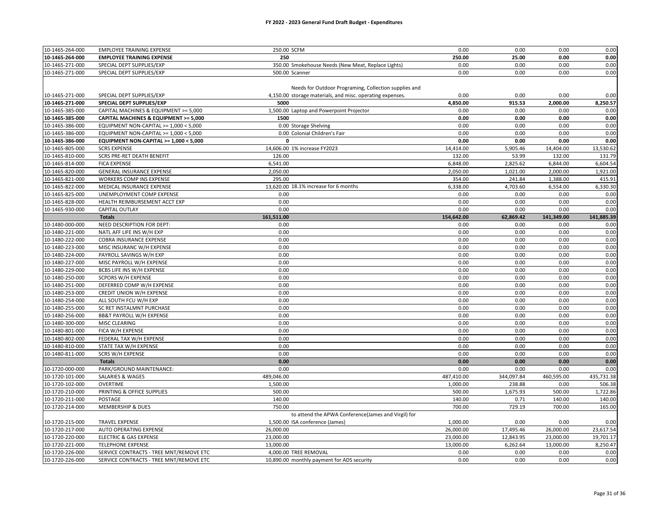| 10-1465-264-000 | <b>EMPLOYEE TRAINING EXPENSE</b>        | 250.00 SCFM                                               | 0.00               | 0.00       | 0.00       | 0.00               |
|-----------------|-----------------------------------------|-----------------------------------------------------------|--------------------|------------|------------|--------------------|
| 10-1465-264-000 | <b>EMPLOYEE TRAINING EXPENSE</b>        | 250                                                       | 250.00             | 25.00      | 0.00       | 0.00               |
| 10-1465-271-000 | SPECIAL DEPT SUPPLIES/EXP               | 350.00 Smokehouse Needs (New Meat, Replace Lights)        | 0.00               | 0.00       | 0.00       | 0.00               |
| 10-1465-271-000 | SPECIAL DEPT SUPPLIES/EXP               | 500.00 Scanner                                            | 0.00               | 0.00       | 0.00       | 0.00               |
|                 |                                         |                                                           |                    |            |            |                    |
|                 |                                         | Needs for Outdoor Programing, Collection supplies and     |                    |            |            |                    |
| 10-1465-271-000 | SPECIAL DEPT SUPPLIES/EXP               | 4,150.00 storage materials, and misc. operating expenses. | 0.00               | 0.00       | 0.00       | 0.00               |
| 10-1465-271-000 | SPECIAL DEPT SUPPLIES/EXP               | 5000                                                      | 4,850.00           | 915.53     | 2,000.00   | 8,250.57           |
| 10-1465-385-000 | CAPITAL MACHINES & EQUIPMENT >= 5,000   | 1,500.00 Laptop and Powerpoint Projector                  | 0.00               | 0.00       | 0.00       | 0.00               |
| 10-1465-385-000 | CAPITAL MACHINES & EQUIPMENT >= 5,000   | 1500                                                      | 0.00               | 0.00       | 0.00       | 0.00               |
| 10-1465-386-000 | EQUIPMENT NON-CAPITAL >= 1,000 < 5,000  | 0.00 Storage Shelving                                     | 0.00               | 0.00       | 0.00       | 0.00               |
| 10-1465-386-000 | EQUIPMENT NON-CAPITAL >= 1,000 < 5,000  | 0.00 Colonial Children's Fair                             | 0.00               | 0.00       | 0.00       | 0.00               |
| 10-1465-386-000 | EQUIPMENT NON-CAPITAL >= 1,000 < 5,000  | 0                                                         | 0.00               | 0.00       | 0.00       | 0.00               |
| 10-1465-805-000 | <b>SCRS EXPENSE</b>                     | 14,606.00 1% increase FY2023                              | 14,414.00          | 5,905.46   | 14,404.00  | 13,530.62          |
| 10-1465-810-000 | SCRS PRE-RET DEATH BENEFIT              | 126.00                                                    | 132.00             | 53.99      | 132.00     | 131.79             |
| 10-1465-814-000 | <b>FICA EXPENSE</b>                     | 6,541.00                                                  | 6,848.00           | 2,825.62   | 6,844.00   | 6,604.54           |
| 10-1465-820-000 | GENERAL INSURANCE EXPENSE               | 2,050.00                                                  | 2,050.00           | 1,021.00   | 2,000.00   | 1,921.00           |
| 10-1465-821-000 | WORKERS COMP INS EXPENSE                | 295.00                                                    | 354.00             | 241.84     | 1,388.00   | 415.91             |
| 10-1465-822-000 | MEDICAL INSURANCE EXPENSE               | 13,620.00 18.1% increase for 6 months                     | 6,338.00           | 4,703.60   | 6,554.00   | 6,330.30           |
| 10-1465-825-000 | UNEMPLOYMENT COMP EXPENSE               | 0.00                                                      | 0.00               | 0.00       | 0.00       | 0.00               |
| 10-1465-828-000 |                                         | 0.00                                                      | 0.00               | 0.00       | 0.00       | 0.00               |
|                 | HEALTH REIMBURSEMENT ACCT EXP           | 0.00                                                      |                    | 0.00       | 0.00       |                    |
| 10-1465-930-000 | <b>CAPITAL OUTLAY</b>                   | 161,511.00                                                | 0.00<br>154,642.00 | 62,869.42  | 141,349.00 | 0.00<br>141,885.39 |
|                 | <b>Totals</b>                           |                                                           |                    |            |            |                    |
| 10-1480-000-000 | NEED DESCRIPTION FOR DEPT:              | 0.00                                                      | 0.00               | 0.00       | 0.00       | 0.00               |
| 10-1480-221-000 | NATL AFF LIFE INS W/H EXP               | 0.00                                                      | 0.00               | 0.00       | 0.00       | 0.00               |
| 10-1480-222-000 | COBRA INSURANCE EXPENSE                 | 0.00                                                      | 0.00               | 0.00       | 0.00       | 0.00               |
| 10-1480-223-000 | MISC INSURANC W/H EXPENSE               | 0.00                                                      | 0.00               | 0.00       | 0.00       | 0.00               |
| 10-1480-224-000 | PAYROLL SAVINGS W/H EXP                 | 0.00                                                      | 0.00               | 0.00       | 0.00       | 0.00               |
| 10-1480-227-000 | MISC PAYROLL W/H EXPENSE                | 0.00                                                      | 0.00               | 0.00       | 0.00       | 0.00               |
| 10-1480-229-000 | BCBS LIFE INS W/H EXPENSE               | 0.00                                                      | 0.00               | 0.00       | 0.00       | 0.00               |
| 10-1480-250-000 | SCPORS W/H EXPENSE                      | 0.00                                                      | 0.00               | 0.00       | 0.00       | 0.00               |
| 10-1480-251-000 | DEFERRED COMP W/H EXPENSE               | 0.00                                                      | 0.00               | 0.00       | 0.00       | 0.00               |
| 10-1480-253-000 | CREDIT UNION W/H EXPENSE                | 0.00                                                      | 0.00               | 0.00       | 0.00       | 0.00               |
| 10-1480-254-000 | ALL SOUTH FCU W/H EXP                   | 0.00                                                      | 0.00               | 0.00       | 0.00       | 0.00               |
| 10-1480-255-000 | SC RET INSTALMNT PURCHASE               | 0.00                                                      | 0.00               | 0.00       | 0.00       | 0.00               |
| 10-1480-256-000 | <b>BB&amp;T PAYROLL W/H EXPENSE</b>     | 0.00                                                      | 0.00               | 0.00       | 0.00       | 0.00               |
| 10-1480-300-000 | MISC CLEARING                           | 0.00                                                      | 0.00               | 0.00       | 0.00       | 0.00               |
| 10-1480-801-000 | FICA W/H EXPENSE                        | 0.00                                                      | 0.00               | 0.00       | 0.00       | 0.00               |
| 10-1480-802-000 | FEDERAL TAX W/H EXPENSE                 | 0.00                                                      | 0.00               | 0.00       | 0.00       | 0.00               |
| 10-1480-810-000 | STATE TAX W/H EXPENSE                   | 0.00                                                      | 0.00               | 0.00       | 0.00       | 0.00               |
| 10-1480-811-000 | <b>SCRS W/H EXPENSE</b>                 | 0.00                                                      | 0.00               | 0.00       | 0.00       | 0.00               |
|                 | <b>Totals</b>                           | 0.00                                                      | 0.00               | 0.00       | 0.00       | 0.00               |
| 10-1720-000-000 | PARK/GROUND MAINTENANCE:                | 0.00                                                      | 0.00               | 0.00       | 0.00       | 0.00               |
| 10-1720-101-000 | <b>SALARIES &amp; WAGES</b>             | 489,046.00                                                | 487,410.00         | 344,097.84 | 460,595.00 | 435,731.38         |
| 10-1720-102-000 | OVERTIME                                | 1,500.00                                                  | 1,000.00           | 238.88     | 0.00       | 506.38             |
| 10-1720-210-000 | PRINTING & OFFICE SUPPLIES              | 500.00                                                    | 500.00             | 1,675.93   | 500.00     | 1,722.86           |
| 10-1720-211-000 | POSTAGE                                 | 140.00                                                    | 140.00             | 0.71       | 140.00     | 140.00             |
| 10-1720-214-000 | <b>MEMBERSHIP &amp; DUES</b>            | 750.00                                                    | 700.00             | 729.19     | 700.00     | 165.00             |
|                 |                                         | to attend the APWA Conference(James and Virgil) for       |                    |            |            |                    |
| 10-1720-215-000 | <b>TRAVEL EXPENSE</b>                   | 1,500.00 ISA conference (James)                           | 1,000.00           | 0.00       | 0.00       | 0.00               |
| 10-1720-217-000 | AUTO OPERATING EXPENSE                  | 26,000.00                                                 | 26,000.00          | 17,495.46  | 26,000.00  | 23,617.54          |
| 10-1720-220-000 | <b>ELECTRIC &amp; GAS EXPENSE</b>       | 23,000.00                                                 | 23,000.00          | 12,843.95  | 23,000.00  | 19,701.17          |
| 10-1720-221-000 | <b>TELEPHONE EXPENSE</b>                | 13,000.00                                                 | 13,000.00          | 6,262.64   | 13,000.00  | 8,250.47           |
| 10-1720-226-000 | SERVICE CONTRACTS - TREE MNT/REMOVE ETC | 4.000.00 TREE REMOVAL                                     | 0.00               | 0.00       | 0.00       | 0.00               |
| 10-1720-226-000 | SERVICE CONTRACTS - TREE MNT/REMOVE ETC | 10,890.00 monthly payment for ADS security                | 0.00               | 0.00       | 0.00       | 0.00               |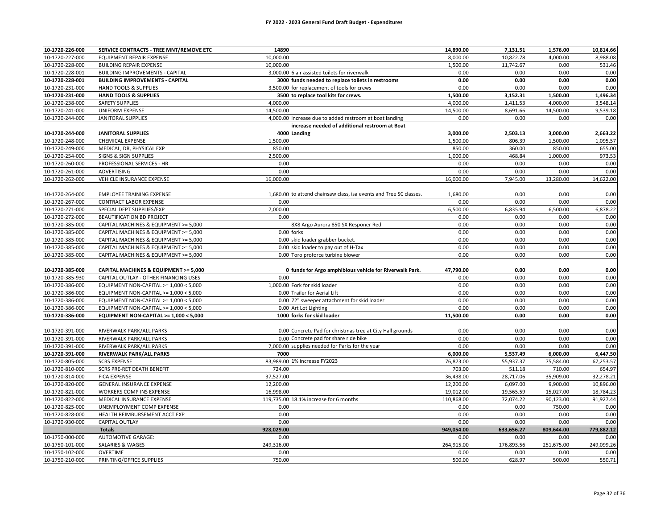| 10-1720-226-000                    | SERVICE CONTRACTS - TREE MNT/REMOVE ETC | 14890                                                              | 14,890.00          | 7,131.51           | 1,576.00           | 10,814.66          |
|------------------------------------|-----------------------------------------|--------------------------------------------------------------------|--------------------|--------------------|--------------------|--------------------|
| 10-1720-227-000                    | EQUIPMENT REPAIR EXPENSE                | 10,000.00                                                          | 8,000.00           | 10,822.78          | 4,000.00           | 8,988.08           |
| 10-1720-228-000                    | <b>BUILDING REPAIR EXPENSE</b>          | 10,000.00                                                          | 1,500.00           | 11,742.67          | 0.00               | 531.46             |
| 10-1720-228-001                    | <b>BUILDING IMPROVEMENTS - CAPITAL</b>  | 3,000.00 6 air assisted toilets for riverwalk                      | 0.00               | 0.00               | 0.00               | 0.00               |
| 10-1720-228-001                    | <b>BUILDING IMPROVEMENTS - CAPITAL</b>  | 3000 funds needed to replace toilets in restrooms                  | 0.00               | 0.00               | 0.00               | 0.00               |
| 10-1720-231-000                    | HAND TOOLS & SUPPLIES                   | 3.500.00 for replacement of tools for crews                        | 0.00               | 0.00               | 0.00               | 0.00               |
| 10-1720-231-000                    | <b>HAND TOOLS &amp; SUPPLIES</b>        | 3500 to replace tool kits for crews.                               | 1,500.00           | 3,152.31           | 1,500.00           | 1,496.34           |
| 10-1720-238-000                    | <b>SAFETY SUPPLIES</b>                  | 4,000.00                                                           | 4,000.00           | 1,411.53           | 4,000.00           | 3,548.14           |
| 10-1720-241-000                    | UNIFORM EXPENSE                         | 14,500.00                                                          | 14,500.00          | 8,691.66           | 14,500.00          | 9,539.18           |
| 10-1720-244-000                    | JANITORAL SUPPLIES                      | 4,000.00 increase due to added restroom at boat landing            | 0.00               | 0.00               | 0.00               | 0.00               |
|                                    |                                         | increase needed of additional restroom at Boat                     |                    |                    |                    |                    |
| 10-1720-244-000                    | <b>JANITORAL SUPPLIES</b>               | 4000 Landing                                                       | 3,000.00           | 2,503.13           | 3,000.00           | 2,663.22           |
| 10-1720-248-000                    | CHEMICAL EXPENSE                        | 1,500.00                                                           | 1,500.00           | 806.39             | 1,500.00           | 1,095.57           |
| 10-1720-249-000                    | MEDICAL, DR, PHYSICAL EXP               | 850.00                                                             | 850.00             | 360.00             | 850.00             | 655.00             |
| 10-1720-254-000                    | SIGNS & SIGN SUPPLIES                   | 2,500.00                                                           | 1,000.00           | 468.84             | 1,000.00           | 973.53             |
| 10-1720-260-000                    | PROFESSIONAL SERVICES - HR              | 0.00                                                               | 0.00               | 0.00               | 0.00               | 0.00               |
| 10-1720-261-000                    | ADVERTISING                             | 0.00                                                               | 0.00               | 0.00               | 0.00               | 0.00               |
| 10-1720-262-000                    | VEHICLE INSURANCE EXPENSE               | 16,000.00                                                          | 16,000.00          | 7,945.00           | 13,280.00          | 14,622.00          |
|                                    |                                         |                                                                    |                    |                    |                    |                    |
| 10-1720-264-000                    | <b>EMPLOYEE TRAINING EXPENSE</b>        | 1,680.00 to attend chainsaw class, isa events and Tree SC classes. | 1,680.00           | 0.00               | 0.00               | 0.00               |
| 10-1720-267-000                    | <b>CONTRACT LABOR EXPENSE</b>           | 0.00                                                               | 0.00               | 0.00               | 0.00               | 0.00               |
| 10-1720-271-000                    | SPECIAL DEPT SUPPLIES/EXP               | 7,000.00                                                           | 6,500.00           | 6,835.94           | 6,500.00           | 6,878.22           |
| 10-1720-272-000                    | BEAUTIFICATION BD PROJECT               | 0.00                                                               | 0.00               | 0.00               | 0.00               | 0.00               |
| 10-1720-385-000                    | CAPITAL MACHINES & EQUIPMENT >= 5,000   | 8X8 Argo Aurora 850 SX Responer Red                                | 0.00               | 0.00               | 0.00               | 0.00               |
| 10-1720-385-000                    | CAPITAL MACHINES & EQUIPMENT >= 5,000   | 0.00 forks                                                         | 0.00               | 0.00               | 0.00               | 0.00               |
| 10-1720-385-000                    | CAPITAL MACHINES & EQUIPMENT >= 5,000   | 0.00 skid loader grabber bucket.                                   | 0.00               | 0.00               | 0.00               | 0.00               |
| 10-1720-385-000                    | CAPITAL MACHINES & EQUIPMENT >= 5,000   | 0.00 skid loader to pay out of H-Tax                               | 0.00               | 0.00               | 0.00               | 0.00               |
| 10-1720-385-000                    | CAPITAL MACHINES & EQUIPMENT >= 5,000   | 0.00 Toro proforce turbine blower                                  | 0.00               | 0.00               | 0.00               | 0.00               |
|                                    |                                         |                                                                    |                    |                    |                    |                    |
| 10-1720-385-000                    | CAPITAL MACHINES & EQUIPMENT >= 5,000   | 0 funds for Argo amphibious vehicle for Riverwalk Park.            | 47,790.00          | 0.00               | 0.00               | 0.00               |
| 10-1720-385-930                    | CAPITAL OUTLAY - OTHER FINANCING USES   | 0.00                                                               | 0.00               | 0.00               | 0.00               | 0.00               |
| 10-1720-386-000                    | EQUIPMENT NON-CAPITAL >= 1,000 < 5,000  | 1.000.00 Fork for skid loader                                      | 0.00               | 0.00               | 0.00               | 0.00               |
| 10-1720-386-000                    | EQUIPMENT NON-CAPITAL >= 1,000 < 5,000  | 0.00 Trailer for Aerial Lift                                       | 0.00               | 0.00               | 0.00               | 0.00               |
| 10-1720-386-000                    | EQUIPMENT NON-CAPITAL >= 1,000 < 5,000  | 0.00 72" sweeper attachment for skid loader                        | 0.00               | 0.00               | 0.00               | 0.00               |
| 10-1720-386-000                    | EQUIPMENT NON-CAPITAL >= 1,000 < 5,000  | 0.00 Art Lot Lighting                                              | 0.00               | 0.00               | 0.00               | 0.00               |
| 10-1720-386-000                    | EQUIPMENT NON-CAPITAL >= 1,000 < 5,000  | 1000 forks for skid loader                                         | 11,500.00          | 0.00               | 0.00               | 0.00               |
|                                    |                                         |                                                                    |                    |                    |                    |                    |
| 10-1720-391-000                    | RIVERWALK PARK/ALL PARKS                | 0.00 Concrete Pad for christmas tree at City Hall grounds          | 0.00               | 0.00               | 0.00               | 0.00               |
| 10-1720-391-000                    | RIVERWALK PARK/ALL PARKS                | 0.00 Concrete pad for share ride bike                              | 0.00               | 0.00               | 0.00               | 0.00               |
| 10-1720-391-000                    | RIVERWALK PARK/ALL PARKS                | 7,000.00 supplies needed for Parks for the year                    | 0.00               | 0.00               | 0.00               | 0.00               |
| 10-1720-391-000                    | <b>RIVERWALK PARK/ALL PARKS</b>         | 7000                                                               | 6,000.00           | 5,537.49           | 6,000.00           | 6,447.50           |
| 10-1720-805-000                    | <b>SCRS EXPENSE</b>                     | 83,989.00 1% increase FY2023                                       | 76,873.00          | 55,937.37          | 75,584.00          | 67,253.57          |
| 10-1720-810-000                    | SCRS PRE-RET DEATH BENEFIT              | 724.00                                                             | 703.00             | 511.18             | 710.00             | 654.97             |
| 10-1720-814-000                    | <b>FICA EXPENSE</b>                     | 37,527.00                                                          | 36,438.00          | 28,717.06          | 35,909.00          | 32,278.21          |
| 10-1720-820-000                    | <b>GENERAL INSURANCE EXPENSE</b>        | 12,200.00                                                          | 12,200.00          | 6,097.00           | 9,900.00           | 10,896.00          |
| 10-1720-821-000                    | WORKERS COMP INS EXPENSE                | 16,998.00                                                          | 19,012.00          | 19,565.59          | 15,027.00          | 18,784.23          |
| 10-1720-822-000                    | MEDICAL INSURANCE EXPENSE               | 119,735.00 18.1% increase for 6 months                             | 110,868.00         | 72,074.22          | 90,123.00          | 91,927.44          |
| 10-1720-825-000                    | UNEMPLOYMENT COMP EXPENSE               | 0.00                                                               | 0.00               | 0.00               | 750.00             | 0.00               |
| 10-1720-828-000                    | HEALTH REIMBURSEMENT ACCT EXP           | 0.00                                                               | 0.00               | 0.00               | 0.00               | 0.00               |
| 10-1720-930-000                    | CAPITAL OUTLAY                          | 0.00                                                               | 0.00               | 0.00               | 0.00               | 0.00               |
|                                    | <b>Totals</b>                           | 928,029.00                                                         | 949,054.00         | 633,656.27         | 809,644.00         | 779,882.12         |
| 10-1750-000-000                    | AUTOMOTIVE GARAGE:                      | 0.00                                                               | 0.00               | 0.00               | 0.00               | 0.00               |
| 10-1750-101-000<br>10-1750-102-000 | SALARIES & WAGES                        | 249,316.00<br>0.00                                                 | 264,915.00<br>0.00 | 176,893.56<br>0.00 | 251,675.00<br>0.00 | 249,099.26<br>0.00 |
| 10-1750-210-000                    | OVERTIME<br>PRINTING/OFFICE SUPPLIES    | 750.00                                                             | 500.00             | 628.97             | 500.00             | 550.71             |
|                                    |                                         |                                                                    |                    |                    |                    |                    |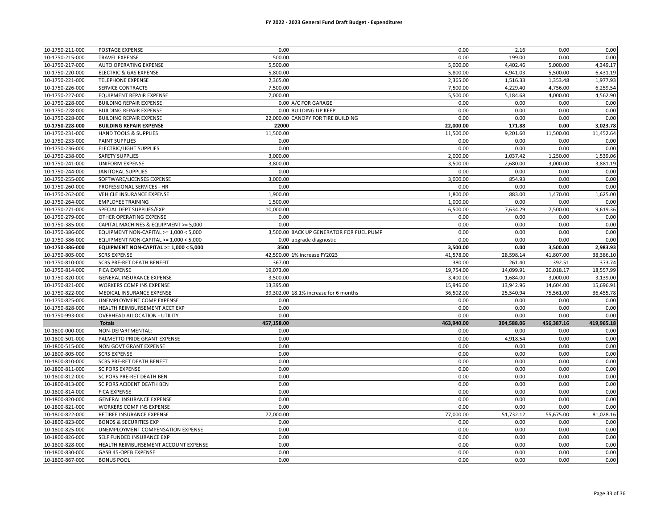| 10-1750-211-000 | POSTAGE EXPENSE                        | 0.00                                     | 0.00       | 2.16       | 0.00       | 0.00       |
|-----------------|----------------------------------------|------------------------------------------|------------|------------|------------|------------|
| 10-1750-215-000 | <b>TRAVEL EXPENSE</b>                  | 500.00                                   | 0.00       | 199.00     | 0.00       | 0.00       |
| 10-1750-217-000 | AUTO OPERATING EXPENSE                 | 5,500.00                                 | 5,000.00   | 4,402.46   | 5,000.00   | 4,349.17   |
| 10-1750-220-000 | <b>ELECTRIC &amp; GAS EXPENSE</b>      | 5,800.00                                 | 5,800.00   | 4,941.03   | 5,500.00   | 6,431.19   |
| 10-1750-221-000 | <b>TELEPHONE EXPENSE</b>               | 2,365.00                                 | 2,365.00   | 1,516.33   | 1,353.48   | 1,977.93   |
| 10-1750-226-000 | SERVICE CONTRACTS                      | 7,500.00                                 | 7,500.00   | 4,229.40   | 4,756.00   | 6,259.54   |
| 10-1750-227-000 | EQUIPMENT REPAIR EXPENSE               | 7,000.00                                 | 5,500.00   | 5,184.68   | 4,000.00   | 4,562.90   |
| 10-1750-228-000 | <b>BUILDING REPAIR EXPENSE</b>         | 0.00 A/C FOR GARAGE                      | 0.00       | 0.00       | 0.00       | 0.00       |
| 10-1750-228-000 | <b>BUILDING REPAIR EXPENSE</b>         | 0.00 BUILDING UP KEEP                    | 0.00       | 0.00       | 0.00       | 0.00       |
| 10-1750-228-000 | <b>BUILDING REPAIR EXPENSE</b>         | 22,000.00 CANOPY FOR TIRE BUILDING       | 0.00       | 0.00       | 0.00       | 0.00       |
| 10-1750-228-000 | <b>BUILDING REPAIR EXPENSE</b>         | 22000                                    | 22,000.00  | 171.88     | 0.00       | 3,023.78   |
| 10-1750-231-000 | HAND TOOLS & SUPPLIES                  | 11,500.00                                | 11,500.00  | 9,201.60   | 11,500.00  | 11,452.64  |
| 10-1750-233-000 | <b>PAINT SUPPLIES</b>                  | 0.00                                     | 0.00       | 0.00       | 0.00       | 0.00       |
| 10-1750-236-000 | <b>ELECTRIC/LIGHT SUPPLIES</b>         | 0.00                                     | 0.00       | 0.00       | 0.00       | 0.00       |
| 10-1750-238-000 | <b>SAFETY SUPPLIES</b>                 | 3,000.00                                 | 2,000.00   | 1,037.42   | 1,250.00   | 1,539.06   |
| 10-1750-241-000 | UNIFORM EXPENSE                        | 3,800.00                                 | 3,500.00   | 2,680.00   | 3,000.00   | 3,881.19   |
| 10-1750-244-000 | <b>JANITORAL SUPPLIES</b>              | 0.00                                     | 0.00       | 0.00       | 0.00       | 0.00       |
| 10-1750-255-000 | SOFTWARE/LICENSES EXPENSE              | 3,000.00                                 | 3,000.00   | 854.93     | 0.00       | 0.00       |
| 10-1750-260-000 | PROFESSIONAL SERVICES - HR             | 0.00                                     | 0.00       | 0.00       | 0.00       | 0.00       |
| 10-1750-262-000 | VEHICLE INSURANCE EXPENSE              | 1,900.00                                 | 1,800.00   | 883.00     | 1,470.00   | 1,625.00   |
| 10-1750-264-000 | <b>EMPLOYEE TRAINING</b>               | 1,500.00                                 | 1,000.00   | 0.00       | 0.00       | 0.00       |
| 10-1750-271-000 | SPECIAL DEPT SUPPLIES/EXP              | 10,000.00                                | 6,500.00   | 7,634.29   | 7,500.00   | 9,619.36   |
| 10-1750-279-000 | OTHER OPERATING EXPENSE                | 0.00                                     | 0.00       | 0.00       | 0.00       | 0.00       |
| 10-1750-385-000 | CAPITAL MACHINES & EQUIPMENT >= 5,000  | 0.00                                     | 0.00       | 0.00       | 0.00       | 0.00       |
| 10-1750-386-000 | EQUIPMENT NON-CAPITAL >= 1,000 < 5,000 | 3,500.00 BACK UP GENERATOR FOR FUEL PUMP | 0.00       | 0.00       | 0.00       | 0.00       |
| 10-1750-386-000 | EQUIPMENT NON-CAPITAL >= 1,000 < 5,000 | 0.00 upgrade diagnostic                  | 0.00       | 0.00       | 0.00       | 0.00       |
| 10-1750-386-000 | EQUIPMENT NON-CAPITAL >= 1,000 < 5,000 | 3500                                     | 3,500.00   | 0.00       | 3,500.00   | 2,983.93   |
| 10-1750-805-000 | <b>SCRS EXPENSE</b>                    | 42,590.00 1% increase FY2023             | 41,578.00  | 28,598.14  | 41,807.00  | 38,386.10  |
| 10-1750-810-000 | SCRS PRE-RET DEATH BENEFIT             | 367.00                                   | 380.00     | 261.40     | 392.51     | 373.74     |
| 10-1750-814-000 | <b>FICA EXPENSE</b>                    | 19,073.00                                | 19,754.00  | 14,099.91  | 20,018.17  | 18,557.99  |
| 10-1750-820-000 | <b>GENERAL INSURANCE EXPENSE</b>       | 3,500.00                                 | 3,400.00   | 1,684.00   | 3,000.00   | 3,139.00   |
| 10-1750-821-000 | WORKERS COMP INS EXPENSE               | 13,395.00                                | 15,946.00  | 13,942.96  | 14,604.00  | 15,696.91  |
| 10-1750-822-000 | MEDICAL INSURANCE EXPENSE              | 39,302.00 18.1% increase for 6 months    | 36,502.00  | 25,540.94  | 75,561.00  | 36,455.78  |
| 10-1750-825-000 | UNEMPLOYMENT COMP EXPENSE              | 0.00                                     | 0.00       | 0.00       | 0.00       | 0.00       |
| 10-1750-828-000 | HEALTH REIMBURSEMENT ACCT EXP          | 0.00                                     | 0.00       | 0.00       | 0.00       | 0.00       |
| 10-1750-993-000 | <b>OVERHEAD ALLOCATION - UTILITY</b>   | 0.00                                     | 0.00       | 0.00       | 0.00       | 0.00       |
|                 | <b>Totals</b>                          | 457,158.00                               | 463,940.00 | 304,588.06 | 456,387.16 | 419,965.18 |
| 10-1800-000-000 | NON-DEPARTMENTAL:                      | 0.00                                     | 0.00       | 0.00       | 0.00       | 0.00       |
| 10-1800-501-000 | PALMETTO PRIDE GRANT EXPENSE           | 0.00                                     | 0.00       | 4,918.54   | 0.00       | 0.00       |
| 10-1800-515-000 | NON GOVT GRANT EXPENSE                 | 0.00                                     | 0.00       | 0.00       | 0.00       | 0.00       |
| 10-1800-805-000 | <b>SCRS EXPENSE</b>                    | 0.00                                     | 0.00       | 0.00       | 0.00       | 0.00       |
| 10-1800-810-000 | SCRS PRE-RET DEATH BENEFT              | 0.00                                     | 0.00       | 0.00       | 0.00       | 0.00       |
| 10-1800-811-000 | <b>SC PORS EXPENSE</b>                 | 0.00                                     | 0.00       | 0.00       | 0.00       | 0.00       |
| 10-1800-812-000 | SC PORS PRE-RET DEATH BEN              | 0.00                                     | 0.00       | 0.00       | 0.00       | 0.00       |
| 10-1800-813-000 | SC PORS ACIDENT DEATH BEN              | 0.00                                     | 0.00       | 0.00       | 0.00       | 0.00       |
| 10-1800-814-000 | <b>FICA EXPENSE</b>                    | 0.00                                     | 0.00       | 0.00       | 0.00       | 0.00       |
| 10-1800-820-000 | <b>GENERAL INSURANCE EXPENSE</b>       | 0.00                                     | 0.00       | 0.00       | 0.00       | 0.00       |
| 10-1800-821-000 | WORKERS COMP INS EXPENSE               | 0.00                                     | 0.00       | 0.00       | 0.00       | 0.00       |
| 10-1800-822-000 | RETIREE INSURANCE EXPENSE              | 77,000.00                                | 77,000.00  | 51,732.12  | 55,675.00  | 81,028.16  |
| 10-1800-823-000 | <b>BONDS &amp; SECURITIES EXP</b>      | 0.00                                     | 0.00       | 0.00       | 0.00       | 0.00       |
| 10-1800-825-000 | UNEMPLOYMENT COMPENSATION EXPENSE      | 0.00                                     | 0.00       | 0.00       | 0.00       | 0.00       |
| 10-1800-826-000 | SELF FUNDED INSURANCE EXP              | 0.00                                     | 0.00       | 0.00       | 0.00       | 0.00       |
| 10-1800-828-000 | HEALTH REIMBURSEMENT ACCOUNT EXPENSE   | 0.00                                     | 0.00       | 0.00       | 0.00       | 0.00       |
| 10-1800-830-000 | GASB 45-OPEB EXPENSE                   | 0.00                                     | 0.00       | 0.00       | 0.00       | 0.00       |
| 10-1800-867-000 | <b>BONUS POOL</b>                      | 0.00                                     | 0.00       | 0.00       | 0.00       | 0.00       |
|                 |                                        |                                          |            |            |            |            |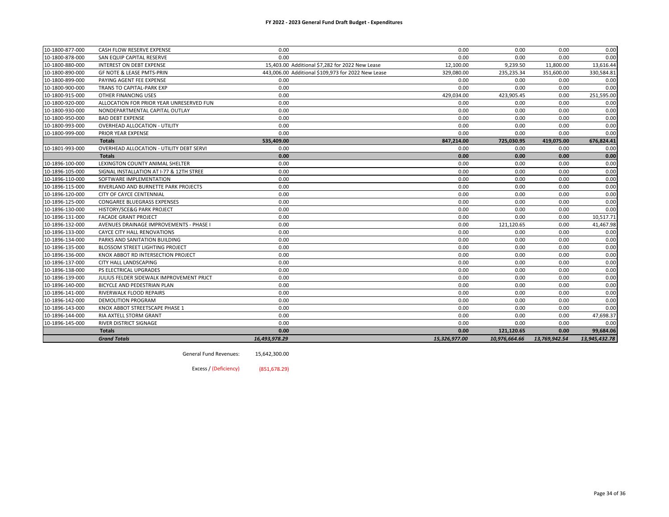| 10-1800-877-000 | CASH FLOW RESERVE EXPENSE                | 0.00                                               | 0.00          | 0.00          | 0.00          | 0.00          |
|-----------------|------------------------------------------|----------------------------------------------------|---------------|---------------|---------------|---------------|
| 10-1800-878-000 | SAN EQUIP CAPITAL RESERVE                | 0.00                                               | 0.00          | 0.00          | 0.00          | 0.00          |
| 10-1800-880-000 | INTEREST ON DEBT EXPENSE                 | 15.403.00 Additional \$7,282 for 2022 New Lease    | 12,100.00     | 9,239.50      | 11,800.00     | 13,616.44     |
| 10-1800-890-000 | GF NOTE & LEASE PMTS-PRIN                | 443.006.00 Additional \$109,973 for 2022 New Lease | 329,080.00    | 235,235.34    | 351,600.00    | 330,584.81    |
| 10-1800-899-000 | PAYING AGENT FEE EXPENSE                 | 0.00                                               | 0.00          | 0.00          | 0.00          | 0.00          |
| 10-1800-900-000 | TRANS TO CAPITAL-PARK EXP                | 0.00                                               | 0.00          | 0.00          | 0.00          | 0.00          |
| 10-1800-915-000 | OTHER FINANCING USES                     | 0.00                                               | 429,034.00    | 423,905.45    | 0.00          | 251,595.00    |
| 10-1800-920-000 | ALLOCATION FOR PRIOR YEAR UNRESERVED FUN | 0.00                                               | 0.00          | 0.00          | 0.00          | 0.00          |
| 10-1800-930-000 | NONDEPARTMENTAL CAPITAL OUTLAY           | 0.00                                               | 0.00          | 0.00          | 0.00          | 0.00          |
| 10-1800-950-000 | <b>BAD DEBT EXPENSE</b>                  | 0.00                                               | 0.00          | 0.00          | 0.00          | 0.00          |
| 10-1800-993-000 | <b>OVERHEAD ALLOCATION - UTILITY</b>     | 0.00                                               | 0.00          | 0.00          | 0.00          | 0.00          |
| 10-1800-999-000 | PRIOR YEAR EXPENSE                       | 0.00                                               | 0.00          | 0.00          | 0.00          | 0.00          |
|                 | <b>Totals</b>                            | 535,409.00                                         | 847,214.00    | 725,030.95    | 419,075.00    | 676,824.41    |
| 10-1801-993-000 | OVERHEAD ALLOCATION - UTILITY DEBT SERVI | 0.00                                               | 0.00          | 0.00          | 0.00          | 0.00          |
|                 | <b>Totals</b>                            | 0.00                                               | 0.00          | 0.00          | 0.00          | 0.00          |
| 10-1896-100-000 | LEXINGTON COUNTY ANIMAL SHELTER          | 0.00                                               | 0.00          | 0.00          | 0.00          | 0.00          |
| 10-1896-105-000 | SIGNAL INSTALLATION AT I-77 & 12TH STREE | 0.00                                               | 0.00          | 0.00          | 0.00          | 0.00          |
| 10-1896-110-000 | SOFTWARE IMPLEMENTATION                  | 0.00                                               | 0.00          | 0.00          | 0.00          | 0.00          |
| 10-1896-115-000 | RIVERLAND AND BURNETTE PARK PROJECTS     | 0.00                                               | 0.00          | 0.00          | 0.00          | 0.00          |
| 10-1896-120-000 | CITY OF CAYCE CENTENNIAL                 | 0.00                                               | 0.00          | 0.00          | 0.00          | 0.00          |
| 10-1896-125-000 | CONGAREE BLUEGRASS EXPENSES              | 0.00                                               | 0.00          | 0.00          | 0.00          | 0.00          |
| 10-1896-130-000 | HISTORY/SCE&G PARK PROJECT               | 0.00                                               | 0.00          | 0.00          | 0.00          | 0.00          |
| 10-1896-131-000 | <b>FACADE GRANT PROJECT</b>              | 0.00                                               | 0.00          | 0.00          | 0.00          | 10,517.71     |
| 10-1896-132-000 | AVENUES DRAINAGE IMPROVEMENTS - PHASE I  | 0.00                                               | 0.00          | 121,120.65    | 0.00          | 41,467.98     |
| 10-1896-133-000 | <b>CAYCE CITY HALL RENOVATIONS</b>       | 0.00                                               | 0.00          | 0.00          | 0.00          | 0.00          |
| 10-1896-134-000 | PARKS AND SANITATION BUILDING            | 0.00                                               | 0.00          | 0.00          | 0.00          | 0.00          |
| 10-1896-135-000 | BLOSSOM STREET LIGHTING PROJECT          | 0.00                                               | 0.00          | 0.00          | 0.00          | 0.00          |
| 10-1896-136-000 | KNOX ABBOT RD INTERSECTION PROJECT       | 0.00                                               | 0.00          | 0.00          | 0.00          | 0.00          |
| 10-1896-137-000 | CITY HALL LANDSCAPING                    | 0.00                                               | 0.00          | 0.00          | 0.00          | 0.00          |
| 10-1896-138-000 | PS ELECTRICAL UPGRADES                   | 0.00                                               | 0.00          | 0.00          | 0.00          | 0.00          |
| 10-1896-139-000 | JULIUS FELDER SIDEWALK IMPROVEMENT PRICT | 0.00                                               | 0.00          | 0.00          | 0.00          | 0.00          |
| 10-1896-140-000 | BICYCLE AND PEDESTRIAN PLAN              | 0.00                                               | 0.00          | 0.00          | 0.00          | 0.00          |
| 10-1896-141-000 | RIVERWALK FLOOD REPAIRS                  | 0.00                                               | 0.00          | 0.00          | 0.00          | 0.00          |
| 10-1896-142-000 | DEMOLITION PROGRAM                       | 0.00                                               | 0.00          | 0.00          | 0.00          | 0.00          |
| 10-1896-143-000 | KNOX ABBOT STREETSCAPE PHASE 1           | 0.00                                               | 0.00          | 0.00          | 0.00          | 0.00          |
| 10-1896-144-000 | RIA AXTELL STORM GRANT                   | 0.00                                               | 0.00          | 0.00          | 0.00          | 47,698.37     |
| 10-1896-145-000 | RIVER DISTRICT SIGNAGE                   | 0.00                                               | 0.00          | 0.00          | 0.00          | 0.00          |
|                 | <b>Totals</b>                            | 0.00                                               | 0.00          | 121,120.65    | 0.00          | 99,684.06     |
|                 | <b>Grand Totals</b>                      | 16.493.978.29                                      | 15,326,977.00 | 10,976,664.66 | 13,769,942.54 | 13,945,432.78 |

General Fund Revenues: 15,642,300.00

Excess / (Deficiency) (851,678.29)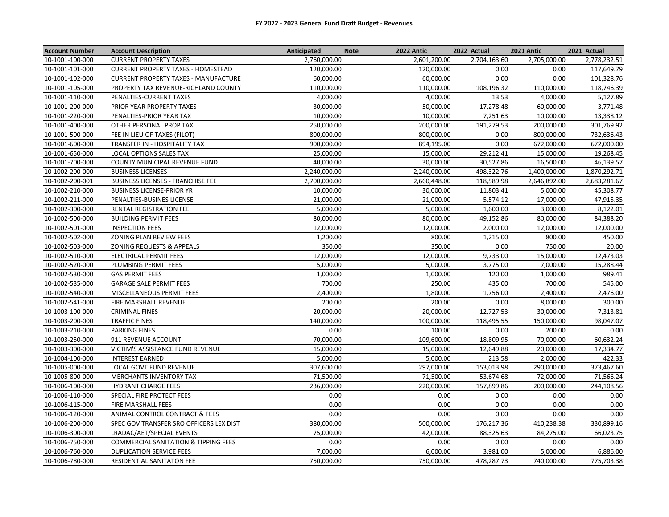| <b>Account Number</b> | <b>Account Description</b>                  | Anticipated  | <b>Note</b> | <b>2022 Antic</b> | 2022 Actual  | <b>2021 Antic</b> | 2021 Actual  |
|-----------------------|---------------------------------------------|--------------|-------------|-------------------|--------------|-------------------|--------------|
| 10-1001-100-000       | <b>CURRENT PROPERTY TAXES</b>               | 2,760,000.00 |             | 2,601,200.00      | 2,704,163.60 | 2,705,000.00      | 2,778,232.51 |
| 10-1001-101-000       | <b>CURRENT PROPERTY TAXES - HOMESTEAD</b>   | 120,000.00   |             | 120,000.00        | 0.00         | 0.00              | 117,649.79   |
| 10-1001-102-000       | <b>CURRENT PROPERTY TAXES - MANUFACTURE</b> | 60,000.00    |             | 60,000.00         | 0.00         | 0.00              | 101,328.76   |
| 10-1001-105-000       | PROPERTY TAX REVENUE-RICHLAND COUNTY        | 110,000.00   |             | 110,000.00        | 108,196.32   | 110,000.00        | 118,746.39   |
| 10-1001-110-000       | PENALTIES-CURRENT TAXES                     | 4,000.00     |             | 4,000.00          | 13.53        | 4,000.00          | 5,127.89     |
| 10-1001-200-000       | PRIOR YEAR PROPERTY TAXES                   | 30,000.00    |             | 50,000.00         | 17,278.48    | 60,000.00         | 3,771.48     |
| 10-1001-220-000       | PENALTIES-PRIOR YEAR TAX                    | 10,000.00    |             | 10,000.00         | 7,251.63     | 10,000.00         | 13,338.12    |
| 10-1001-400-000       | OTHER PERSONAL PROP TAX                     | 250,000.00   |             | 200,000.00        | 191,279.53   | 200,000.00        | 301,769.92   |
| 10-1001-500-000       | FEE IN LIEU OF TAXES (FILOT)                | 800,000.00   |             | 800,000.00        | 0.00         | 800,000.00        | 732,636.43   |
| 10-1001-600-000       | TRANSFER IN - HOSPITALITY TAX               | 900,000.00   |             | 894,195.00        | 0.00         | 672,000.00        | 672,000.00   |
| 10-1001-650-000       | <b>LOCAL OPTIONS SALES TAX</b>              | 25,000.00    |             | 15,000.00         | 29,212.41    | 15,000.00         | 19,268.45    |
| 10-1001-700-000       | COUNTY MUNICIPAL REVENUE FUND               | 40,000.00    |             | 30,000.00         | 30,527.86    | 16,500.00         | 46,139.57    |
| 10-1002-200-000       | <b>BUSINESS LICENSES</b>                    | 2,240,000.00 |             | 2,240,000.00      | 498,322.76   | 1,400,000.00      | 1,870,292.71 |
| 10-1002-200-001       | <b>BUSINESS LICENSES - FRANCHISE FEE</b>    | 2,700,000.00 |             | 2,660,448.00      | 118,589.98   | 2,646,892.00      | 2,683,281.67 |
| 10-1002-210-000       | <b>BUSINESS LICENSE-PRIOR YR</b>            | 10,000.00    |             | 30,000.00         | 11,803.41    | 5,000.00          | 45,308.77    |
| 10-1002-211-000       | PENALTIES-BUSINES LICENSE                   | 21,000.00    |             | 21,000.00         | 5,574.12     | 17,000.00         | 47,915.35    |
| 10-1002-300-000       | RENTAL REGISTRATION FEE                     | 5,000.00     |             | 5,000.00          | 1,600.00     | 3,000.00          | 8,122.01     |
| 10-1002-500-000       | <b>BUILDING PERMIT FEES</b>                 | 80,000.00    |             | 80,000.00         | 49,152.86    | 80,000.00         | 84,388.20    |
| 10-1002-501-000       | <b>INSPECTION FEES</b>                      | 12,000.00    |             | 12,000.00         | 2,000.00     | 12,000.00         | 12,000.00    |
| 10-1002-502-000       | ZONING PLAN REVIEW FEES                     | 1,200.00     |             | 800.00            | 1,215.00     | 800.00            | 450.00       |
| 10-1002-503-000       | ZONING REQUESTS & APPEALS                   | 350.00       |             | 350.00            | 0.00         | 750.00            | 20.00        |
| 10-1002-510-000       | ELECTRICAL PERMIT FEES                      | 12,000.00    |             | 12,000.00         | 9,733.00     | 15,000.00         | 12,473.03    |
| 10-1002-520-000       | PLUMBING PERMIT FEES                        | 5,000.00     |             | 5,000.00          | 3,775.00     | 7,000.00          | 15,288.44    |
| 10-1002-530-000       | <b>GAS PERMIT FEES</b>                      | 1,000.00     |             | 1,000.00          | 120.00       | 1,000.00          | 989.41       |
| 10-1002-535-000       | <b>GARAGE SALE PERMIT FEES</b>              | 700.00       |             | 250.00            | 435.00       | 700.00            | 545.00       |
| 10-1002-540-000       | MISCELLANEOUS PERMIT FEES                   | 2,400.00     |             | 1,800.00          | 1,756.00     | 2,400.00          | 2,476.00     |
| 10-1002-541-000       | FIRE MARSHALL REVENUE                       | 200.00       |             | 200.00            | 0.00         | 8,000.00          | 300.00       |
| 10-1003-100-000       | <b>CRIMINAL FINES</b>                       | 20,000.00    |             | 20,000.00         | 12,727.53    | 30,000.00         | 7,313.81     |
| 10-1003-200-000       | <b>TRAFFIC FINES</b>                        | 140,000.00   |             | 100,000.00        | 118,495.55   | 150,000.00        | 98,047.07    |
| 10-1003-210-000       | <b>PARKING FINES</b>                        | 0.00         |             | 100.00            | 0.00         | 200.00            | 0.00         |
| 10-1003-250-000       | 911 REVENUE ACCOUNT                         | 70,000.00    |             | 109,600.00        | 18,809.95    | 70,000.00         | 60,632.24    |
| 10-1003-300-000       | VICTIM'S ASSISTANCE FUND REVENUE            | 15,000.00    |             | 15,000.00         | 12,649.88    | 20,000.00         | 17,334.77    |
| 10-1004-100-000       | <b>INTEREST EARNED</b>                      | 5,000.00     |             | 5,000.00          | 213.58       | 2,000.00          | 422.33       |
| 10-1005-000-000       | LOCAL GOVT FUND REVENUE                     | 307,600.00   |             | 297,000.00        | 153,013.98   | 290,000.00        | 373,467.60   |
| 10-1005-800-000       | <b>MERCHANTS INVENTORY TAX</b>              | 71,500.00    |             | 71,500.00         | 53,674.68    | 72,000.00         | 71,566.24    |
| 10-1006-100-000       | <b>HYDRANT CHARGE FEES</b>                  | 236,000.00   |             | 220,000.00        | 157,899.86   | 200,000.00        | 244,108.56   |
| 10-1006-110-000       | SPECIAL FIRE PROTECT FEES                   | 0.00         |             | 0.00              | 0.00         | 0.00              | 0.00         |
| 10-1006-115-000       | FIRE MARSHALL FEES                          | 0.00         |             | 0.00              | 0.00         | 0.00              | 0.00         |
| 10-1006-120-000       | ANIMAL CONTROL CONTRACT & FEES              | 0.00         |             | 0.00              | 0.00         | 0.00              | 0.00         |
| 10-1006-200-000       | SPEC GOV TRANSFER SRO OFFICERS LEX DIST     | 380,000.00   |             | 500,000.00        | 176,217.36   | 410,238.38        | 330,899.16   |
| 10-1006-300-000       | LRADAC/AET/SPECIAL EVENTS                   | 75,000.00    |             | 42,000.00         | 88,325.63    | 84,275.00         | 66,023.75    |
| 10-1006-750-000       | COMMERCIAL SANITATION & TIPPING FEES        | 0.00         |             | 0.00              | 0.00         | 0.00              | 0.00         |
| 10-1006-760-000       | <b>DUPLICATION SERVICE FEES</b>             | 7,000.00     |             | 6,000.00          | 3,981.00     | 5,000.00          | 6,886.00     |
| 10-1006-780-000       | <b>RESIDENTIAL SANITATON FEE</b>            | 750,000.00   |             | 750,000.00        | 478,287.73   | 740,000.00        | 775,703.38   |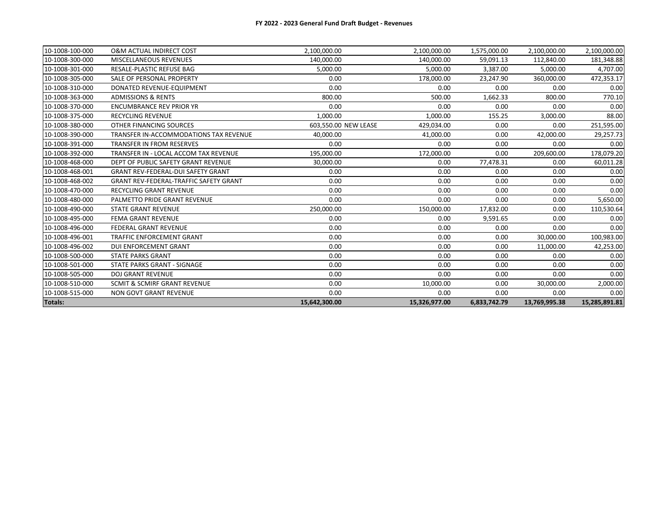| <b>Totals:</b>  |                                               | 15,642,300.00        | 15,326,977.00 | 6,833,742.79 | 13,769,995.38 | 15,285,891.81 |
|-----------------|-----------------------------------------------|----------------------|---------------|--------------|---------------|---------------|
| 10-1008-515-000 | <b>NON GOVT GRANT REVENUE</b>                 | 0.00                 | 0.00          | 0.00         | 0.00          | 0.00          |
| 10-1008-510-000 | SCMIT & SCMIRF GRANT REVENUE                  | 0.00                 | 10,000.00     | 0.00         | 30,000.00     | 2,000.00      |
| 10-1008-505-000 | <b>DOJ GRANT REVENUE</b>                      | 0.00                 | 0.00          | 0.00         | 0.00          | 0.00          |
| 10-1008-501-000 | STATE PARKS GRANT - SIGNAGE                   | 0.00                 | 0.00          | 0.00         | 0.00          | 0.00          |
| 10-1008-500-000 | <b>STATE PARKS GRANT</b>                      | 0.00                 | 0.00          | 0.00         | 0.00          | 0.00          |
| 10-1008-496-002 | DUI ENFORCEMENT GRANT                         | 0.00                 | 0.00          | 0.00         | 11,000.00     | 42,253.00     |
| 10-1008-496-001 | <b>TRAFFIC ENFORCEMENT GRANT</b>              | 0.00                 | 0.00          | 0.00         | 30,000.00     | 100,983.00    |
| 10-1008-496-000 | <b>FEDERAL GRANT REVENUE</b>                  | 0.00                 | 0.00          | 0.00         | 0.00          | 0.00          |
| 10-1008-495-000 | FEMA GRANT REVENUE                            | 0.00                 | 0.00          | 9,591.65     | 0.00          | 0.00          |
| 10-1008-490-000 | <b>STATE GRANT REVENUE</b>                    | 250,000.00           | 150,000.00    | 17,832.00    | 0.00          | 110,530.64    |
| 10-1008-480-000 | PALMETTO PRIDE GRANT REVENUE                  | 0.00                 | 0.00          | 0.00         | 0.00          | 5,650.00      |
| 10-1008-470-000 | <b>RECYCLING GRANT REVENUE</b>                | 0.00                 | 0.00          | 0.00         | 0.00          | 0.00          |
| 10-1008-468-002 | <b>GRANT REV-FEDERAL-TRAFFIC SAFETY GRANT</b> | 0.00                 | 0.00          | 0.00         | 0.00          | 0.00          |
| 10-1008-468-001 | <b>GRANT REV-FEDERAL-DUI SAFETY GRANT</b>     | 0.00                 | 0.00          | 0.00         | 0.00          | 0.00          |
| 10-1008-468-000 | DEPT OF PUBLIC SAFETY GRANT REVENUE           | 30,000.00            | 0.00          | 77,478.31    | 0.00          | 60,011.28     |
| 10-1008-392-000 | TRANSFER IN - LOCAL ACCOM TAX REVENUE         | 195,000.00           | 172,000.00    | 0.00         | 209,600.00    | 178,079.20    |
| 10-1008-391-000 | <b>TRANSFER IN FROM RESERVES</b>              | 0.00                 | 0.00          | 0.00         | 0.00          | 0.00          |
| 10-1008-390-000 | TRANSFER IN-ACCOMMODATIONS TAX REVENUE        | 40,000.00            | 41,000.00     | 0.00         | 42,000.00     | 29,257.73     |
| 10-1008-380-000 | OTHER FINANCING SOURCES                       | 603,550.00 NEW LEASE | 429,034.00    | 0.00         | 0.00          | 251,595.00    |
| 10-1008-375-000 | <b>RECYCLING REVENUE</b>                      | 1.000.00             | 1,000.00      | 155.25       | 3,000.00      | 88.00         |
| 10-1008-370-000 | <b>ENCUMBRANCE REV PRIOR YR</b>               | 0.00                 | 0.00          | 0.00         | 0.00          | 0.00          |
| 10-1008-363-000 | <b>ADMISSIONS &amp; RENTS</b>                 | 800.00               | 500.00        | 1,662.33     | 800.00        | 770.10        |
| 10-1008-310-000 | DONATED REVENUE-EQUIPMENT                     | 0.00                 | 0.00          | 0.00         | 0.00          | 0.00          |
| 10-1008-305-000 | SALE OF PERSONAL PROPERTY                     | 0.00                 | 178,000.00    | 23,247.90    | 360,000.00    | 472,353.17    |
| 10-1008-301-000 | RESALE-PLASTIC REFUSE BAG                     | 5,000.00             | 5,000.00      | 3,387.00     | 5,000.00      | 4,707.00      |
| 10-1008-300-000 | <b>MISCELLANEOUS REVENUES</b>                 | 140.000.00           | 140.000.00    | 59,091.13    | 112,840.00    | 181,348.88    |
| 10-1008-100-000 | <b>O&amp;M ACTUAL INDIRECT COST</b>           | 2,100,000.00         | 2,100,000.00  | 1,575,000.00 | 2,100,000.00  | 2,100,000.00  |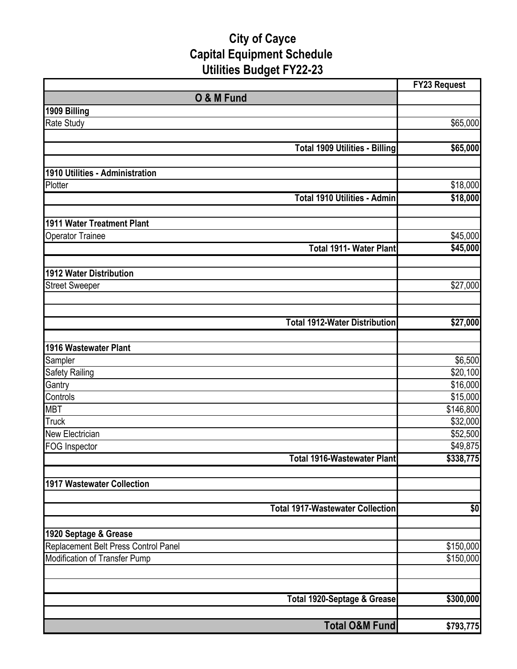# **City of Cayce Capital Equipment Schedule Utilities Budget FY22-23**

|                                         | <b>FY23 Request</b> |
|-----------------------------------------|---------------------|
| O & M Fund                              |                     |
| 1909 Billing                            |                     |
| <b>Rate Study</b>                       | \$65,000            |
|                                         |                     |
| <b>Total 1909 Utilities - Billing</b>   | \$65,000            |
|                                         |                     |
| 1910 Utilities - Administration         |                     |
| Plotter                                 | \$18,000            |
| Total 1910 Utilities - Admin            | \$18,000            |
|                                         |                     |
| 1911 Water Treatment Plant              |                     |
| <b>Operator Trainee</b>                 | \$45,000            |
| <b>Total 1911- Water Plant</b>          | \$45,000            |
|                                         |                     |
| <b>1912 Water Distribution</b>          |                     |
| <b>Street Sweeper</b>                   | \$27,000            |
|                                         |                     |
|                                         |                     |
| <b>Total 1912-Water Distribution</b>    | \$27,000            |
|                                         |                     |
| 1916 Wastewater Plant                   |                     |
| Sampler                                 | \$6,500             |
| Safety Railing                          | \$20,100            |
| Gantry                                  | \$16,000            |
| Controls                                | \$15,000            |
| <b>MBT</b>                              | \$146,800           |
| <b>Truck</b>                            | \$32,000            |
| <b>New Electrician</b>                  | \$52,500            |
| <b>FOG Inspector</b>                    | \$49,875            |
| <b>Total 1916-Wastewater Plant</b>      | \$338,775           |
|                                         |                     |
| 1917 Wastewater Collection              |                     |
|                                         |                     |
| <b>Total 1917-Wastewater Collection</b> | \$0                 |
| 1920 Septage & Grease                   |                     |
| Replacement Belt Press Control Panel    | \$150,000           |
| Modification of Transfer Pump           | \$150,000           |
|                                         |                     |
|                                         |                     |
| Total 1920-Septage & Grease             | \$300,000           |
|                                         |                     |
| <b>Total O&amp;M Fund</b>               | \$793,775           |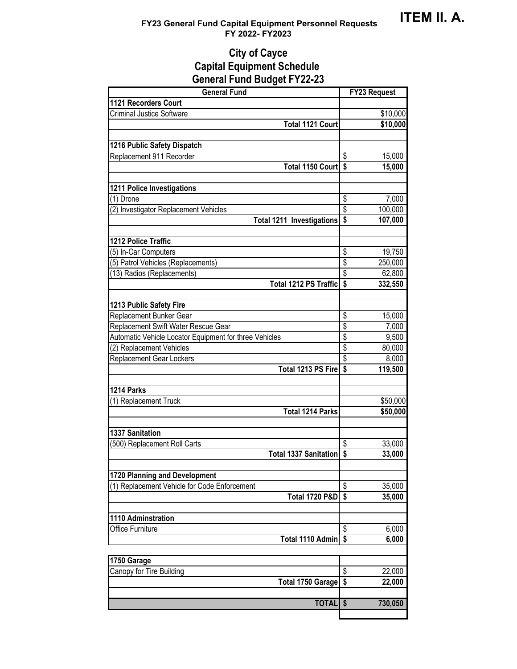## **FY23 General Fund Capital Equipment Personnel Requests FY 2022- FY2023**

# **City of Cayce Capital Equipment Schedule General Fund Budget FY22-23**

| <b>General Fund</b>                                    | <b>FY23 Request</b>                           |
|--------------------------------------------------------|-----------------------------------------------|
| <b>1121 Recorders Court</b>                            |                                               |
| <b>Criminal Justice Software</b>                       | \$10,000                                      |
| <b>Total 1121 Court</b>                                | \$10,000                                      |
|                                                        |                                               |
| 1216 Public Safety Dispatch                            |                                               |
| Replacement 911 Recorder                               | \$<br>15,000                                  |
| Total 1150 Court \$                                    | 15,000                                        |
|                                                        |                                               |
| 1211 Police Investigations                             |                                               |
| (1) Drone                                              | \$<br>7,000                                   |
| (2) Investigator Replacement Vehicles                  | \$<br>100,000                                 |
| <b>Total 1211 Investigations</b>                       | \$<br>107,000                                 |
|                                                        |                                               |
| 1212 Police Traffic                                    |                                               |
| (5) In-Car Computers                                   | \$<br>19,750                                  |
| (5) Patrol Vehicles (Replacements)                     | \$<br>250,000                                 |
| (13) Radios (Replacements)                             | $\overline{\mathbb{S}}$<br>62,800             |
| Total 1212 PS Traffic                                  | $\overline{\mathbf{s}}$<br>332,550            |
|                                                        |                                               |
| 1213 Public Safety Fire                                |                                               |
| Replacement Bunker Gear                                | \$<br>15,000                                  |
| Replacement Swift Water Rescue Gear                    | \$<br>7,000                                   |
| Automatic Vehicle Locator Equipment for three Vehicles | $\overline{\mathcal{S}}$<br>9,500             |
| (2) Replacement Vehicles                               | \$<br>80,000                                  |
| <b>Replacement Gear Lockers</b>                        | $\overline{\mathcal{S}}$<br>8,000             |
| Total 1213 PS Fire                                     | \$<br>119,500                                 |
|                                                        |                                               |
| 1214 Parks                                             |                                               |
| (1) Replacement Truck                                  | \$50,000                                      |
| <b>Total 1214 Parks</b>                                | \$50,000                                      |
| <b>1337 Sanitation</b>                                 |                                               |
| (500) Replacement Roll Carts                           | \$                                            |
| <b>Total 1337 Sanitation</b>                           | 33,000<br>$\boldsymbol{\mathsf{s}}$<br>33,000 |
|                                                        |                                               |
| 1720 Planning and Development                          |                                               |
| (1) Replacement Vehicle for Code Enforcement           | \$<br>35,000                                  |
| <b>Total 1720 P&amp;D</b>                              | $\overline{\mathbf{s}}$<br>35,000             |
|                                                        |                                               |
| 1110 Adminstration                                     |                                               |
| Office Furniture                                       | \$<br>6,000                                   |
| Total 1110 Admin   \$                                  | 6,000                                         |
|                                                        |                                               |
| 1750 Garage                                            |                                               |
| Canopy for Tire Building                               | \$<br>22,000                                  |
| <b>Total 1750 Garage</b>                               | \$<br>22,000                                  |
|                                                        |                                               |
| <b>TOTAL</b>                                           | 730,050<br>$\boldsymbol{\hat{s}}$             |
|                                                        |                                               |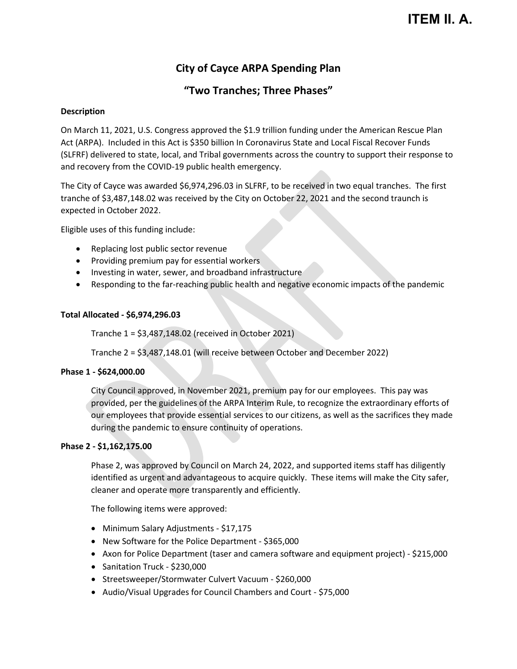# **ITEM II. A.**

# **City of Cayce ARPA Spending Plan**

# **"Two Tranches; Three Phases"**

### **Description**

On March 11, 2021, U.S. Congress approved the \$1.9 trillion funding under the American Rescue Plan Act (ARPA). Included in this Act is \$350 billion In Coronavirus State and Local Fiscal Recover Funds (SLFRF) delivered to state, local, and Tribal governments across the country to support their response to and recovery from the COVID-19 public health emergency.

The City of Cayce was awarded \$6,974,296.03 in SLFRF, to be received in two equal tranches. The first tranche of \$3,487,148.02 was received by the City on October 22, 2021 and the second traunch is expected in October 2022.

Eligible uses of this funding include:

- Replacing lost public sector revenue
- Providing premium pay for essential workers
- Investing in water, sewer, and broadband infrastructure
- Responding to the far-reaching public health and negative economic impacts of the pandemic

### **Total Allocated - \$6,974,296.03**

Tranche 1 = \$3,487,148.02 (received in October 2021)

Tranche 2 = \$3,487,148.01 (will receive between October and December 2022)

### **Phase 1 - \$624,000.00**

City Council approved, in November 2021, premium pay for our employees. This pay was provided, per the guidelines of the ARPA Interim Rule, to recognize the extraordinary efforts of our employees that provide essential services to our citizens, as well as the sacrifices they made during the pandemic to ensure continuity of operations.

### **Phase 2 - \$1,162,175.00**

Phase 2, was approved by Council on March 24, 2022, and supported items staff has diligently identified as urgent and advantageous to acquire quickly. These items will make the City safer, cleaner and operate more transparently and efficiently.

The following items were approved:

- Minimum Salary Adjustments \$17,175
- New Software for the Police Department \$365,000
- Axon for Police Department (taser and camera software and equipment project) \$215,000
- Sanitation Truck \$230,000
- Streetsweeper/Stormwater Culvert Vacuum \$260,000
- Audio/Visual Upgrades for Council Chambers and Court \$75,000